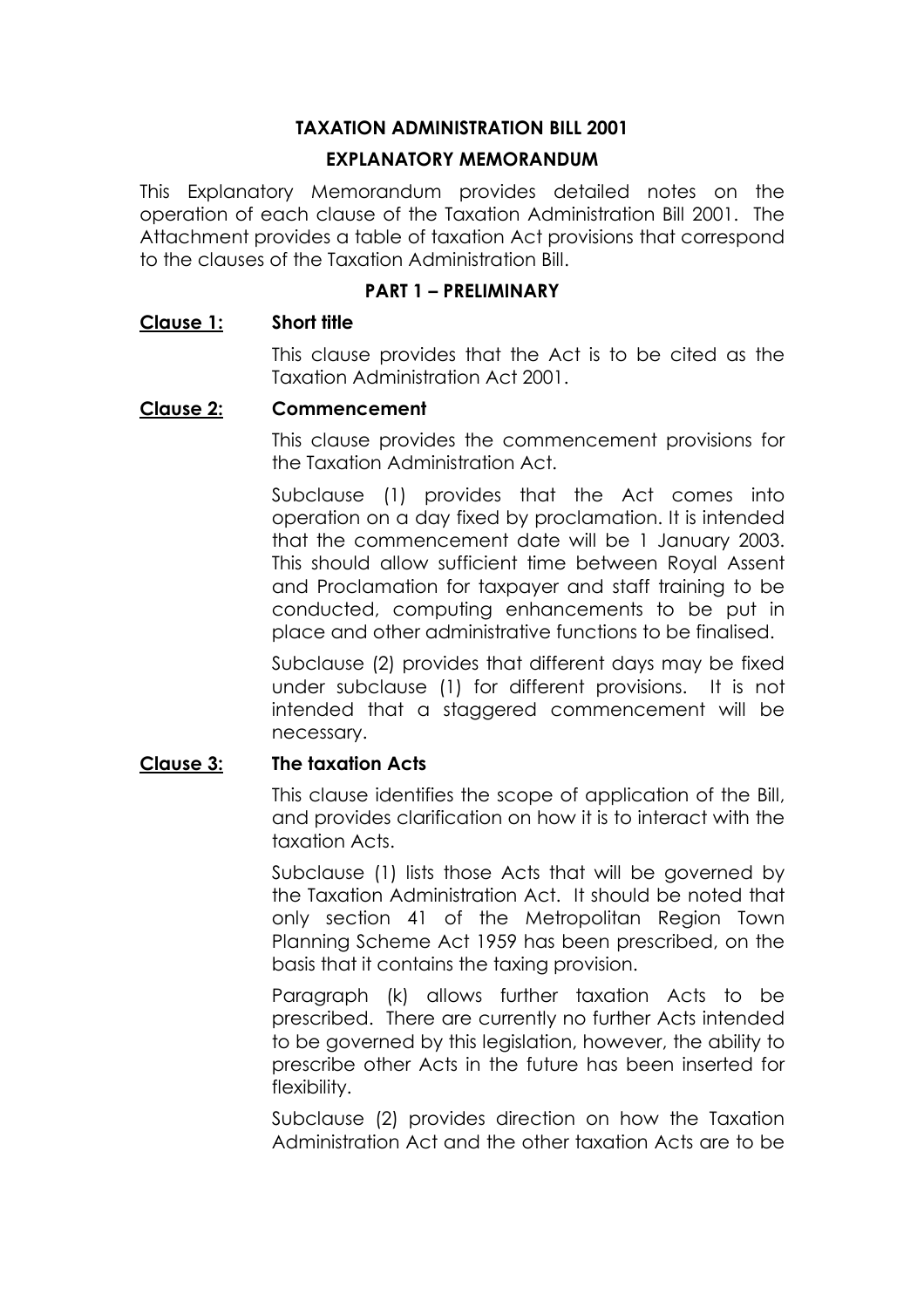# **TAXATION ADMINISTRATION BILL 2001**

# **EXPLANATORY MEMORANDUM**

This Explanatory Memorandum provides detailed notes on the operation of each clause of the Taxation Administration Bill 2001. The Attachment provides a table of taxation Act provisions that correspond to the clauses of the Taxation Administration Bill.

# **PART 1 - PRELIMINARY**

# **Clause 1: Short title**

This clause provides that the Act is to be cited as the Taxation Administration Act 2001.

# **Clause 2: Commencement**

This clause provides the commencement provisions for the Taxation Administration Act.

Subclause (1) provides that the Act comes into operation on a day fixed by proclamation. It is intended that the commencement date will be 1 January 2003. This should allow sufficient time between Royal Assent and Proclamation for taxpayer and staff training to be conducted, computing enhancements to be put in place and other administrative functions to be finalised.

Subclause (2) provides that different days may be fixed under subclause (1) for different provisions. It is not intended that a staggered commencement will be necessary.

# **Clause 3: The taxation Acts**

This clause identifies the scope of application of the Bill, and provides clarification on how it is to interact with the taxation Acts.

Subclause (1) lists those Acts that will be governed by the Taxation Administration Act. It should be noted that only section 41 of the Metropolitan Region Town Planning Scheme Act 1959 has been prescribed, on the basis that it contains the taxing provision.

Paragraph (k) allows further taxation Acts to be prescribed. There are currently no further Acts intended to be governed by this legislation, however, the ability to prescribe other Acts in the future has been inserted for flexibility.

Subclause (2) provides direction on how the Taxation Administration Act and the other taxation Acts are to be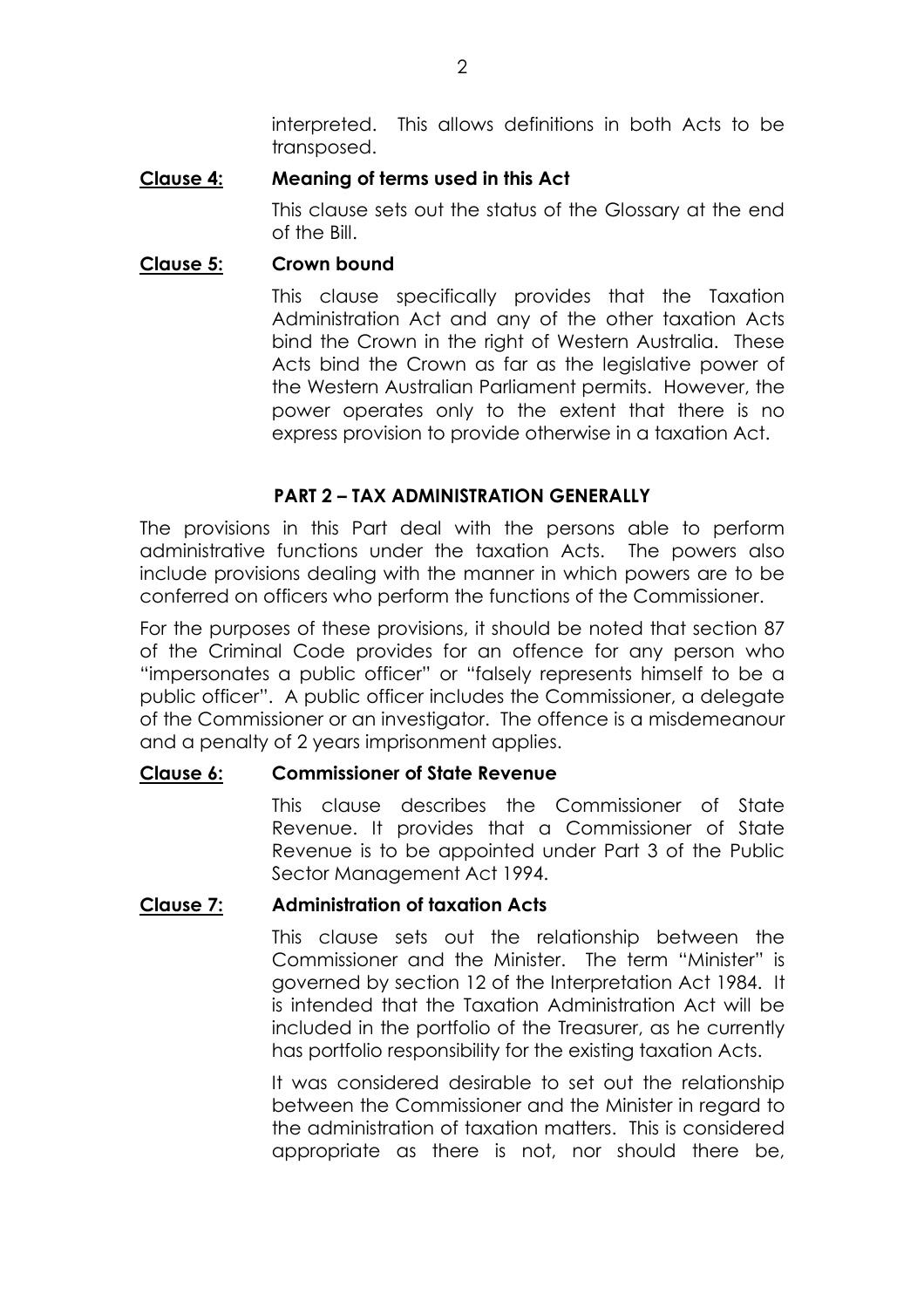interpreted. This allows definitions in both Acts to be transposed.

# **Clause 4: Meaning of terms used in this Act**

This clause sets out the status of the Glossary at the end of the Bill.

# **Clause 5: Crown bound**

This clause specifically provides that the Taxation Administration Act and any of the other taxation Acts bind the Crown in the right of Western Australia. These Acts bind the Crown as far as the legislative power of the Western Australian Parliament permits. However, the power operates only to the extent that there is no express provision to provide otherwise in a taxation Act.

# **PART 2 - TAX ADMINISTRATION GENERALLY**

The provisions in this Part deal with the persons able to perform administrative functions under the taxation Acts. The powers also include provisions dealing with the manner in which powers are to be conferred on officers who perform the functions of the Commissioner.

For the purposes of these provisions, it should be noted that section 87 of the Criminal Code provides for an offence for any person who "impersonates a public officer" or "falsely represents himself to be a public officerî. A public officer includes the Commissioner, a delegate of the Commissioner or an investigator. The offence is a misdemeanour and a penalty of 2 years imprisonment applies.

# **Clause 6: Commissioner of State Revenue**

This clause describes the Commissioner of State Revenue. It provides that a Commissioner of State Revenue is to be appointed under Part 3 of the Public Sector Management Act 1994.

# **Clause 7: Administration of taxation Acts**

This clause sets out the relationship between the Commissioner and the Minister. The term "Minister" is governed by section 12 of the Interpretation Act 1984. It is intended that the Taxation Administration Act will be included in the portfolio of the Treasurer, as he currently has portfolio responsibility for the existing taxation Acts.

It was considered desirable to set out the relationship between the Commissioner and the Minister in regard to the administration of taxation matters. This is considered appropriate as there is not, nor should there be,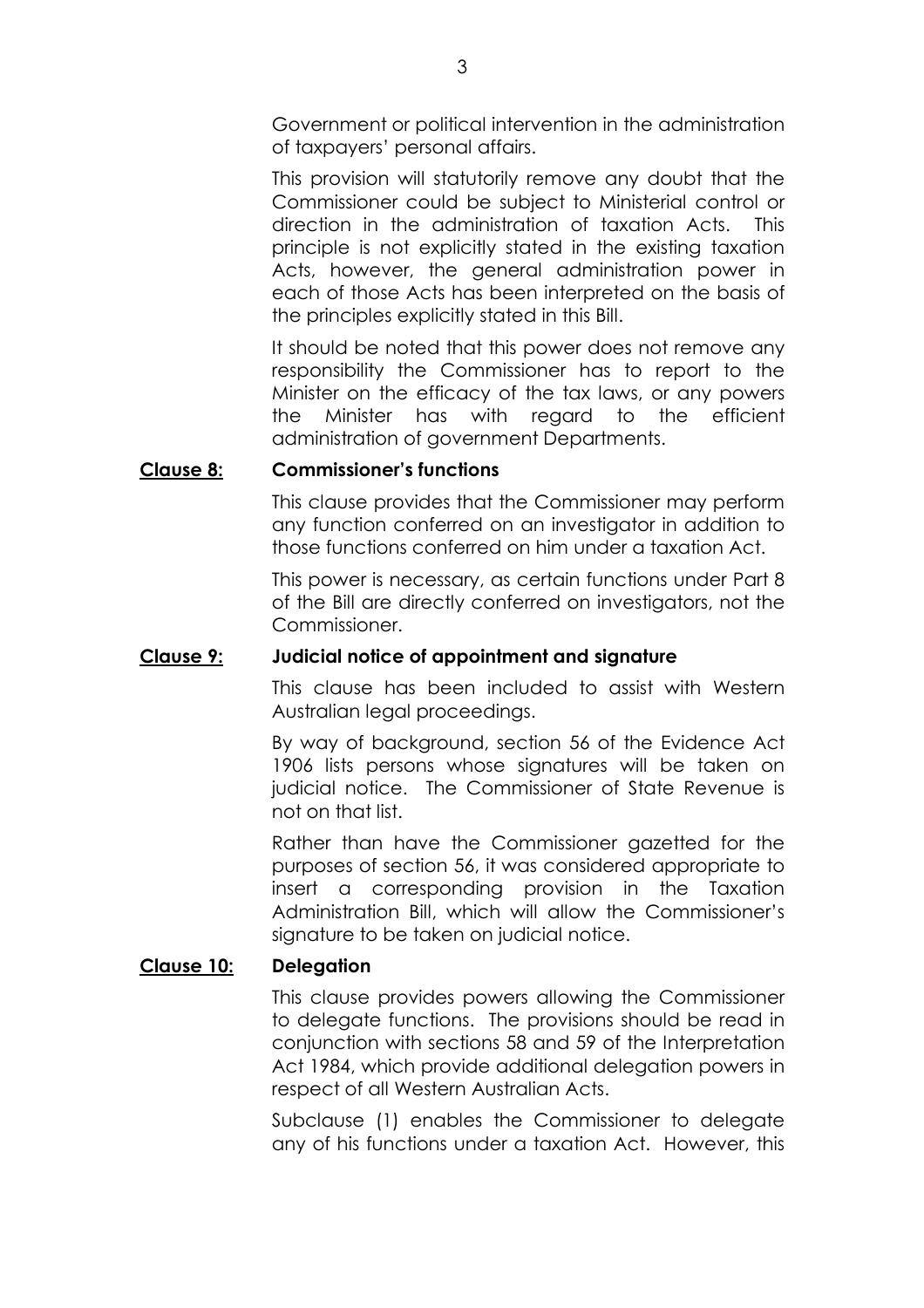Government or political intervention in the administration of taxpayers' personal affairs.

This provision will statutorily remove any doubt that the Commissioner could be subject to Ministerial control or direction in the administration of taxation Acts. This principle is not explicitly stated in the existing taxation Acts, however, the general administration power in each of those Acts has been interpreted on the basis of the principles explicitly stated in this Bill.

It should be noted that this power does not remove any responsibility the Commissioner has to report to the Minister on the efficacy of the tax laws, or any powers the Minister has with regard to the efficient administration of government Departments.

# **Clause 8: Commissionerís functions**

This clause provides that the Commissioner may perform any function conferred on an investigator in addition to those functions conferred on him under a taxation Act.

This power is necessary, as certain functions under Part 8 of the Bill are directly conferred on investigators, not the Commissioner.

# **Clause 9: Judicial notice of appointment and signature**

This clause has been included to assist with Western Australian legal proceedings.

By way of background, section 56 of the Evidence Act 1906 lists persons whose signatures will be taken on judicial notice. The Commissioner of State Revenue is not on that list.

Rather than have the Commissioner gazetted for the purposes of section 56, it was considered appropriate to insert a corresponding provision in the Taxation Administration Bill, which will allow the Commissioner's signature to be taken on judicial notice.

# **Clause 10: Delegation**

This clause provides powers allowing the Commissioner to delegate functions. The provisions should be read in conjunction with sections 58 and 59 of the Interpretation Act 1984, which provide additional delegation powers in respect of all Western Australian Acts.

Subclause (1) enables the Commissioner to delegate any of his functions under a taxation Act. However, this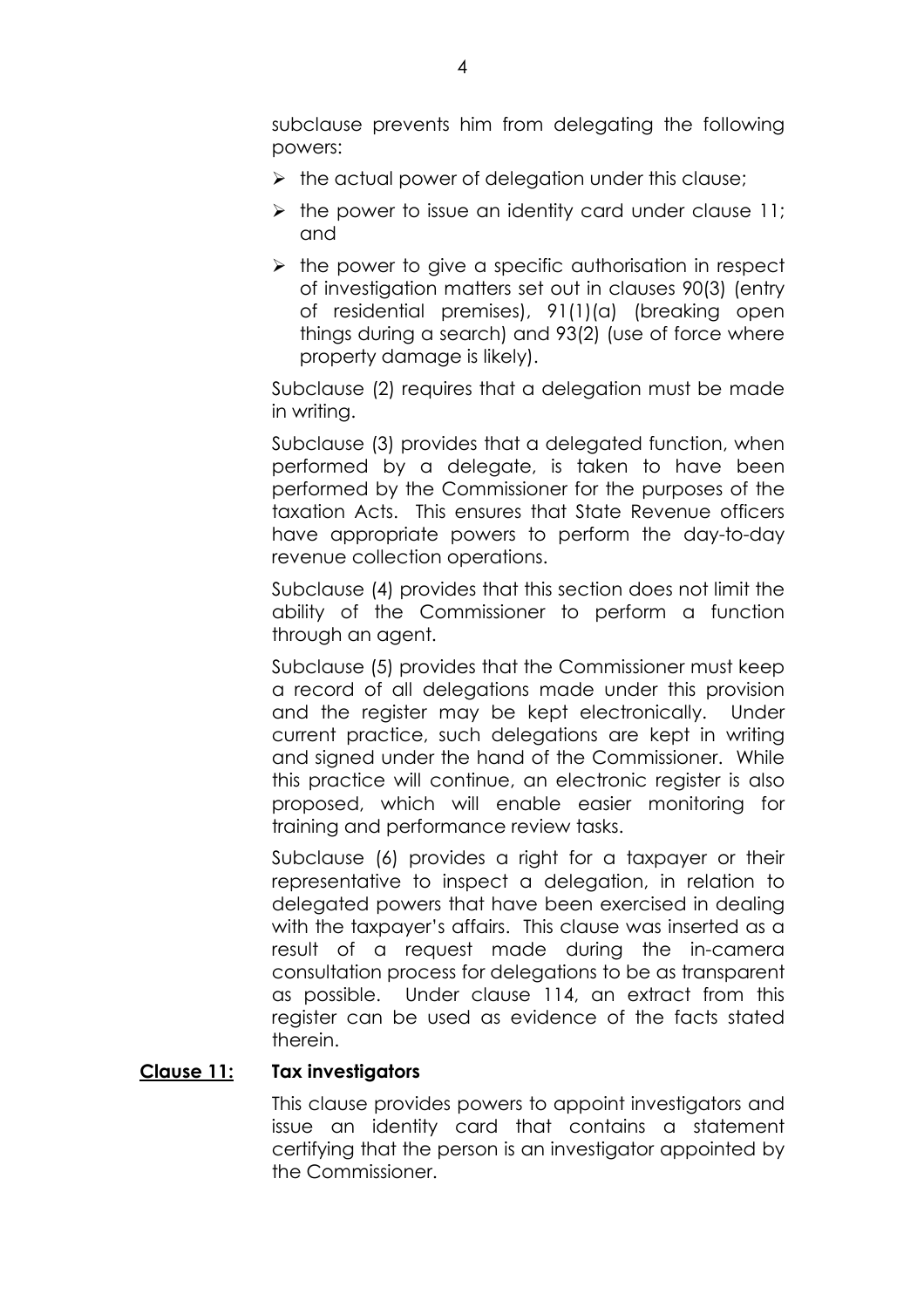subclause prevents him from delegating the following powers:

- $\triangleright$  the actual power of delegation under this clause;
- $\triangleright$  the power to issue an identity card under clause 11; and
- $\triangleright$  the power to give a specific authorisation in respect of investigation matters set out in clauses 90(3) (entry of residential premises), 91(1)(a) (breaking open things during a search) and 93(2) (use of force where property damage is likely).

Subclause (2) requires that a delegation must be made in writing.

Subclause (3) provides that a delegated function, when performed by a delegate, is taken to have been performed by the Commissioner for the purposes of the taxation Acts. This ensures that State Revenue officers have appropriate powers to perform the day-to-day revenue collection operations.

Subclause (4) provides that this section does not limit the ability of the Commissioner to perform a function through an agent.

Subclause (5) provides that the Commissioner must keep a record of all delegations made under this provision and the register may be kept electronically. Under current practice, such delegations are kept in writing and signed under the hand of the Commissioner. While this practice will continue, an electronic register is also proposed, which will enable easier monitoring for training and performance review tasks.

Subclause (6) provides a right for a taxpayer or their representative to inspect a delegation, in relation to delegated powers that have been exercised in dealing with the taxpayer's affairs. This clause was inserted as a result of a request made during the in-camera consultation process for delegations to be as transparent as possible. Under clause 114, an extract from this register can be used as evidence of the facts stated therein.

# **Clause 11: Tax investigators**

This clause provides powers to appoint investigators and issue an identity card that contains a statement certifying that the person is an investigator appointed by the Commissioner.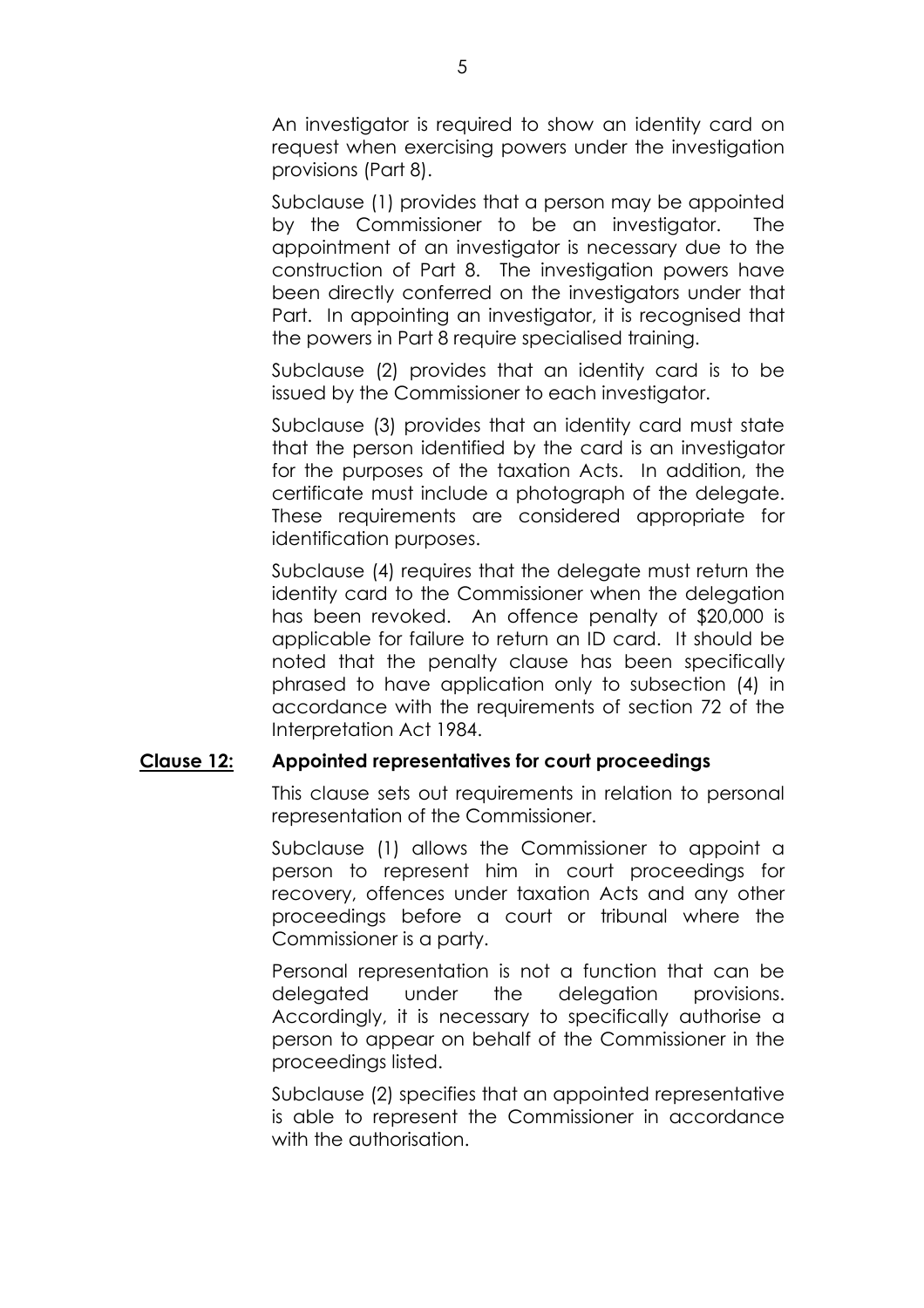An investigator is required to show an identity card on request when exercising powers under the investigation provisions (Part 8).

Subclause (1) provides that a person may be appointed by the Commissioner to be an investigator. The appointment of an investigator is necessary due to the construction of Part 8. The investigation powers have been directly conferred on the investigators under that Part. In appointing an investigator, it is recognised that the powers in Part 8 require specialised training.

Subclause (2) provides that an identity card is to be issued by the Commissioner to each investigator.

Subclause (3) provides that an identity card must state that the person identified by the card is an investigator for the purposes of the taxation Acts. In addition, the certificate must include a photograph of the delegate. These requirements are considered appropriate for identification purposes.

Subclause (4) requires that the delegate must return the identity card to the Commissioner when the delegation has been revoked. An offence penalty of \$20,000 is applicable for failure to return an ID card. It should be noted that the penalty clause has been specifically phrased to have application only to subsection (4) in accordance with the requirements of section 72 of the Interpretation Act 1984.

# **Clause 12: Appointed representatives for court proceedings**

This clause sets out requirements in relation to personal representation of the Commissioner.

Subclause (1) allows the Commissioner to appoint a person to represent him in court proceedings for recovery, offences under taxation Acts and any other proceedings before a court or tribunal where the Commissioner is a party.

Personal representation is not a function that can be delegated under the delegation provisions. Accordingly, it is necessary to specifically authorise a person to appear on behalf of the Commissioner in the proceedings listed.

Subclause (2) specifies that an appointed representative is able to represent the Commissioner in accordance with the authorisation.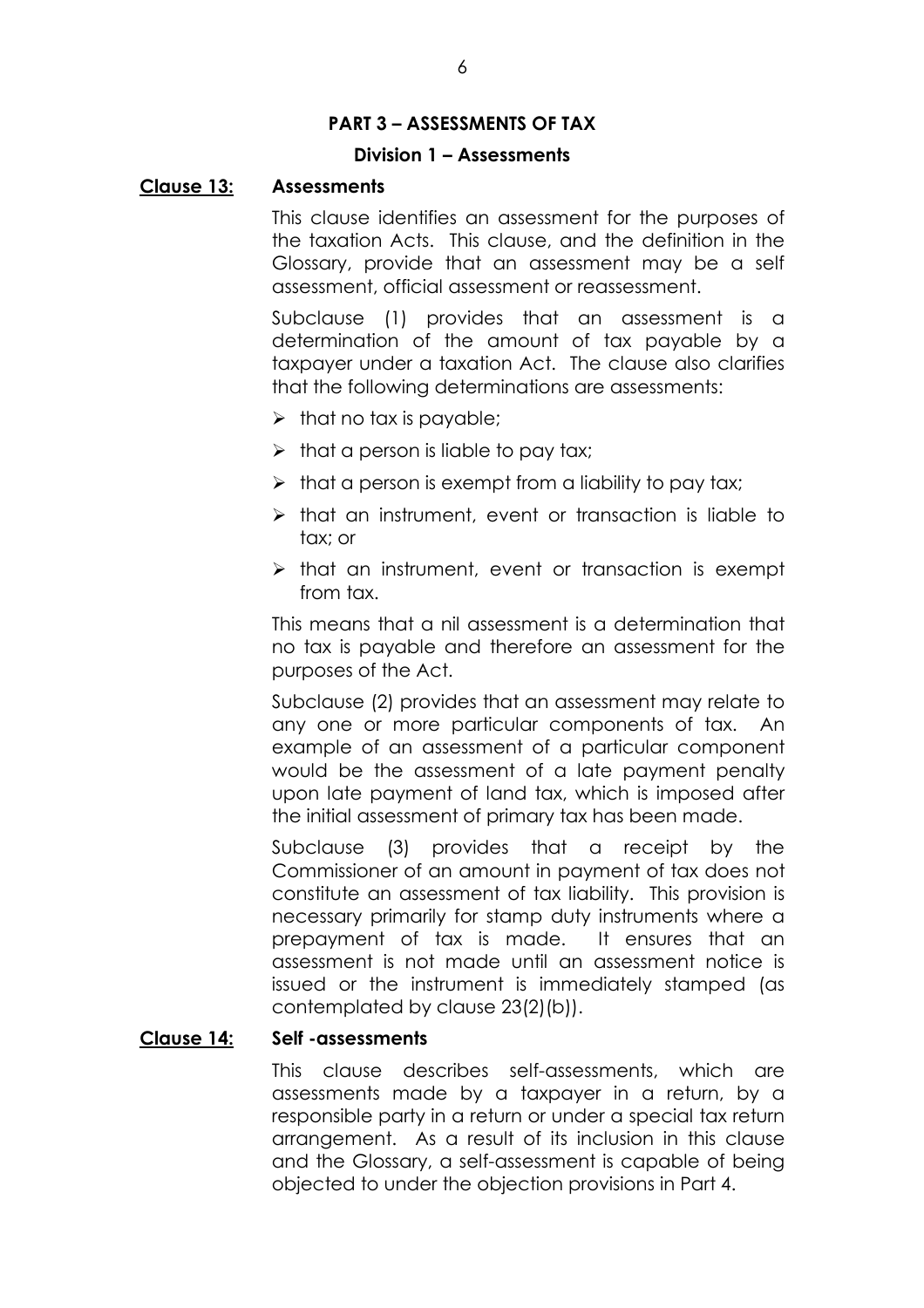# **PART 3 - ASSESSMENTS OF TAX**

# **Division 1 – Assessments**

#### **Clause 13: Assessments**

This clause identifies an assessment for the purposes of the taxation Acts. This clause, and the definition in the Glossary, provide that an assessment may be a self assessment, official assessment or reassessment.

Subclause (1) provides that an assessment is a determination of the amount of tax payable by a taxpayer under a taxation Act. The clause also clarifies that the following determinations are assessments:

- $\triangleright$  that no tax is payable;
- $\triangleright$  that a person is liable to pay tax;
- $\triangleright$  that a person is exempt from a liability to pay tax;
- $\triangleright$  that an instrument, event or transaction is liable to tax; or
- $\triangleright$  that an instrument, event or transaction is exempt from tax

This means that a nil assessment is a determination that no tax is payable and therefore an assessment for the purposes of the Act.

Subclause (2) provides that an assessment may relate to any one or more particular components of tax. An example of an assessment of a particular component would be the assessment of a late payment penalty upon late payment of land tax, which is imposed after the initial assessment of primary tax has been made.

Subclause (3) provides that a receipt by the Commissioner of an amount in payment of tax does not constitute an assessment of tax liability. This provision is necessary primarily for stamp duty instruments where a prepayment of tax is made. It ensures that an assessment is not made until an assessment notice is issued or the instrument is immediately stamped (as contemplated by clause 23(2)(b)).

#### **Clause 14: Self -assessments**

This clause describes self-assessments, which are assessments made by a taxpayer in a return, by a responsible party in a return or under a special tax return arrangement. As a result of its inclusion in this clause and the Glossary, a self-assessment is capable of being objected to under the objection provisions in Part 4.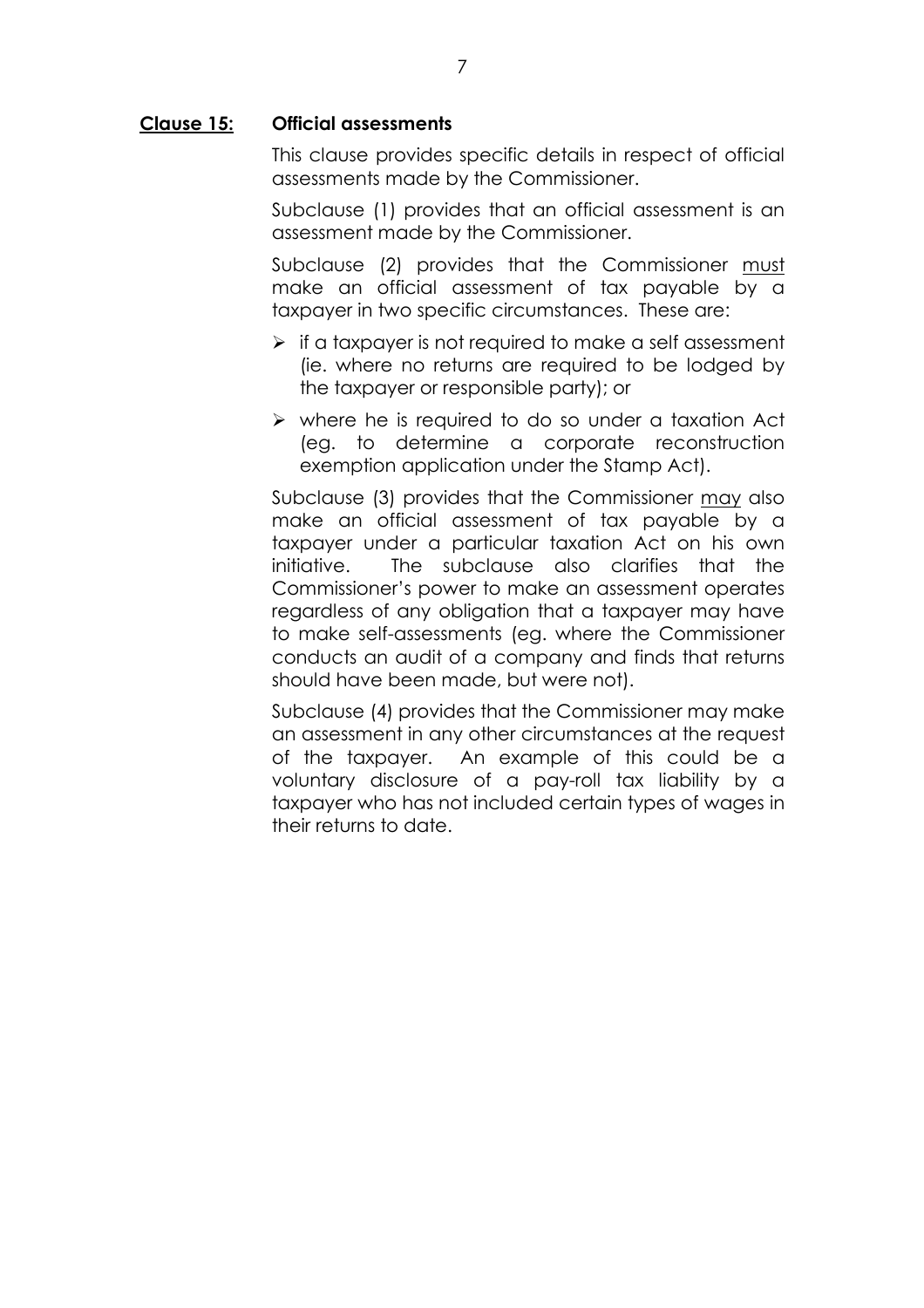# **Clause 15: Official assessments**

This clause provides specific details in respect of official assessments made by the Commissioner.

Subclause (1) provides that an official assessment is an assessment made by the Commissioner.

Subclause (2) provides that the Commissioner must make an official assessment of tax payable by a taxpayer in two specific circumstances. These are:

- $\triangleright$  if a taxpayer is not required to make a self assessment (ie. where no returns are required to be lodged by the taxpayer or responsible party); or
- $\triangleright$  where he is required to do so under a taxation Act (eg. to determine a corporate reconstruction exemption application under the Stamp Act).

Subclause (3) provides that the Commissioner may also make an official assessment of tax payable by a taxpayer under a particular taxation Act on his own initiative. The subclause also clarifies that the Commissioner's power to make an assessment operates regardless of any obligation that a taxpayer may have to make self-assessments (eg. where the Commissioner conducts an audit of a company and finds that returns should have been made, but were not).

Subclause (4) provides that the Commissioner may make an assessment in any other circumstances at the request of the taxpayer. An example of this could be a voluntary disclosure of a pay-roll tax liability by a taxpayer who has not included certain types of wages in their returns to date.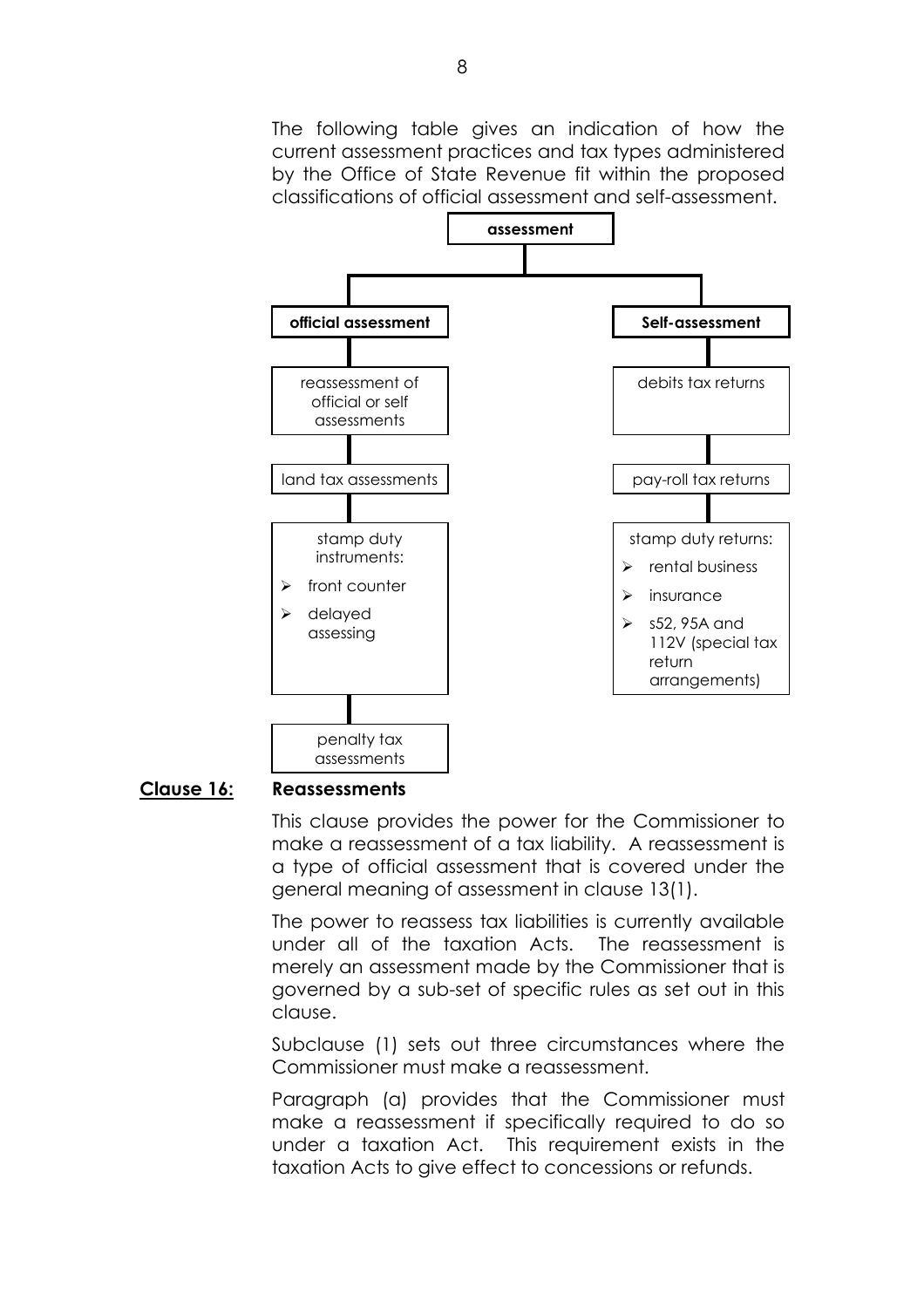The following table gives an indication of how the current assessment practices and tax types administered by the Office of State Revenue fit within the proposed classifications of official assessment and self-assessment.



#### **Clause 16: Reassessments**

This clause provides the power for the Commissioner to make a reassessment of a tax liability. A reassessment is a type of official assessment that is covered under the general meaning of assessment in clause 13(1).

The power to reassess tax liabilities is currently available under all of the taxation Acts. The reassessment is merely an assessment made by the Commissioner that is governed by a sub-set of specific rules as set out in this clause.

Subclause (1) sets out three circumstances where the Commissioner must make a reassessment.

Paragraph (a) provides that the Commissioner must make a reassessment if specifically required to do so under a taxation Act. This requirement exists in the taxation Acts to give effect to concessions or refunds.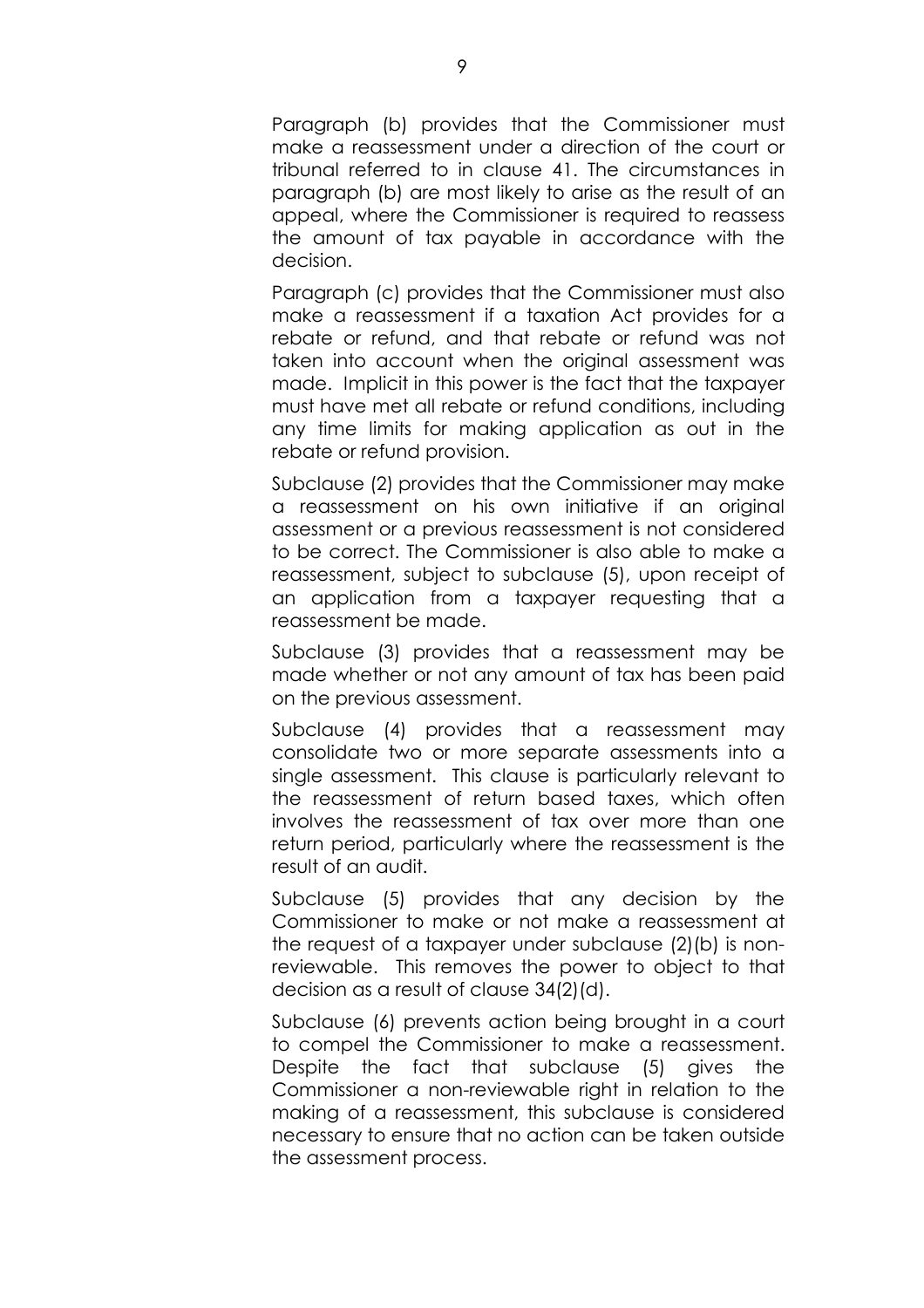Paragraph (b) provides that the Commissioner must make a reassessment under a direction of the court or tribunal referred to in clause 41. The circumstances in paragraph (b) are most likely to arise as the result of an appeal, where the Commissioner is required to reassess the amount of tax payable in accordance with the decision.

Paragraph (c) provides that the Commissioner must also make a reassessment if a taxation Act provides for a rebate or refund, and that rebate or refund was not taken into account when the original assessment was made. Implicit in this power is the fact that the taxpayer must have met all rebate or refund conditions, including any time limits for making application as out in the rebate or refund provision.

Subclause (2) provides that the Commissioner may make a reassessment on his own initiative if an original assessment or a previous reassessment is not considered to be correct. The Commissioner is also able to make a reassessment, subject to subclause (5), upon receipt of an application from a taxpayer requesting that a reassessment be made.

Subclause (3) provides that a reassessment may be made whether or not any amount of tax has been paid on the previous assessment.

Subclause (4) provides that a reassessment may consolidate two or more separate assessments into a single assessment. This clause is particularly relevant to the reassessment of return based taxes, which often involves the reassessment of tax over more than one return period, particularly where the reassessment is the result of an audit.

Subclause (5) provides that any decision by the Commissioner to make or not make a reassessment at the request of a taxpayer under subclause (2)(b) is nonreviewable. This removes the power to object to that decision as a result of clause 34(2)(d).

Subclause (6) prevents action being brought in a court to compel the Commissioner to make a reassessment. Despite the fact that subclause (5) gives the Commissioner a non-reviewable right in relation to the making of a reassessment, this subclause is considered necessary to ensure that no action can be taken outside the assessment process.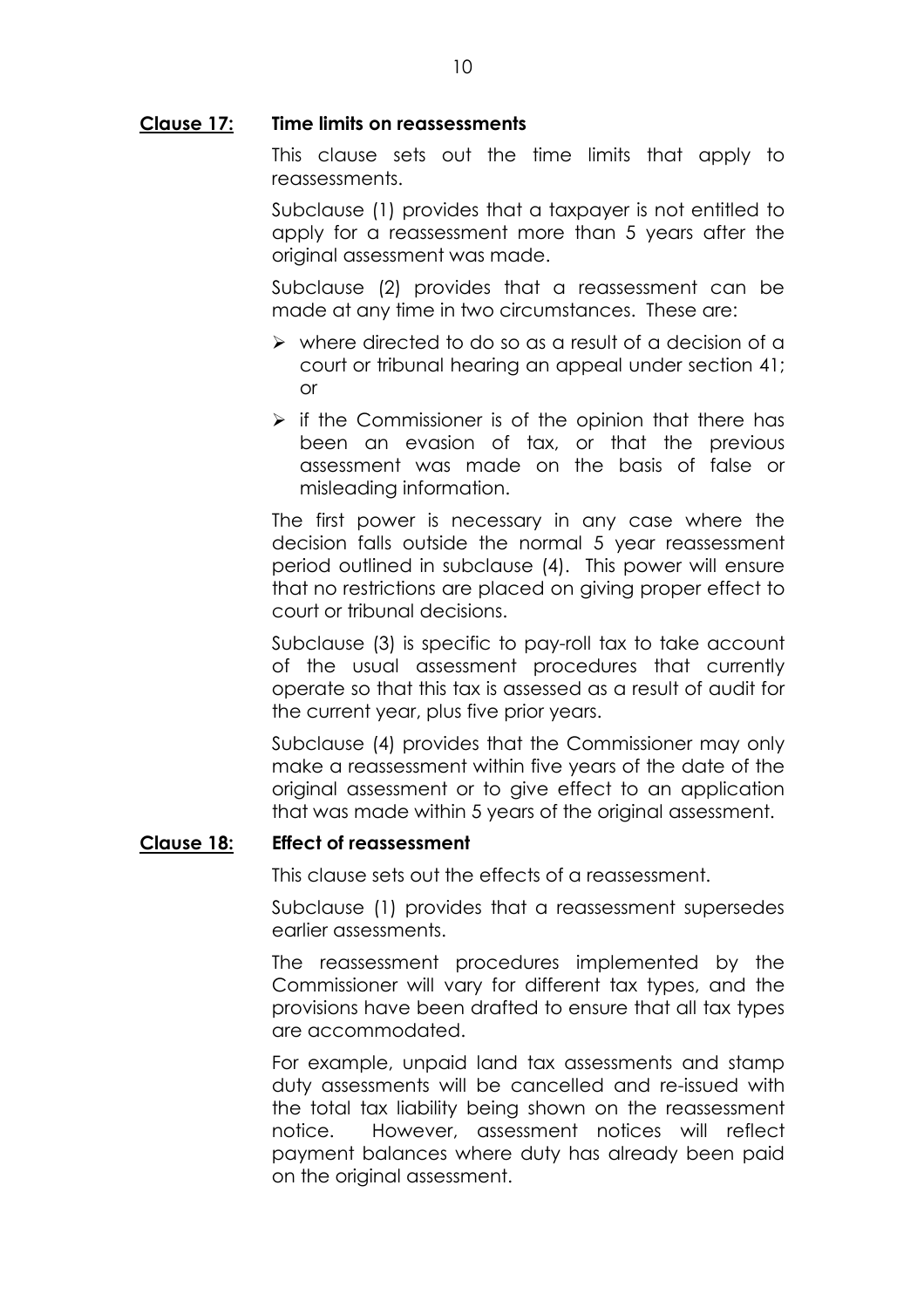# **Clause 17: Time limits on reassessments**

This clause sets out the time limits that apply to reassessments.

Subclause (1) provides that a taxpayer is not entitled to apply for a reassessment more than 5 years after the original assessment was made.

Subclause (2) provides that a reassessment can be made at any time in two circumstances. These are:

- $\triangleright$  where directed to do so as a result of a decision of a court or tribunal hearing an appeal under section 41; or
- $\triangleright$  if the Commissioner is of the opinion that there has been an evasion of tax, or that the previous assessment was made on the basis of false or misleading information.

The first power is necessary in any case where the decision falls outside the normal 5 year reassessment period outlined in subclause (4). This power will ensure that no restrictions are placed on giving proper effect to court or tribunal decisions.

Subclause (3) is specific to pay-roll tax to take account of the usual assessment procedures that currently operate so that this tax is assessed as a result of audit for the current year, plus five prior years.

Subclause (4) provides that the Commissioner may only make a reassessment within five years of the date of the original assessment or to give effect to an application that was made within 5 years of the original assessment.

# **Clause 18: Effect of reassessment**

This clause sets out the effects of a reassessment.

Subclause (1) provides that a reassessment supersedes earlier assessments.

The reassessment procedures implemented by the Commissioner will vary for different tax types, and the provisions have been drafted to ensure that all tax types are accommodated.

For example, unpaid land tax assessments and stamp duty assessments will be cancelled and re-issued with the total tax liability being shown on the reassessment notice. However, assessment notices will reflect payment balances where duty has already been paid on the original assessment.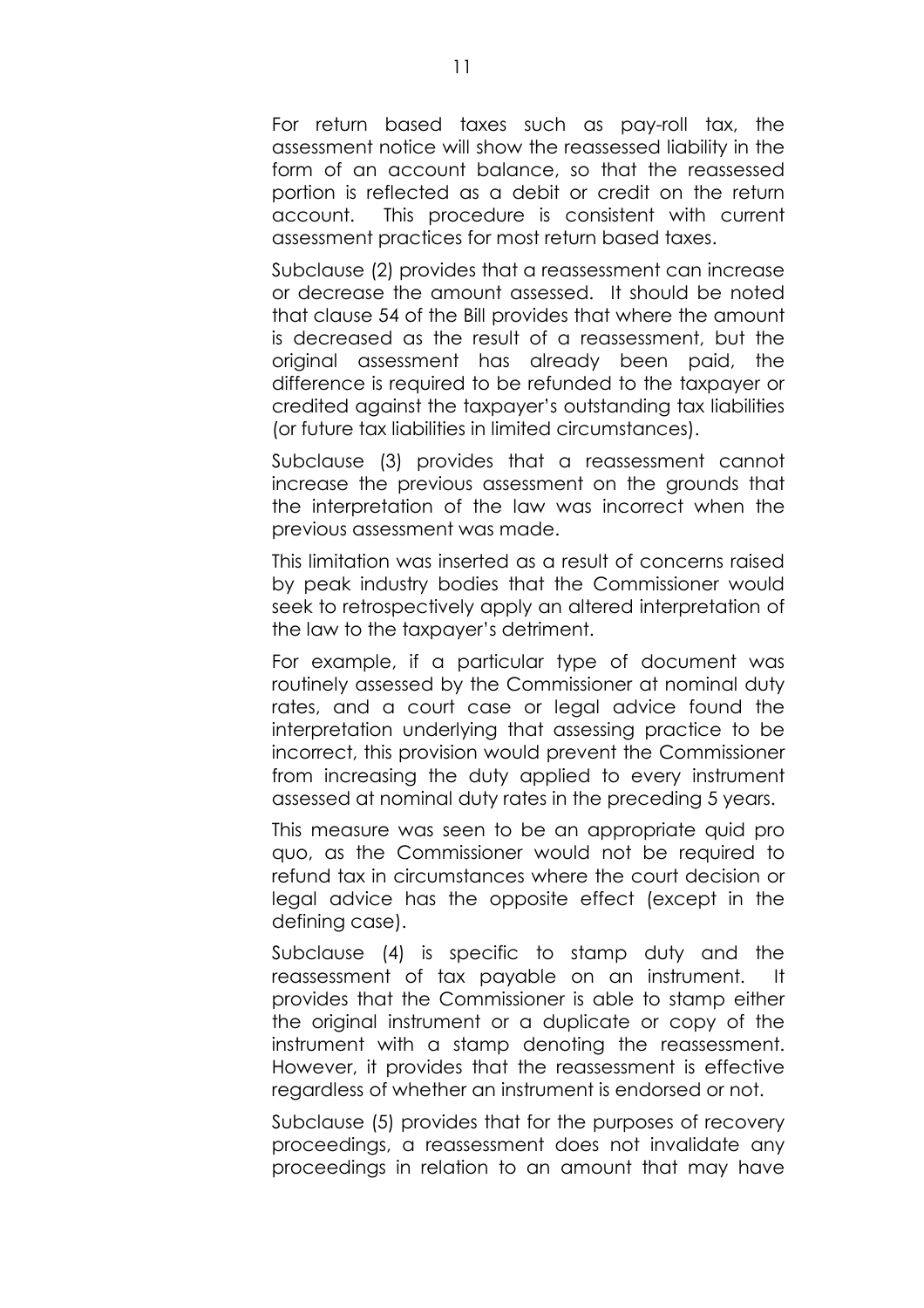For return based taxes such as pay-roll tax, the assessment notice will show the reassessed liability in the form of an account balance, so that the reassessed portion is reflected as a debit or credit on the return account. This procedure is consistent with current assessment practices for most return based taxes.

Subclause (2) provides that a reassessment can increase or decrease the amount assessed. It should be noted that clause 54 of the Bill provides that where the amount is decreased as the result of a reassessment, but the original assessment has already been paid, the difference is required to be refunded to the taxpayer or credited against the taxpayer's outstanding tax liabilities (or future tax liabilities in limited circumstances).

Subclause (3) provides that a reassessment cannot increase the previous assessment on the grounds that the interpretation of the law was incorrect when the previous assessment was made.

This limitation was inserted as a result of concerns raised by peak industry bodies that the Commissioner would seek to retrospectively apply an altered interpretation of the law to the taxpayer's detriment.

For example, if a particular type of document was routinely assessed by the Commissioner at nominal duty rates, and a court case or legal advice found the interpretation underlying that assessing practice to be incorrect, this provision would prevent the Commissioner from increasing the duty applied to every instrument assessed at nominal duty rates in the preceding 5 years.

This measure was seen to be an appropriate quid pro quo, as the Commissioner would not be required to refund tax in circumstances where the court decision or legal advice has the opposite effect (except in the defining case).

Subclause (4) is specific to stamp duty and the reassessment of tax payable on an instrument. It provides that the Commissioner is able to stamp either the original instrument or a duplicate or copy of the instrument with a stamp denoting the reassessment. However, it provides that the reassessment is effective regardless of whether an instrument is endorsed or not.

Subclause (5) provides that for the purposes of recovery proceedings, a reassessment does not invalidate any proceedings in relation to an amount that may have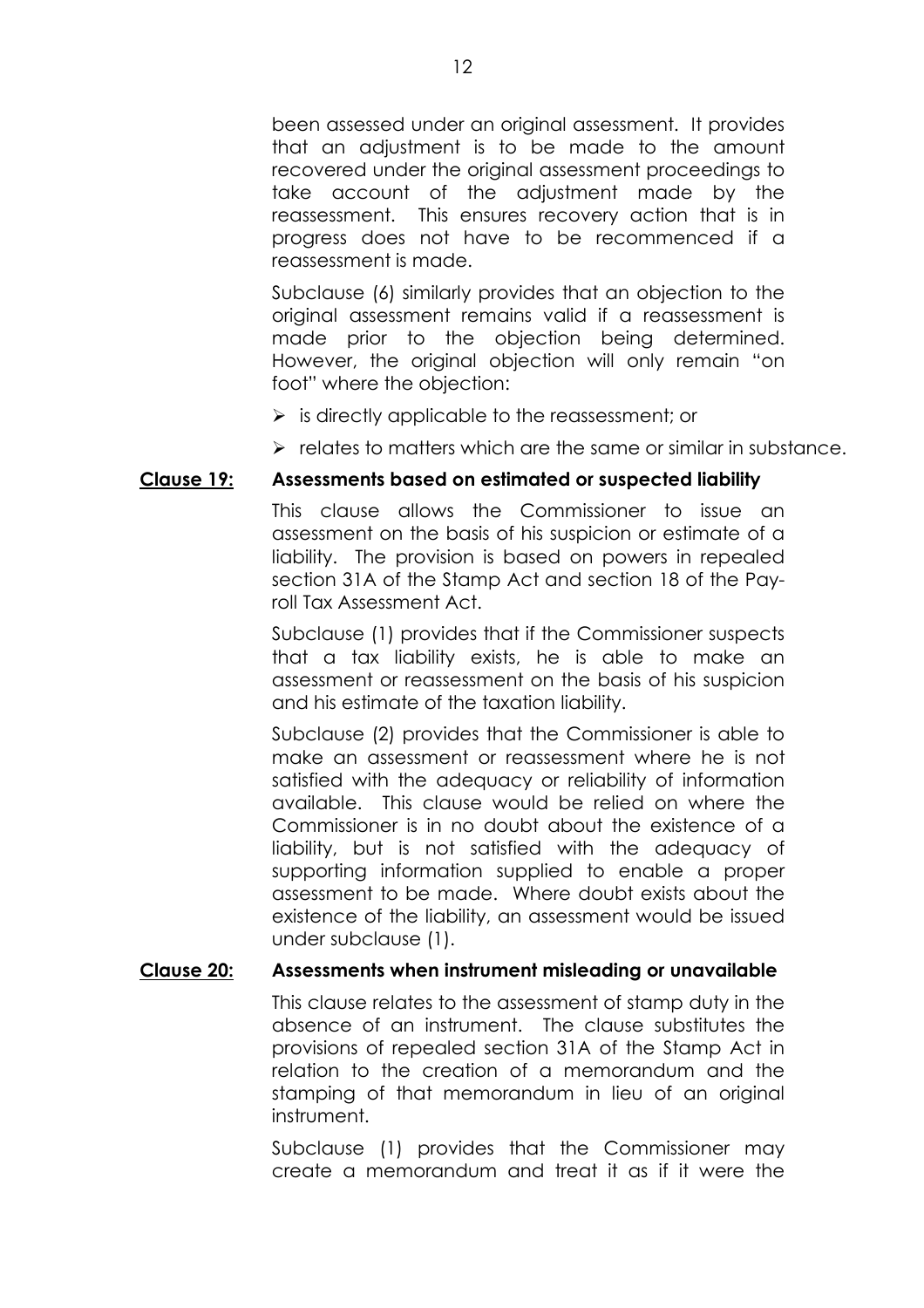been assessed under an original assessment. It provides that an adjustment is to be made to the amount recovered under the original assessment proceedings to take account of the adjustment made by the reassessment. This ensures recovery action that is in progress does not have to be recommenced if a reassessment is made.

Subclause (6) similarly provides that an objection to the original assessment remains valid if a reassessment is made prior to the objection being determined. However, the original objection will only remain "on foot" where the objection:

- $\triangleright$  is directly applicable to the reassessment; or
- $\triangleright$  relates to matters which are the same or similar in substance.

#### **Clause 19: Assessments based on estimated or suspected liability**

This clause allows the Commissioner to issue an assessment on the basis of his suspicion or estimate of a liability. The provision is based on powers in repealed section 31A of the Stamp Act and section 18 of the Payroll Tax Assessment Act.

Subclause (1) provides that if the Commissioner suspects that a tax liability exists, he is able to make an assessment or reassessment on the basis of his suspicion and his estimate of the taxation liability.

Subclause (2) provides that the Commissioner is able to make an assessment or reassessment where he is not satisfied with the adequacy or reliability of information available. This clause would be relied on where the Commissioner is in no doubt about the existence of a liability, but is not satisfied with the adequacy of supporting information supplied to enable a proper assessment to be made. Where doubt exists about the existence of the liability, an assessment would be issued under subclause (1).

# **Clause 20: Assessments when instrument misleading or unavailable**

This clause relates to the assessment of stamp duty in the absence of an instrument. The clause substitutes the provisions of repealed section 31A of the Stamp Act in relation to the creation of a memorandum and the stamping of that memorandum in lieu of an original instrument.

Subclause (1) provides that the Commissioner may create a memorandum and treat it as if it were the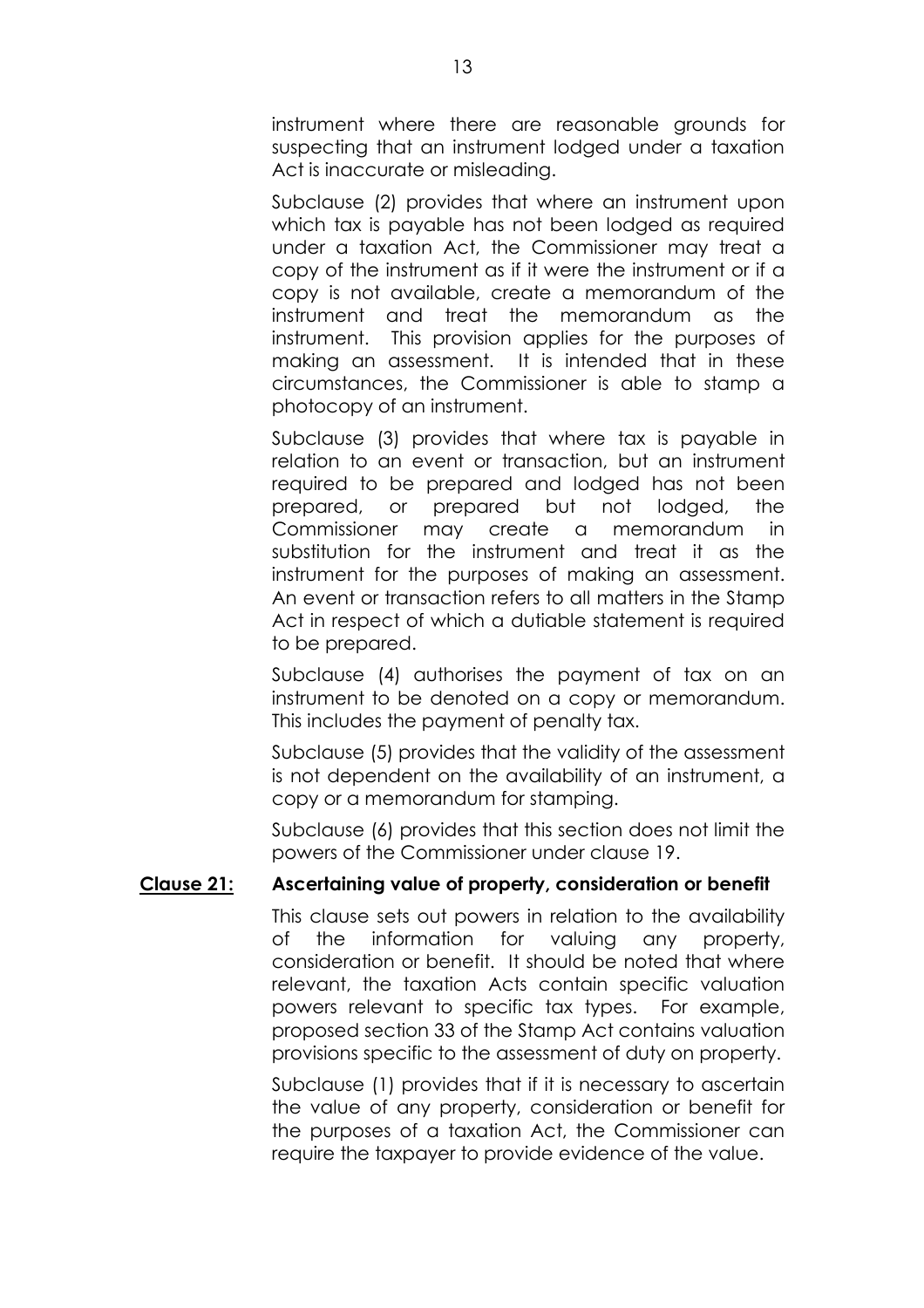instrument where there are reasonable grounds for suspecting that an instrument lodged under a taxation Act is inaccurate or misleading.

Subclause (2) provides that where an instrument upon which tax is payable has not been lodged as required under a taxation Act, the Commissioner may treat a copy of the instrument as if it were the instrument or if a copy is not available, create a memorandum of the instrument and treat the memorandum as the instrument. This provision applies for the purposes of making an assessment. It is intended that in these circumstances, the Commissioner is able to stamp a photocopy of an instrument.

Subclause (3) provides that where tax is payable in relation to an event or transaction, but an instrument required to be prepared and lodged has not been prepared, or prepared but not lodged, the Commissioner may create a memorandum in substitution for the instrument and treat it as the instrument for the purposes of making an assessment. An event or transaction refers to all matters in the Stamp Act in respect of which a dutiable statement is required to be prepared.

Subclause (4) authorises the payment of tax on an instrument to be denoted on a copy or memorandum. This includes the payment of penalty tax.

Subclause (5) provides that the validity of the assessment is not dependent on the availability of an instrument, a copy or a memorandum for stamping.

Subclause (6) provides that this section does not limit the powers of the Commissioner under clause 19.

# **Clause 21: Ascertaining value of property, consideration or benefit**

This clause sets out powers in relation to the availability of the information for valuing any property, consideration or benefit. It should be noted that where relevant, the taxation Acts contain specific valuation powers relevant to specific tax types. For example, proposed section 33 of the Stamp Act contains valuation provisions specific to the assessment of duty on property.

Subclause (1) provides that if it is necessary to ascertain the value of any property, consideration or benefit for the purposes of a taxation Act, the Commissioner can require the taxpayer to provide evidence of the value.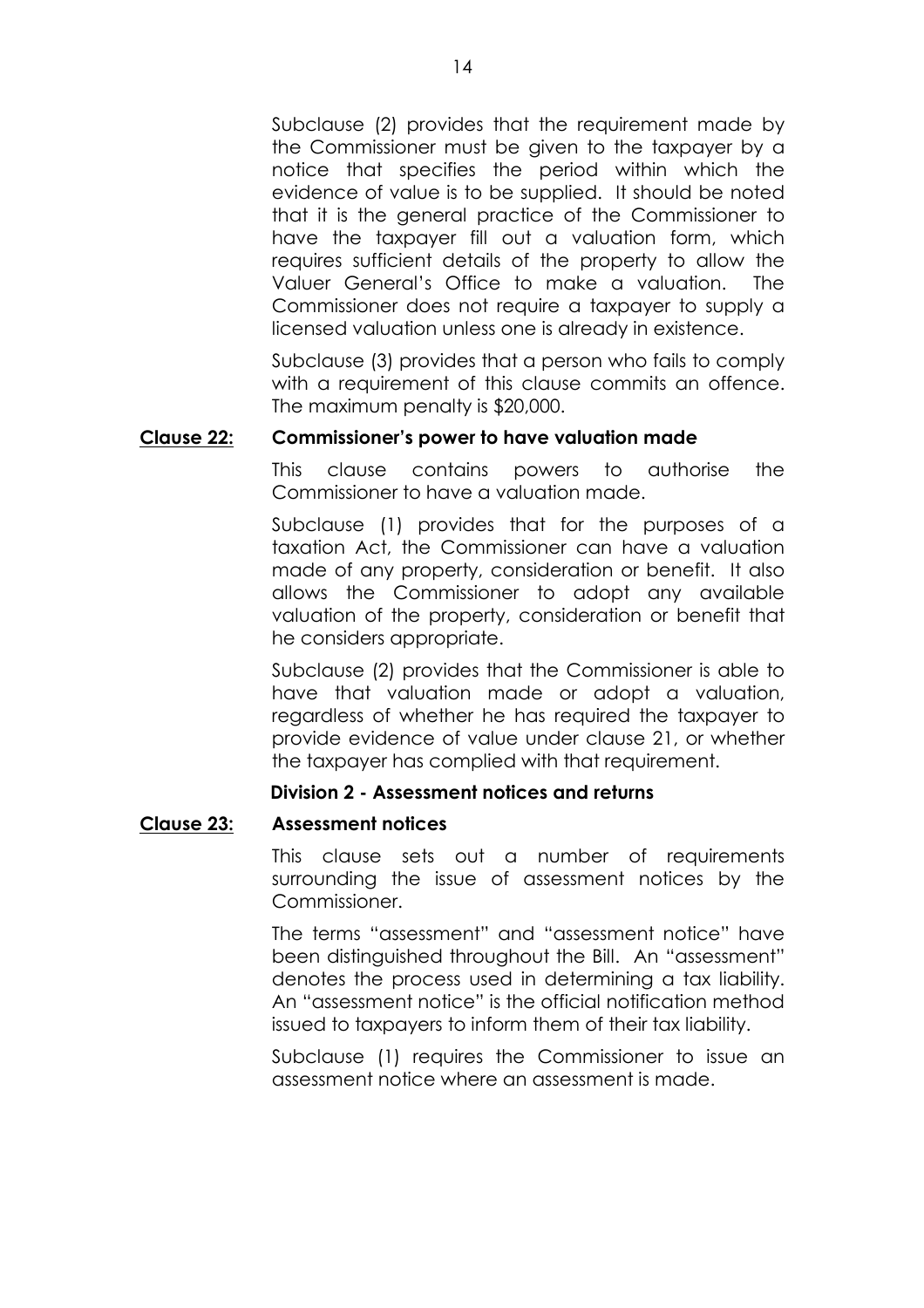Subclause (2) provides that the requirement made by the Commissioner must be given to the taxpayer by a notice that specifies the period within which the evidence of value is to be supplied. It should be noted that it is the general practice of the Commissioner to have the taxpayer fill out a valuation form, which requires sufficient details of the property to allow the Valuer Generalís Office to make a valuation. The Commissioner does not require a taxpayer to supply a licensed valuation unless one is already in existence.

Subclause (3) provides that a person who fails to comply with a requirement of this clause commits an offence. The maximum penalty is \$20,000.

#### **Clause 22: Commissionerís power to have valuation made**

This clause contains powers to authorise the Commissioner to have a valuation made.

Subclause (1) provides that for the purposes of a taxation Act, the Commissioner can have a valuation made of any property, consideration or benefit. It also allows the Commissioner to adopt any available valuation of the property, consideration or benefit that he considers appropriate.

Subclause (2) provides that the Commissioner is able to have that valuation made or adopt a valuation, regardless of whether he has required the taxpayer to provide evidence of value under clause 21, or whether the taxpayer has complied with that requirement.

# **Division 2 - Assessment notices and returns**

# **Clause 23: Assessment notices**

This clause sets out a number of requirements surrounding the issue of assessment notices by the Commissioner.

The terms "assessment" and "assessment notice" have been distinguished throughout the Bill. An "assessment" denotes the process used in determining a tax liability. An "assessment notice" is the official notification method issued to taxpayers to inform them of their tax liability.

Subclause (1) requires the Commissioner to issue an assessment notice where an assessment is made.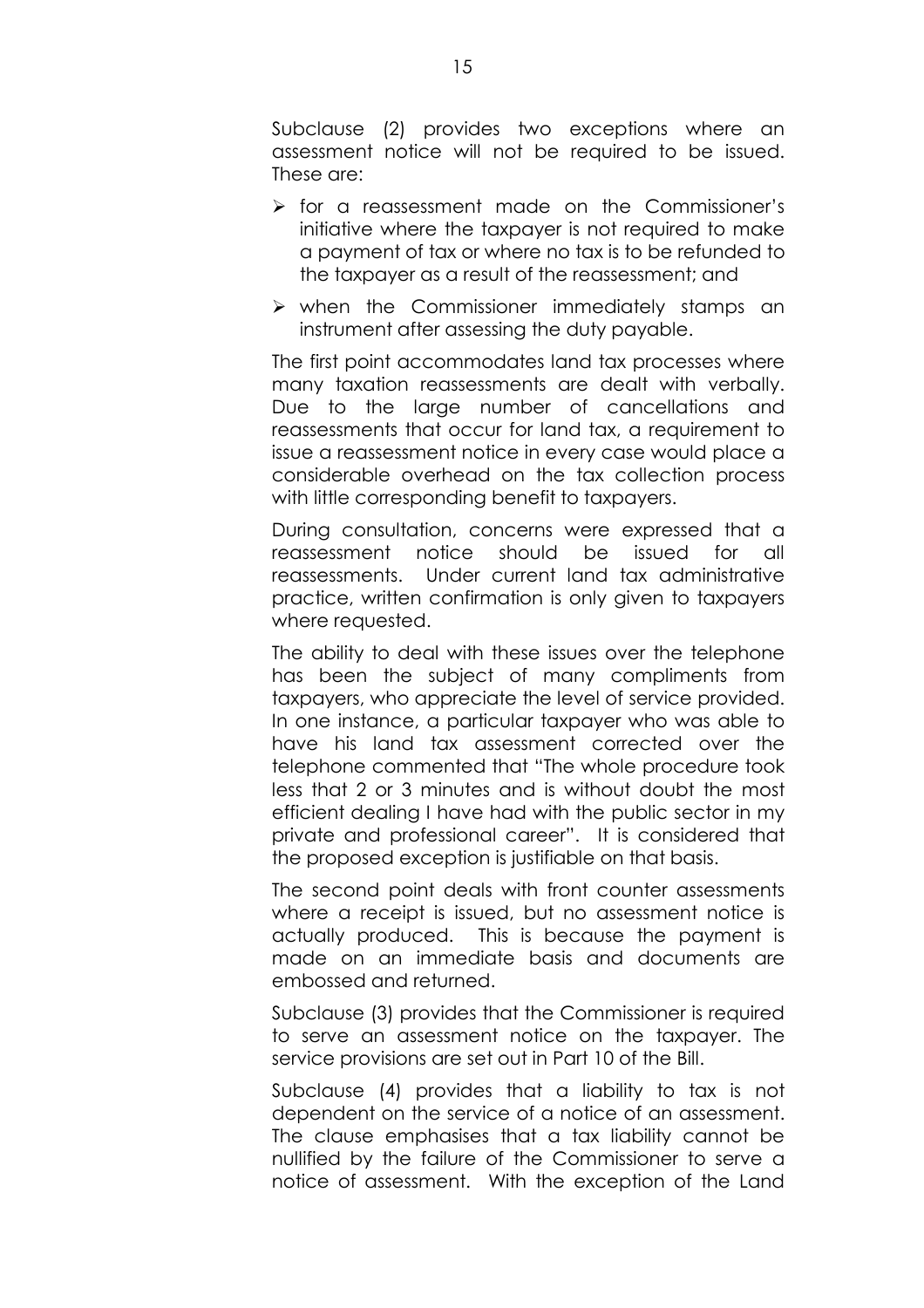Subclause (2) provides two exceptions where an assessment notice will not be required to be issued. These are:

- $\triangleright$  for a reassessment made on the Commissioner's initiative where the taxpayer is not required to make a payment of tax or where no tax is to be refunded to the taxpayer as a result of the reassessment; and
- $\triangleright$  when the Commissioner immediately stamps an instrument after assessing the duty payable.

The first point accommodates land tax processes where many taxation reassessments are dealt with verbally. Due to the large number of cancellations and reassessments that occur for land tax, a requirement to issue a reassessment notice in every case would place a considerable overhead on the tax collection process with little corresponding benefit to taxpayers.

During consultation, concerns were expressed that a reassessment notice should be issued for all reassessments. Under current land tax administrative practice, written confirmation is only given to taxpayers where requested.

The ability to deal with these issues over the telephone has been the subject of many compliments from taxpayers, who appreciate the level of service provided. In one instance, a particular taxpayer who was able to have his land tax assessment corrected over the telephone commented that "The whole procedure took less that 2 or 3 minutes and is without doubt the most efficient dealing I have had with the public sector in my private and professional career". It is considered that the proposed exception is justifiable on that basis.

The second point deals with front counter assessments where a receipt is issued, but no assessment notice is actually produced. This is because the payment is made on an immediate basis and documents are embossed and returned.

Subclause (3) provides that the Commissioner is required to serve an assessment notice on the taxpayer. The service provisions are set out in Part 10 of the Bill.

Subclause (4) provides that a liability to tax is not dependent on the service of a notice of an assessment. The clause emphasises that a tax liability cannot be nullified by the failure of the Commissioner to serve a notice of assessment. With the exception of the Land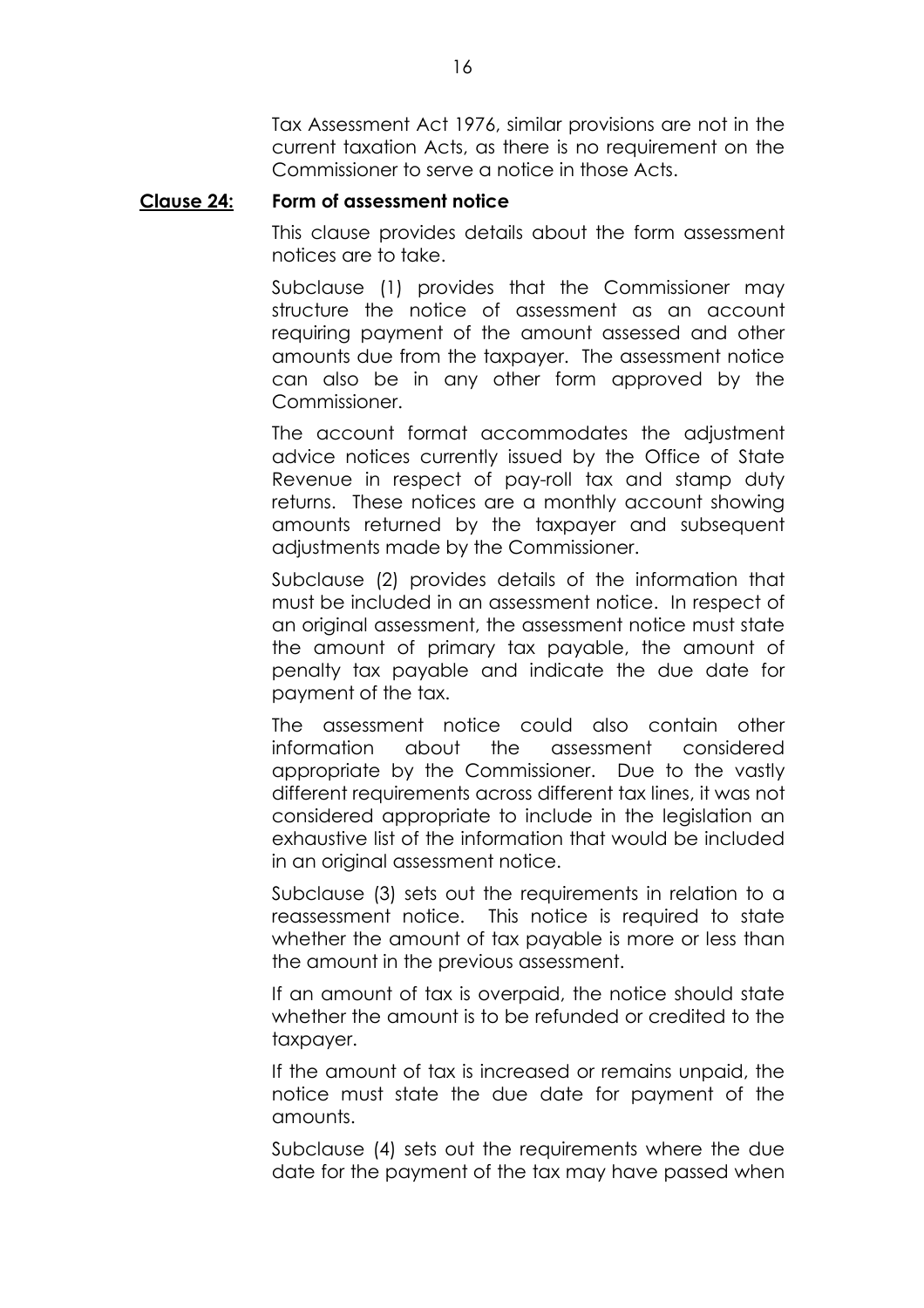Tax Assessment Act 1976, similar provisions are not in the current taxation Acts, as there is no requirement on the Commissioner to serve a notice in those Acts.

#### **Clause 24: Form of assessment notice**

This clause provides details about the form assessment notices are to take.

Subclause (1) provides that the Commissioner may structure the notice of assessment as an account requiring payment of the amount assessed and other amounts due from the taxpayer. The assessment notice can also be in any other form approved by the Commissioner.

The account format accommodates the adjustment advice notices currently issued by the Office of State Revenue in respect of pay-roll tax and stamp duty returns. These notices are a monthly account showing amounts returned by the taxpayer and subsequent adjustments made by the Commissioner.

Subclause (2) provides details of the information that must be included in an assessment notice. In respect of an original assessment, the assessment notice must state the amount of primary tax payable, the amount of penalty tax payable and indicate the due date for payment of the tax.

The assessment notice could also contain other information about the assessment considered appropriate by the Commissioner. Due to the vastly different requirements across different tax lines, it was not considered appropriate to include in the legislation an exhaustive list of the information that would be included in an original assessment notice.

Subclause (3) sets out the requirements in relation to a reassessment notice. This notice is required to state whether the amount of tax payable is more or less than the amount in the previous assessment.

If an amount of tax is overpaid, the notice should state whether the amount is to be refunded or credited to the taxpayer.

If the amount of tax is increased or remains unpaid, the notice must state the due date for payment of the amounts.

Subclause (4) sets out the requirements where the due date for the payment of the tax may have passed when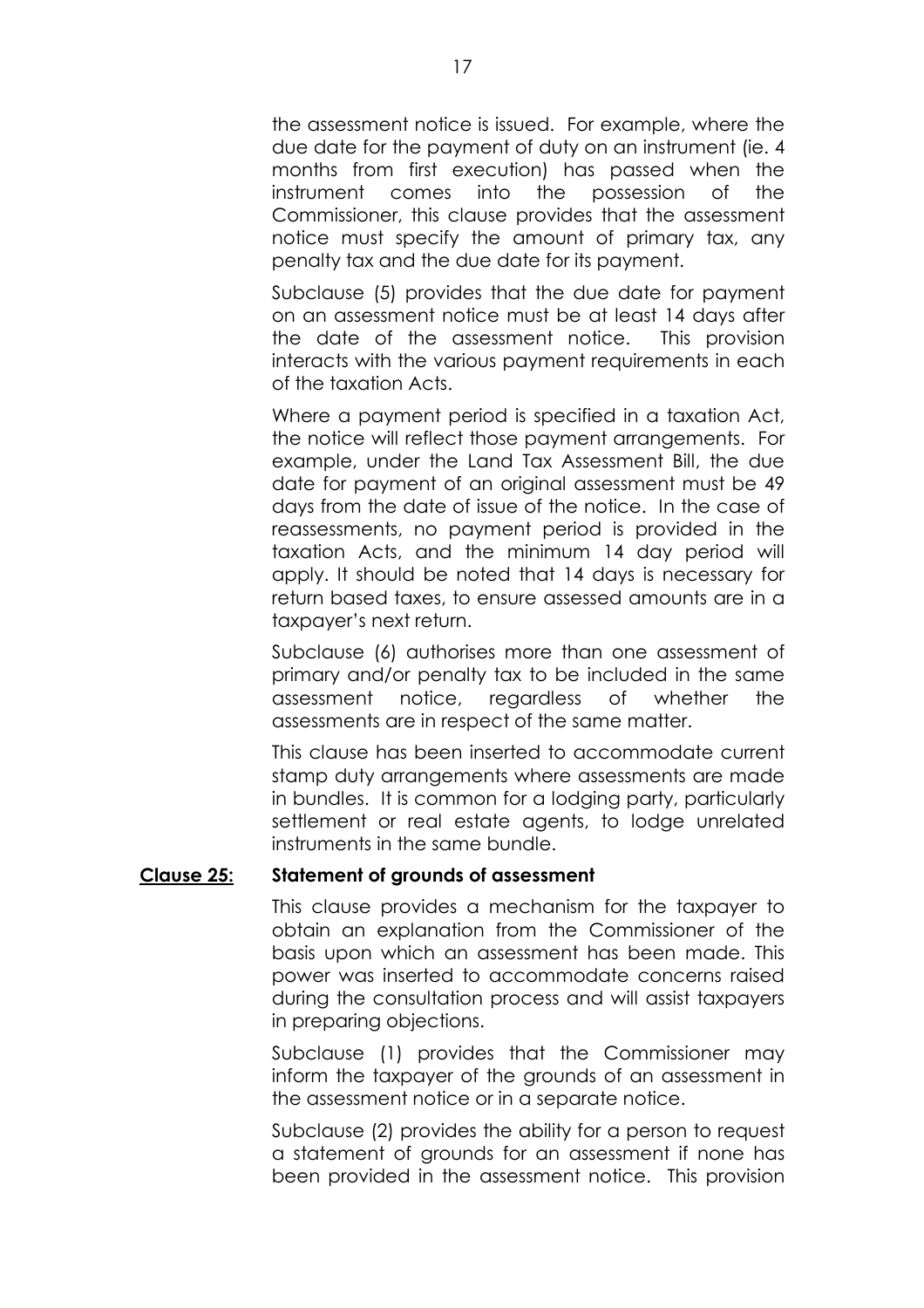the assessment notice is issued. For example, where the due date for the payment of duty on an instrument (ie. 4 months from first execution) has passed when the instrument comes into the possession of the Commissioner, this clause provides that the assessment notice must specify the amount of primary tax, any penalty tax and the due date for its payment.

Subclause (5) provides that the due date for payment on an assessment notice must be at least 14 days after the date of the assessment notice. This provision interacts with the various payment requirements in each of the taxation Acts.

Where a payment period is specified in a taxation Act, the notice will reflect those payment arrangements. For example, under the Land Tax Assessment Bill, the due date for payment of an original assessment must be 49 days from the date of issue of the notice. In the case of reassessments, no payment period is provided in the taxation Acts, and the minimum 14 day period will apply. It should be noted that 14 days is necessary for return based taxes, to ensure assessed amounts are in a taxpayer's next return.

Subclause (6) authorises more than one assessment of primary and/or penalty tax to be included in the same assessment notice, regardless of whether the assessments are in respect of the same matter.

This clause has been inserted to accommodate current stamp duty arrangements where assessments are made in bundles. It is common for a lodging party, particularly settlement or real estate agents, to lodge unrelated instruments in the same bundle.

#### **Clause 25: Statement of grounds of assessment**

This clause provides a mechanism for the taxpayer to obtain an explanation from the Commissioner of the basis upon which an assessment has been made. This power was inserted to accommodate concerns raised during the consultation process and will assist taxpayers in preparing objections.

Subclause (1) provides that the Commissioner may inform the taxpayer of the grounds of an assessment in the assessment notice or in a separate notice.

Subclause (2) provides the ability for a person to request a statement of grounds for an assessment if none has been provided in the assessment notice. This provision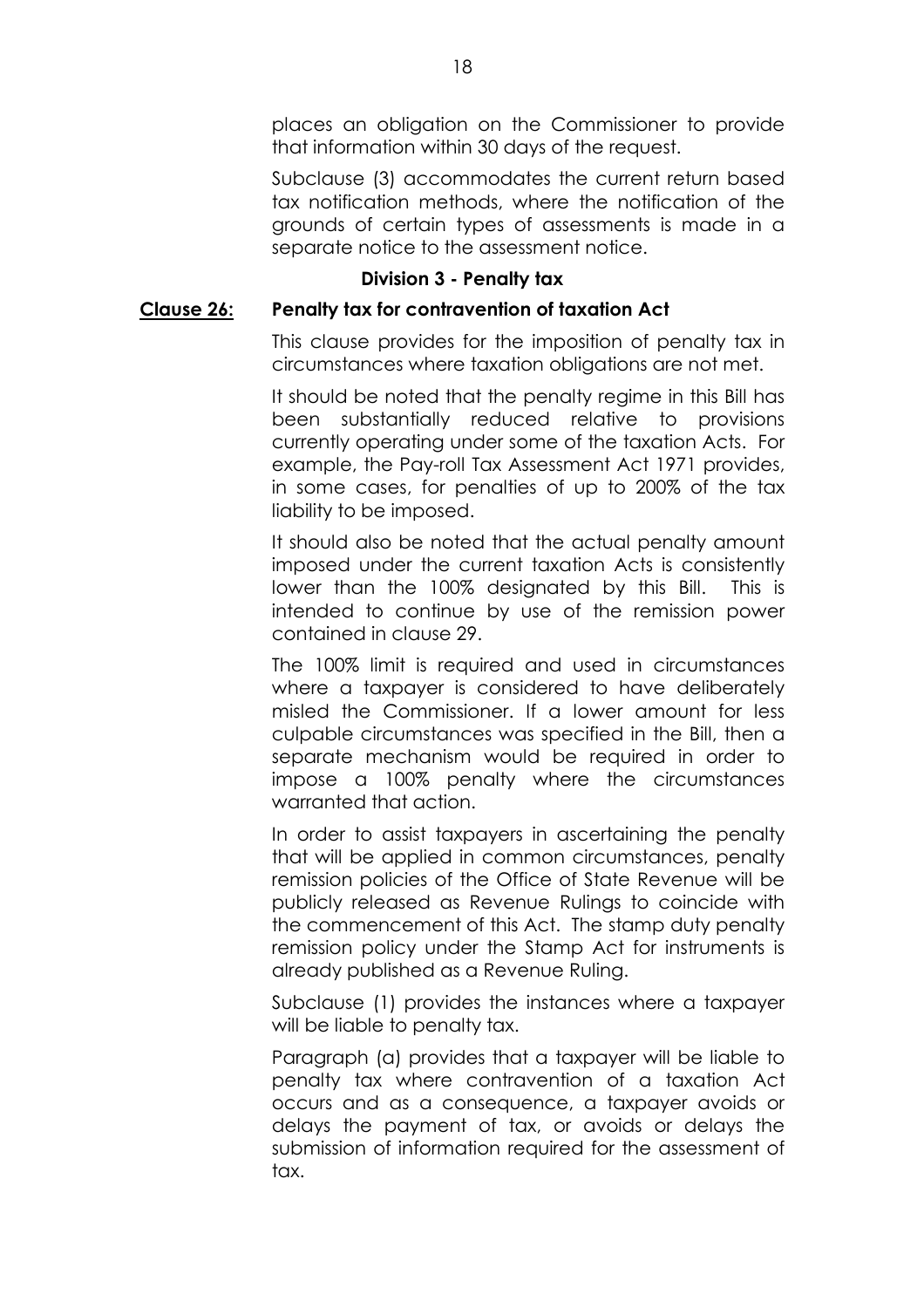places an obligation on the Commissioner to provide that information within 30 days of the request.

Subclause (3) accommodates the current return based tax notification methods, where the notification of the grounds of certain types of assessments is made in a separate notice to the assessment notice.

# **Division 3 - Penalty tax**

# **Clause 26: Penalty tax for contravention of taxation Act**

This clause provides for the imposition of penalty tax in circumstances where taxation obligations are not met.

It should be noted that the penalty regime in this Bill has been substantially reduced relative to provisions currently operating under some of the taxation Acts. For example, the Pay-roll Tax Assessment Act 1971 provides, in some cases, for penalties of up to 200% of the tax liability to be imposed.

It should also be noted that the actual penalty amount imposed under the current taxation Acts is consistently lower than the 100% designated by this Bill. This is intended to continue by use of the remission power contained in clause 29.

The 100% limit is required and used in circumstances where a taxpayer is considered to have deliberately misled the Commissioner. If a lower amount for less culpable circumstances was specified in the Bill, then a separate mechanism would be required in order to impose a 100% penalty where the circumstances warranted that action.

In order to assist taxpayers in ascertaining the penalty that will be applied in common circumstances, penalty remission policies of the Office of State Revenue will be publicly released as Revenue Rulings to coincide with the commencement of this Act. The stamp duty penalty remission policy under the Stamp Act for instruments is already published as a Revenue Ruling.

Subclause (1) provides the instances where a taxpayer will be liable to penalty tax.

Paragraph (a) provides that a taxpayer will be liable to penalty tax where contravention of a taxation Act occurs and as a consequence, a taxpayer avoids or delays the payment of tax, or avoids or delays the submission of information required for the assessment of tax.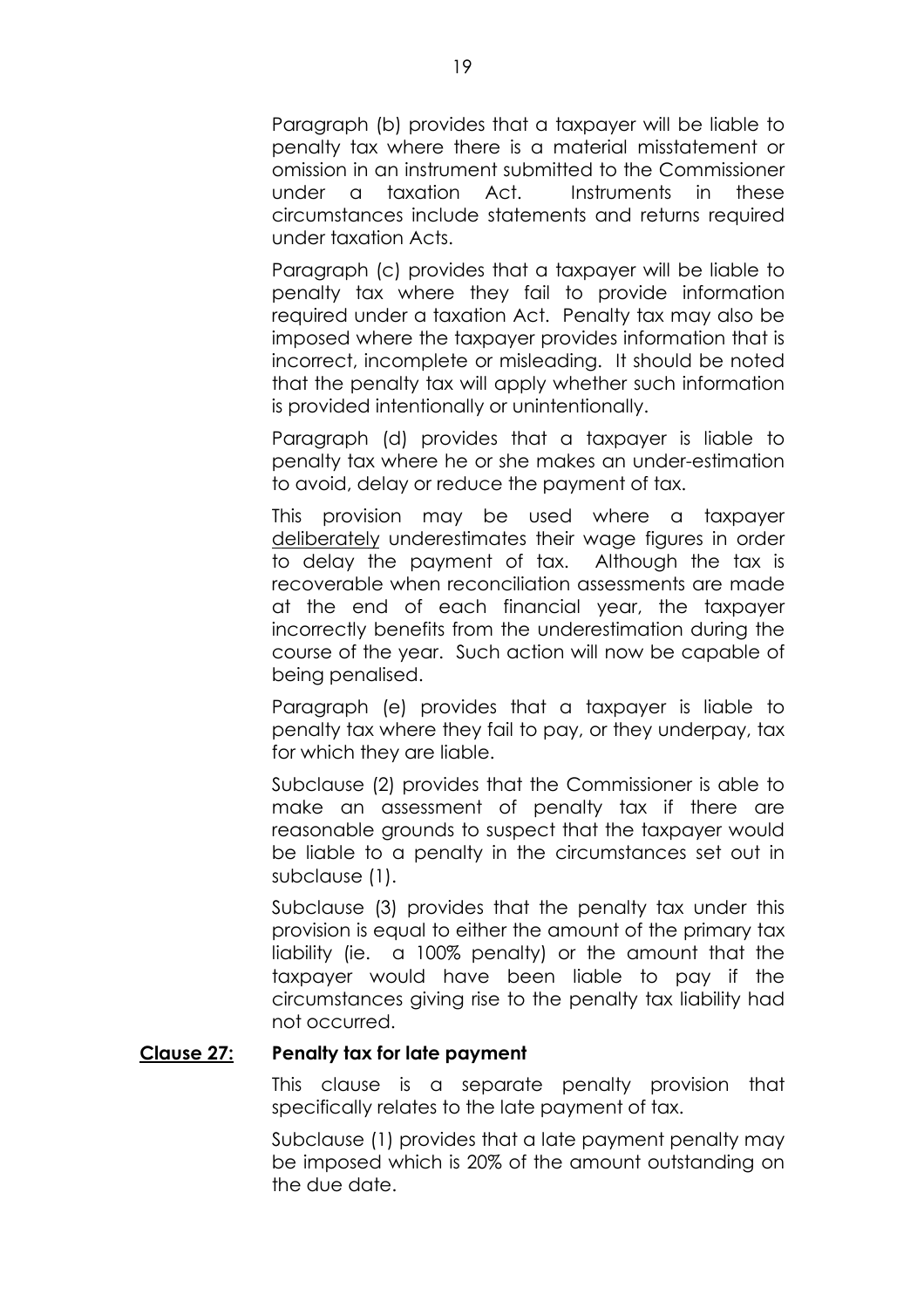Paragraph (b) provides that a taxpayer will be liable to penalty tax where there is a material misstatement or omission in an instrument submitted to the Commissioner under a taxation Act. Instruments in these circumstances include statements and returns required under taxation Acts.

Paragraph (c) provides that a taxpayer will be liable to penalty tax where they fail to provide information required under a taxation Act. Penalty tax may also be imposed where the taxpayer provides information that is incorrect, incomplete or misleading. It should be noted that the penalty tax will apply whether such information is provided intentionally or unintentionally.

Paragraph (d) provides that a taxpayer is liable to penalty tax where he or she makes an under-estimation to avoid, delay or reduce the payment of tax.

This provision may be used where a taxpayer deliberately underestimates their wage figures in order to delay the payment of tax. Although the tax is recoverable when reconciliation assessments are made at the end of each financial year, the taxpayer incorrectly benefits from the underestimation during the course of the year. Such action will now be capable of being penalised.

Paragraph (e) provides that a taxpayer is liable to penalty tax where they fail to pay, or they underpay, tax for which they are liable.

Subclause (2) provides that the Commissioner is able to make an assessment of penalty tax if there are reasonable grounds to suspect that the taxpayer would be liable to a penalty in the circumstances set out in subclause (1).

Subclause (3) provides that the penalty tax under this provision is equal to either the amount of the primary tax liability (ie. a 100% penalty) or the amount that the taxpayer would have been liable to pay if the circumstances giving rise to the penalty tax liability had not occurred.

#### **Clause 27: Penalty tax for late payment**

This clause is a separate penalty provision that specifically relates to the late payment of tax.

Subclause (1) provides that a late payment penalty may be imposed which is 20% of the amount outstanding on the due date.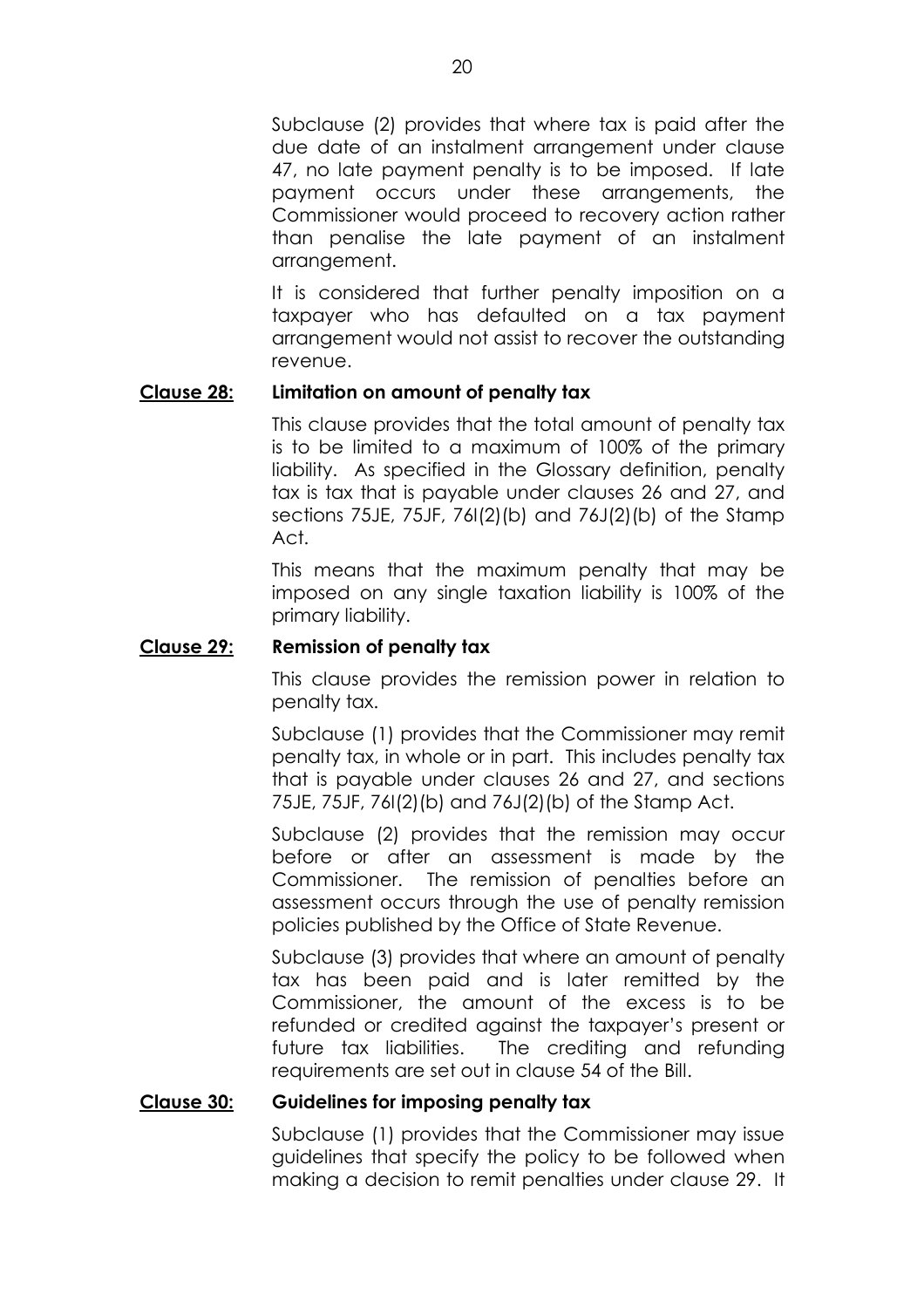Subclause (2) provides that where tax is paid after the due date of an instalment arrangement under clause 47, no late payment penalty is to be imposed. If late payment occurs under these arrangements, the Commissioner would proceed to recovery action rather than penalise the late payment of an instalment arrangement.

It is considered that further penalty imposition on a taxpayer who has defaulted on a tax payment arrangement would not assist to recover the outstanding revenue.

# **Clause 28: Limitation on amount of penalty tax**

This clause provides that the total amount of penalty tax is to be limited to a maximum of 100% of the primary liability. As specified in the Glossary definition, penalty tax is tax that is payable under clauses 26 and 27, and sections 75JE, 75JF, 76I(2)(b) and 76J(2)(b) of the Stamp Act.

This means that the maximum penalty that may be imposed on any single taxation liability is 100% of the primary liability.

# **Clause 29: Remission of penalty tax**

This clause provides the remission power in relation to penalty tax.

Subclause (1) provides that the Commissioner may remit penalty tax, in whole or in part. This includes penalty tax that is payable under clauses 26 and 27, and sections 75JE, 75JF, 76I(2)(b) and 76J(2)(b) of the Stamp Act.

Subclause (2) provides that the remission may occur before or after an assessment is made by the Commissioner. The remission of penalties before an assessment occurs through the use of penalty remission policies published by the Office of State Revenue.

Subclause (3) provides that where an amount of penalty tax has been paid and is later remitted by the Commissioner, the amount of the excess is to be refunded or credited against the taxpayer's present or future tax liabilities. The crediting and refunding requirements are set out in clause 54 of the Bill.

# **Clause 30: Guidelines for imposing penalty tax**

Subclause (1) provides that the Commissioner may issue guidelines that specify the policy to be followed when making a decision to remit penalties under clause 29. It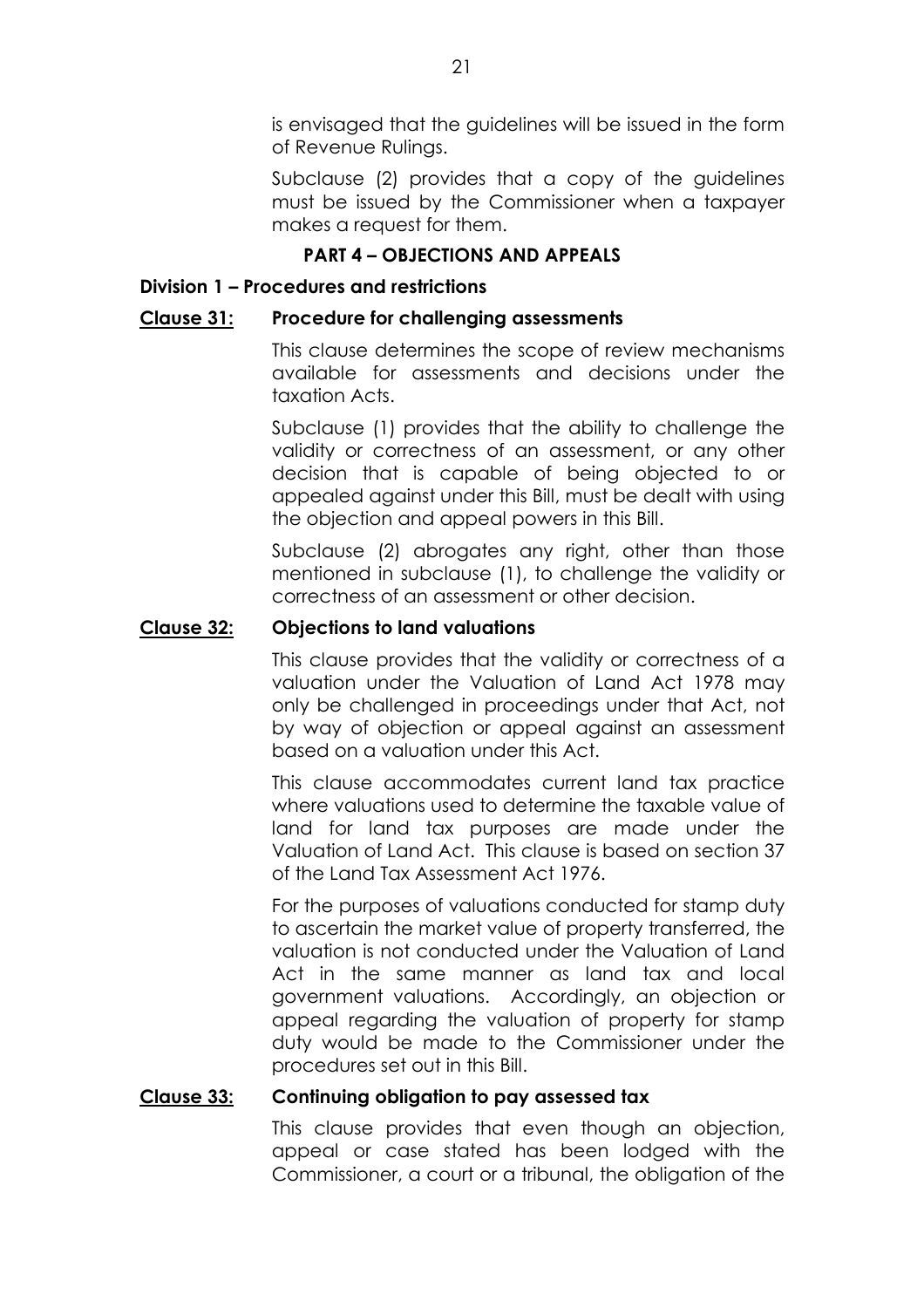is envisaged that the guidelines will be issued in the form of Revenue Rulings.

Subclause (2) provides that a copy of the guidelines must be issued by the Commissioner when a taxpayer makes a request for them.

# **PART 4 - OBJECTIONS AND APPEALS**

# **Division 1 - Procedures and restrictions**

# **Clause 31: Procedure for challenging assessments**

This clause determines the scope of review mechanisms available for assessments and decisions under the taxation Acts.

Subclause (1) provides that the ability to challenge the validity or correctness of an assessment, or any other decision that is capable of being objected to or appealed against under this Bill, must be dealt with using the objection and appeal powers in this Bill.

Subclause (2) abrogates any right, other than those mentioned in subclause (1), to challenge the validity or correctness of an assessment or other decision.

# **Clause 32: Objections to land valuations**

This clause provides that the validity or correctness of a valuation under the Valuation of Land Act 1978 may only be challenged in proceedings under that Act, not by way of objection or appeal against an assessment based on a valuation under this Act.

This clause accommodates current land tax practice where valuations used to determine the taxable value of land for land tax purposes are made under the Valuation of Land Act. This clause is based on section 37 of the Land Tax Assessment Act 1976.

For the purposes of valuations conducted for stamp duty to ascertain the market value of property transferred, the valuation is not conducted under the Valuation of Land Act in the same manner as land tax and local government valuations. Accordingly, an objection or appeal regarding the valuation of property for stamp duty would be made to the Commissioner under the procedures set out in this Bill.

# **Clause 33: Continuing obligation to pay assessed tax**

This clause provides that even though an objection, appeal or case stated has been lodged with the Commissioner, a court or a tribunal, the obligation of the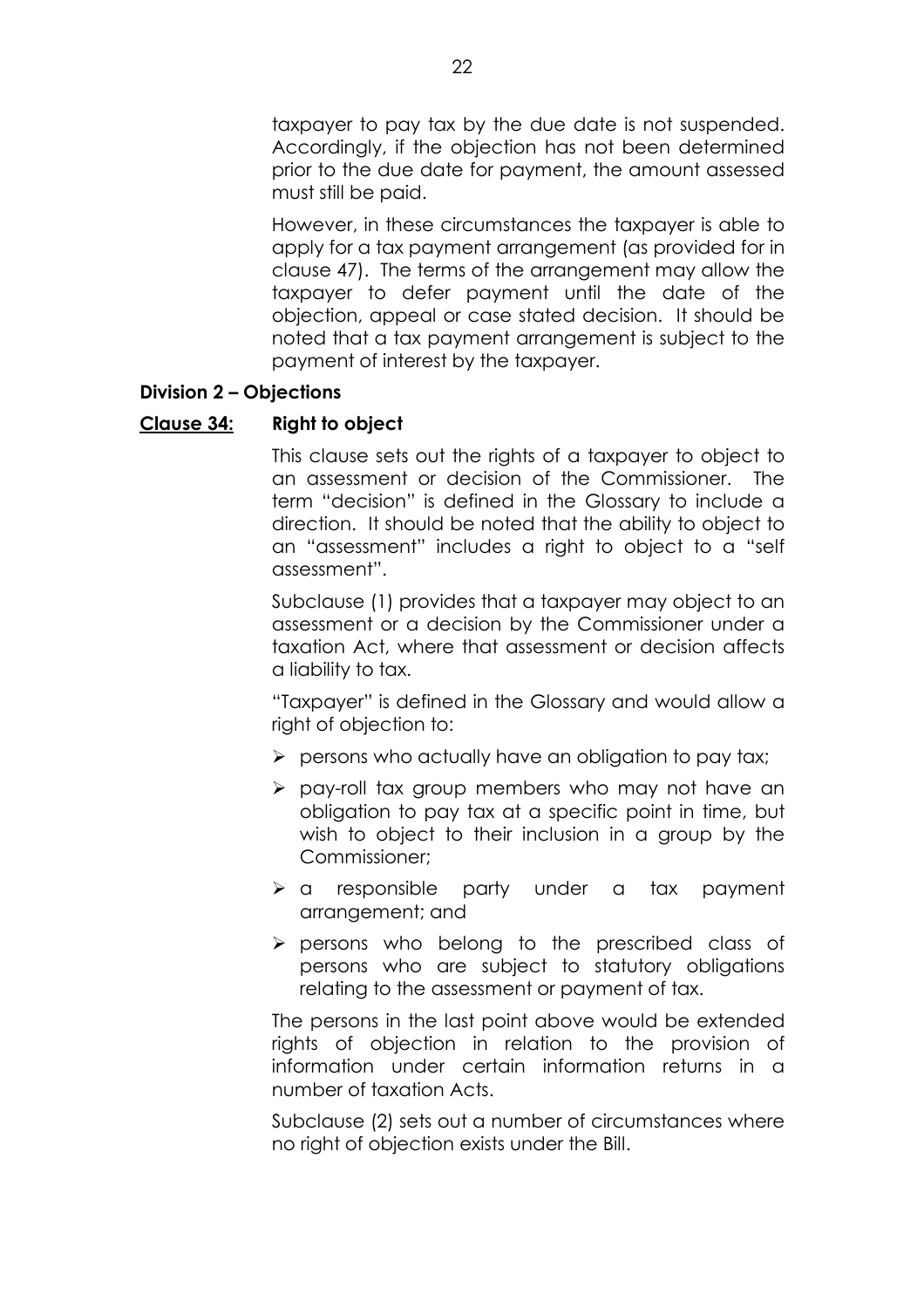taxpayer to pay tax by the due date is not suspended. Accordingly, if the objection has not been determined prior to the due date for payment, the amount assessed must still be paid.

However, in these circumstances the taxpayer is able to apply for a tax payment arrangement (as provided for in clause 47). The terms of the arrangement may allow the taxpayer to defer payment until the date of the objection, appeal or case stated decision. It should be noted that a tax payment arrangement is subject to the payment of interest by the taxpayer.

# **Division 2 - Objections**

# **Clause 34: Right to object**

This clause sets out the rights of a taxpayer to object to an assessment or decision of the Commissioner. The term "decision" is defined in the Glossary to include a direction. It should be noted that the ability to object to an "assessment" includes a right to object to a "self assessment".

Subclause (1) provides that a taxpayer may object to an assessment or a decision by the Commissioner under a taxation Act, where that assessment or decision affects a liability to tax.

"Taxpayer" is defined in the Glossary and would allow a right of objection to:

- $\triangleright$  persons who actually have an obligation to pay tax;
- $\triangleright$  pay-roll tax group members who may not have an obligation to pay tax at a specific point in time, but wish to object to their inclusion in a group by the Commissioner;
- $\triangleright$  a responsible party under a tax payment arrangement; and
- $\triangleright$  persons who belong to the prescribed class of persons who are subject to statutory obligations relating to the assessment or payment of tax.

The persons in the last point above would be extended rights of objection in relation to the provision of information under certain information returns in a number of taxation Acts.

Subclause (2) sets out a number of circumstances where no right of objection exists under the Bill.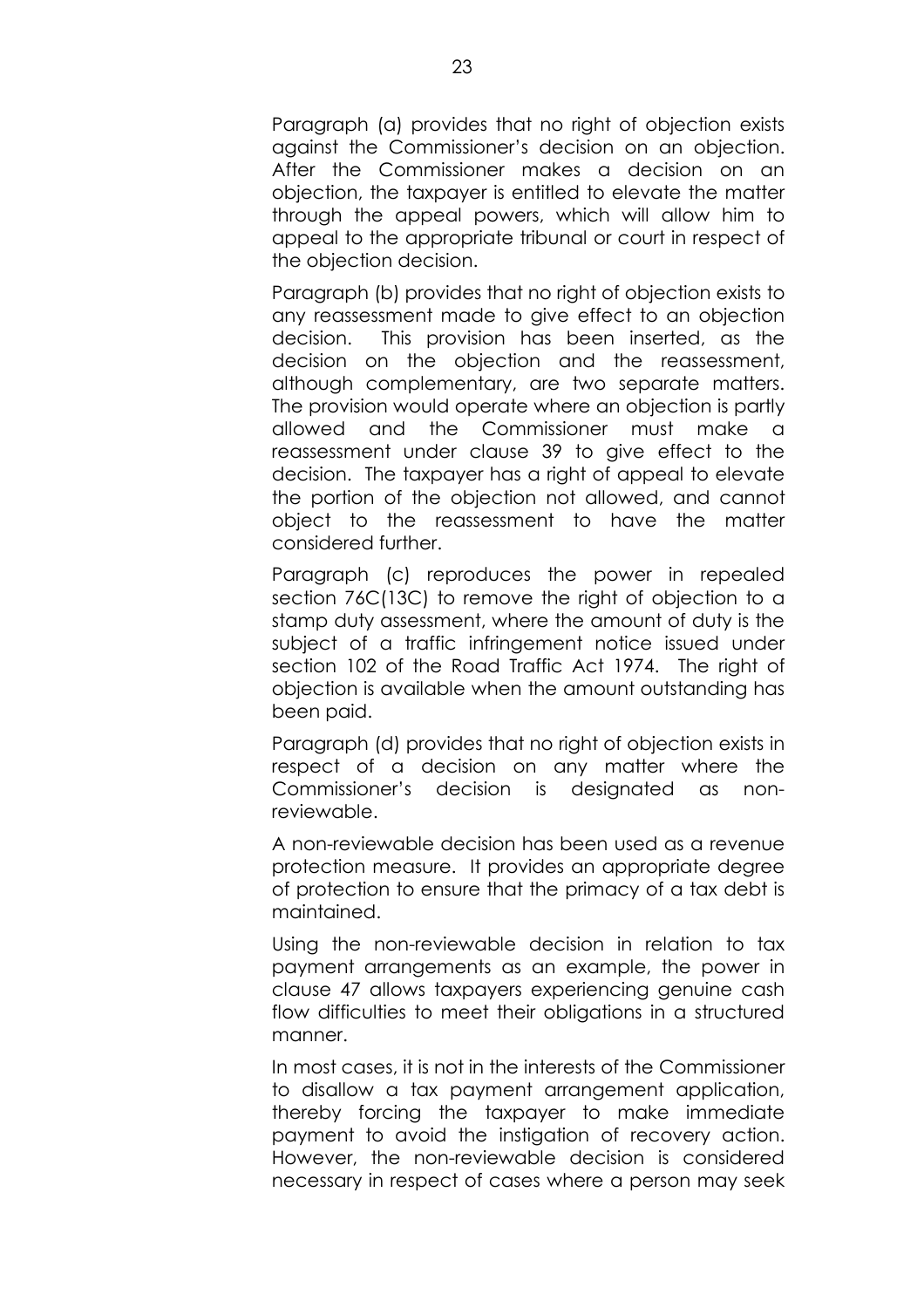Paragraph (a) provides that no right of objection exists against the Commissionerís decision on an objection. After the Commissioner makes a decision on an objection, the taxpayer is entitled to elevate the matter through the appeal powers, which will allow him to appeal to the appropriate tribunal or court in respect of the objection decision.

Paragraph (b) provides that no right of objection exists to any reassessment made to give effect to an objection decision. This provision has been inserted, as the decision on the objection and the reassessment, although complementary, are two separate matters. The provision would operate where an objection is partly allowed and the Commissioner must make a reassessment under clause 39 to give effect to the decision. The taxpayer has a right of appeal to elevate the portion of the objection not allowed, and cannot object to the reassessment to have the matter considered further.

Paragraph (c) reproduces the power in repealed section 76C(13C) to remove the right of objection to a stamp duty assessment, where the amount of duty is the subject of a traffic infringement notice issued under section 102 of the Road Traffic Act 1974. The right of objection is available when the amount outstanding has been paid.

Paragraph (d) provides that no right of objection exists in respect of a decision on any matter where the Commissioner's decision is designated as nonreviewable.

A non-reviewable decision has been used as a revenue protection measure. It provides an appropriate degree of protection to ensure that the primacy of a tax debt is maintained.

Using the non-reviewable decision in relation to tax payment arrangements as an example, the power in clause 47 allows taxpayers experiencing genuine cash flow difficulties to meet their obligations in a structured manner.

In most cases, it is not in the interests of the Commissioner to disallow a tax payment arrangement application, thereby forcing the taxpayer to make immediate payment to avoid the instigation of recovery action. However, the non-reviewable decision is considered necessary in respect of cases where a person may seek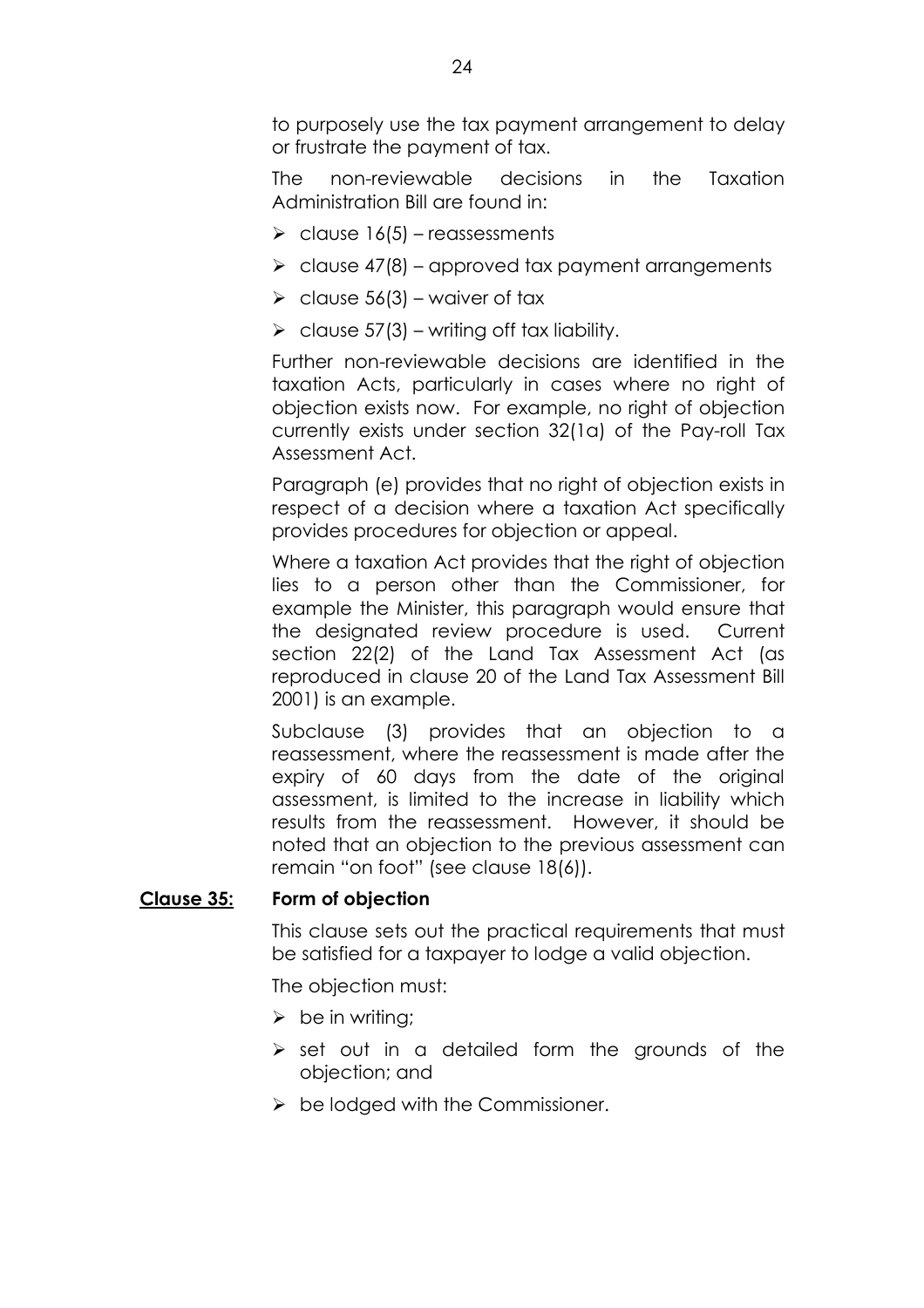to purposely use the tax payment arrangement to delay or frustrate the payment of tax.

The non-reviewable decisions in the Taxation Administration Bill are found in:

- $\ge$  clause 16(5) reassessments
- $\ge$  clause 47(8) approved tax payment arrangements
- $\ge$  clause 56(3) waiver of tax
- $\ge$  clause 57(3) writing off tax liability.

Further non-reviewable decisions are identified in the taxation Acts, particularly in cases where no right of objection exists now. For example, no right of objection currently exists under section 32(1a) of the Pay-roll Tax Assessment Act.

Paragraph (e) provides that no right of objection exists in respect of a decision where a taxation Act specifically provides procedures for objection or appeal.

Where a taxation Act provides that the right of objection lies to a person other than the Commissioner, for example the Minister, this paragraph would ensure that the designated review procedure is used. Current section 22(2) of the Land Tax Assessment Act (as reproduced in clause 20 of the Land Tax Assessment Bill 2001) is an example.

Subclause (3) provides that an objection to a reassessment, where the reassessment is made after the expiry of 60 days from the date of the original assessment, is limited to the increase in liability which results from the reassessment. However, it should be noted that an objection to the previous assessment can remain "on foot" (see clause  $18(6)$ ).

# **Clause 35: Form of objection**

This clause sets out the practical requirements that must be satisfied for a taxpayer to lodge a valid objection.

The objection must:

- $\triangleright$  be in writing;
- $\triangleright$  set out in a detailed form the grounds of the objection; and
- $\triangleright$  be lodged with the Commissioner.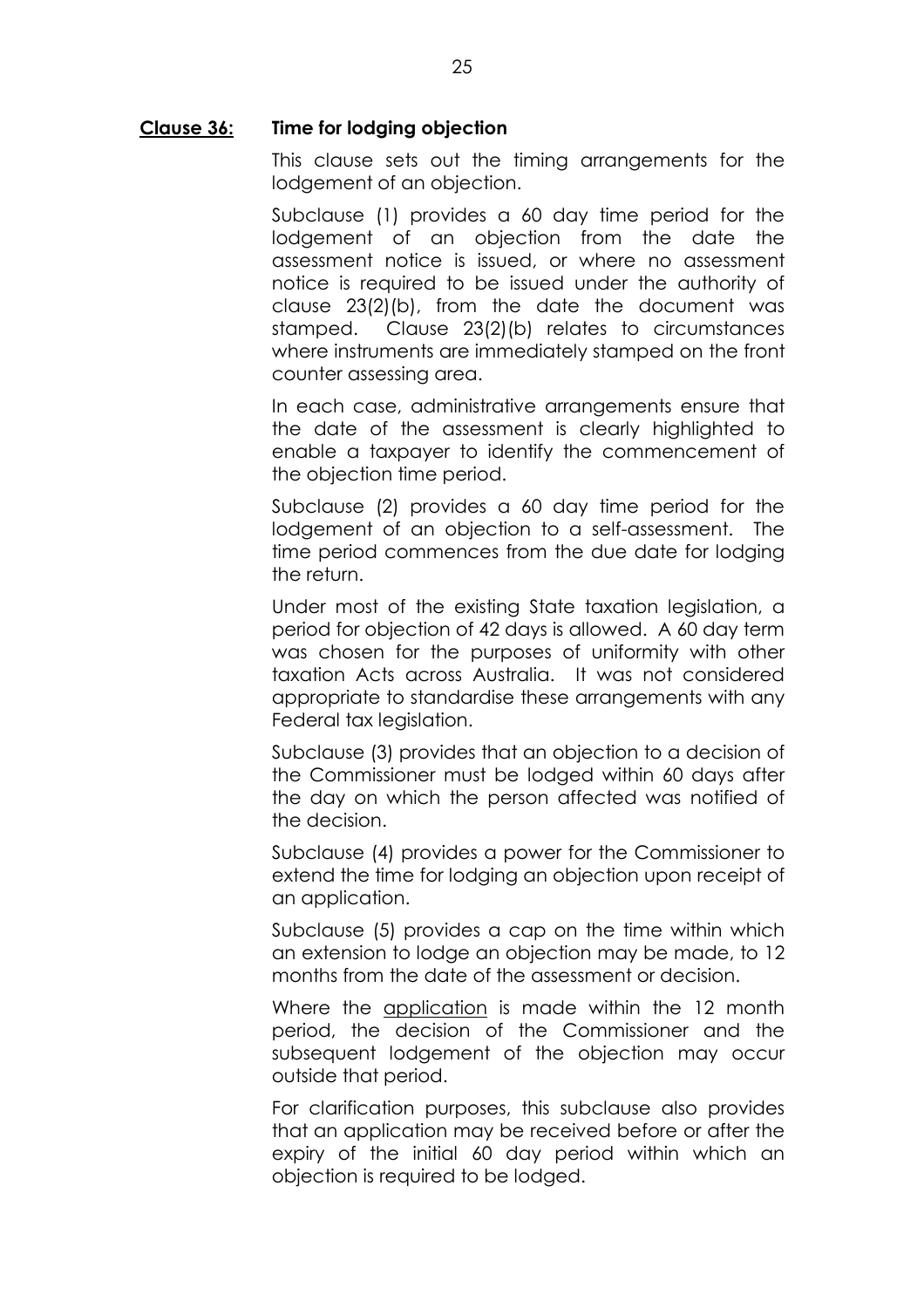#### **Clause 36: Time for lodging objection**

This clause sets out the timing arrangements for the lodgement of an objection.

Subclause (1) provides a 60 day time period for the lodgement of an objection from the date the assessment notice is issued, or where no assessment notice is required to be issued under the authority of clause 23(2)(b), from the date the document was stamped. Clause 23(2)(b) relates to circumstances where instruments are immediately stamped on the front counter assessing area.

In each case, administrative arrangements ensure that the date of the assessment is clearly highlighted to enable a taxpayer to identify the commencement of the objection time period.

Subclause (2) provides a 60 day time period for the lodgement of an objection to a self-assessment. The time period commences from the due date for lodging the return.

Under most of the existing State taxation legislation, a period for objection of 42 days is allowed. A 60 day term was chosen for the purposes of uniformity with other taxation Acts across Australia. It was not considered appropriate to standardise these arrangements with any Federal tax legislation.

Subclause (3) provides that an objection to a decision of the Commissioner must be lodged within 60 days after the day on which the person affected was notified of the decision.

Subclause (4) provides a power for the Commissioner to extend the time for lodging an objection upon receipt of an application.

Subclause (5) provides a cap on the time within which an extension to lodge an objection may be made, to 12 months from the date of the assessment or decision.

Where the application is made within the 12 month period, the decision of the Commissioner and the subsequent lodgement of the objection may occur outside that period.

For clarification purposes, this subclause also provides that an application may be received before or after the expiry of the initial 60 day period within which an objection is required to be lodged.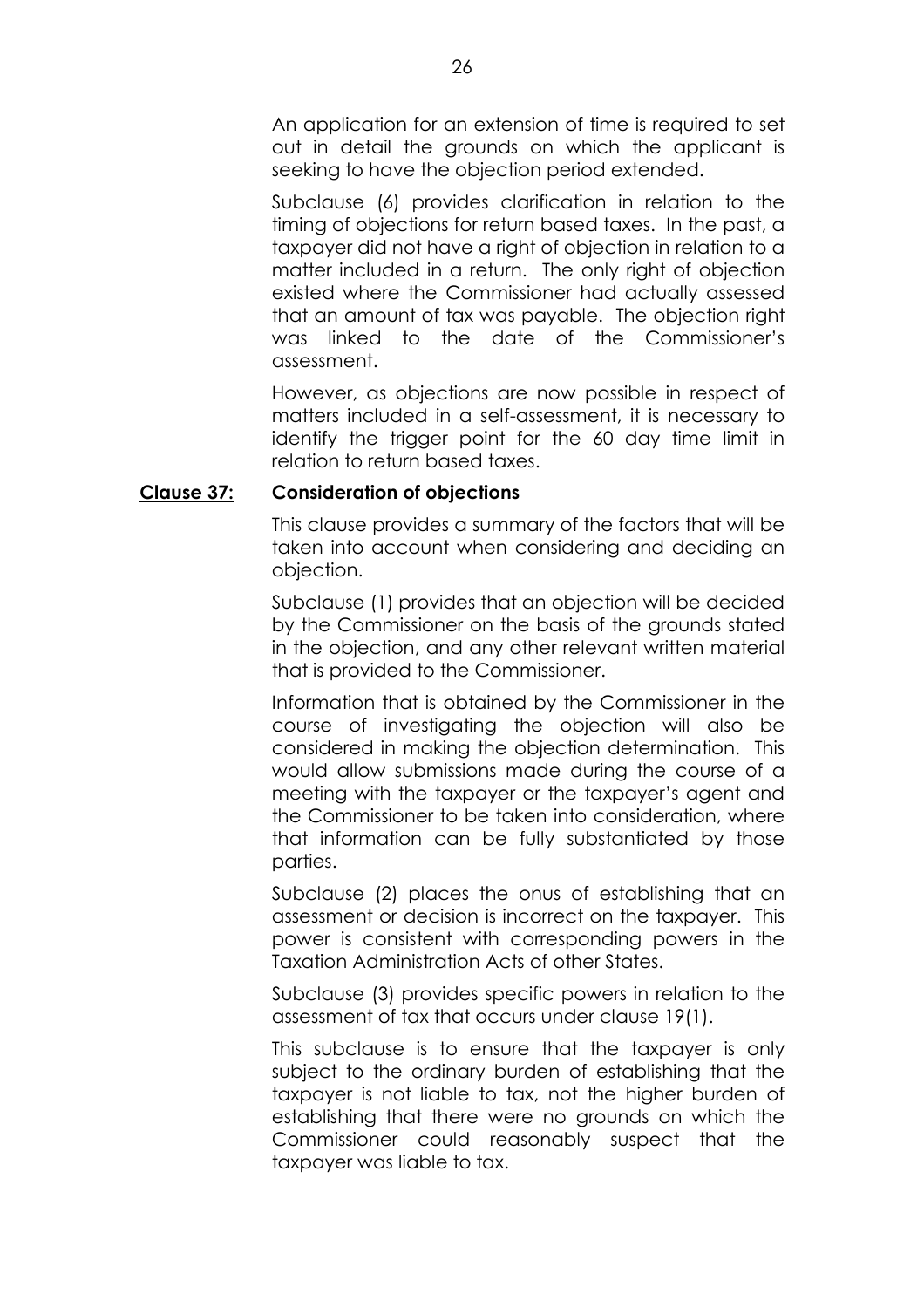An application for an extension of time is required to set out in detail the grounds on which the applicant is seeking to have the objection period extended.

Subclause (6) provides clarification in relation to the timing of objections for return based taxes. In the past, a taxpayer did not have a right of objection in relation to a matter included in a return. The only right of objection existed where the Commissioner had actually assessed that an amount of tax was payable. The objection right was linked to the date of the Commissionerís assessment.

However, as objections are now possible in respect of matters included in a self-assessment, it is necessary to identify the trigger point for the 60 day time limit in relation to return based taxes.

# **Clause 37: Consideration of objections**

This clause provides a summary of the factors that will be taken into account when considering and deciding an objection.

Subclause (1) provides that an objection will be decided by the Commissioner on the basis of the grounds stated in the objection, and any other relevant written material that is provided to the Commissioner.

Information that is obtained by the Commissioner in the course of investigating the objection will also be considered in making the objection determination. This would allow submissions made during the course of a meeting with the taxpayer or the taxpayer's gaent and the Commissioner to be taken into consideration, where that information can be fully substantiated by those parties.

Subclause (2) places the onus of establishing that an assessment or decision is incorrect on the taxpayer. This power is consistent with corresponding powers in the Taxation Administration Acts of other States.

Subclause (3) provides specific powers in relation to the assessment of tax that occurs under clause 19(1).

This subclause is to ensure that the taxpayer is only subject to the ordinary burden of establishing that the taxpayer is not liable to tax, not the higher burden of establishing that there were no grounds on which the Commissioner could reasonably suspect that the taxpayer was liable to tax.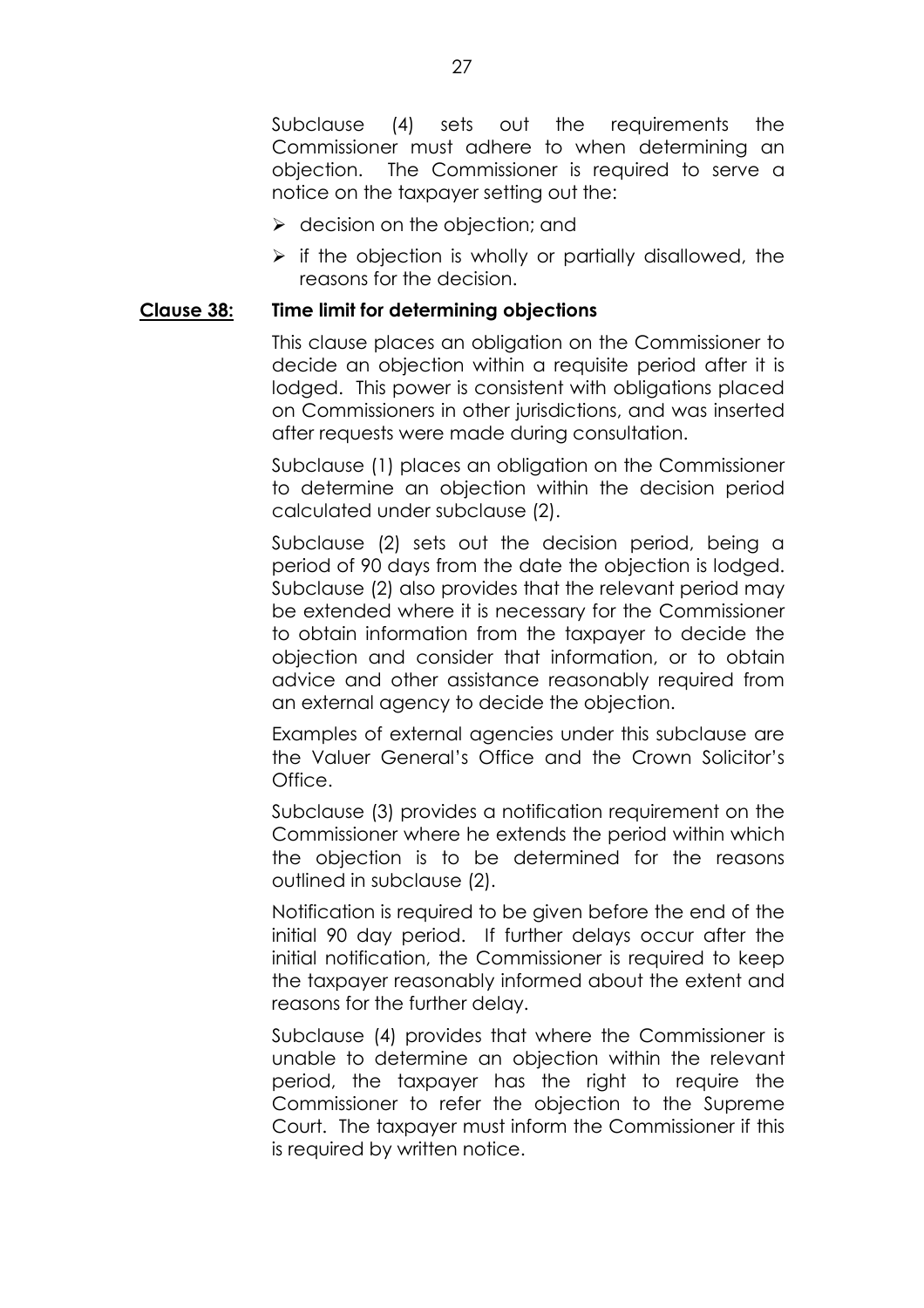Subclause (4) sets out the requirements the Commissioner must adhere to when determining an objection. The Commissioner is required to serve a notice on the taxpayer setting out the:

- $\triangleright$  decision on the objection; and
- $\triangleright$  if the objection is wholly or partially disallowed, the reasons for the decision.

#### **Clause 38: Time limit for determining objections**

This clause places an obligation on the Commissioner to decide an objection within a requisite period after it is lodged. This power is consistent with obligations placed on Commissioners in other jurisdictions, and was inserted after requests were made during consultation.

Subclause (1) places an obligation on the Commissioner to determine an objection within the decision period calculated under subclause (2).

Subclause (2) sets out the decision period, being a period of 90 days from the date the objection is lodged. Subclause (2) also provides that the relevant period may be extended where it is necessary for the Commissioner to obtain information from the taxpayer to decide the objection and consider that information, or to obtain advice and other assistance reasonably required from an external agency to decide the objection.

Examples of external agencies under this subclause are the Valuer General's Office and the Crown Solicitor's Office.

Subclause (3) provides a notification requirement on the Commissioner where he extends the period within which the objection is to be determined for the reasons outlined in subclause (2).

Notification is required to be given before the end of the initial 90 day period. If further delays occur after the initial notification, the Commissioner is required to keep the taxpayer reasonably informed about the extent and reasons for the further delay.

Subclause (4) provides that where the Commissioner is unable to determine an objection within the relevant period, the taxpayer has the right to require the Commissioner to refer the objection to the Supreme Court. The taxpayer must inform the Commissioner if this is required by written notice.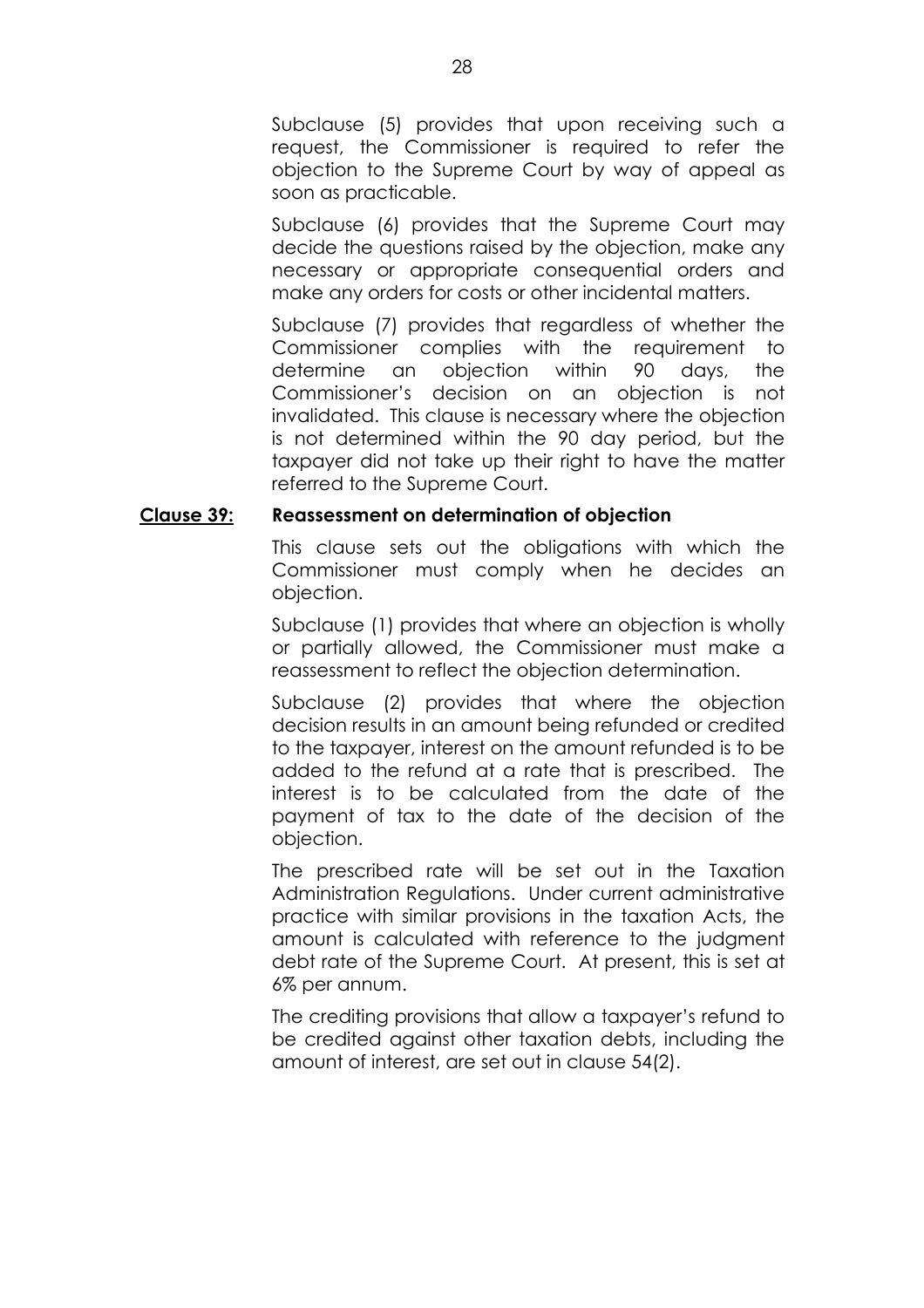Subclause (5) provides that upon receiving such a request, the Commissioner is required to refer the objection to the Supreme Court by way of appeal as soon as practicable.

Subclause (6) provides that the Supreme Court may decide the questions raised by the objection, make any necessary or appropriate consequential orders and make any orders for costs or other incidental matters.

Subclause (7) provides that regardless of whether the Commissioner complies with the requirement to determine an objection within 90 days, the Commissionerís decision on an objection is not invalidated. This clause is necessary where the objection is not determined within the 90 day period, but the taxpayer did not take up their right to have the matter referred to the Supreme Court.

# **Clause 39: Reassessment on determination of objection**

This clause sets out the obligations with which the Commissioner must comply when he decides an objection.

Subclause (1) provides that where an objection is wholly or partially allowed, the Commissioner must make a reassessment to reflect the objection determination.

Subclause (2) provides that where the objection decision results in an amount being refunded or credited to the taxpayer, interest on the amount refunded is to be added to the refund at a rate that is prescribed. The interest is to be calculated from the date of the payment of tax to the date of the decision of the objection.

The prescribed rate will be set out in the Taxation Administration Regulations. Under current administrative practice with similar provisions in the taxation Acts, the amount is calculated with reference to the judgment debt rate of the Supreme Court. At present, this is set at 6% per annum.

The crediting provisions that allow a taxpayer's refund to be credited against other taxation debts, including the amount of interest, are set out in clause 54(2).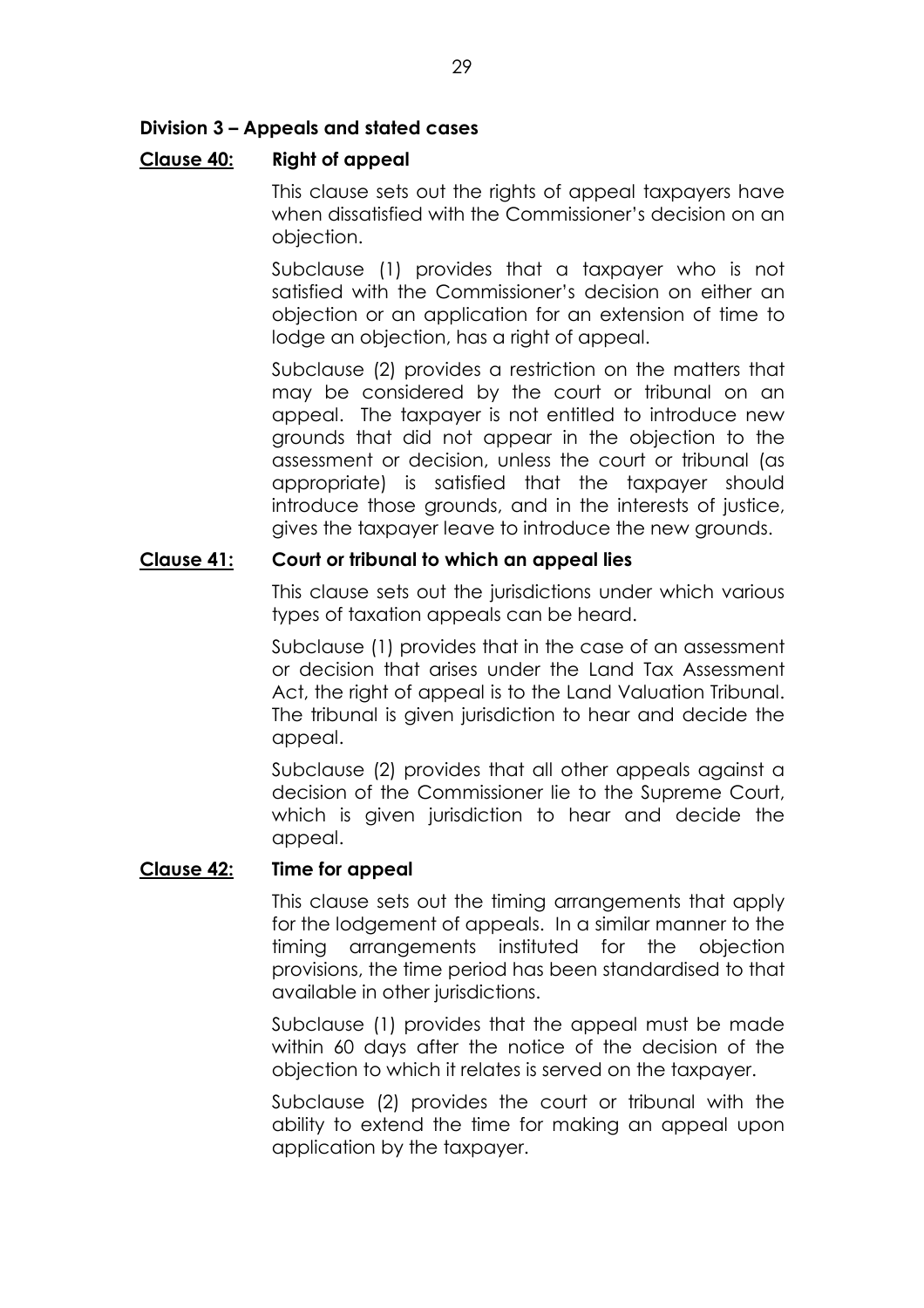# **Division 3 - Appeals and stated cases**

# **Clause 40: Right of appeal**

This clause sets out the rights of appeal taxpayers have when dissatisfied with the Commissioner's decision on an objection.

Subclause (1) provides that a taxpayer who is not satisfied with the Commissioner's decision on either an objection or an application for an extension of time to lodge an objection, has a right of appeal.

Subclause (2) provides a restriction on the matters that may be considered by the court or tribunal on an appeal. The taxpayer is not entitled to introduce new grounds that did not appear in the objection to the assessment or decision, unless the court or tribunal (as appropriate) is satisfied that the taxpayer should introduce those grounds, and in the interests of justice, gives the taxpayer leave to introduce the new grounds.

# **Clause 41: Court or tribunal to which an appeal lies**

This clause sets out the jurisdictions under which various types of taxation appeals can be heard.

Subclause (1) provides that in the case of an assessment or decision that arises under the Land Tax Assessment Act, the right of appeal is to the Land Valuation Tribunal. The tribunal is given jurisdiction to hear and decide the appeal.

Subclause (2) provides that all other appeals against a decision of the Commissioner lie to the Supreme Court, which is given jurisdiction to hear and decide the appeal.

# **Clause 42: Time for appeal**

This clause sets out the timing arrangements that apply for the lodgement of appeals. In a similar manner to the timing arrangements instituted for the objection provisions, the time period has been standardised to that available in other jurisdictions.

Subclause (1) provides that the appeal must be made within 60 days after the notice of the decision of the objection to which it relates is served on the taxpayer.

Subclause (2) provides the court or tribunal with the ability to extend the time for making an appeal upon application by the taxpayer.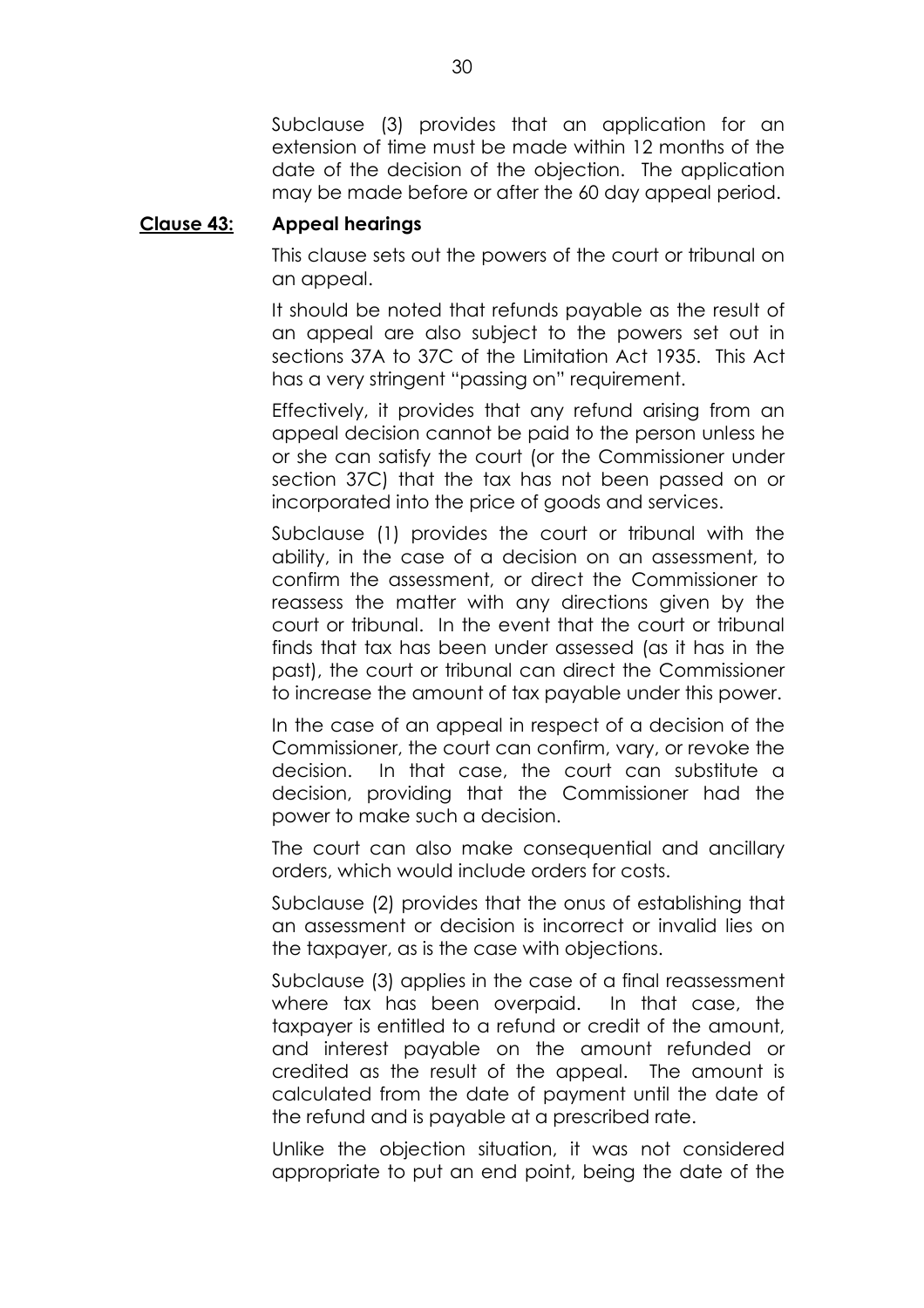Subclause (3) provides that an application for an extension of time must be made within 12 months of the date of the decision of the objection. The application may be made before or after the 60 day appeal period.

#### **Clause 43: Appeal hearings**

This clause sets out the powers of the court or tribunal on an appeal.

It should be noted that refunds payable as the result of an appeal are also subject to the powers set out in sections 37A to 37C of the Limitation Act 1935. This Act has a very stringent "passing on" requirement.

Effectively, it provides that any refund arising from an appeal decision cannot be paid to the person unless he or she can satisfy the court (or the Commissioner under section 37C) that the tax has not been passed on or incorporated into the price of goods and services.

Subclause (1) provides the court or tribunal with the ability, in the case of a decision on an assessment, to confirm the assessment, or direct the Commissioner to reassess the matter with any directions given by the court or tribunal. In the event that the court or tribunal finds that tax has been under assessed (as it has in the past), the court or tribunal can direct the Commissioner to increase the amount of tax payable under this power.

In the case of an appeal in respect of a decision of the Commissioner, the court can confirm, vary, or revoke the decision. In that case, the court can substitute a decision, providing that the Commissioner had the power to make such a decision.

The court can also make consequential and ancillary orders, which would include orders for costs.

Subclause (2) provides that the onus of establishing that an assessment or decision is incorrect or invalid lies on the taxpayer, as is the case with objections.

Subclause (3) applies in the case of a final reassessment where tax has been overpaid. In that case, the taxpayer is entitled to a refund or credit of the amount, and interest payable on the amount refunded or credited as the result of the appeal. The amount is calculated from the date of payment until the date of the refund and is payable at a prescribed rate.

Unlike the objection situation, it was not considered appropriate to put an end point, being the date of the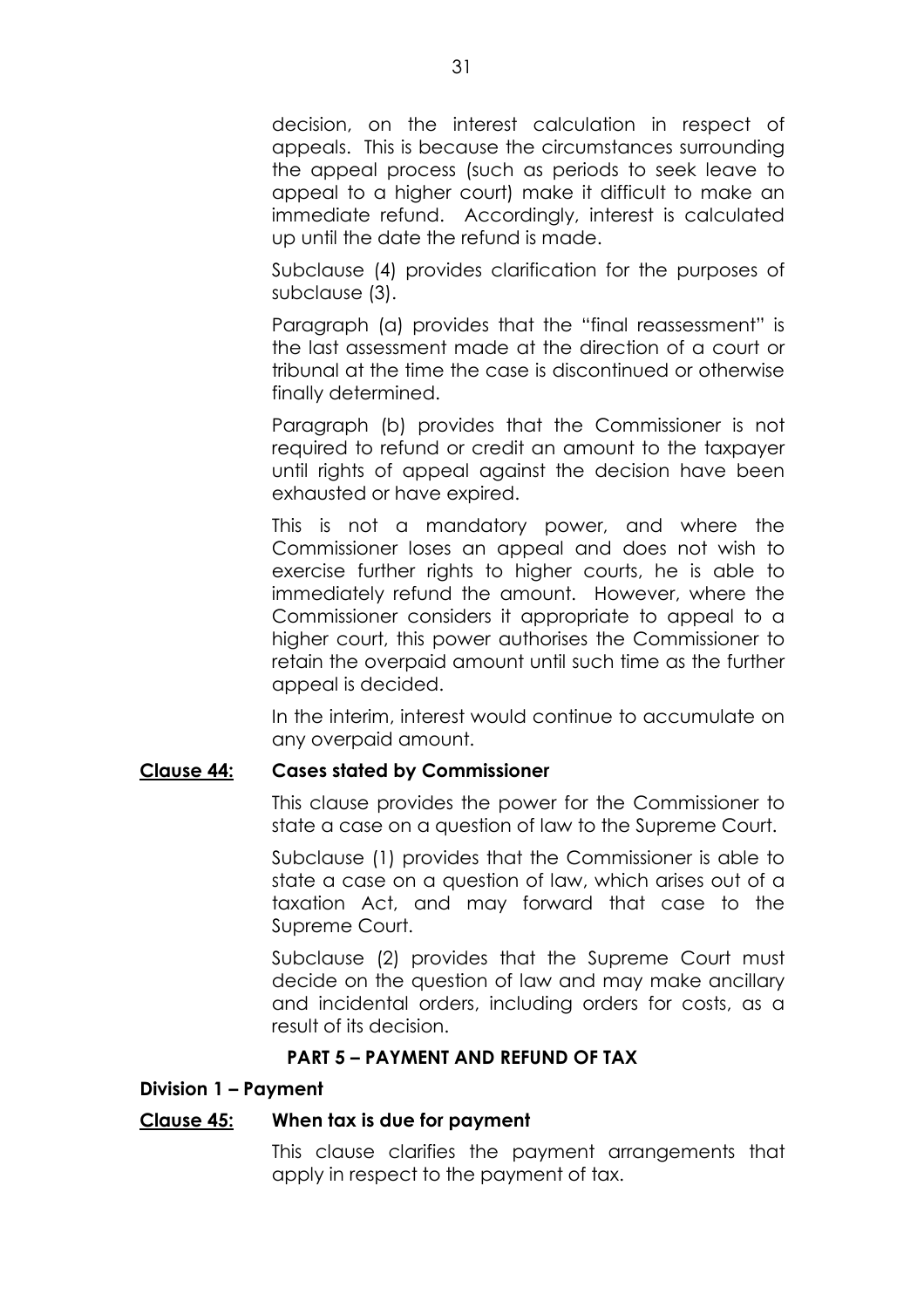decision, on the interest calculation in respect of appeals. This is because the circumstances surrounding the appeal process (such as periods to seek leave to appeal to a higher court) make it difficult to make an immediate refund. Accordingly, interest is calculated up until the date the refund is made.

Subclause (4) provides clarification for the purposes of subclause (3).

Paragraph (a) provides that the "final reassessment" is the last assessment made at the direction of a court or tribunal at the time the case is discontinued or otherwise finally determined.

Paragraph (b) provides that the Commissioner is not required to refund or credit an amount to the taxpayer until rights of appeal against the decision have been exhausted or have expired.

This is not a mandatory power, and where the Commissioner loses an appeal and does not wish to exercise further rights to higher courts, he is able to immediately refund the amount. However, where the Commissioner considers it appropriate to appeal to a higher court, this power authorises the Commissioner to retain the overpaid amount until such time as the further appeal is decided.

In the interim, interest would continue to accumulate on any overpaid amount.

# **Clause 44: Cases stated by Commissioner**

This clause provides the power for the Commissioner to state a case on a question of law to the Supreme Court.

Subclause (1) provides that the Commissioner is able to state a case on a question of law, which arises out of a taxation Act, and may forward that case to the Supreme Court.

Subclause (2) provides that the Supreme Court must decide on the question of law and may make ancillary and incidental orders, including orders for costs, as a result of its decision.

# **PART 5 - PAYMENT AND REFUND OF TAX**

# **Division 1 - Payment**

# **Clause 45: When tax is due for payment**

This clause clarifies the payment arrangements that apply in respect to the payment of tax.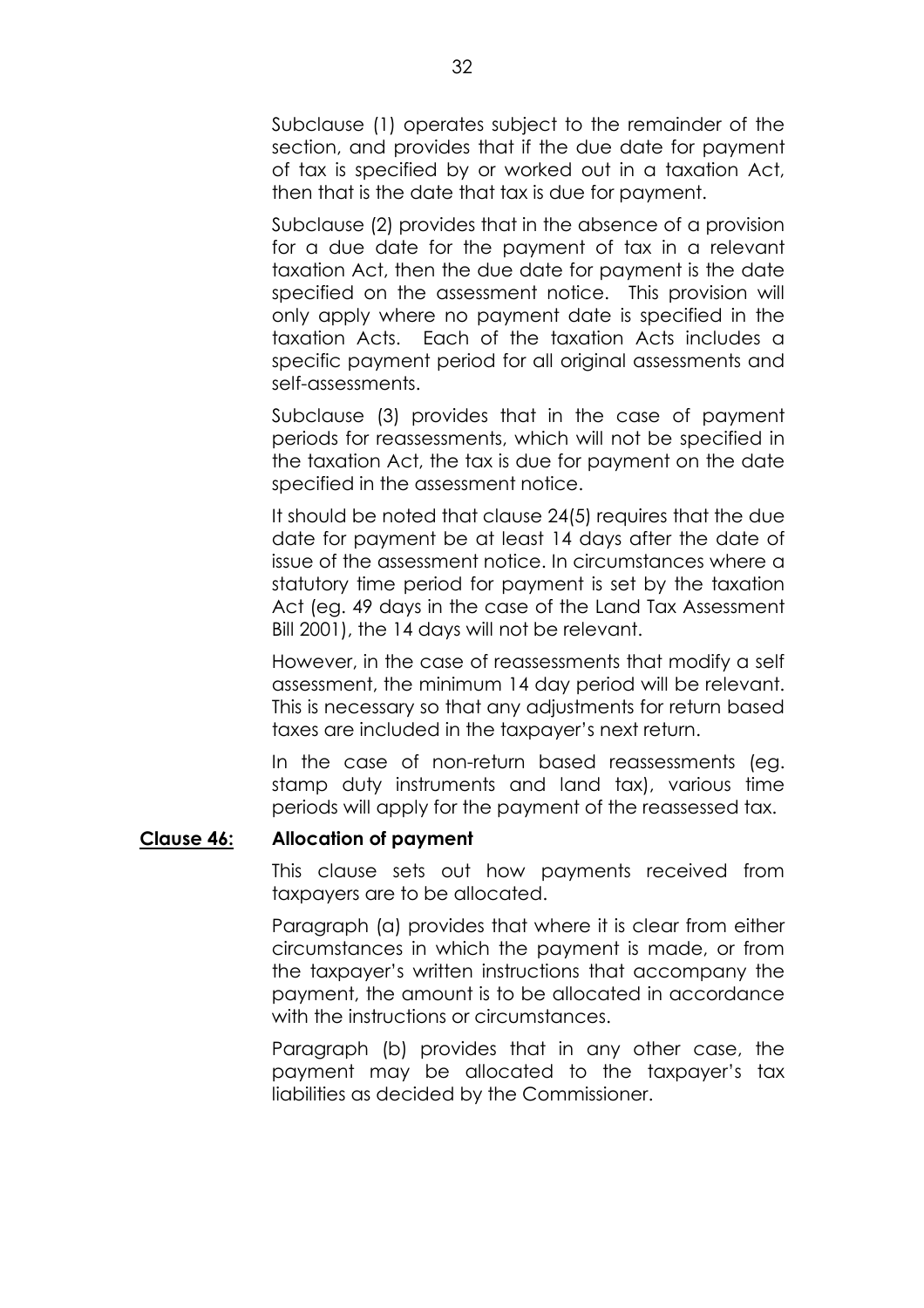Subclause (1) operates subject to the remainder of the section, and provides that if the due date for payment of tax is specified by or worked out in a taxation Act, then that is the date that tax is due for payment.

Subclause (2) provides that in the absence of a provision for a due date for the payment of tax in a relevant taxation Act, then the due date for payment is the date specified on the assessment notice. This provision will only apply where no payment date is specified in the taxation Acts. Each of the taxation Acts includes a specific payment period for all original assessments and self-assessments.

Subclause (3) provides that in the case of payment periods for reassessments, which will not be specified in the taxation Act, the tax is due for payment on the date specified in the assessment notice.

It should be noted that clause 24(5) requires that the due date for payment be at least 14 days after the date of issue of the assessment notice. In circumstances where a statutory time period for payment is set by the taxation Act (eg. 49 days in the case of the Land Tax Assessment Bill 2001), the 14 days will not be relevant.

However, in the case of reassessments that modify a self assessment, the minimum 14 day period will be relevant. This is necessary so that any adjustments for return based taxes are included in the taxpayer's next return.

In the case of non-return based reassessments (eg. stamp duty instruments and land tax), various time periods will apply for the payment of the reassessed tax.

# **Clause 46: Allocation of payment**

This clause sets out how payments received from taxpayers are to be allocated.

Paragraph (a) provides that where it is clear from either circumstances in which the payment is made, or from the taxpayerís written instructions that accompany the payment, the amount is to be allocated in accordance with the instructions or circumstances.

Paragraph (b) provides that in any other case, the payment may be allocated to the taxpayer's tax liabilities as decided by the Commissioner.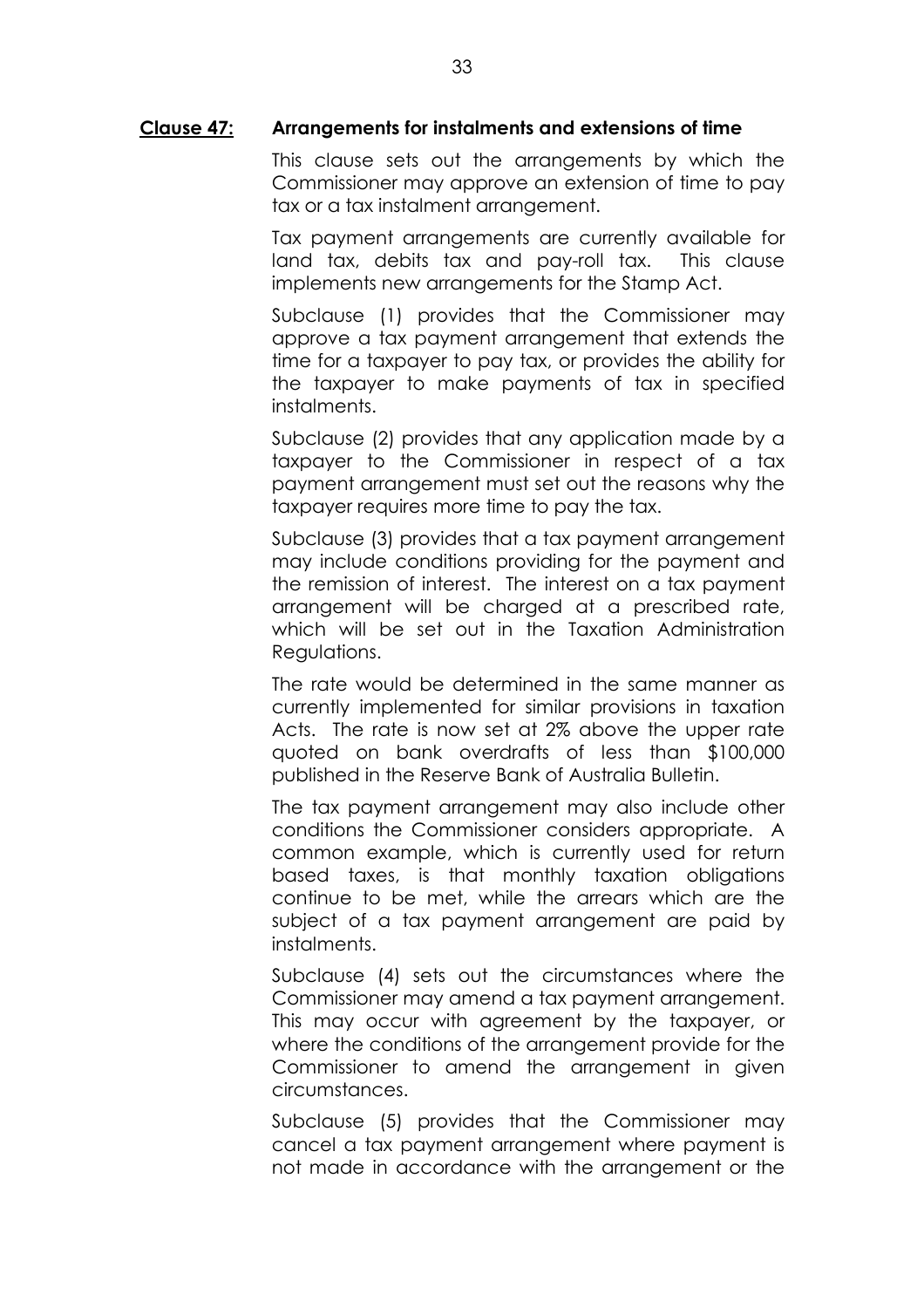#### **Clause 47: Arrangements for instalments and extensions of time**

This clause sets out the arrangements by which the Commissioner may approve an extension of time to pay tax or a tax instalment arrangement.

Tax payment arrangements are currently available for land tax, debits tax and pay-roll tax. This clause implements new arrangements for the Stamp Act.

Subclause (1) provides that the Commissioner may approve a tax payment arrangement that extends the time for a taxpayer to pay tax, or provides the ability for the taxpayer to make payments of tax in specified instalments.

Subclause (2) provides that any application made by a taxpayer to the Commissioner in respect of a tax payment arrangement must set out the reasons why the taxpayer requires more time to pay the tax.

Subclause (3) provides that a tax payment arrangement may include conditions providing for the payment and the remission of interest. The interest on a tax payment arrangement will be charged at a prescribed rate, which will be set out in the Taxation Administration Regulations.

The rate would be determined in the same manner as currently implemented for similar provisions in taxation Acts. The rate is now set at 2% above the upper rate quoted on bank overdrafts of less than \$100,000 published in the Reserve Bank of Australia Bulletin.

The tax payment arrangement may also include other conditions the Commissioner considers appropriate. A common example, which is currently used for return based taxes, is that monthly taxation obligations continue to be met, while the arrears which are the subject of a tax payment arrangement are paid by instalments.

Subclause (4) sets out the circumstances where the Commissioner may amend a tax payment arrangement. This may occur with agreement by the taxpayer, or where the conditions of the arrangement provide for the Commissioner to amend the arrangement in given circumstances.

Subclause (5) provides that the Commissioner may cancel a tax payment arrangement where payment is not made in accordance with the arrangement or the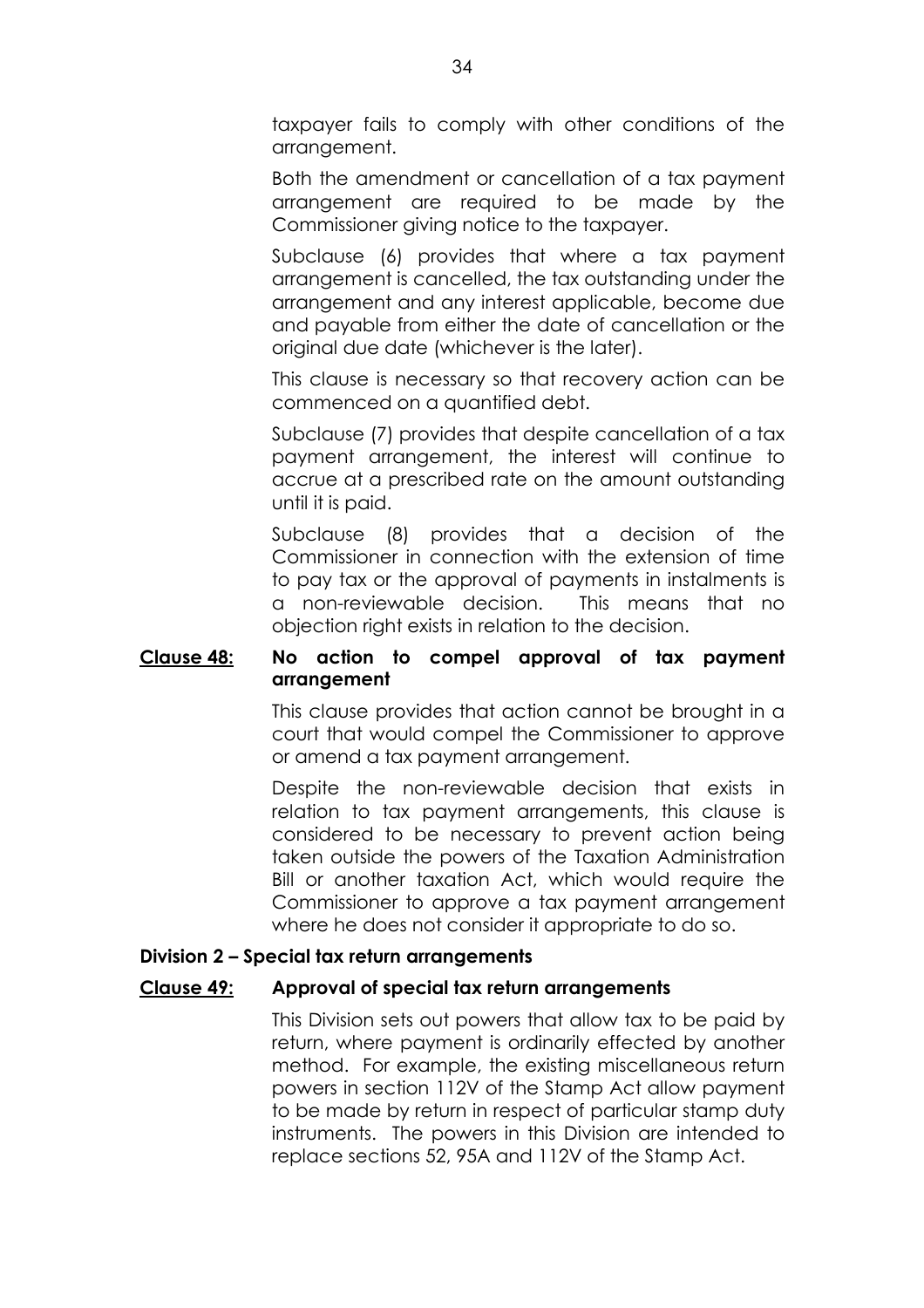taxpayer fails to comply with other conditions of the arrangement.

Both the amendment or cancellation of a tax payment arrangement are required to be made by the Commissioner giving notice to the taxpayer.

Subclause (6) provides that where a tax payment arrangement is cancelled, the tax outstanding under the arrangement and any interest applicable, become due and payable from either the date of cancellation or the original due date (whichever is the later).

This clause is necessary so that recovery action can be commenced on a quantified debt.

Subclause (7) provides that despite cancellation of a tax payment arrangement, the interest will continue to accrue at a prescribed rate on the amount outstanding until it is paid.

Subclause (8) provides that a decision of the Commissioner in connection with the extension of time to pay tax or the approval of payments in instalments is a non-reviewable decision. This means that no objection right exists in relation to the decision.

# **Clause 48: No action to compel approval of tax payment arrangement**

This clause provides that action cannot be brought in a court that would compel the Commissioner to approve or amend a tax payment arrangement.

Despite the non-reviewable decision that exists in relation to tax payment arrangements, this clause is considered to be necessary to prevent action being taken outside the powers of the Taxation Administration Bill or another taxation Act, which would require the Commissioner to approve a tax payment arrangement where he does not consider it appropriate to do so.

# **Division 2 - Special tax return arrangements**

# **Clause 49: Approval of special tax return arrangements**

This Division sets out powers that allow tax to be paid by return, where payment is ordinarily effected by another method. For example, the existing miscellaneous return powers in section 112V of the Stamp Act allow payment to be made by return in respect of particular stamp duty instruments. The powers in this Division are intended to replace sections 52, 95A and 112V of the Stamp Act.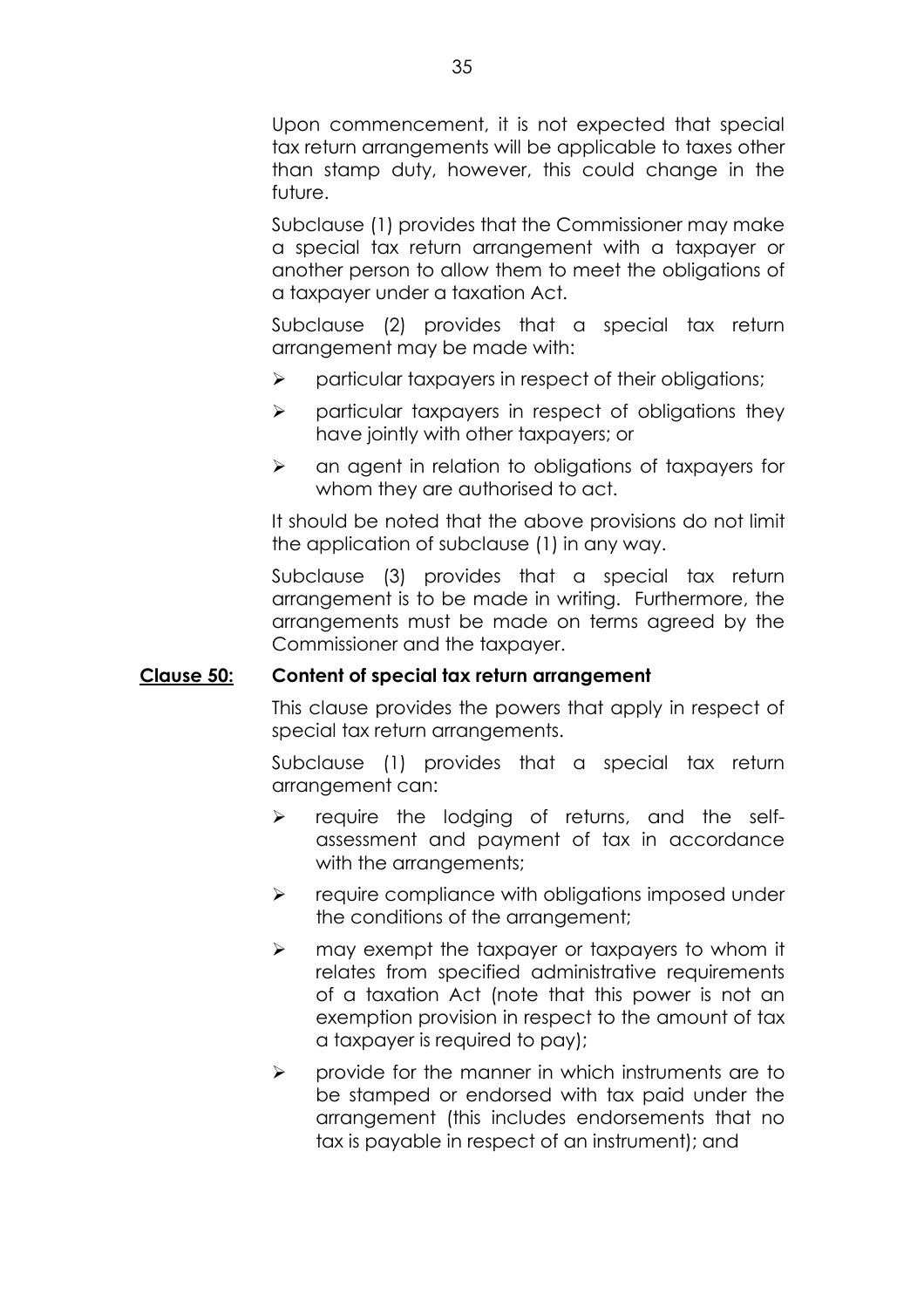Upon commencement, it is not expected that special tax return arrangements will be applicable to taxes other than stamp duty, however, this could change in the future.

Subclause (1) provides that the Commissioner may make a special tax return arrangement with a taxpayer or another person to allow them to meet the obligations of a taxpayer under a taxation Act.

Subclause (2) provides that a special tax return arrangement may be made with:

- $\triangleright$  particular taxpayers in respect of their obligations;
- $\triangleright$  particular taxpayers in respect of obligations they have jointly with other taxpayers; or
- $\triangleright$  an agent in relation to obligations of taxpayers for whom they are authorised to act.

It should be noted that the above provisions do not limit the application of subclause (1) in any way.

Subclause (3) provides that a special tax return arrangement is to be made in writing. Furthermore, the arrangements must be made on terms agreed by the Commissioner and the taxpayer.

# **Clause 50: Content of special tax return arrangement**

This clause provides the powers that apply in respect of special tax return arrangements.

Subclause (1) provides that a special tax return arrangement can:

- $\triangleright$  require the lodging of returns, and the selfassessment and payment of tax in accordance with the arrangements;
- $\triangleright$  require compliance with obligations imposed under the conditions of the arrangement;
- $\triangleright$  may exempt the taxpayer or taxpayers to whom it relates from specified administrative requirements of a taxation Act (note that this power is not an exemption provision in respect to the amount of tax a taxpayer is required to pay);
- $\triangleright$  provide for the manner in which instruments are to be stamped or endorsed with tax paid under the arrangement (this includes endorsements that no tax is payable in respect of an instrument); and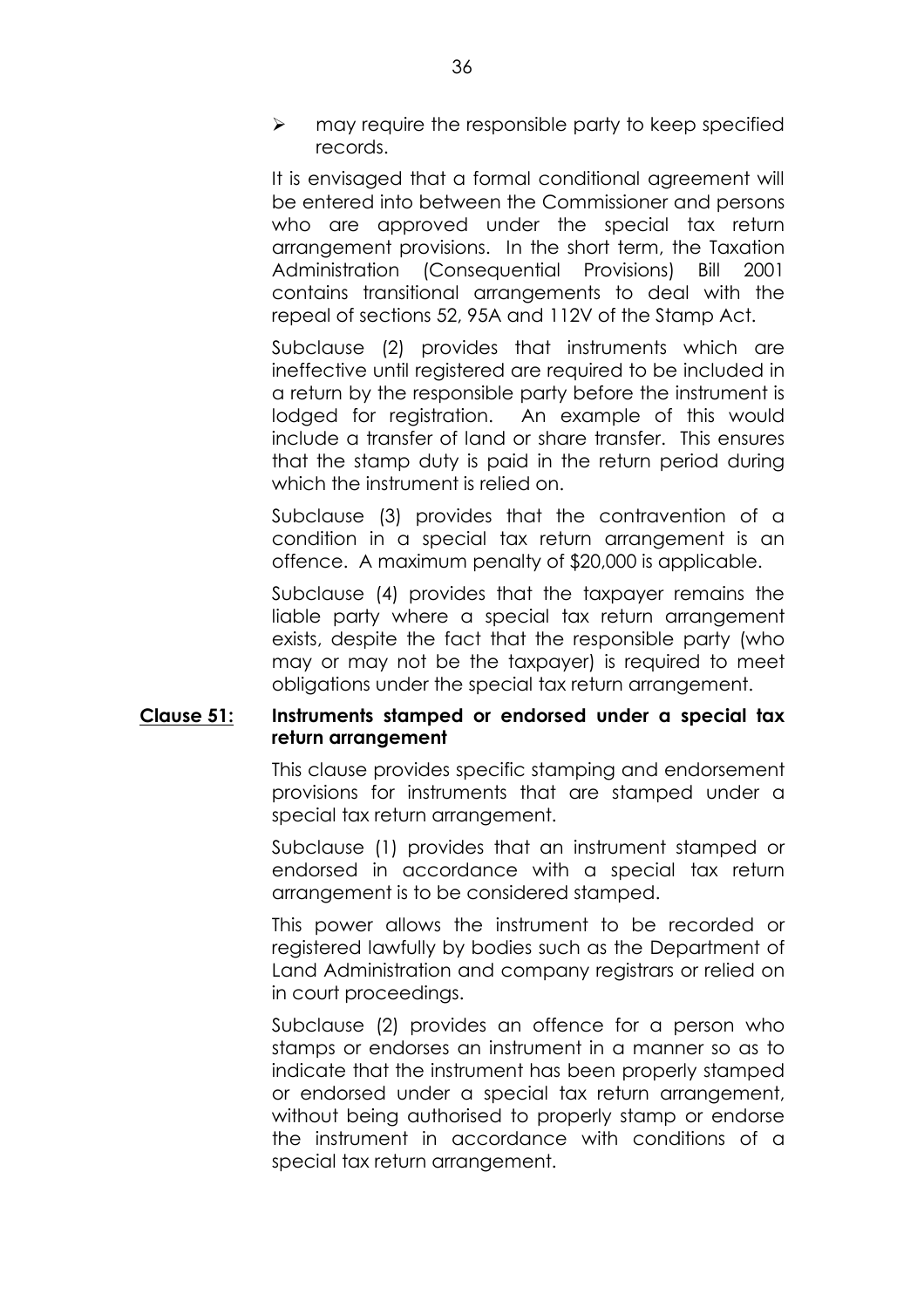$\triangleright$  may require the responsible party to keep specified records.

It is envisaged that a formal conditional agreement will be entered into between the Commissioner and persons who are approved under the special tax return arrangement provisions. In the short term, the Taxation Administration (Consequential Provisions) Bill 2001 contains transitional arrangements to deal with the repeal of sections 52, 95A and 112V of the Stamp Act.

Subclause (2) provides that instruments which are ineffective until registered are required to be included in a return by the responsible party before the instrument is lodged for registration. An example of this would include a transfer of land or share transfer. This ensures that the stamp duty is paid in the return period during which the instrument is relied on.

Subclause (3) provides that the contravention of a condition in a special tax return arrangement is an offence. A maximum penalty of \$20,000 is applicable.

Subclause (4) provides that the taxpayer remains the liable party where a special tax return arrangement exists, despite the fact that the responsible party (who may or may not be the taxpayer) is required to meet obligations under the special tax return arrangement.

# **Clause 51: Instruments stamped or endorsed under a special tax return arrangement**

This clause provides specific stamping and endorsement provisions for instruments that are stamped under a special tax return arrangement.

Subclause (1) provides that an instrument stamped or endorsed in accordance with a special tax return arrangement is to be considered stamped.

This power allows the instrument to be recorded or registered lawfully by bodies such as the Department of Land Administration and company registrars or relied on in court proceedings.

Subclause (2) provides an offence for a person who stamps or endorses an instrument in a manner so as to indicate that the instrument has been properly stamped or endorsed under a special tax return arrangement, without being authorised to properly stamp or endorse the instrument in accordance with conditions of a special tax return arrangement.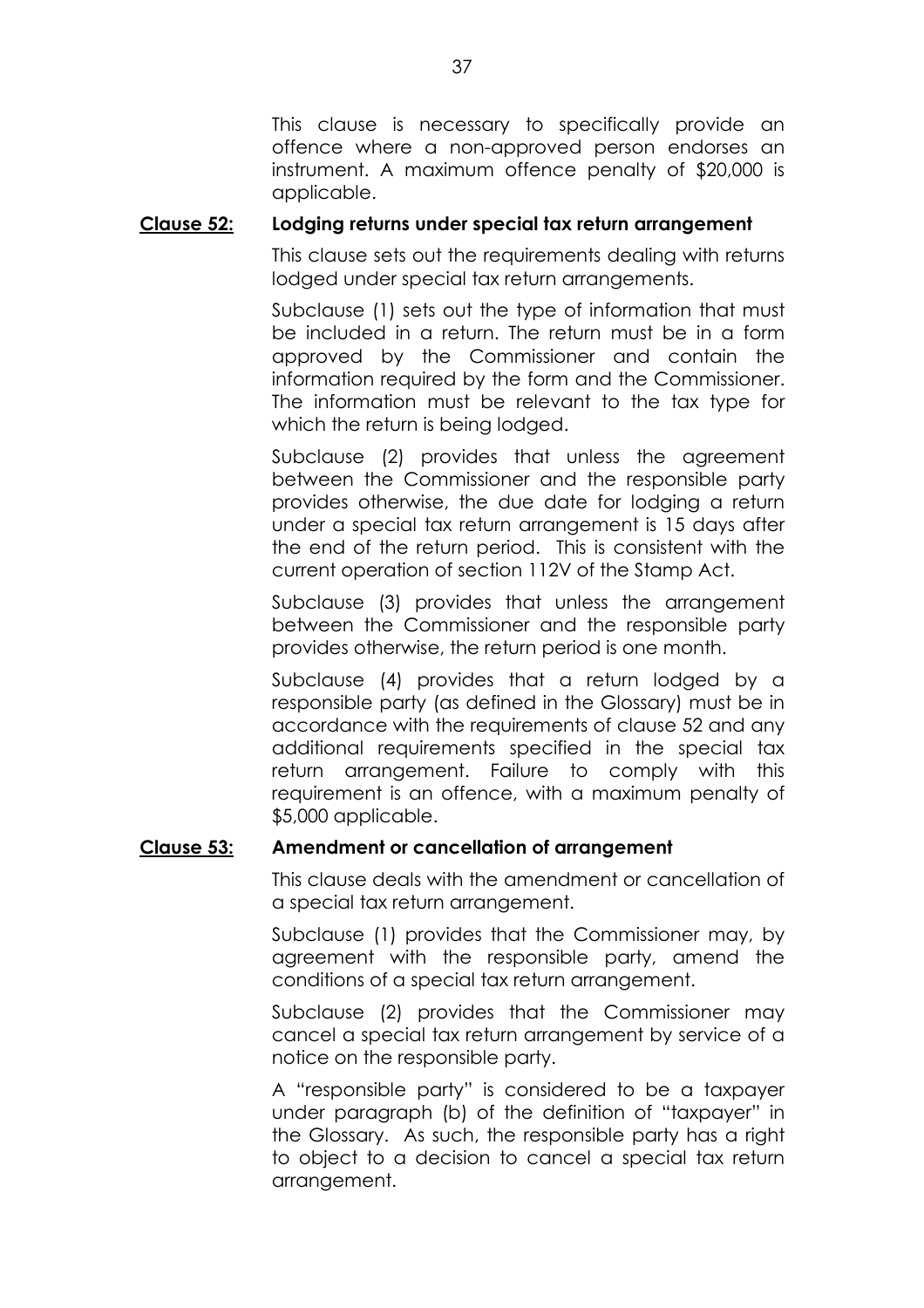This clause is necessary to specifically provide an offence where a non-approved person endorses an instrument. A maximum offence penalty of \$20,000 is applicable.

## **Clause 52: Lodging returns under special tax return arrangement**

This clause sets out the requirements dealing with returns lodged under special tax return arrangements.

Subclause (1) sets out the type of information that must be included in a return. The return must be in a form approved by the Commissioner and contain the information required by the form and the Commissioner. The information must be relevant to the tax type for which the return is being lodged.

Subclause (2) provides that unless the agreement between the Commissioner and the responsible party provides otherwise, the due date for lodging a return under a special tax return arrangement is 15 days after the end of the return period. This is consistent with the current operation of section 112V of the Stamp Act.

Subclause (3) provides that unless the arrangement between the Commissioner and the responsible party provides otherwise, the return period is one month.

Subclause (4) provides that a return lodged by a responsible party (as defined in the Glossary) must be in accordance with the requirements of clause 52 and any additional requirements specified in the special tax return arrangement. Failure to comply with this requirement is an offence, with a maximum penalty of \$5,000 applicable.

## **Clause 53: Amendment or cancellation of arrangement**

This clause deals with the amendment or cancellation of a special tax return arrangement.

Subclause (1) provides that the Commissioner may, by agreement with the responsible party, amend the conditions of a special tax return arrangement.

Subclause (2) provides that the Commissioner may cancel a special tax return arrangement by service of a notice on the responsible party.

A "responsible party" is considered to be a taxpayer under paragraph (b) of the definition of "taxpayer" in the Glossary. As such, the responsible party has a right to object to a decision to cancel a special tax return arrangement.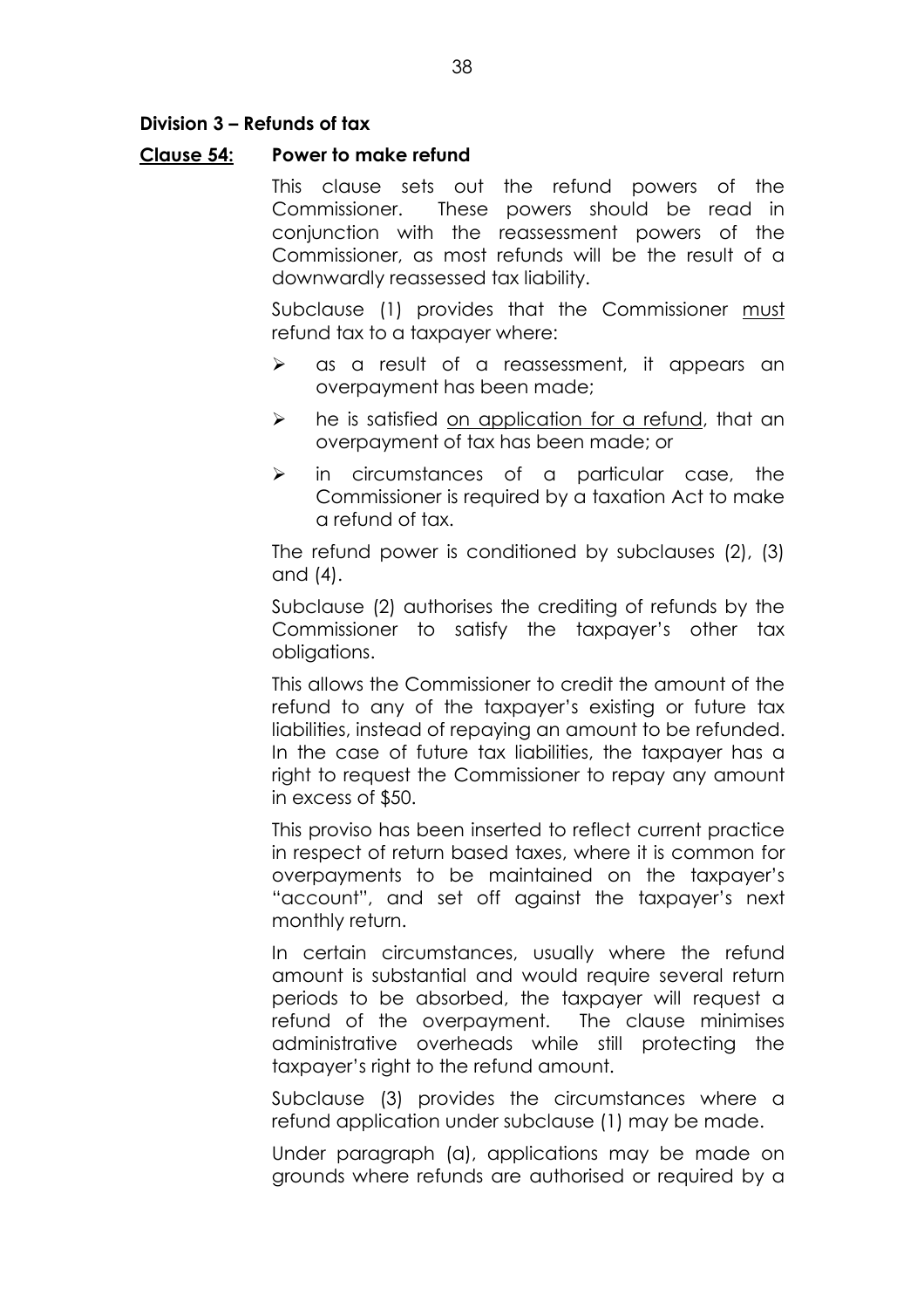## **Division 3 – Refunds of tax**

### **Clause 54: Power to make refund**

This clause sets out the refund powers of the Commissioner. These powers should be read in conjunction with the reassessment powers of the Commissioner, as most refunds will be the result of a downwardly reassessed tax liability.

Subclause (1) provides that the Commissioner must refund tax to a taxpayer where:

- $\triangleright$  as a result of a reassessment, it appears an overpayment has been made;
- $\triangleright$  he is satisfied on application for a refund, that an overpayment of tax has been made; or
- $\triangleright$  in circumstances of a particular case, the Commissioner is required by a taxation Act to make a refund of tax.

The refund power is conditioned by subclauses (2), (3) and (4).

Subclause (2) authorises the crediting of refunds by the Commissioner to satisfy the taxpayer's other tax obligations.

This allows the Commissioner to credit the amount of the refund to any of the taxpayer's existing or future tax liabilities, instead of repaying an amount to be refunded. In the case of future tax liabilities, the taxpayer has a right to request the Commissioner to repay any amount in excess of \$50.

This proviso has been inserted to reflect current practice in respect of return based taxes, where it is common for overpayments to be maintained on the taxpayerís "account", and set off against the taxpayer's next monthly return.

In certain circumstances, usually where the refund amount is substantial and would require several return periods to be absorbed, the taxpayer will request a refund of the overpayment. The clause minimises administrative overheads while still protecting the taxpayer's right to the refund amount.

Subclause (3) provides the circumstances where a refund application under subclause (1) may be made.

Under paragraph (a), applications may be made on grounds where refunds are authorised or required by a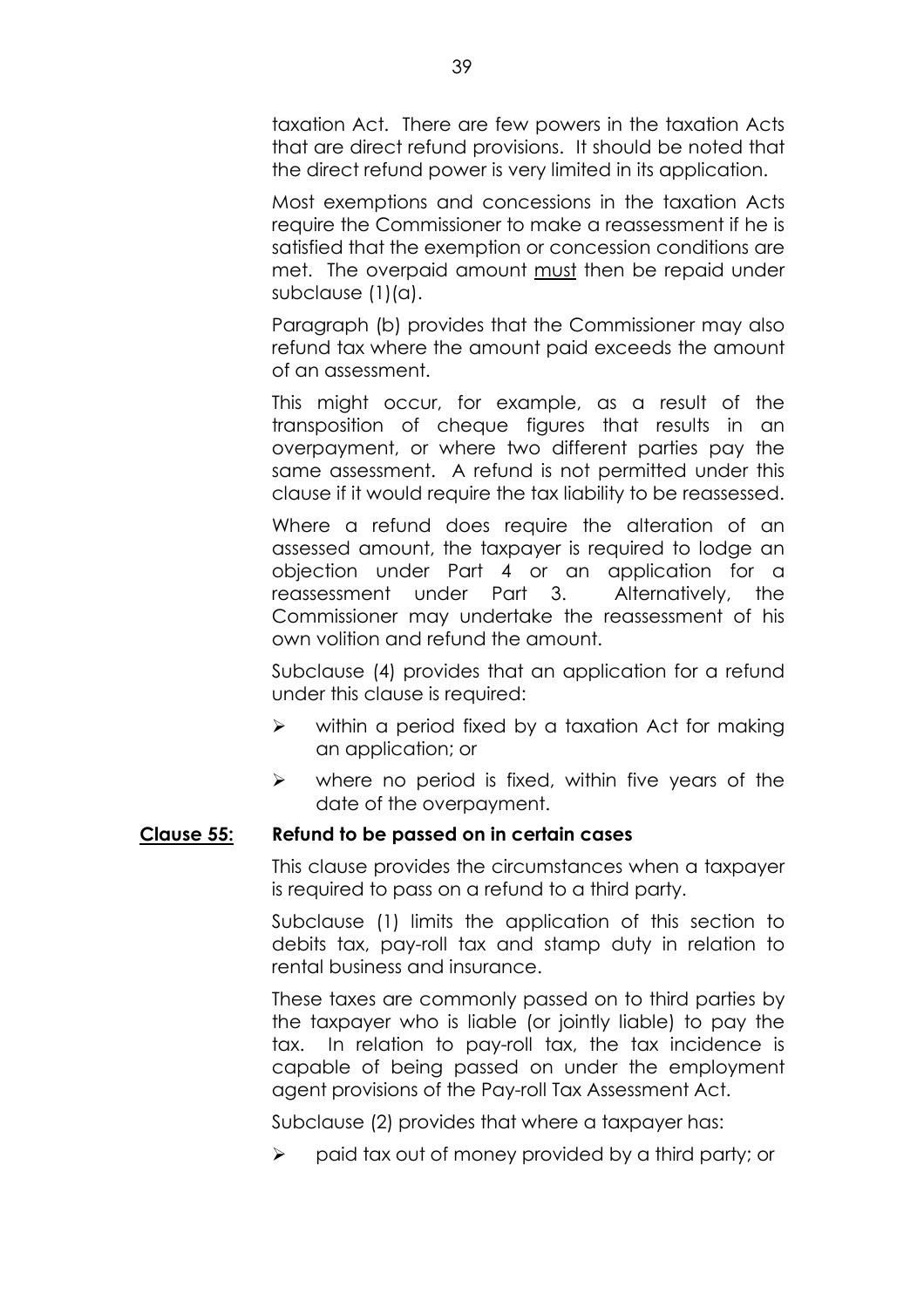taxation Act. There are few powers in the taxation Acts that are direct refund provisions. It should be noted that the direct refund power is very limited in its application.

Most exemptions and concessions in the taxation Acts require the Commissioner to make a reassessment if he is satisfied that the exemption or concession conditions are met. The overpaid amount must then be repaid under subclause (1)(a).

Paragraph (b) provides that the Commissioner may also refund tax where the amount paid exceeds the amount of an assessment.

This might occur, for example, as a result of the transposition of cheque figures that results in an overpayment, or where two different parties pay the same assessment. A refund is not permitted under this clause if it would require the tax liability to be reassessed.

Where a refund does require the alteration of an assessed amount, the taxpayer is required to lodge an objection under Part 4 or an application for a reassessment under Part 3. Alternatively, the Commissioner may undertake the reassessment of his own volition and refund the amount.

Subclause (4) provides that an application for a refund under this clause is required:

- $\triangleright$  within a period fixed by a taxation Act for making an application; or
- $\triangleright$  where no period is fixed, within five years of the date of the overpayment.

## **Clause 55: Refund to be passed on in certain cases**

This clause provides the circumstances when a taxpayer is required to pass on a refund to a third party.

Subclause (1) limits the application of this section to debits tax, pay-roll tax and stamp duty in relation to rental business and insurance.

These taxes are commonly passed on to third parties by the taxpayer who is liable (or jointly liable) to pay the tax. In relation to pay-roll tax, the tax incidence is capable of being passed on under the employment agent provisions of the Pay-roll Tax Assessment Act.

Subclause (2) provides that where a taxpayer has:

 $\triangleright$  paid tax out of money provided by a third party; or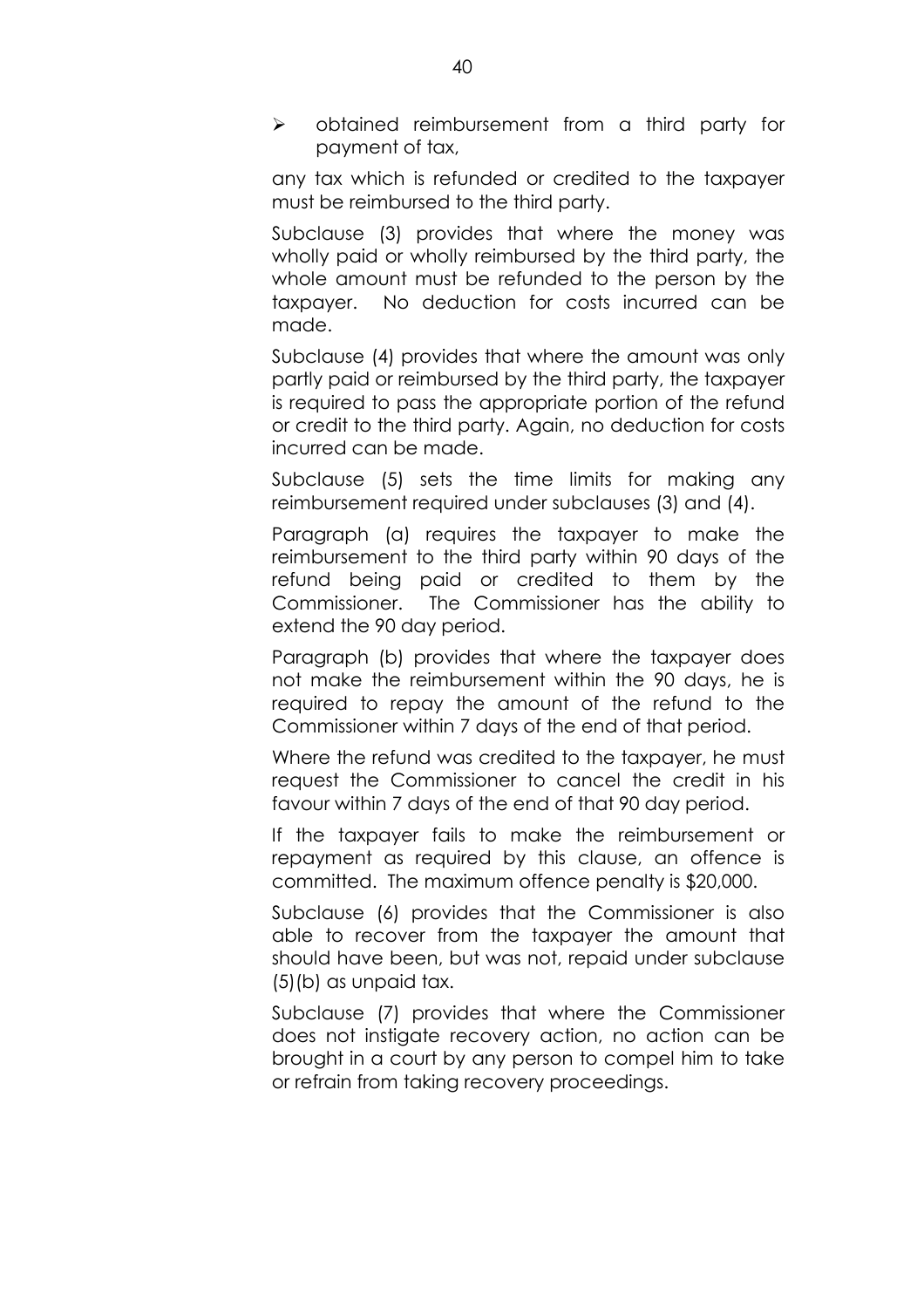! obtained reimbursement from a third party for payment of tax,

any tax which is refunded or credited to the taxpayer must be reimbursed to the third party.

Subclause (3) provides that where the money was wholly paid or wholly reimbursed by the third party, the whole amount must be refunded to the person by the taxpayer. No deduction for costs incurred can be made.

Subclause (4) provides that where the amount was only partly paid or reimbursed by the third party, the taxpayer is required to pass the appropriate portion of the refund or credit to the third party. Again, no deduction for costs incurred can be made.

Subclause (5) sets the time limits for making any reimbursement required under subclauses (3) and (4).

Paragraph (a) requires the taxpayer to make the reimbursement to the third party within 90 days of the refund being paid or credited to them by the Commissioner. The Commissioner has the ability to extend the 90 day period.

Paragraph (b) provides that where the taxpayer does not make the reimbursement within the 90 days, he is required to repay the amount of the refund to the Commissioner within 7 days of the end of that period.

Where the refund was credited to the taxpayer, he must request the Commissioner to cancel the credit in his favour within 7 days of the end of that 90 day period.

If the taxpayer fails to make the reimbursement or repayment as required by this clause, an offence is committed. The maximum offence penalty is \$20,000.

Subclause (6) provides that the Commissioner is also able to recover from the taxpayer the amount that should have been, but was not, repaid under subclause (5)(b) as unpaid tax.

Subclause (7) provides that where the Commissioner does not instigate recovery action, no action can be brought in a court by any person to compel him to take or refrain from taking recovery proceedings.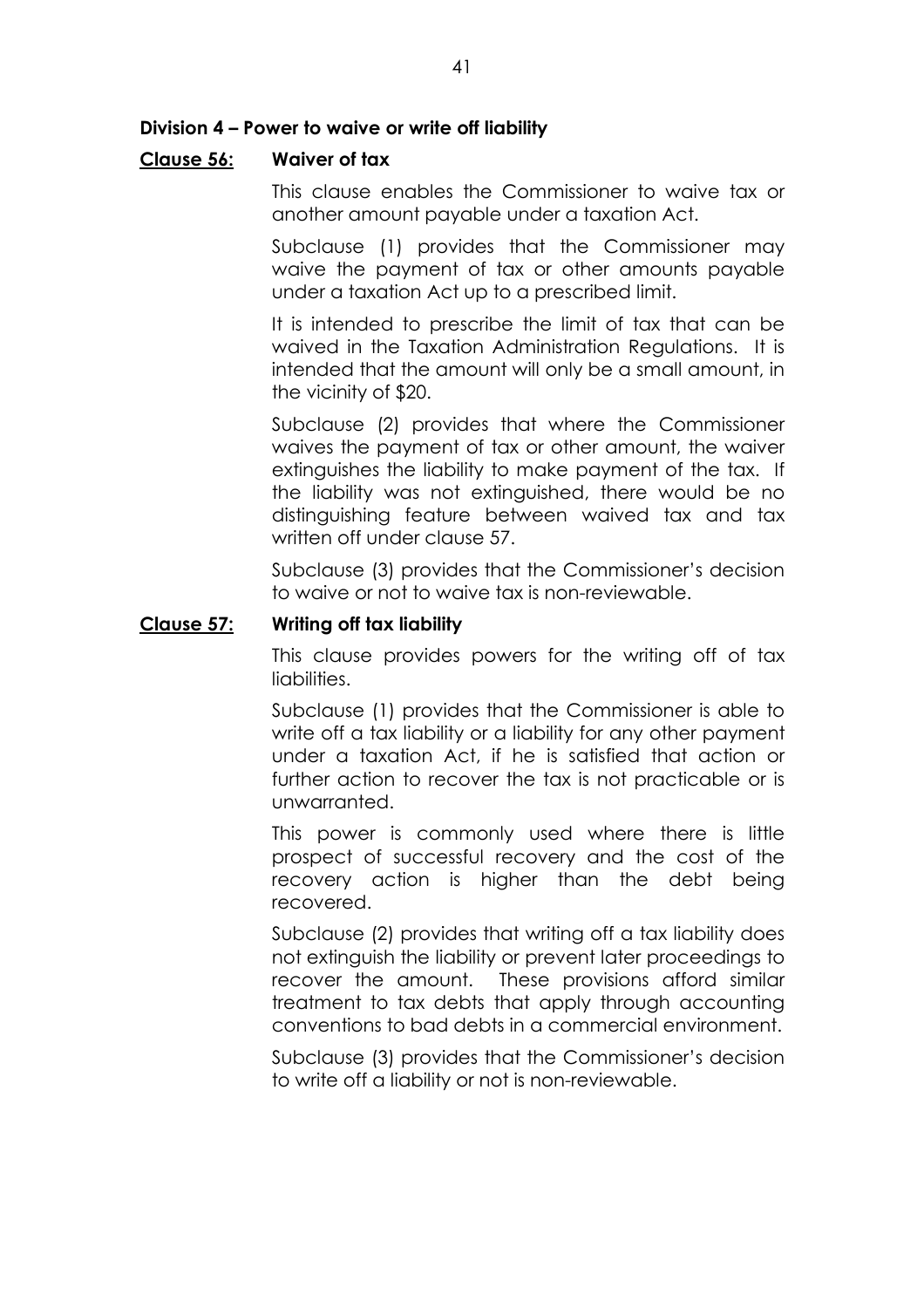## Division 4 - Power to waive or write off liability

### **Clause 56: Waiver of tax**

This clause enables the Commissioner to waive tax or another amount payable under a taxation Act.

Subclause (1) provides that the Commissioner may waive the payment of tax or other amounts payable under a taxation Act up to a prescribed limit.

It is intended to prescribe the limit of tax that can be waived in the Taxation Administration Regulations. It is intended that the amount will only be a small amount, in the vicinity of \$20.

Subclause (2) provides that where the Commissioner waives the payment of tax or other amount, the waiver extinguishes the liability to make payment of the tax. If the liability was not extinguished, there would be no distinguishing feature between waived tax and tax written off under clause 57.

Subclause (3) provides that the Commissioner's decision to waive or not to waive tax is non-reviewable.

### **Clause 57: Writing off tax liability**

This clause provides powers for the writing off of tax liabilities.

Subclause (1) provides that the Commissioner is able to write off a tax liability or a liability for any other payment under a taxation Act, if he is satisfied that action or further action to recover the tax is not practicable or is unwarranted.

This power is commonly used where there is little prospect of successful recovery and the cost of the recovery action is higher than the debt being recovered.

Subclause (2) provides that writing off a tax liability does not extinguish the liability or prevent later proceedings to recover the amount. These provisions afford similar treatment to tax debts that apply through accounting conventions to bad debts in a commercial environment.

Subclause (3) provides that the Commissioner's decision to write off a liability or not is non-reviewable.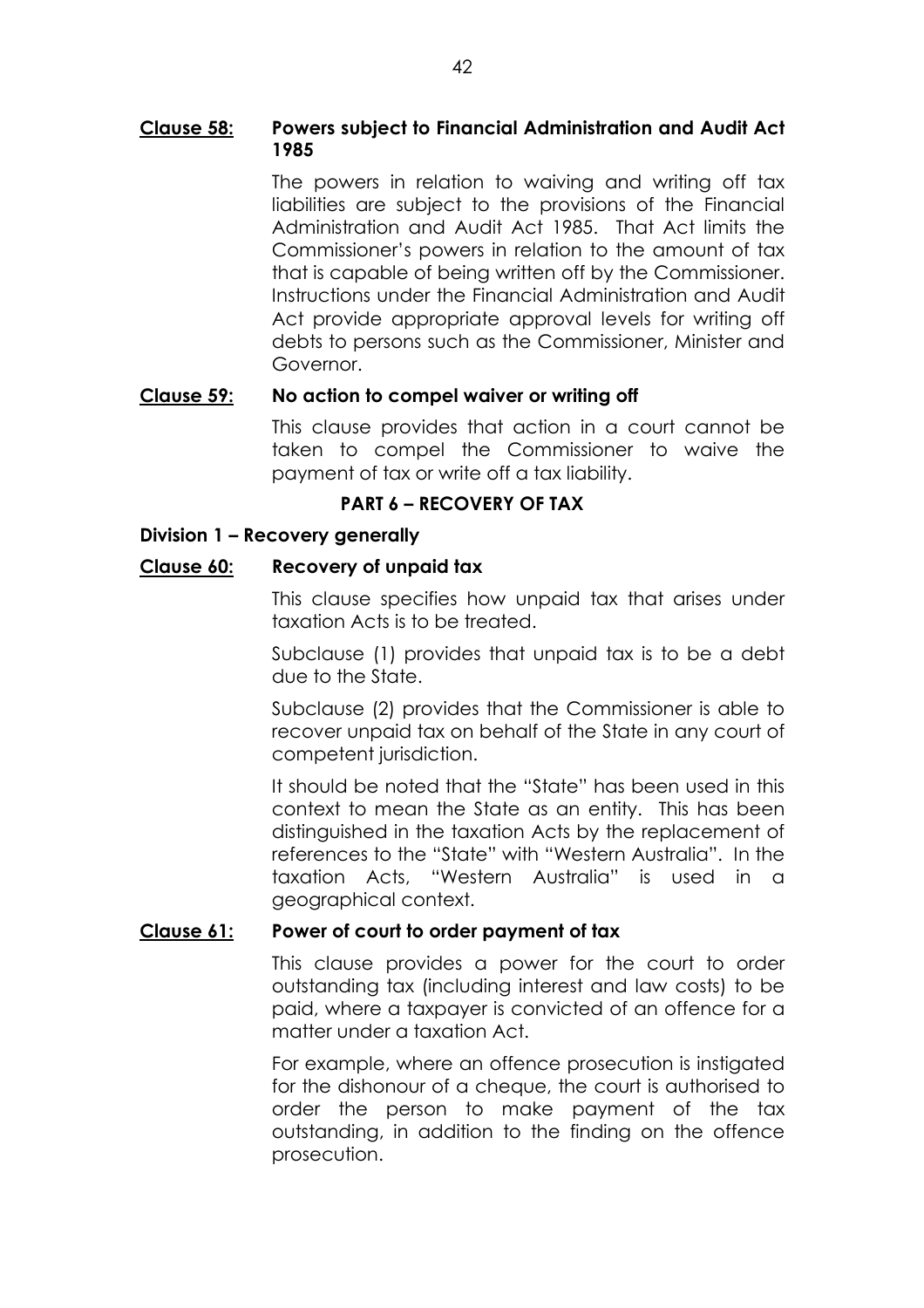# **Clause 58: Powers subject to Financial Administration and Audit Act 1985**

The powers in relation to waiving and writing off tax liabilities are subject to the provisions of the Financial Administration and Audit Act 1985. That Act limits the Commissioner's powers in relation to the amount of tax that is capable of being written off by the Commissioner. Instructions under the Financial Administration and Audit Act provide appropriate approval levels for writing off debts to persons such as the Commissioner, Minister and Governor.

# **Clause 59: No action to compel waiver or writing off**

This clause provides that action in a court cannot be taken to compel the Commissioner to waive the payment of tax or write off a tax liability.

# **PART 6 - RECOVERY OF TAX**

# **Division 1 - Recovery generally**

# **Clause 60: Recovery of unpaid tax**

This clause specifies how unpaid tax that arises under taxation Acts is to be treated.

Subclause (1) provides that unpaid tax is to be a debt due to the State.

Subclause (2) provides that the Commissioner is able to recover unpaid tax on behalf of the State in any court of competent jurisdiction.

It should be noted that the "State" has been used in this context to mean the State as an entity. This has been distinguished in the taxation Acts by the replacement of references to the "State" with "Western Australia". In the taxation Acts, "Western Australia" is used in a geographical context.

# **Clause 61: Power of court to order payment of tax**

This clause provides a power for the court to order outstanding tax (including interest and law costs) to be paid, where a taxpayer is convicted of an offence for a matter under a taxation Act.

For example, where an offence prosecution is instigated for the dishonour of a cheque, the court is authorised to order the person to make payment of the tax outstanding, in addition to the finding on the offence prosecution.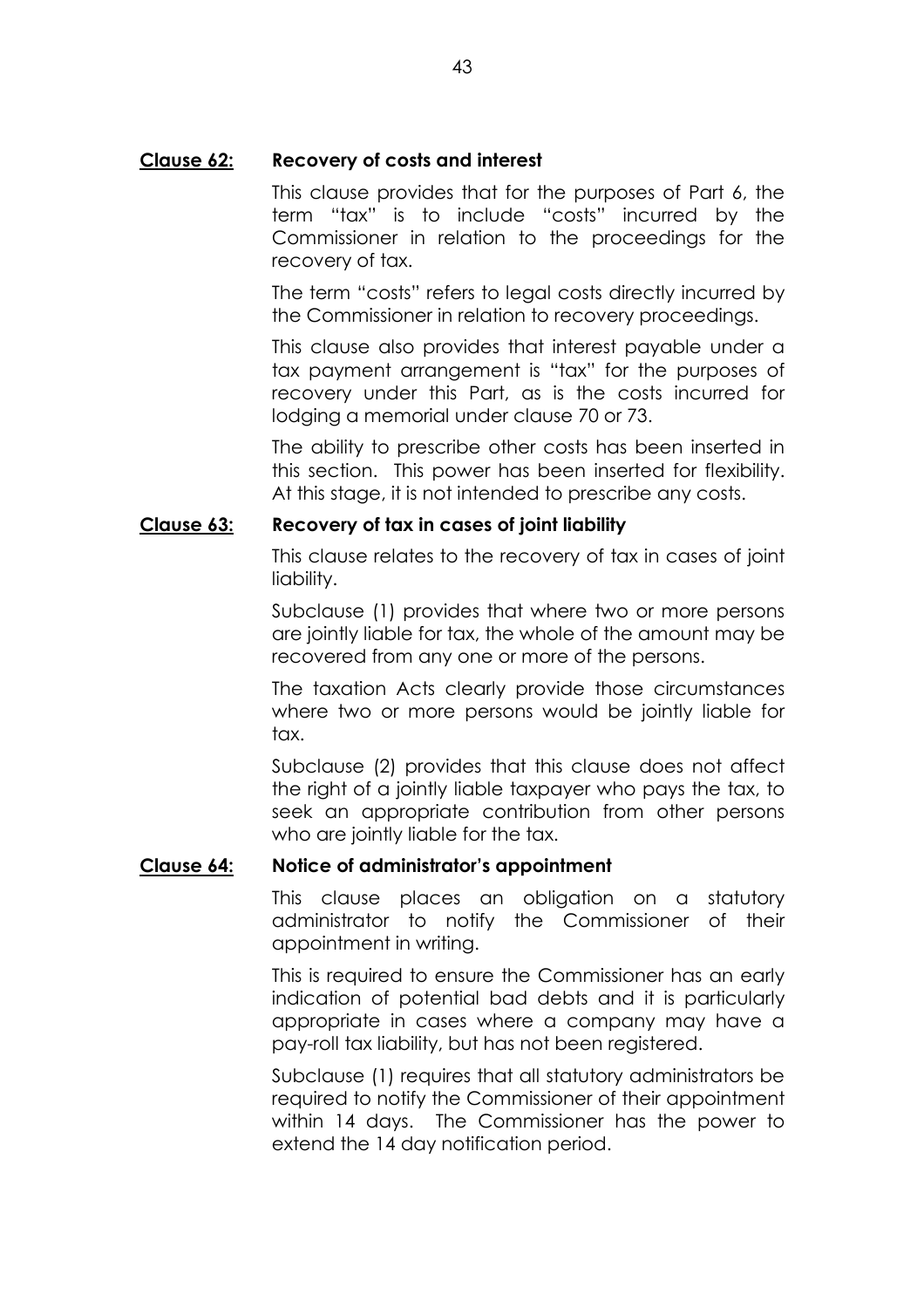## **Clause 62: Recovery of costs and interest**

This clause provides that for the purposes of Part 6, the term "tax" is to include "costs" incurred by the Commissioner in relation to the proceedings for the recovery of tax.

The term "costs" refers to legal costs directly incurred by the Commissioner in relation to recovery proceedings.

This clause also provides that interest payable under a tax payment arrangement is "tax" for the purposes of recovery under this Part, as is the costs incurred for lodging a memorial under clause 70 or 73.

The ability to prescribe other costs has been inserted in this section. This power has been inserted for flexibility. At this stage, it is not intended to prescribe any costs.

## **Clause 63: Recovery of tax in cases of joint liability**

This clause relates to the recovery of tax in cases of joint liability.

Subclause (1) provides that where two or more persons are jointly liable for tax, the whole of the amount may be recovered from any one or more of the persons.

The taxation Acts clearly provide those circumstances where two or more persons would be jointly liable for tax.

Subclause (2) provides that this clause does not affect the right of a jointly liable taxpayer who pays the tax, to seek an appropriate contribution from other persons who are jointly liable for the tax.

## Clause 64: Notice of administrator's appointment

This clause places an obligation on a statutory administrator to notify the Commissioner of their appointment in writing.

This is required to ensure the Commissioner has an early indication of potential bad debts and it is particularly appropriate in cases where a company may have a pay-roll tax liability, but has not been registered.

Subclause (1) requires that all statutory administrators be required to notify the Commissioner of their appointment within 14 days. The Commissioner has the power to extend the 14 day notification period.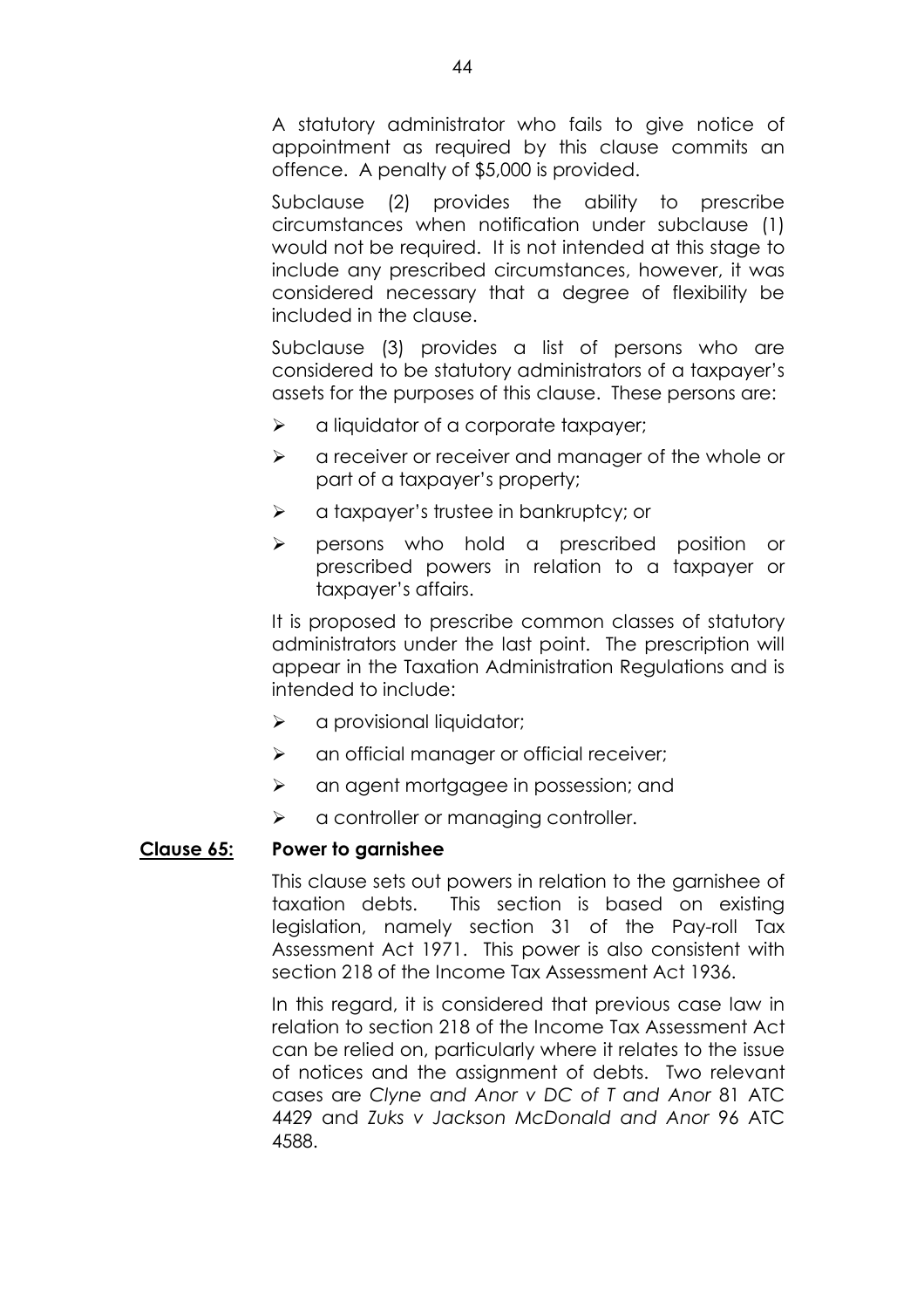A statutory administrator who fails to give notice of appointment as required by this clause commits an offence. A penalty of \$5,000 is provided.

Subclause (2) provides the ability to prescribe circumstances when notification under subclause (1) would not be required. It is not intended at this stage to include any prescribed circumstances, however, it was considered necessary that a degree of flexibility be included in the clause.

Subclause (3) provides a list of persons who are considered to be statutory administrators of a taxpayerís assets for the purposes of this clause. These persons are:

- $\triangleright$  a liquidator of a corporate taxpayer;
- $\triangleright$  a receiver or receiver and manager of the whole or part of a taxpayer's property;
- $\triangleright$  a taxpayer's trustee in bankruptcy; or
- $\triangleright$  persons who hold a prescribed position or prescribed powers in relation to a taxpayer or taxpayer's affairs.

It is proposed to prescribe common classes of statutory administrators under the last point. The prescription will appear in the Taxation Administration Regulations and is intended to include:

- $\triangleright$  a provisional liquidator;
- $\triangleright$  an official manager or official receiver;
- $\triangleright$  an agent mortgagee in possession; and
- $\triangleright$  a controller or managing controller.

## **Clause 65: Power to garnishee**

This clause sets out powers in relation to the garnishee of taxation debts. This section is based on existing legislation, namely section 31 of the Pay-roll Tax Assessment Act 1971. This power is also consistent with section 218 of the Income Tax Assessment Act 1936.

In this regard, it is considered that previous case law in relation to section 218 of the Income Tax Assessment Act can be relied on, particularly where it relates to the issue of notices and the assignment of debts. Two relevant cases are *Clyne and Anor v DC of T and Anor* 81 ATC 4429 and *Zuks v Jackson McDonald and Anor* 96 ATC 4588.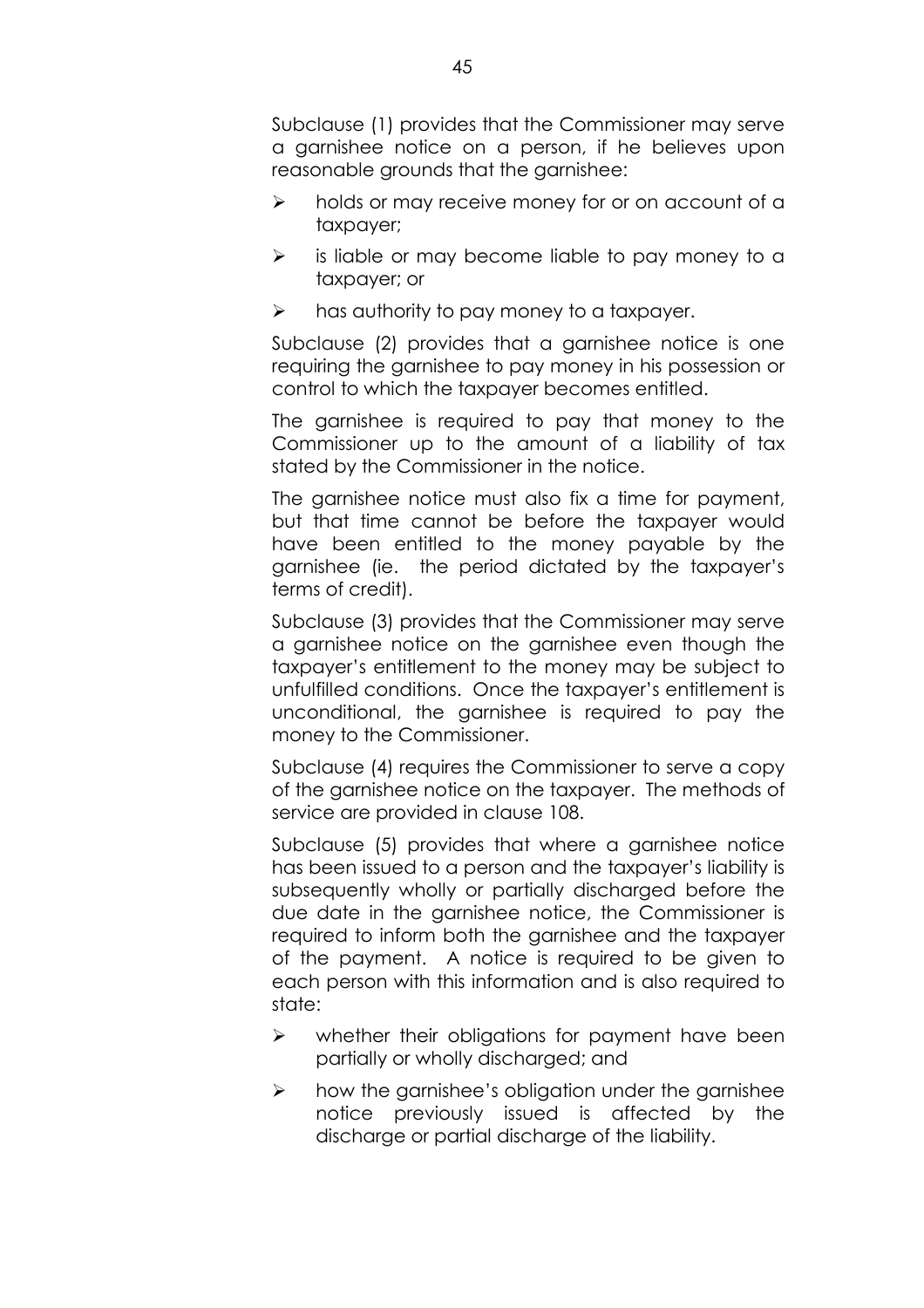Subclause (1) provides that the Commissioner may serve a garnishee notice on a person, if he believes upon reasonable grounds that the garnishee:

- $\triangleright$  holds or may receive money for or on account of a taxpayer;
- $\triangleright$  is liable or may become liable to pay money to a taxpayer; or
- $\triangleright$  has authority to pay money to a taxpayer.

Subclause (2) provides that a garnishee notice is one requiring the garnishee to pay money in his possession or control to which the taxpayer becomes entitled.

The garnishee is required to pay that money to the Commissioner up to the amount of a liability of tax stated by the Commissioner in the notice.

The garnishee notice must also fix a time for payment, but that time cannot be before the taxpayer would have been entitled to the money payable by the garnishee (ie. the period dictated by the taxpayerís terms of credit).

Subclause (3) provides that the Commissioner may serve a garnishee notice on the garnishee even though the taxpayerís entitlement to the money may be subject to unfulfilled conditions. Once the taxpayer's entitlement is unconditional, the garnishee is required to pay the money to the Commissioner.

Subclause (4) requires the Commissioner to serve a copy of the garnishee notice on the taxpayer. The methods of service are provided in clause 108.

Subclause (5) provides that where a garnishee notice has been issued to a person and the taxpayer's liability is subsequently wholly or partially discharged before the due date in the garnishee notice, the Commissioner is required to inform both the garnishee and the taxpayer of the payment. A notice is required to be given to each person with this information and is also required to state:

- $\triangleright$  whether their obligations for payment have been partially or wholly discharged; and
- $\triangleright$  how the garnishee's obligation under the garnishee notice previously issued is affected by the discharge or partial discharge of the liability.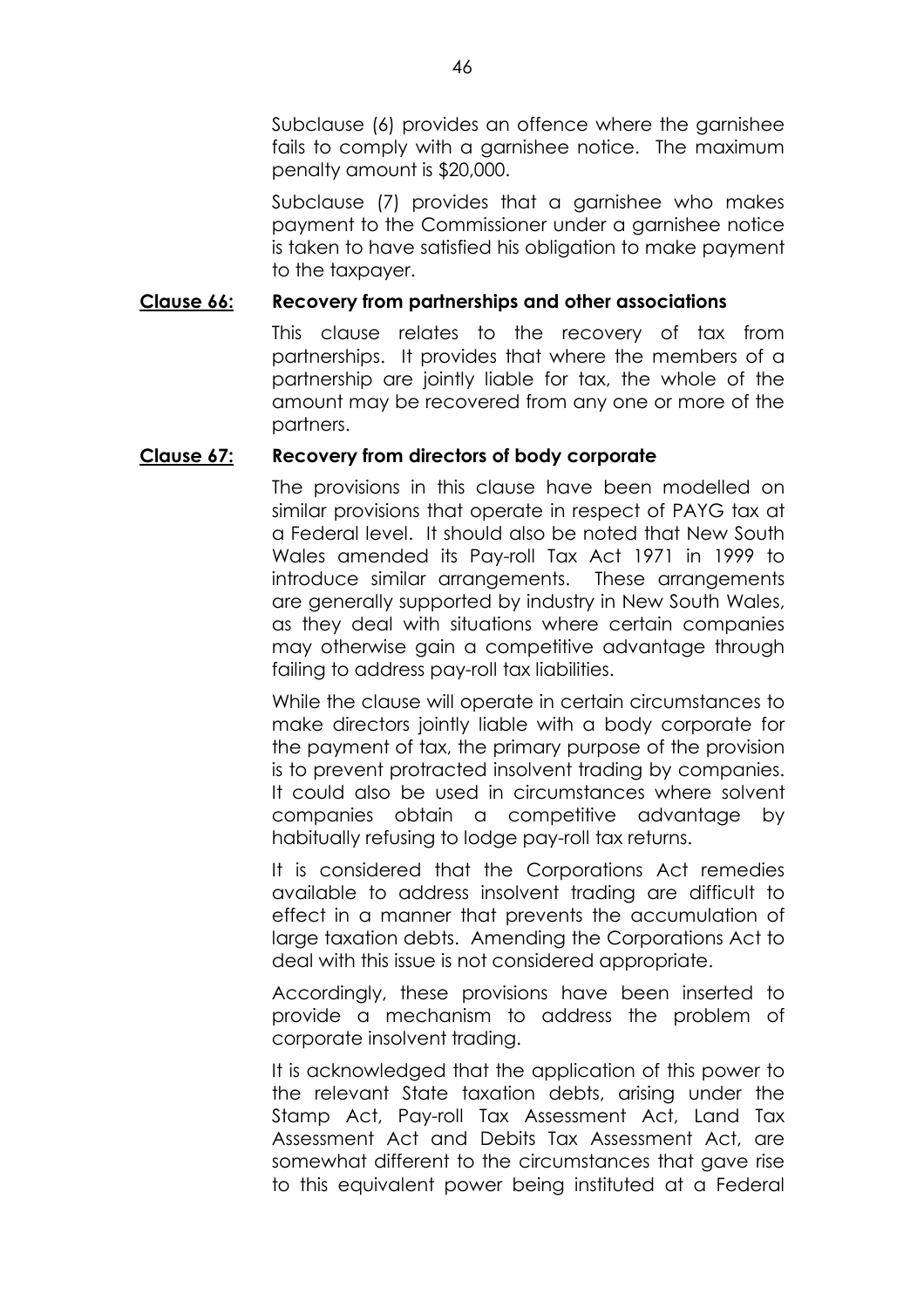Subclause (6) provides an offence where the garnishee fails to comply with a garnishee notice. The maximum penalty amount is \$20,000.

Subclause (7) provides that a garnishee who makes payment to the Commissioner under a garnishee notice is taken to have satisfied his obligation to make payment to the taxpayer.

## **Clause 66: Recovery from partnerships and other associations**

This clause relates to the recovery of tax from partnerships. It provides that where the members of a partnership are jointly liable for tax, the whole of the amount may be recovered from any one or more of the partners.

## **Clause 67: Recovery from directors of body corporate**

The provisions in this clause have been modelled on similar provisions that operate in respect of PAYG tax at a Federal level. It should also be noted that New South Wales amended its Pay-roll Tax Act 1971 in 1999 to introduce similar arrangements. These arrangements are generally supported by industry in New South Wales, as they deal with situations where certain companies may otherwise gain a competitive advantage through failing to address pay-roll tax liabilities.

While the clause will operate in certain circumstances to make directors jointly liable with a body corporate for the payment of tax, the primary purpose of the provision is to prevent protracted insolvent trading by companies. It could also be used in circumstances where solvent companies obtain a competitive advantage by habitually refusing to lodge pay-roll tax returns.

It is considered that the Corporations Act remedies available to address insolvent trading are difficult to effect in a manner that prevents the accumulation of large taxation debts. Amending the Corporations Act to deal with this issue is not considered appropriate.

Accordingly, these provisions have been inserted to provide a mechanism to address the problem of corporate insolvent trading.

It is acknowledged that the application of this power to the relevant State taxation debts, arising under the Stamp Act, Pay-roll Tax Assessment Act, Land Tax Assessment Act and Debits Tax Assessment Act, are somewhat different to the circumstances that gave rise to this equivalent power being instituted at a Federal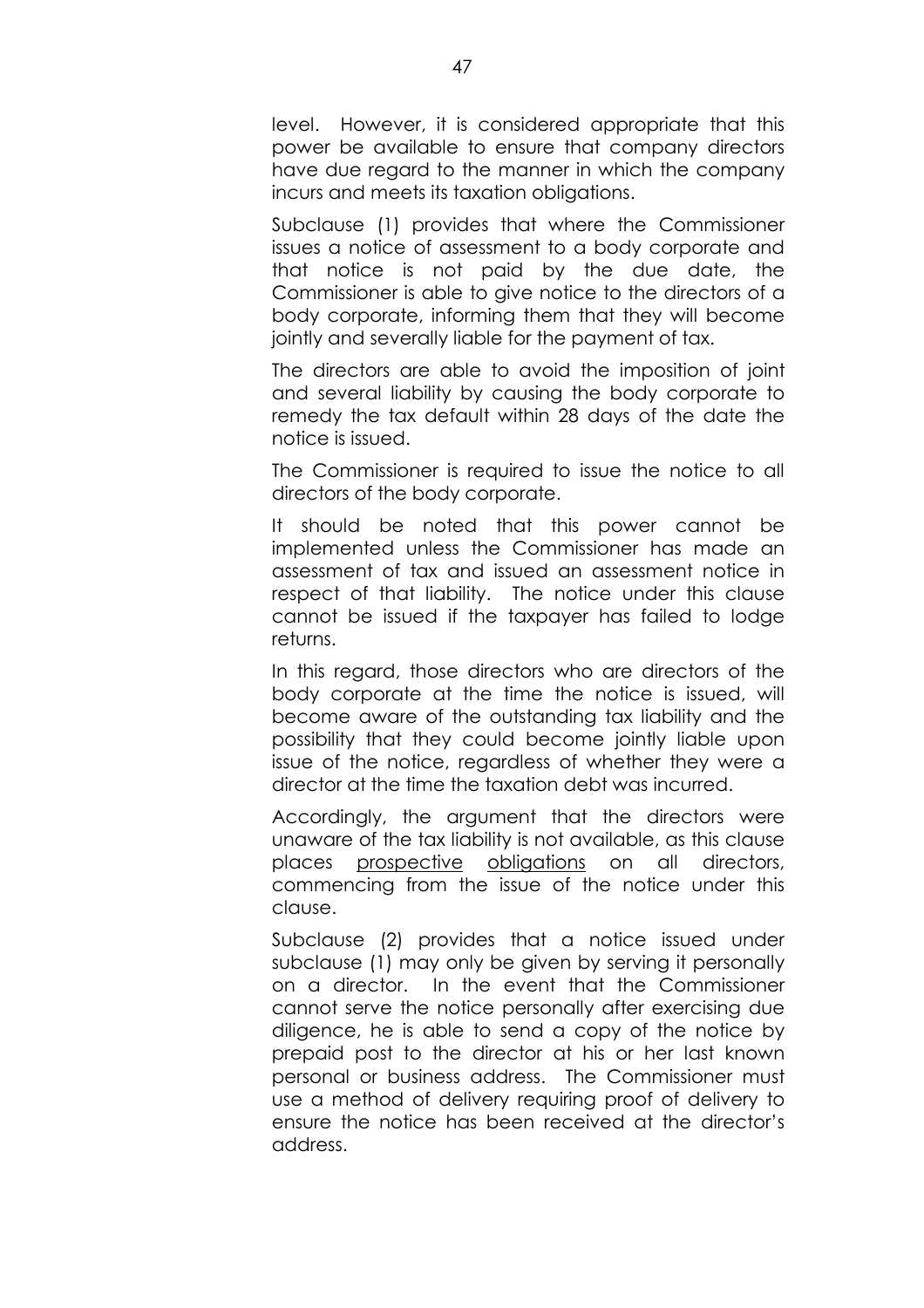level. However, it is considered appropriate that this power be available to ensure that company directors have due regard to the manner in which the company incurs and meets its taxation obligations.

Subclause (1) provides that where the Commissioner issues a notice of assessment to a body corporate and that notice is not paid by the due date, the Commissioner is able to give notice to the directors of a body corporate, informing them that they will become jointly and severally liable for the payment of tax.

The directors are able to avoid the imposition of joint and several liability by causing the body corporate to remedy the tax default within 28 days of the date the notice is issued.

The Commissioner is required to issue the notice to all directors of the body corporate.

It should be noted that this power cannot be implemented unless the Commissioner has made an assessment of tax and issued an assessment notice in respect of that liability. The notice under this clause cannot be issued if the taxpayer has failed to lodge returns.

In this regard, those directors who are directors of the body corporate at the time the notice is issued, will become aware of the outstanding tax liability and the possibility that they could become jointly liable upon issue of the notice, regardless of whether they were a director at the time the taxation debt was incurred.

Accordingly, the argument that the directors were unaware of the tax liability is not available, as this clause places prospective obligations on all directors, commencing from the issue of the notice under this clause.

Subclause (2) provides that a notice issued under subclause (1) may only be given by serving it personally on a director. In the event that the Commissioner cannot serve the notice personally after exercising due diligence, he is able to send a copy of the notice by prepaid post to the director at his or her last known personal or business address. The Commissioner must use a method of delivery requiring proof of delivery to ensure the notice has been received at the directorís address.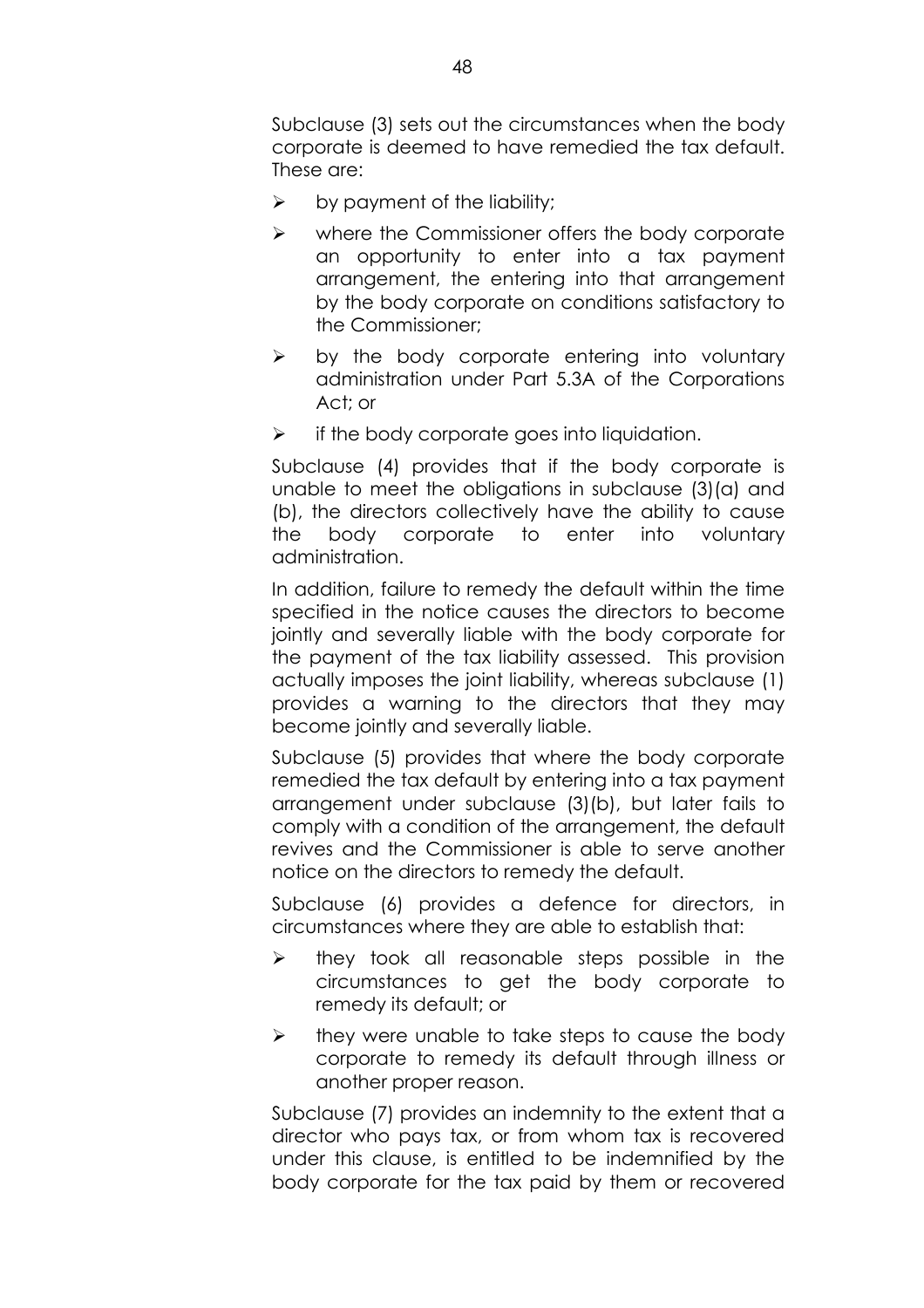Subclause (3) sets out the circumstances when the body corporate is deemed to have remedied the tax default. These are:

- $\triangleright$  by payment of the liability;
- $\triangleright$  where the Commissioner offers the body corporate an opportunity to enter into a tax payment arrangement, the entering into that arrangement by the body corporate on conditions satisfactory to the Commissioner;
- $\triangleright$  by the body corporate entering into voluntary administration under Part 5.3A of the Corporations Act; or
- $\triangleright$  if the body corporate goes into liquidation.

Subclause (4) provides that if the body corporate is unable to meet the obligations in subclause (3)(a) and (b), the directors collectively have the ability to cause the body corporate to enter into voluntary administration.

In addition, failure to remedy the default within the time specified in the notice causes the directors to become jointly and severally liable with the body corporate for the payment of the tax liability assessed. This provision actually imposes the joint liability, whereas subclause (1) provides a warning to the directors that they may become jointly and severally liable.

Subclause (5) provides that where the body corporate remedied the tax default by entering into a tax payment arrangement under subclause (3)(b), but later fails to comply with a condition of the arrangement, the default revives and the Commissioner is able to serve another notice on the directors to remedy the default.

Subclause (6) provides a defence for directors, in circumstances where they are able to establish that:

- $\triangleright$  they took all reasonable steps possible in the circumstances to get the body corporate to remedy its default; or
- $\triangleright$  they were unable to take steps to cause the body corporate to remedy its default through illness or another proper reason.

Subclause (7) provides an indemnity to the extent that a director who pays tax, or from whom tax is recovered under this clause, is entitled to be indemnified by the body corporate for the tax paid by them or recovered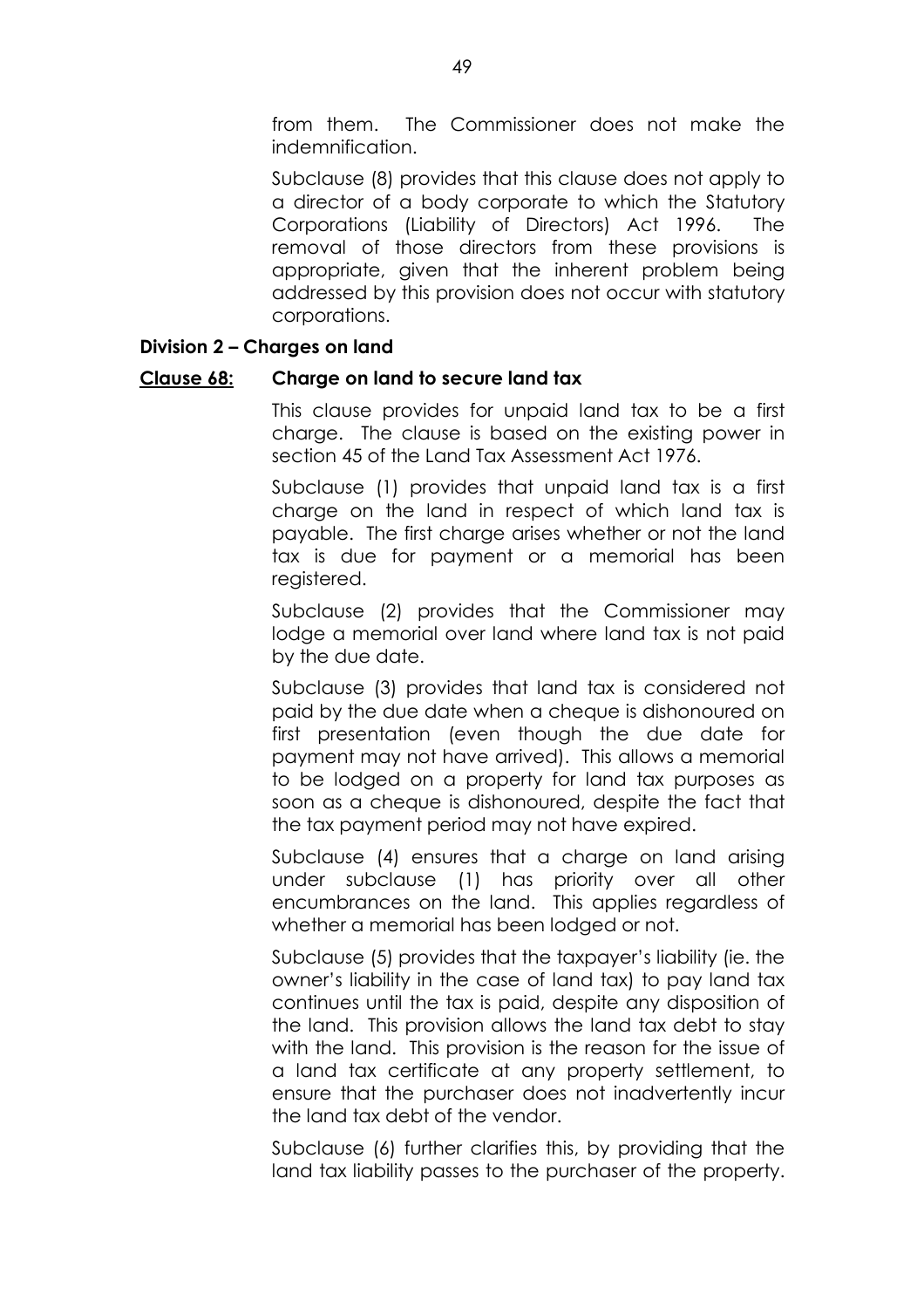from them. The Commissioner does not make the indemnification.

Subclause (8) provides that this clause does not apply to a director of a body corporate to which the Statutory Corporations (Liability of Directors) Act 1996. The removal of those directors from these provisions is appropriate, given that the inherent problem being addressed by this provision does not occur with statutory corporations.

## **Division 2 - Charges on land**

### **Clause 68: Charge on land to secure land tax**

This clause provides for unpaid land tax to be a first charge. The clause is based on the existing power in section 45 of the Land Tax Assessment Act 1976.

Subclause (1) provides that unpaid land tax is a first charge on the land in respect of which land tax is payable. The first charge arises whether or not the land tax is due for payment or a memorial has been reaistered.

Subclause (2) provides that the Commissioner may lodge a memorial over land where land tax is not paid by the due date.

Subclause (3) provides that land tax is considered not paid by the due date when a cheque is dishonoured on first presentation (even though the due date for payment may not have arrived). This allows a memorial to be lodged on a property for land tax purposes as soon as a cheque is dishonoured, despite the fact that the tax payment period may not have expired.

Subclause (4) ensures that a charge on land arising under subclause (1) has priority over all other encumbrances on the land. This applies regardless of whether a memorial has been lodged or not.

Subclause (5) provides that the taxpayer's liability (ie. the ownerís liability in the case of land tax) to pay land tax continues until the tax is paid, despite any disposition of the land. This provision allows the land tax debt to stay with the land. This provision is the reason for the issue of a land tax certificate at any property settlement, to ensure that the purchaser does not inadvertently incur the land tax debt of the vendor.

Subclause (6) further clarifies this, by providing that the land tax liability passes to the purchaser of the property.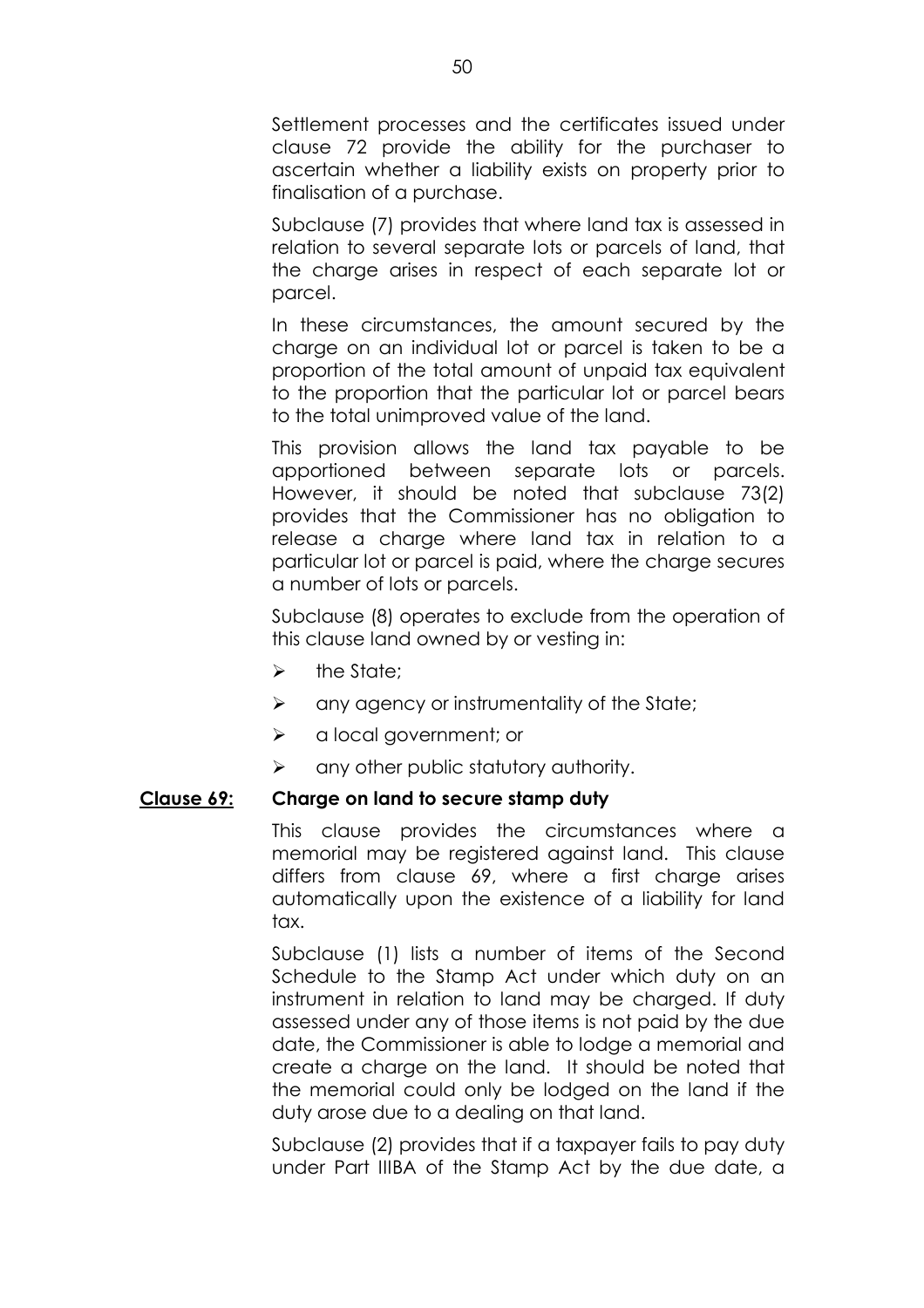Settlement processes and the certificates issued under clause 72 provide the ability for the purchaser to ascertain whether a liability exists on property prior to finalisation of a purchase.

Subclause (7) provides that where land tax is assessed in relation to several separate lots or parcels of land, that the charge arises in respect of each separate lot or parcel.

In these circumstances, the amount secured by the charge on an individual lot or parcel is taken to be a proportion of the total amount of unpaid tax equivalent to the proportion that the particular lot or parcel bears to the total unimproved value of the land.

This provision allows the land tax payable to be apportioned between separate lots or parcels. However, it should be noted that subclause 73(2) provides that the Commissioner has no obligation to release a charge where land tax in relation to a particular lot or parcel is paid, where the charge secures a number of lots or parcels.

Subclause (8) operates to exclude from the operation of this clause land owned by or vesting in:

- $\triangleright$  the State:
- $\triangleright$  any agency or instrumentality of the State;
- $\triangleright$  a local government; or
- $\triangleright$  any other public statutory authority.

### **Clause 69: Charge on land to secure stamp duty**

This clause provides the circumstances where a memorial may be registered against land. This clause differs from clause 69, where a first charge arises automatically upon the existence of a liability for land tax.

Subclause (1) lists a number of items of the Second Schedule to the Stamp Act under which duty on an instrument in relation to land may be charged. If duty assessed under any of those items is not paid by the due date, the Commissioner is able to lodge a memorial and create a charge on the land. It should be noted that the memorial could only be lodged on the land if the duty arose due to a dealing on that land.

Subclause (2) provides that if a taxpayer fails to pay duty under Part IIIBA of the Stamp Act by the due date, a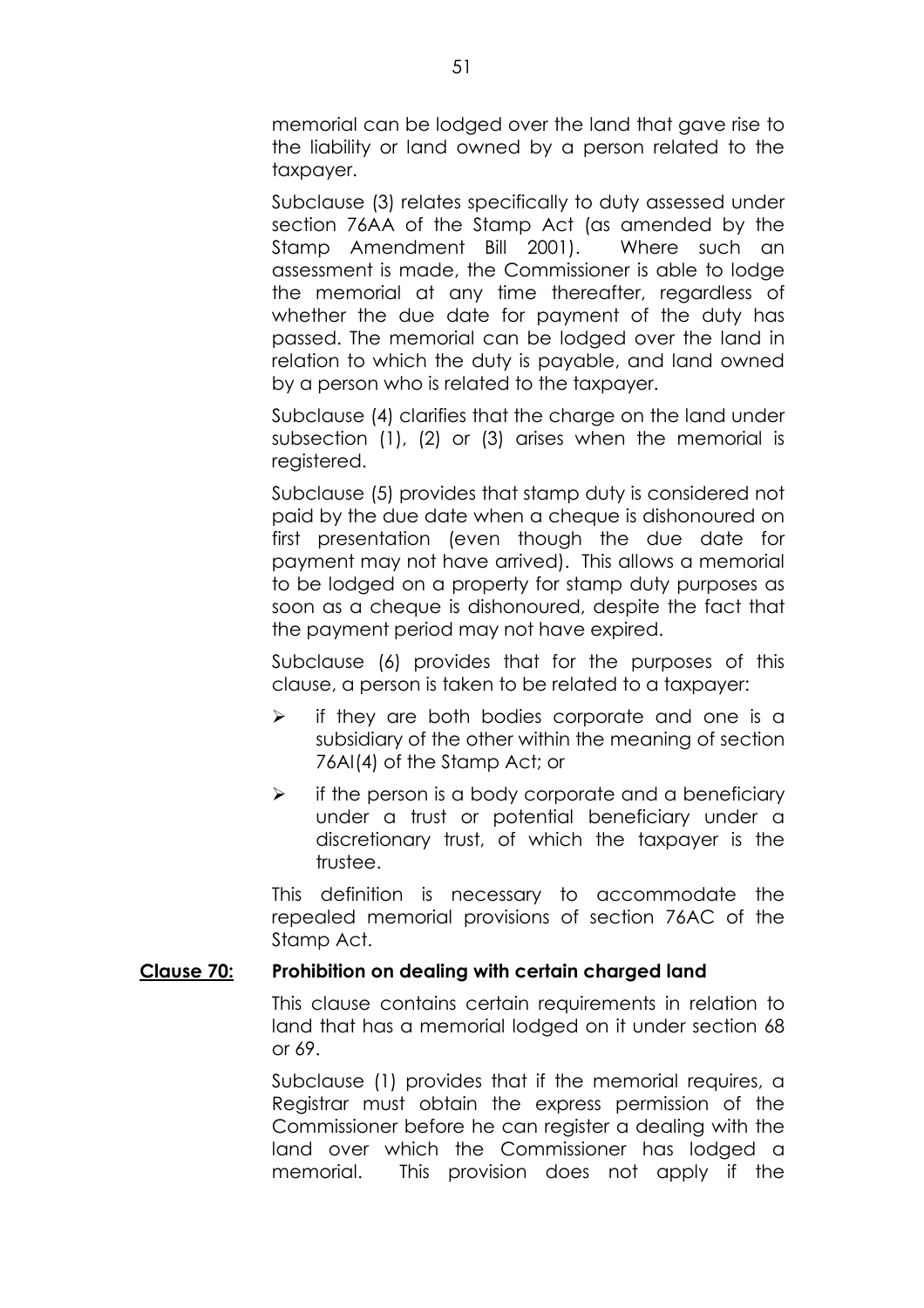memorial can be lodged over the land that gave rise to the liability or land owned by a person related to the taxpayer.

Subclause (3) relates specifically to duty assessed under section 76AA of the Stamp Act (as amended by the Stamp Amendment Bill 2001). Where such an assessment is made, the Commissioner is able to lodge the memorial at any time thereafter, regardless of whether the due date for payment of the duty has passed. The memorial can be lodged over the land in relation to which the duty is payable, and land owned by a person who is related to the taxpayer.

Subclause (4) clarifies that the charge on the land under subsection (1), (2) or (3) arises when the memorial is registered.

Subclause (5) provides that stamp duty is considered not paid by the due date when a cheque is dishonoured on first presentation (even though the due date for payment may not have arrived). This allows a memorial to be lodged on a property for stamp duty purposes as soon as a cheque is dishonoured, despite the fact that the payment period may not have expired.

Subclause (6) provides that for the purposes of this clause, a person is taken to be related to a taxpayer:

- $\triangleright$  if they are both bodies corporate and one is a subsidiary of the other within the meaning of section 76AI(4) of the Stamp Act; or
- $\triangleright$  if the person is a body corporate and a beneficiary under a trust or potential beneficiary under a discretionary trust, of which the taxpayer is the trustee.

This definition is necessary to accommodate the repealed memorial provisions of section 76AC of the Stamp Act.

## **Clause 70: Prohibition on dealing with certain charged land**

This clause contains certain requirements in relation to land that has a memorial lodged on it under section 68 or 69.

Subclause (1) provides that if the memorial requires, a Registrar must obtain the express permission of the Commissioner before he can register a dealing with the land over which the Commissioner has lodged a memorial. This provision does not apply if the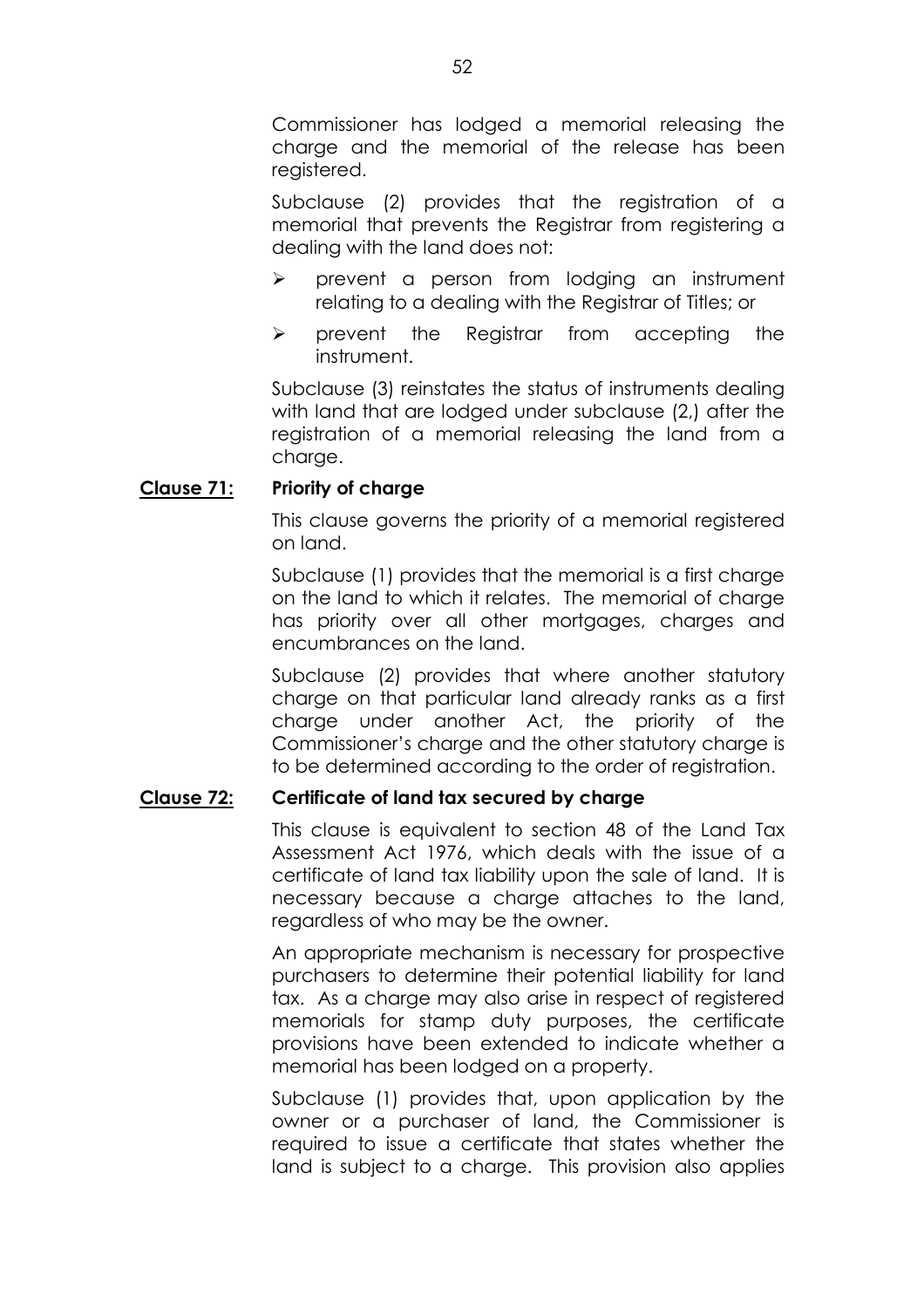Commissioner has lodged a memorial releasing the charge and the memorial of the release has been reaistered.

Subclause (2) provides that the registration of a memorial that prevents the Registrar from registering a dealing with the land does not:

- $\triangleright$  prevent a person from lodging an instrument relating to a dealing with the Registrar of Titles; or
- $\triangleright$  prevent the Registrar from accepting the instrument.

Subclause (3) reinstates the status of instruments dealing with land that are lodged under subclause (2,) after the registration of a memorial releasing the land from a charge.

# **Clause 71: Priority of charge**

This clause governs the priority of a memorial registered on land.

Subclause (1) provides that the memorial is a first charge on the land to which it relates. The memorial of charge has priority over all other mortgages, charges and encumbrances on the land.

Subclause (2) provides that where another statutory charge on that particular land already ranks as a first charge under another Act, the priority of the Commissioner's charge and the other statutory charge is to be determined according to the order of registration.

## **Clause 72: Certificate of land tax secured by charge**

This clause is equivalent to section 48 of the Land Tax Assessment Act 1976, which deals with the issue of a certificate of land tax liability upon the sale of land. It is necessary because a charge attaches to the land, regardless of who may be the owner.

An appropriate mechanism is necessary for prospective purchasers to determine their potential liability for land tax. As a charge may also arise in respect of registered memorials for stamp duty purposes, the certificate provisions have been extended to indicate whether a memorial has been lodged on a property.

Subclause (1) provides that, upon application by the owner or a purchaser of land, the Commissioner is required to issue a certificate that states whether the land is subject to a charge. This provision also applies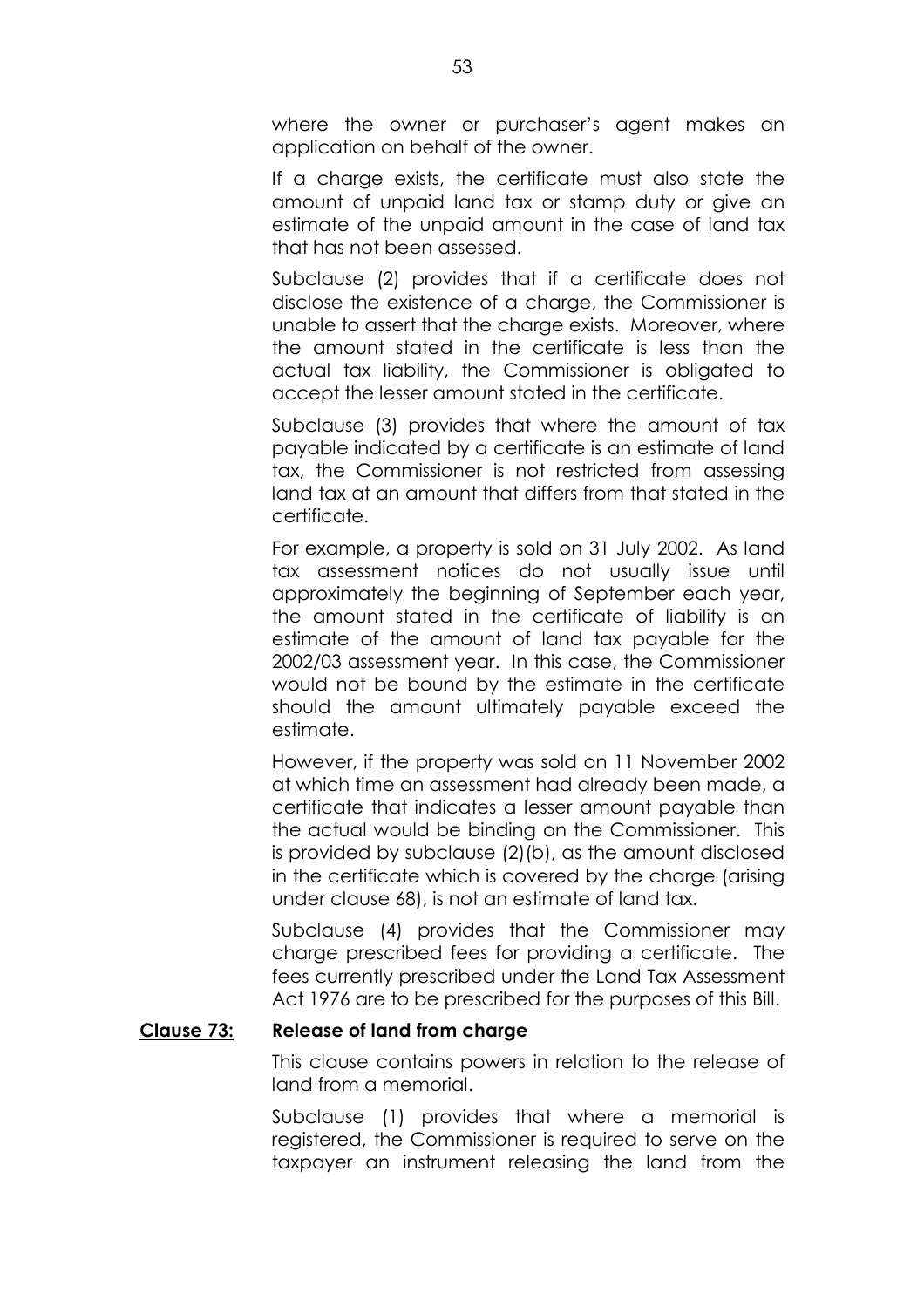where the owner or purchaser's agent makes an application on behalf of the owner.

If a charge exists, the certificate must also state the amount of unpaid land tax or stamp duty or give an estimate of the unpaid amount in the case of land tax that has not been assessed.

Subclause (2) provides that if a certificate does not disclose the existence of a charge, the Commissioner is unable to assert that the charge exists. Moreover, where the amount stated in the certificate is less than the actual tax liability, the Commissioner is obligated to accept the lesser amount stated in the certificate.

Subclause (3) provides that where the amount of tax payable indicated by a certificate is an estimate of land tax, the Commissioner is not restricted from assessing land tax at an amount that differs from that stated in the certificate.

For example, a property is sold on 31 July 2002. As land tax assessment notices do not usually issue until approximately the beginning of September each year, the amount stated in the certificate of liability is an estimate of the amount of land tax payable for the 2002/03 assessment year. In this case, the Commissioner would not be bound by the estimate in the certificate should the amount ultimately payable exceed the estimate.

However, if the property was sold on 11 November 2002 at which time an assessment had already been made, a certificate that indicates a lesser amount payable than the actual would be binding on the Commissioner. This is provided by subclause (2)(b), as the amount disclosed in the certificate which is covered by the charge (arising under clause 68), is not an estimate of land tax.

Subclause (4) provides that the Commissioner may charge prescribed fees for providing a certificate. The fees currently prescribed under the Land Tax Assessment Act 1976 are to be prescribed for the purposes of this Bill.

### **Clause 73: Release of land from charge**

This clause contains powers in relation to the release of land from a memorial.

Subclause (1) provides that where a memorial is registered, the Commissioner is required to serve on the taxpayer an instrument releasing the land from the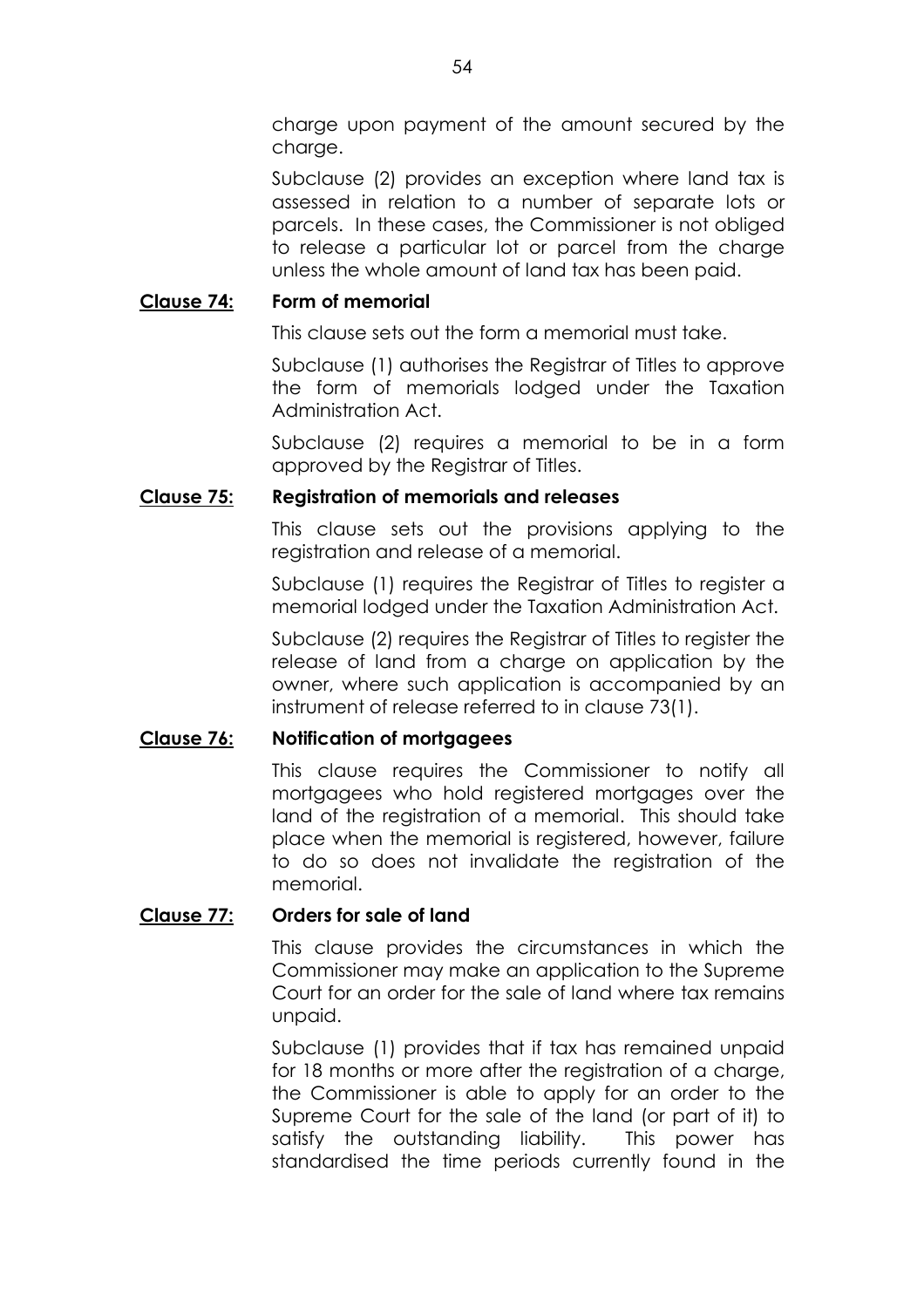charge upon payment of the amount secured by the charge.

Subclause (2) provides an exception where land tax is assessed in relation to a number of separate lots or parcels. In these cases, the Commissioner is not obliged to release a particular lot or parcel from the charge unless the whole amount of land tax has been paid.

# **Clause 74: Form of memorial**

This clause sets out the form a memorial must take.

Subclause (1) authorises the Registrar of Titles to approve the form of memorials lodged under the Taxation Administration Act.

Subclause (2) requires a memorial to be in a form approved by the Registrar of Titles.

# **Clause 75: Registration of memorials and releases**

This clause sets out the provisions applying to the registration and release of a memorial.

Subclause (1) requires the Registrar of Titles to register a memorial lodged under the Taxation Administration Act.

Subclause (2) requires the Registrar of Titles to register the release of land from a charge on application by the owner, where such application is accompanied by an instrument of release referred to in clause 73(1).

# **Clause 76: Notification of mortgagees**

This clause requires the Commissioner to notify all mortgagees who hold registered mortgages over the land of the registration of a memorial. This should take place when the memorial is registered, however, failure to do so does not invalidate the registration of the memorial.

# **Clause 77: Orders for sale of land**

This clause provides the circumstances in which the Commissioner may make an application to the Supreme Court for an order for the sale of land where tax remains unpaid.

Subclause (1) provides that if tax has remained unpaid for 18 months or more after the registration of a charge, the Commissioner is able to apply for an order to the Supreme Court for the sale of the land (or part of it) to satisfy the outstanding liability. This power has standardised the time periods currently found in the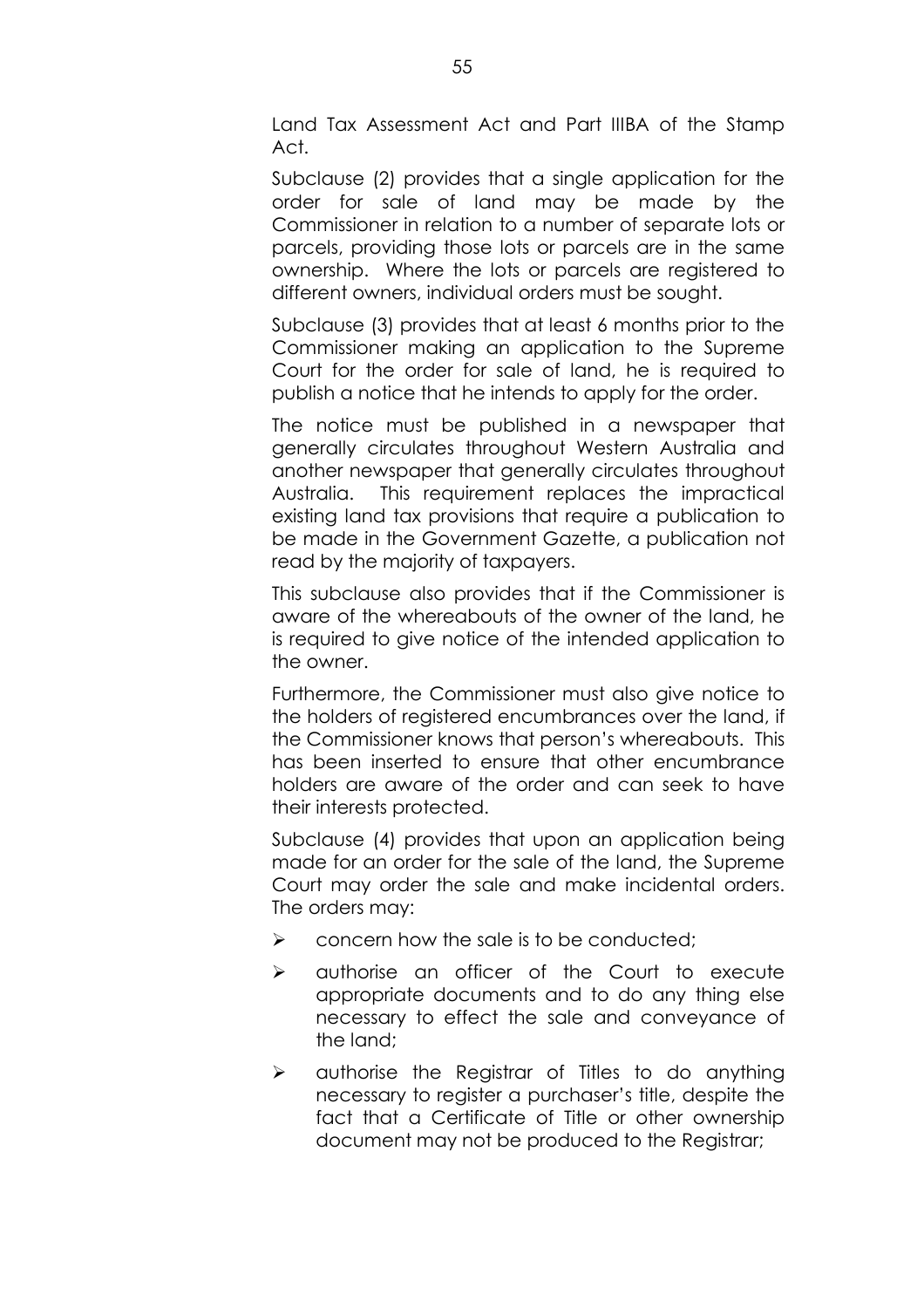Land Tax Assessment Act and Part IIIBA of the Stamp Act.

Subclause (2) provides that a single application for the order for sale of land may be made by the Commissioner in relation to a number of separate lots or parcels, providing those lots or parcels are in the same ownership. Where the lots or parcels are registered to different owners, individual orders must be sought.

Subclause (3) provides that at least 6 months prior to the Commissioner making an application to the Supreme Court for the order for sale of land, he is required to publish a notice that he intends to apply for the order.

The notice must be published in a newspaper that generally circulates throughout Western Australia and another newspaper that generally circulates throughout Australia. This requirement replaces the impractical existing land tax provisions that require a publication to be made in the Government Gazette, a publication not read by the majority of taxpayers.

This subclause also provides that if the Commissioner is aware of the whereabouts of the owner of the land, he is required to give notice of the intended application to the owner.

Furthermore, the Commissioner must also give notice to the holders of registered encumbrances over the land, if the Commissioner knows that person's whereabouts. This has been inserted to ensure that other encumbrance holders are aware of the order and can seek to have their interests protected.

Subclause (4) provides that upon an application being made for an order for the sale of the land, the Supreme Court may order the sale and make incidental orders. The orders may:

- $\triangleright$  concern how the sale is to be conducted;
- $\triangleright$  authorise an officer of the Court to execute appropriate documents and to do any thing else necessary to effect the sale and conveyance of the land;
- $\triangleright$  authorise the Registrar of Titles to do anything necessary to register a purchaser's title, despite the fact that a Certificate of Title or other ownership document may not be produced to the Registrar;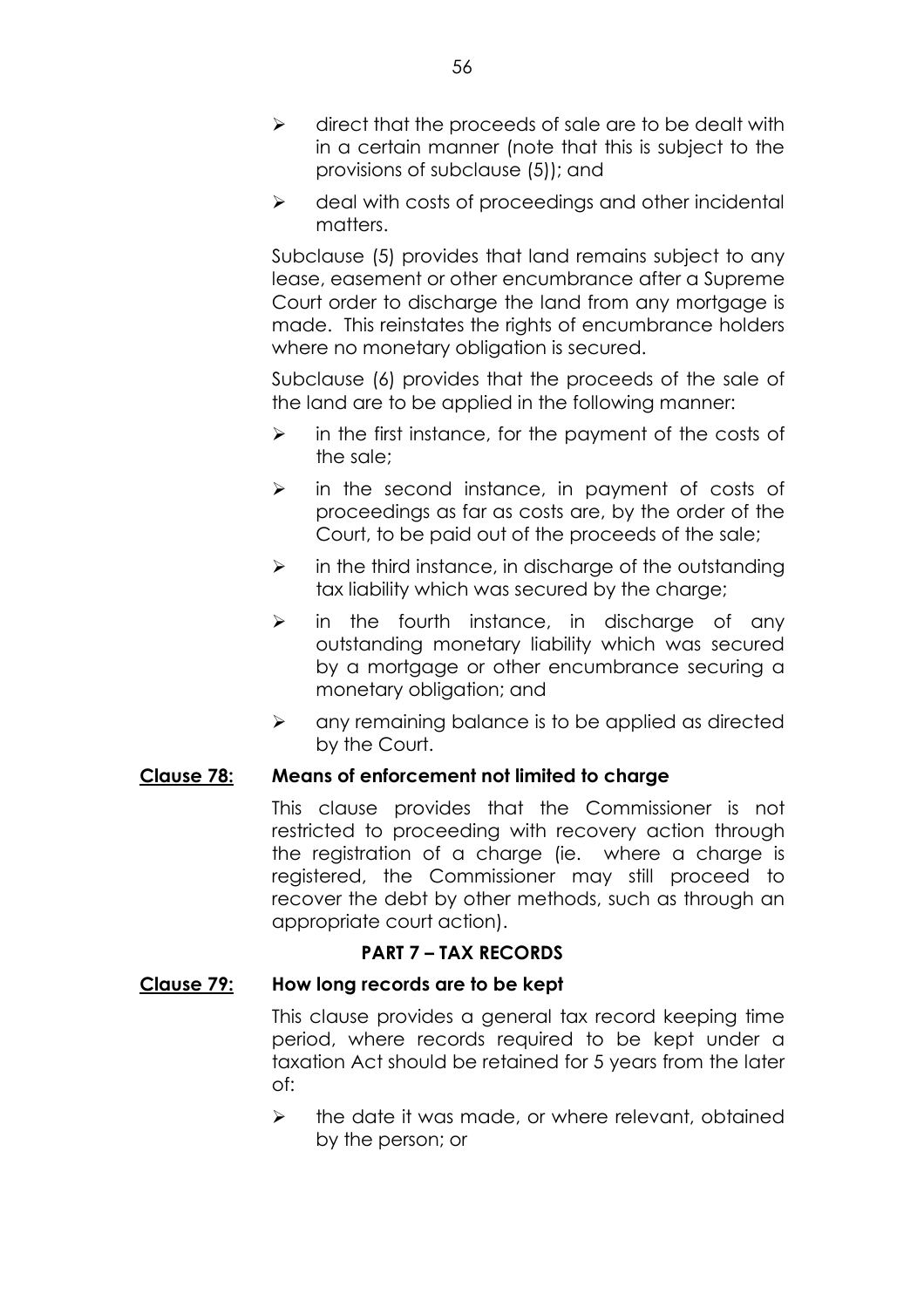- $\triangleright$  direct that the proceeds of sale are to be dealt with in a certain manner (note that this is subject to the provisions of subclause (5)); and
- $\triangleright$  deal with costs of proceedings and other incidental matters.

Subclause (5) provides that land remains subject to any lease, easement or other encumbrance after a Supreme Court order to discharge the land from any mortgage is made. This reinstates the rights of encumbrance holders where no monetary obligation is secured.

Subclause (6) provides that the proceeds of the sale of the land are to be applied in the following manner:

- $\triangleright$  in the first instance, for the payment of the costs of the sale;
- $\triangleright$  in the second instance, in payment of costs of proceedings as far as costs are, by the order of the Court, to be paid out of the proceeds of the sale;
- $\triangleright$  in the third instance, in discharge of the outstanding tax liability which was secured by the charge;
- $\geq$  in the fourth instance, in discharge of any outstanding monetary liability which was secured by a mortgage or other encumbrance securing a monetary obligation; and
- $\triangleright$  any remaining balance is to be applied as directed by the Court.

# **Clause 78: Means of enforcement not limited to charge**

This clause provides that the Commissioner is not restricted to proceeding with recovery action through the registration of a charge (ie. where a charge is registered, the Commissioner may still proceed to recover the debt by other methods, such as through an appropriate court action).

# **PART 7 - TAX RECORDS**

# **Clause 79: How long records are to be kept**

This clause provides a general tax record keeping time period, where records required to be kept under a taxation Act should be retained for 5 years from the later of:

 $\triangleright$  the date it was made, or where relevant, obtained by the person; or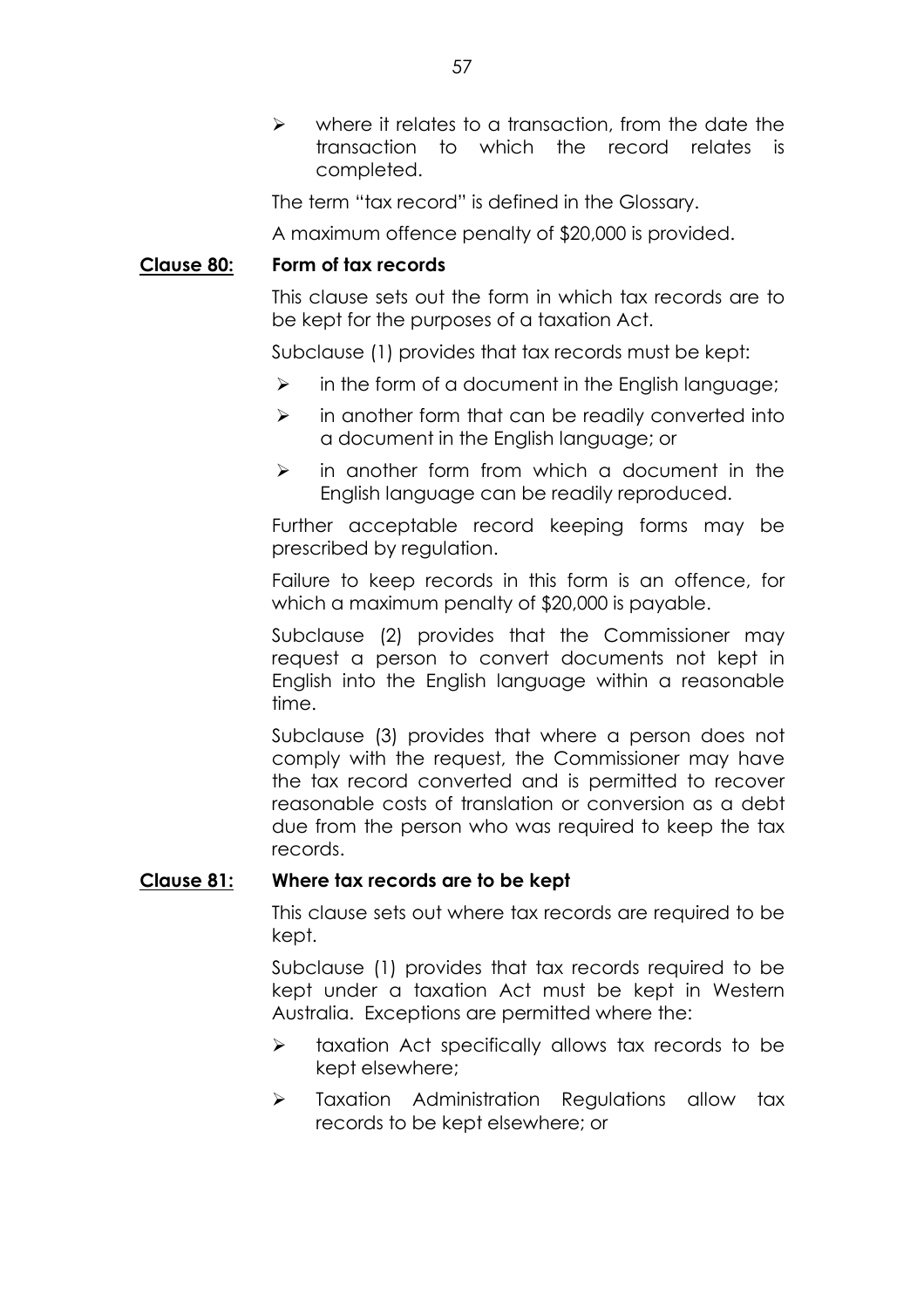$\triangleright$  where it relates to a transaction, from the date the transaction to which the record relates is completed.

The term "tax record" is defined in the Glossary.

A maximum offence penalty of \$20,000 is provided.

## **Clause 80: Form of tax records**

This clause sets out the form in which tax records are to be kept for the purposes of a taxation Act.

Subclause (1) provides that tax records must be kept:

- $\triangleright$  in the form of a document in the English language;
- $\triangleright$  in another form that can be readily converted into a document in the English language; or
- $\triangleright$  in another form from which a document in the English language can be readily reproduced.

Further acceptable record keeping forms may be prescribed by regulation.

Failure to keep records in this form is an offence, for which a maximum penalty of \$20,000 is payable.

Subclause (2) provides that the Commissioner may request a person to convert documents not kept in English into the English language within a reasonable time.

Subclause (3) provides that where a person does not comply with the request, the Commissioner may have the tax record converted and is permitted to recover reasonable costs of translation or conversion as a debt due from the person who was required to keep the tax records.

## **Clause 81: Where tax records are to be kept**

This clause sets out where tax records are required to be kept.

Subclause (1) provides that tax records required to be kept under a taxation Act must be kept in Western Australia. Exceptions are permitted where the:

- $\triangleright$  taxation Act specifically allows tax records to be kept elsewhere;
- $\triangleright$  Taxation Administration Regulations allow tax records to be kept elsewhere; or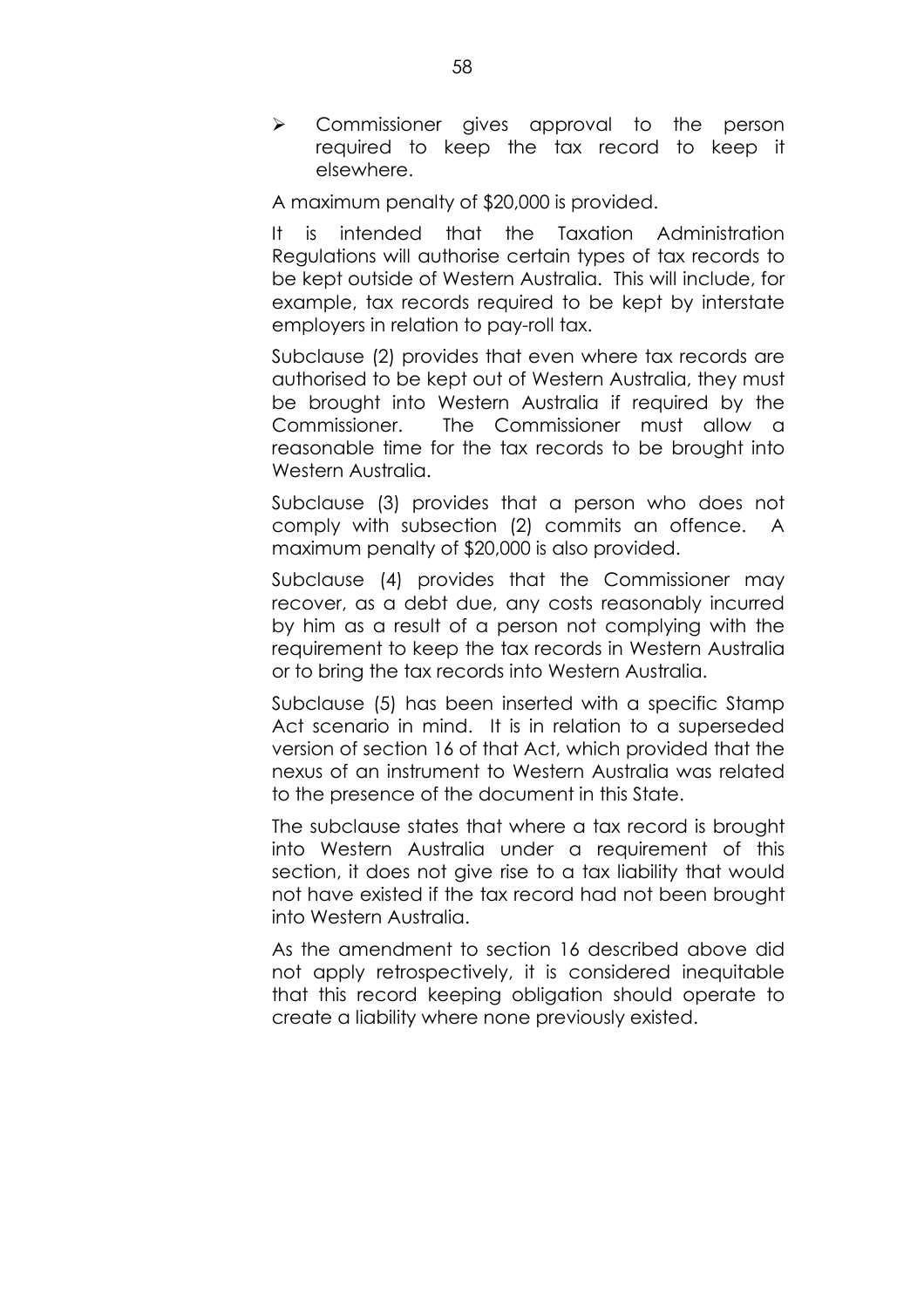$\triangleright$  Commissioner gives approval to the person required to keep the tax record to keep it elsewhere.

A maximum penalty of \$20,000 is provided.

It is intended that the Taxation Administration Regulations will authorise certain types of tax records to be kept outside of Western Australia. This will include, for example, tax records required to be kept by interstate employers in relation to pay-roll tax.

Subclause (2) provides that even where tax records are authorised to be kept out of Western Australia, they must be brought into Western Australia if required by the Commissioner. The Commissioner must allow a reasonable time for the tax records to be brought into Western Australia.

Subclause (3) provides that a person who does not comply with subsection (2) commits an offence. A maximum penalty of \$20,000 is also provided.

Subclause (4) provides that the Commissioner may recover, as a debt due, any costs reasonably incurred by him as a result of a person not complying with the requirement to keep the tax records in Western Australia or to bring the tax records into Western Australia.

Subclause (5) has been inserted with a specific Stamp Act scenario in mind. It is in relation to a superseded version of section 16 of that Act, which provided that the nexus of an instrument to Western Australia was related to the presence of the document in this State.

The subclause states that where a tax record is brought into Western Australia under a requirement of this section, it does not give rise to a tax liability that would not have existed if the tax record had not been brought into Western Australia.

As the amendment to section 16 described above did not apply retrospectively, it is considered inequitable that this record keeping obligation should operate to create a liability where none previously existed.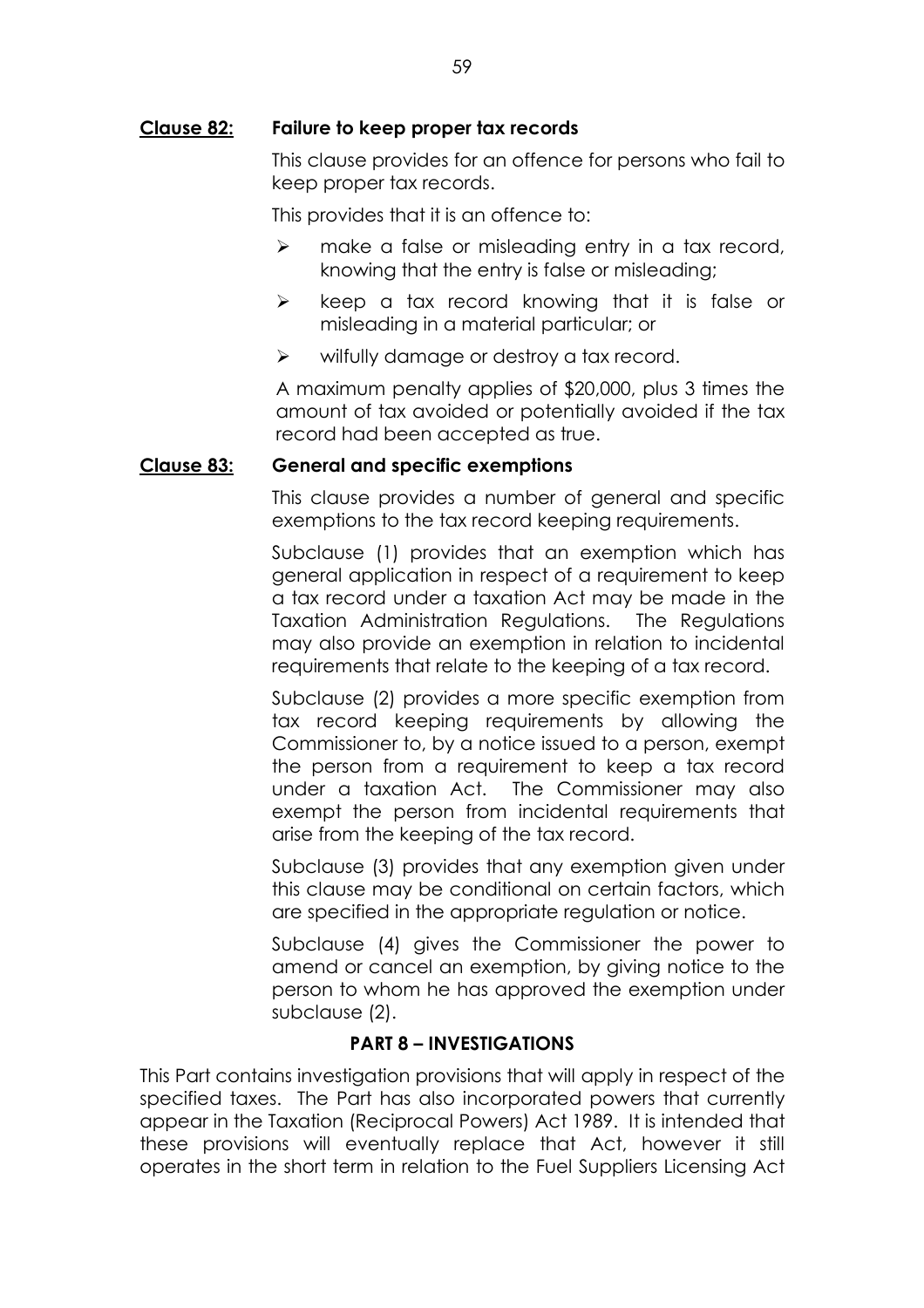## **Clause 82: Failure to keep proper tax records**

This clause provides for an offence for persons who fail to keep proper tax records.

This provides that it is an offence to:

- $\triangleright$  make a false or misleading entry in a tax record, knowing that the entry is false or misleading;
- $\triangleright$  keep a tax record knowing that it is false or misleading in a material particular; or
- $\triangleright$  wilfully damage or destroy a tax record.

A maximum penalty applies of \$20,000, plus 3 times the amount of tax avoided or potentially avoided if the tax record had been accepted as true.

## **Clause 83: General and specific exemptions**

This clause provides a number of general and specific exemptions to the tax record keeping requirements.

Subclause (1) provides that an exemption which has general application in respect of a requirement to keep a tax record under a taxation Act may be made in the Taxation Administration Regulations. The Regulations may also provide an exemption in relation to incidental requirements that relate to the keeping of a tax record.

Subclause (2) provides a more specific exemption from tax record keeping requirements by allowing the Commissioner to, by a notice issued to a person, exempt the person from a requirement to keep a tax record under a taxation Act. The Commissioner may also exempt the person from incidental requirements that arise from the keeping of the tax record.

Subclause (3) provides that any exemption given under this clause may be conditional on certain factors, which are specified in the appropriate regulation or notice.

Subclause (4) gives the Commissioner the power to amend or cancel an exemption, by giving notice to the person to whom he has approved the exemption under subclause (2).

# **PART 8 - INVESTIGATIONS**

This Part contains investigation provisions that will apply in respect of the specified taxes. The Part has also incorporated powers that currently appear in the Taxation (Reciprocal Powers) Act 1989. It is intended that these provisions will eventually replace that Act, however it still operates in the short term in relation to the Fuel Suppliers Licensing Act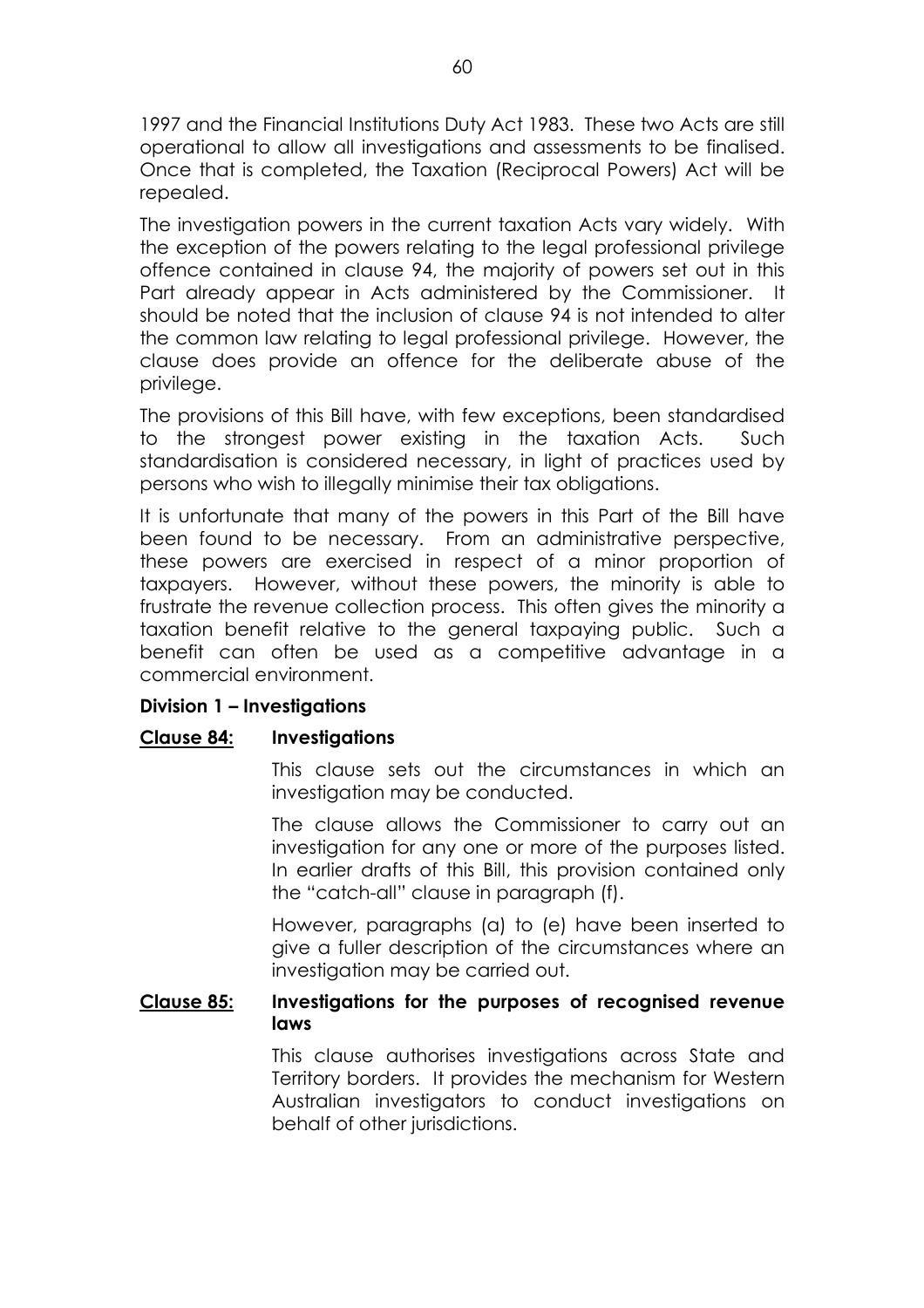1997 and the Financial Institutions Duty Act 1983. These two Acts are still operational to allow all investigations and assessments to be finalised. Once that is completed, the Taxation (Reciprocal Powers) Act will be repealed.

The investigation powers in the current taxation Acts vary widely. With the exception of the powers relating to the legal professional privilege offence contained in clause 94, the majority of powers set out in this Part already appear in Acts administered by the Commissioner. It should be noted that the inclusion of clause 94 is not intended to alter the common law relating to legal professional privilege. However, the clause does provide an offence for the deliberate abuse of the privilege.

The provisions of this Bill have, with few exceptions, been standardised to the strongest power existing in the taxation Acts. Such standardisation is considered necessary, in light of practices used by persons who wish to illegally minimise their tax obligations.

It is unfortunate that many of the powers in this Part of the Bill have been found to be necessary. From an administrative perspective, these powers are exercised in respect of a minor proportion of taxpayers. However, without these powers, the minority is able to frustrate the revenue collection process. This often gives the minority a taxation benefit relative to the general taxpaying public. Such a benefit can often be used as a competitive advantage in a commercial environment.

# **Division 1 - Investigations**

# **Clause 84: Investigations**

This clause sets out the circumstances in which an investigation may be conducted.

The clause allows the Commissioner to carry out an investigation for any one or more of the purposes listed. In earlier drafts of this Bill, this provision contained only the "catch-all" clause in paragraph (f).

However, paragraphs (a) to (e) have been inserted to give a fuller description of the circumstances where an investigation may be carried out.

# **Clause 85: Investigations for the purposes of recognised revenue laws**

This clause authorises investigations across State and Territory borders. It provides the mechanism for Western Australian investigators to conduct investigations on behalf of other jurisdictions.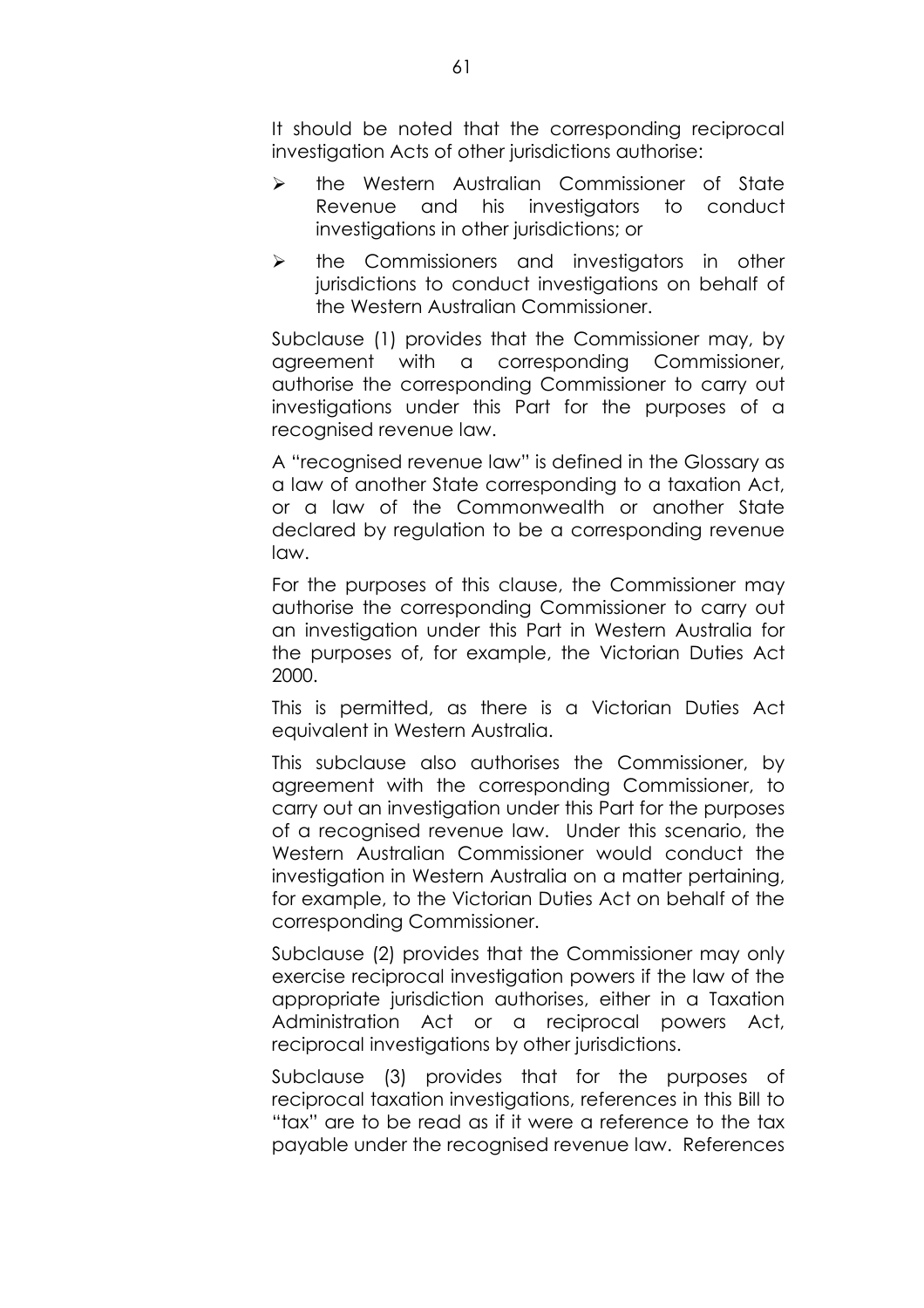It should be noted that the corresponding reciprocal investigation Acts of other jurisdictions authorise:

- $\triangleright$  the Western Australian Commissioner of State Revenue and his investigators to conduct investigations in other jurisdictions; or
- $\triangleright$  the Commissioners and investigators in other jurisdictions to conduct investigations on behalf of the Western Australian Commissioner.

Subclause (1) provides that the Commissioner may, by agreement with a corresponding Commissioner, authorise the corresponding Commissioner to carry out investigations under this Part for the purposes of a recognised revenue law.

A "recognised revenue law" is defined in the Glossary as a law of another State corresponding to a taxation Act, or a law of the Commonwealth or another State declared by regulation to be a corresponding revenue law.

For the purposes of this clause, the Commissioner may authorise the corresponding Commissioner to carry out an investigation under this Part in Western Australia for the purposes of, for example, the Victorian Duties Act 2000.

This is permitted, as there is a Victorian Duties Act equivalent in Western Australia.

This subclause also authorises the Commissioner, by agreement with the corresponding Commissioner, to carry out an investigation under this Part for the purposes of a recognised revenue law. Under this scenario, the Western Australian Commissioner would conduct the investigation in Western Australia on a matter pertaining, for example, to the Victorian Duties Act on behalf of the corresponding Commissioner.

Subclause (2) provides that the Commissioner may only exercise reciprocal investigation powers if the law of the appropriate jurisdiction authorises, either in a Taxation Administration Act or a reciprocal powers Act, reciprocal investigations by other jurisdictions.

Subclause (3) provides that for the purposes of reciprocal taxation investigations, references in this Bill to "tax" are to be read as if it were a reference to the tax payable under the recognised revenue law. References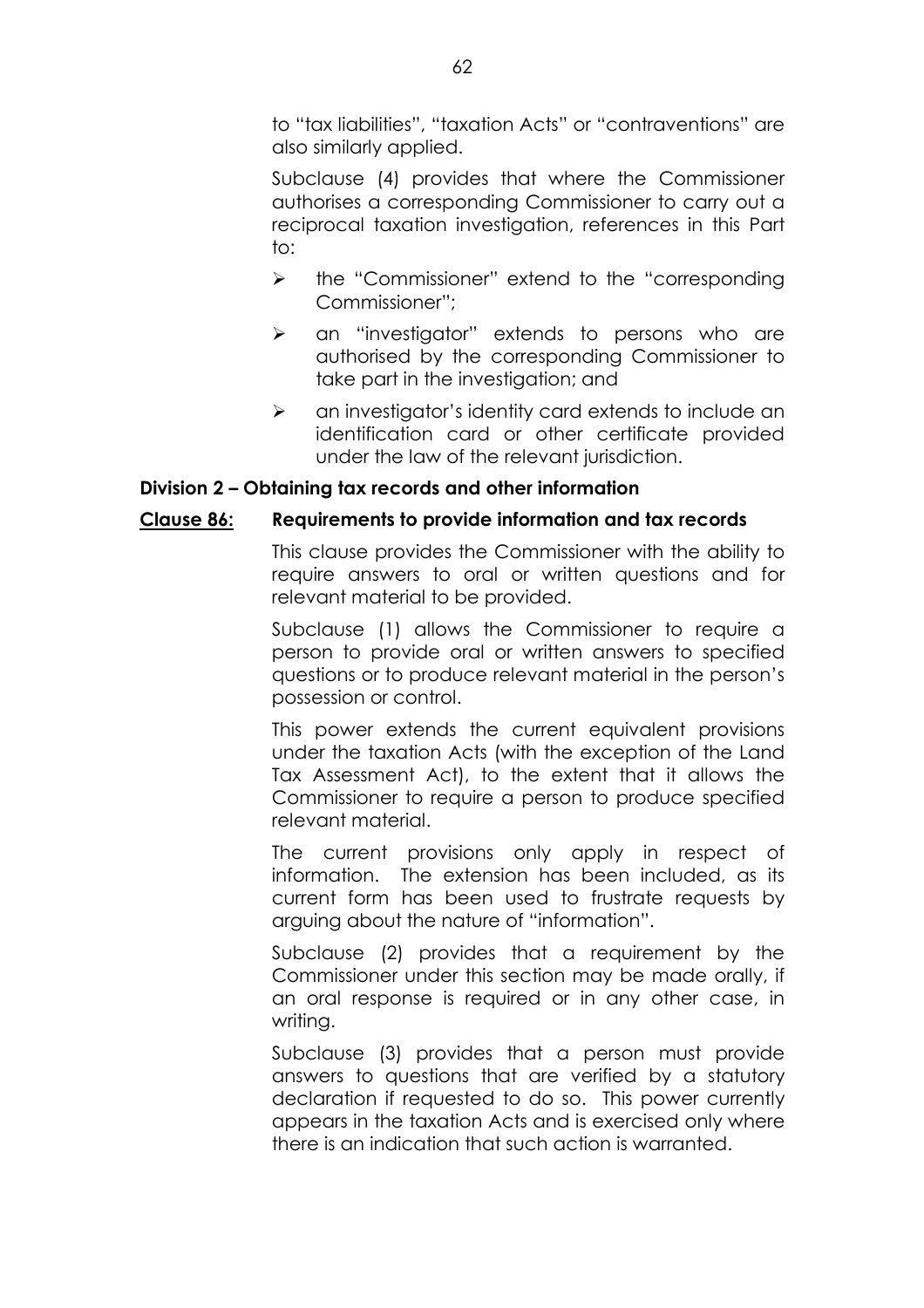to "tax liabilities", "taxation Acts" or "contraventions" are also similarly applied.

Subclause (4) provides that where the Commissioner authorises a corresponding Commissioner to carry out a reciprocal taxation investigation, references in this Part to:

- $\triangleright$  the "Commissioner" extend to the "corresponding" Commissioner":
- $\triangleright$  an "investigator" extends to persons who are authorised by the corresponding Commissioner to take part in the investigation; and
- $\triangleright$  an investigator's identity card extends to include an identification card or other certificate provided under the law of the relevant jurisdiction.

## Division 2 – Obtaining tax records and other information

## **Clause 86: Requirements to provide information and tax records**

This clause provides the Commissioner with the ability to require answers to oral or written questions and for relevant material to be provided.

Subclause (1) allows the Commissioner to require a person to provide oral or written answers to specified questions or to produce relevant material in the person's possession or control.

This power extends the current equivalent provisions under the taxation Acts (with the exception of the Land Tax Assessment Act), to the extent that it allows the Commissioner to require a person to produce specified relevant material.

The current provisions only apply in respect of information. The extension has been included, as its current form has been used to frustrate requests by arguing about the nature of "information".

Subclause (2) provides that a requirement by the Commissioner under this section may be made orally, if an oral response is required or in any other case, in writina.

Subclause (3) provides that a person must provide answers to questions that are verified by a statutory declaration if requested to do so. This power currently appears in the taxation Acts and is exercised only where there is an indication that such action is warranted.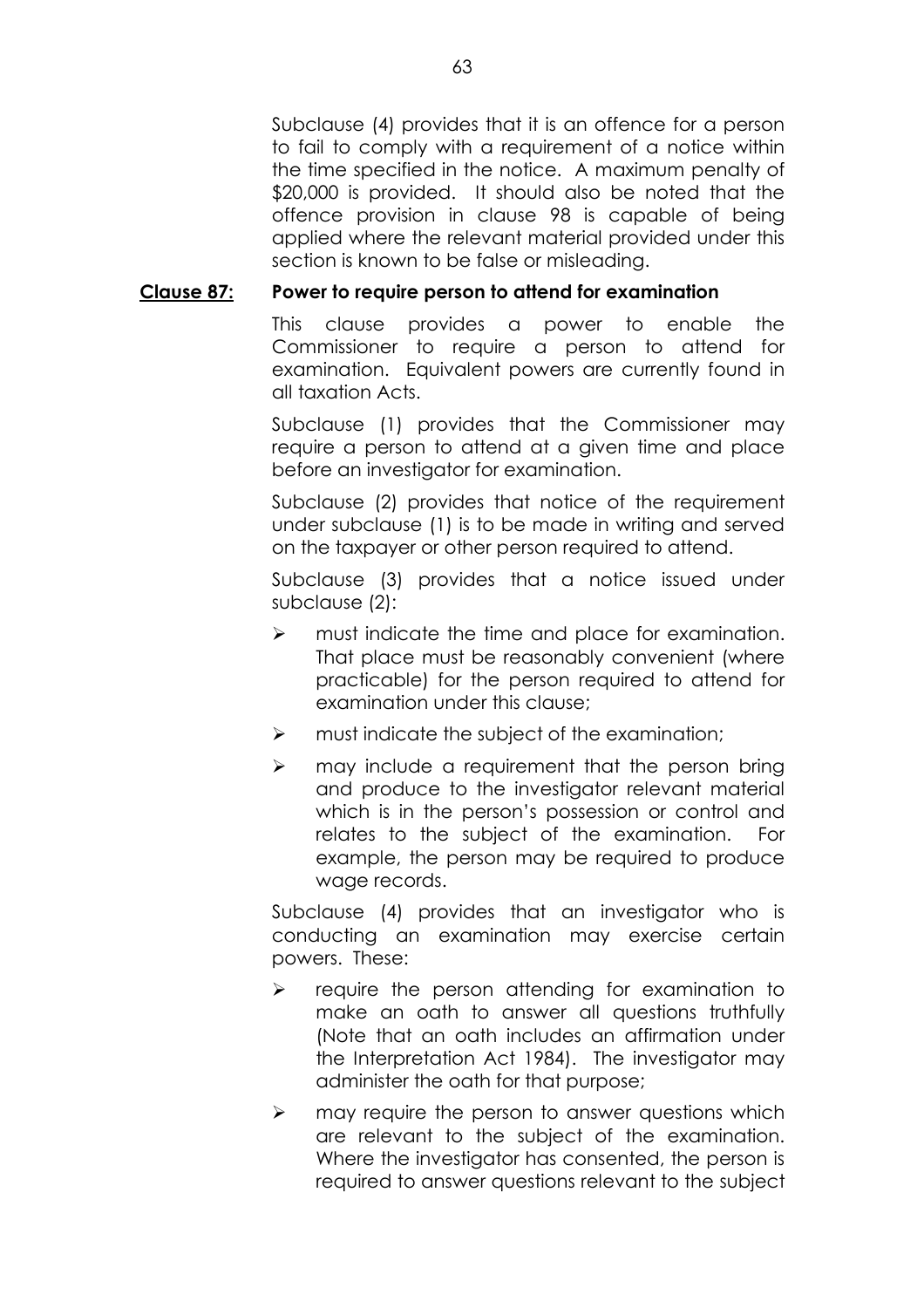Subclause (4) provides that it is an offence for a person to fail to comply with a requirement of a notice within the time specified in the notice. A maximum penalty of \$20,000 is provided. It should also be noted that the offence provision in clause 98 is capable of being applied where the relevant material provided under this section is known to be false or misleading.

### **Clause 87: Power to require person to attend for examination**

This clause provides a power to enable the Commissioner to require a person to attend for examination. Equivalent powers are currently found in all taxation Acts.

Subclause (1) provides that the Commissioner may require a person to attend at a given time and place before an investigator for examination.

Subclause (2) provides that notice of the requirement under subclause (1) is to be made in writing and served on the taxpayer or other person required to attend.

Subclause (3) provides that a notice issued under subclause (2):

- $\triangleright$  must indicate the time and place for examination. That place must be reasonably convenient (where practicable) for the person required to attend for examination under this clause;
- $\triangleright$  must indicate the subject of the examination;
- $\triangleright$  may include a requirement that the person bring and produce to the investigator relevant material which is in the person's possession or control and relates to the subject of the examination. For example, the person may be required to produce wage records.

Subclause (4) provides that an investigator who is conducting an examination may exercise certain powers. These:

- $\triangleright$  require the person attending for examination to make an oath to answer all questions truthfully (Note that an oath includes an affirmation under the Interpretation Act 1984). The investigator may administer the oath for that purpose;
- $\triangleright$  may require the person to answer questions which are relevant to the subject of the examination. Where the investigator has consented, the person is required to answer questions relevant to the subject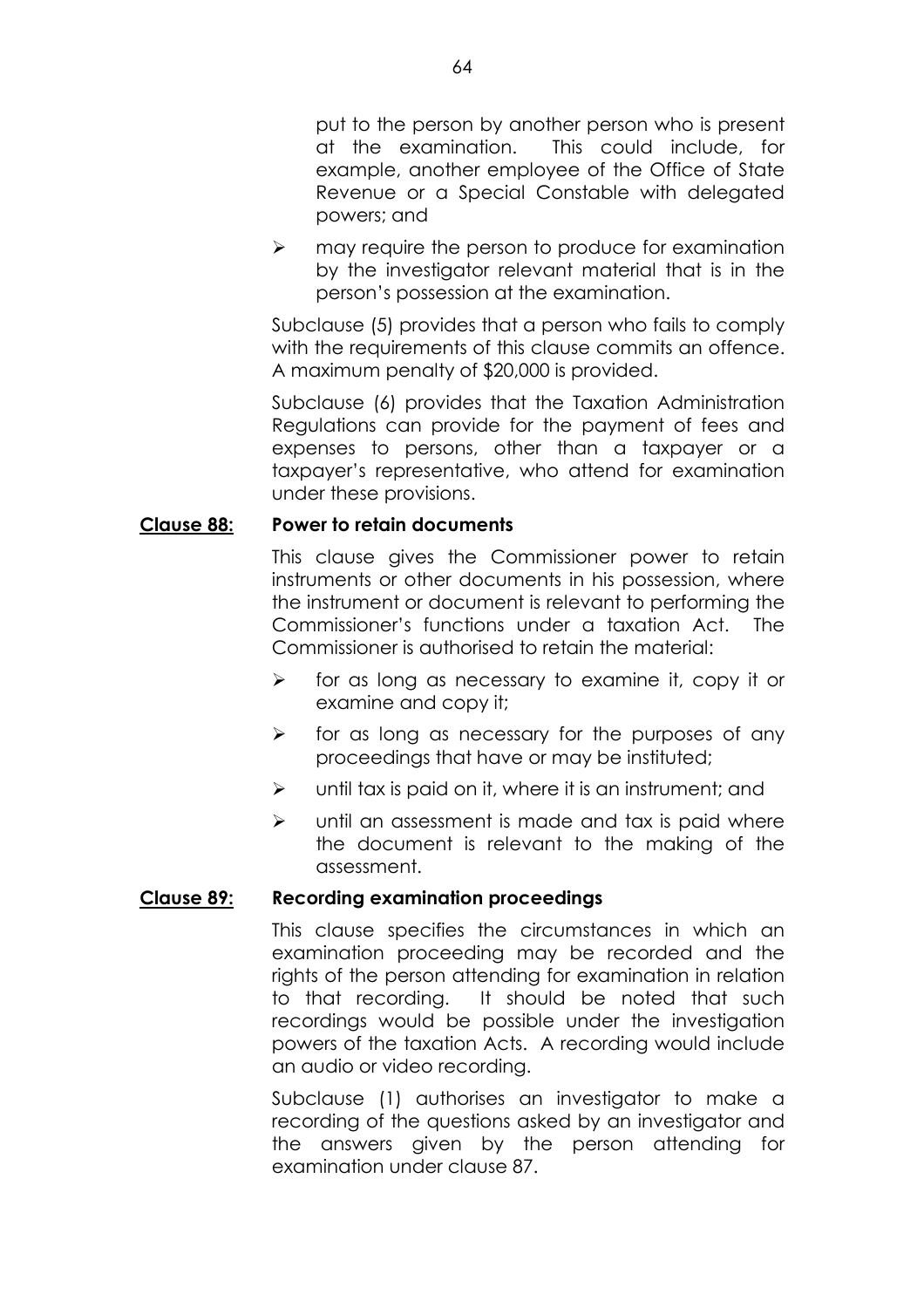put to the person by another person who is present at the examination. This could include, for example, another employee of the Office of State Revenue or a Special Constable with delegated powers; and

 $\triangleright$  may require the person to produce for examination by the investigator relevant material that is in the personís possession at the examination.

Subclause (5) provides that a person who fails to comply with the requirements of this clause commits an offence. A maximum penalty of \$20,000 is provided.

Subclause (6) provides that the Taxation Administration Regulations can provide for the payment of fees and expenses to persons, other than a taxpayer or a taxpayerís representative, who attend for examination under these provisions.

## **Clause 88: Power to retain documents**

This clause gives the Commissioner power to retain instruments or other documents in his possession, where the instrument or document is relevant to performing the Commissionerís functions under a taxation Act. The Commissioner is authorised to retain the material:

- $\triangleright$  for as long as necessary to examine it, copy it or examine and copy it;
- $\triangleright$  for as long as necessary for the purposes of any proceedings that have or may be instituted;
- $\triangleright$  until tax is paid on it, where it is an instrument; and
- $\triangleright$  until an assessment is made and tax is paid where the document is relevant to the making of the assessment.

### **Clause 89: Recording examination proceedings**

This clause specifies the circumstances in which an examination proceeding may be recorded and the rights of the person attending for examination in relation to that recording. It should be noted that such recordings would be possible under the investigation powers of the taxation Acts. A recording would include an audio or video recording.

Subclause (1) authorises an investigator to make a recording of the questions asked by an investigator and the answers given by the person attending for examination under clause 87.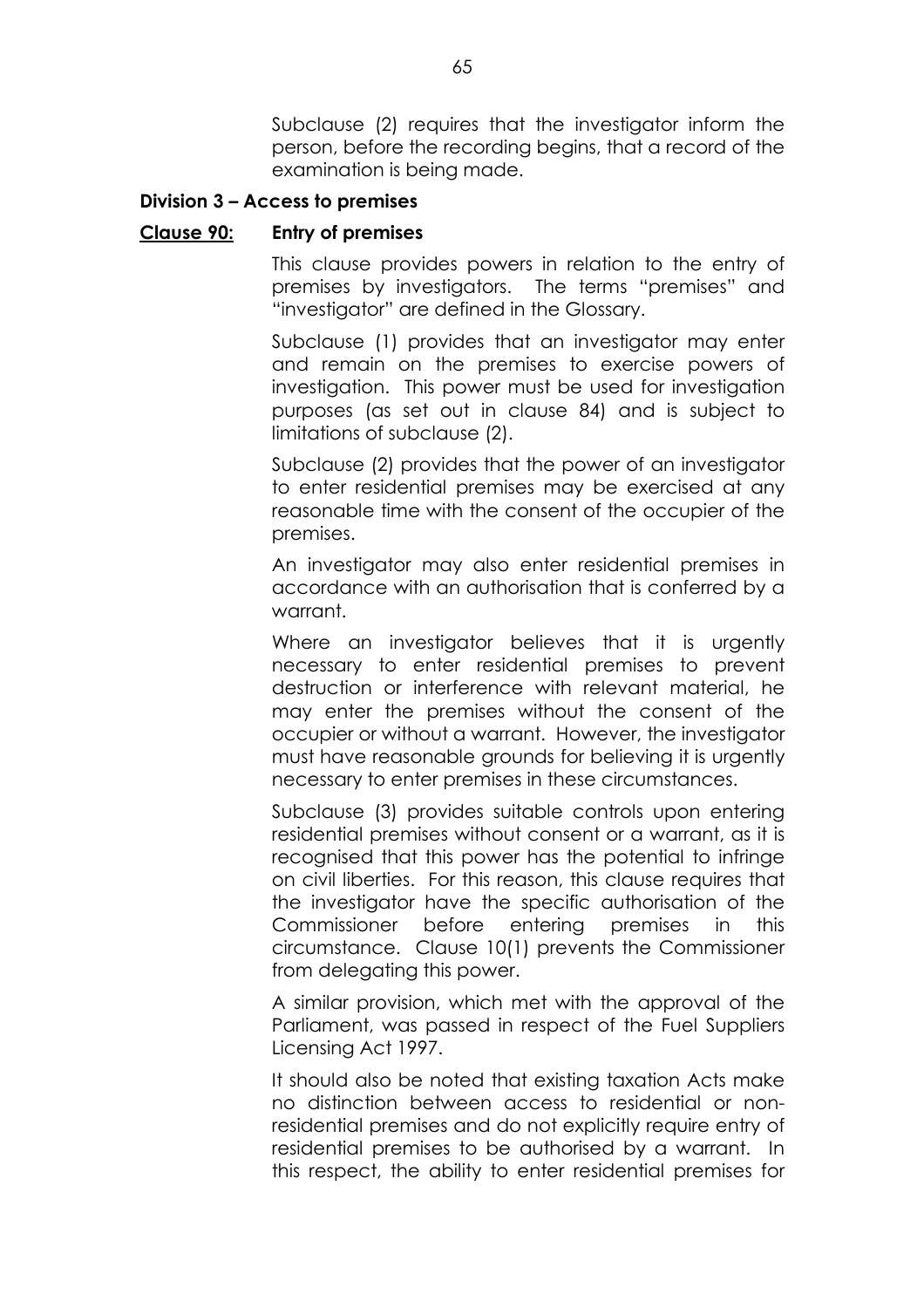Subclause (2) requires that the investigator inform the person, before the recording begins, that a record of the examination is being made.

### **Division 3 – Access to premises**

#### **Clause 90: Entry of premises**

This clause provides powers in relation to the entry of premises by investigators. The terms "premises" and "investigator" are defined in the Glossary.

Subclause (1) provides that an investigator may enter and remain on the premises to exercise powers of investigation. This power must be used for investigation purposes (as set out in clause 84) and is subject to limitations of subclause (2).

Subclause (2) provides that the power of an investigator to enter residential premises may be exercised at any reasonable time with the consent of the occupier of the premises.

An investigator may also enter residential premises in accordance with an authorisation that is conferred by a warrant.

Where an investigator believes that it is urgently necessary to enter residential premises to prevent destruction or interference with relevant material, he may enter the premises without the consent of the occupier or without a warrant. However, the investigator must have reasonable grounds for believing it is urgently necessary to enter premises in these circumstances.

Subclause (3) provides suitable controls upon entering residential premises without consent or a warrant, as it is recognised that this power has the potential to infringe on civil liberties. For this reason, this clause requires that the investigator have the specific authorisation of the Commissioner before entering premises in this circumstance. Clause 10(1) prevents the Commissioner from delegating this power.

A similar provision, which met with the approval of the Parliament, was passed in respect of the Fuel Suppliers Licensing Act 1997.

It should also be noted that existing taxation Acts make no distinction between access to residential or nonresidential premises and do not explicitly require entry of residential premises to be authorised by a warrant. In this respect, the ability to enter residential premises for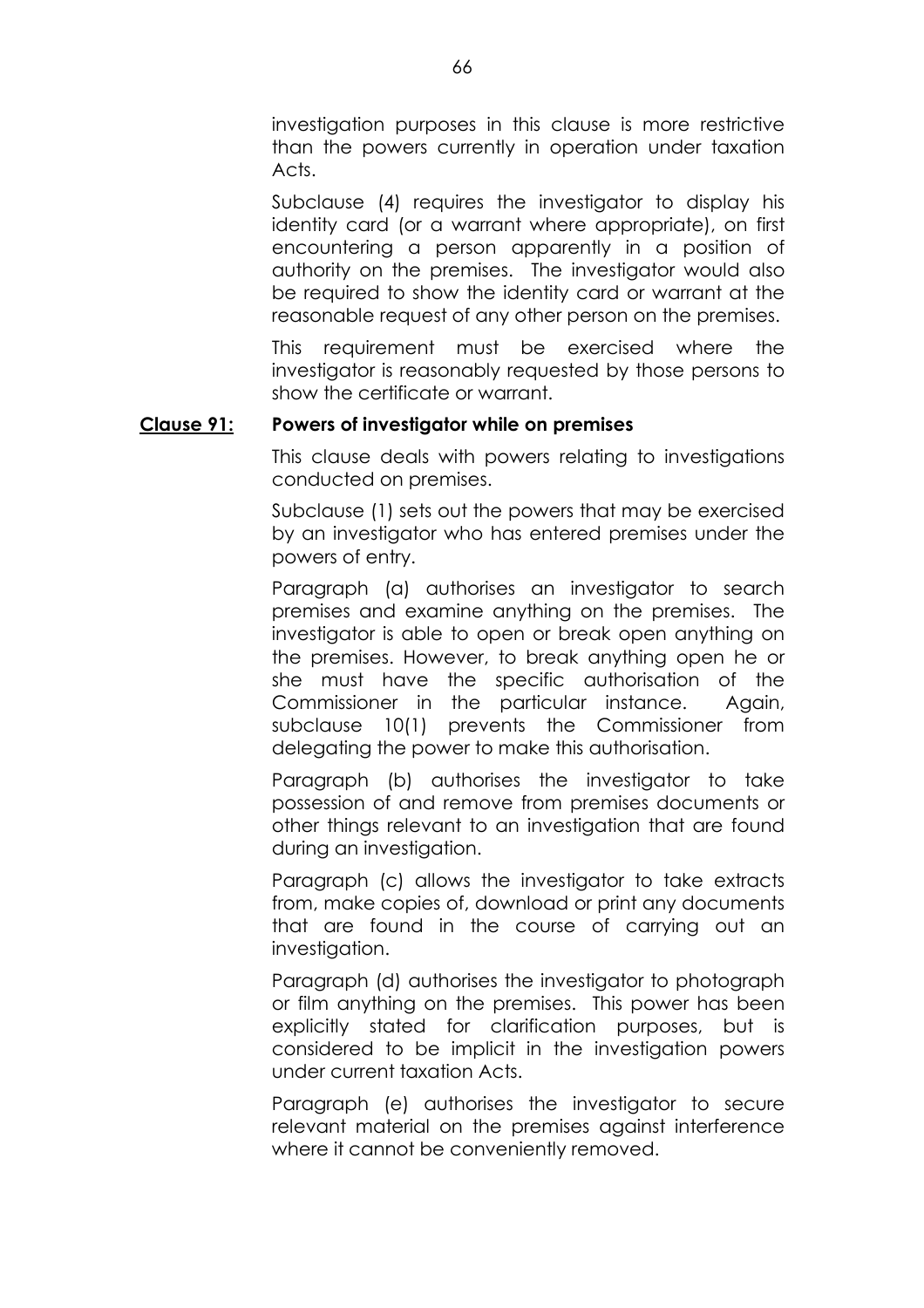investigation purposes in this clause is more restrictive than the powers currently in operation under taxation Acts.

Subclause (4) requires the investigator to display his identity card (or a warrant where appropriate), on first encountering a person apparently in a position of authority on the premises. The investigator would also be required to show the identity card or warrant at the reasonable request of any other person on the premises.

This requirement must be exercised where the investigator is reasonably requested by those persons to show the certificate or warrant.

### **Clause 91: Powers of investigator while on premises**

This clause deals with powers relating to investigations conducted on premises.

Subclause (1) sets out the powers that may be exercised by an investigator who has entered premises under the powers of entry.

Paragraph (a) authorises an investigator to search premises and examine anything on the premises. The investigator is able to open or break open anything on the premises. However, to break anything open he or she must have the specific authorisation of the Commissioner in the particular instance. Again, subclause 10(1) prevents the Commissioner from delegating the power to make this authorisation.

Paragraph (b) authorises the investigator to take possession of and remove from premises documents or other things relevant to an investigation that are found during an investigation.

Paragraph (c) allows the investigator to take extracts from, make copies of, download or print any documents that are found in the course of carrying out an investigation.

Paragraph (d) authorises the investigator to photograph or film anything on the premises. This power has been explicitly stated for clarification purposes, but is considered to be implicit in the investigation powers under current taxation Acts.

Paragraph (e) authorises the investigator to secure relevant material on the premises against interference where it cannot be conveniently removed.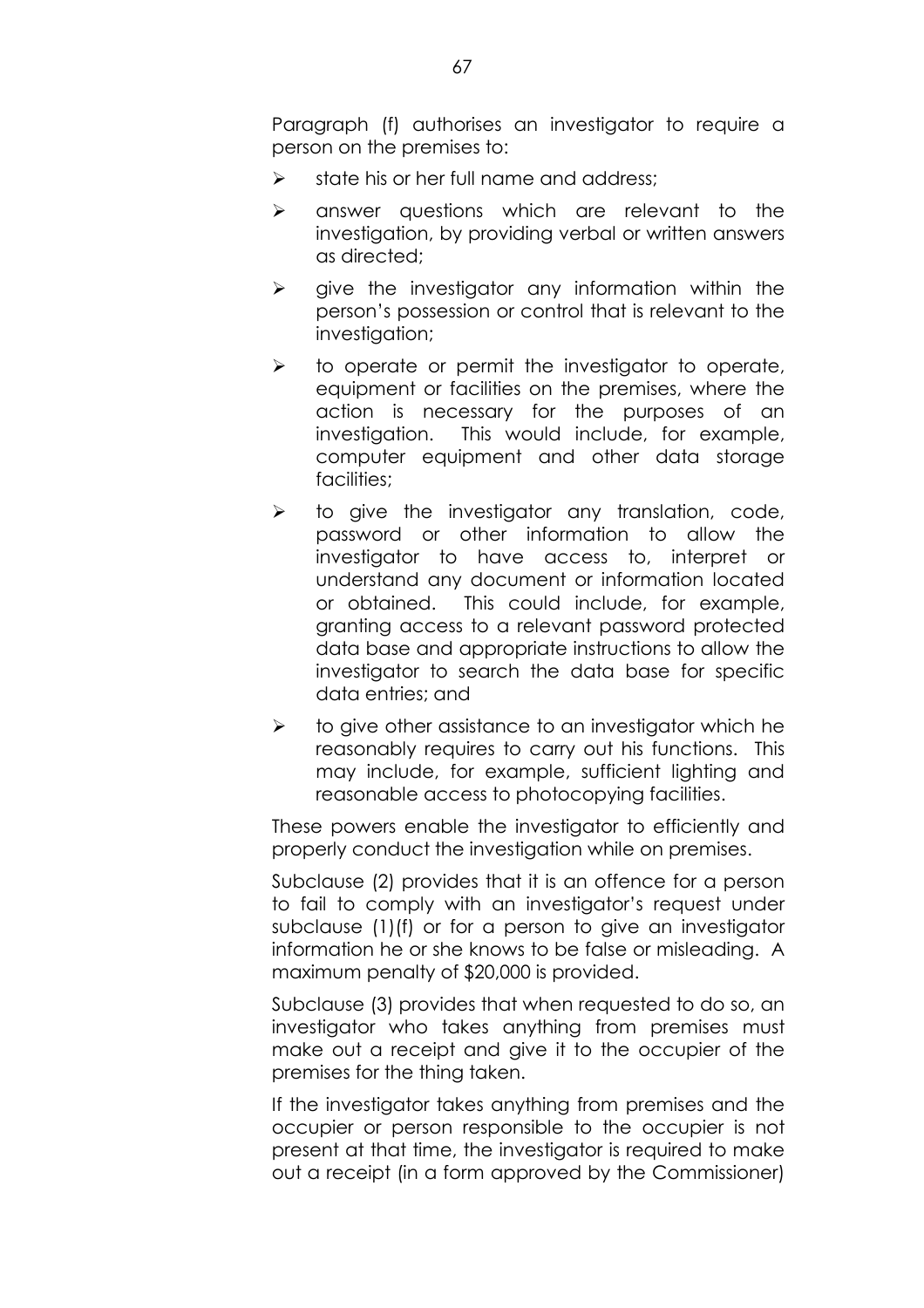Paragraph (f) authorises an investigator to require a person on the premises to:

- $\triangleright$  state his or her full name and address;
- $\triangleright$  answer questions which are relevant to the investigation, by providing verbal or written answers as directed;
- $\triangleright$  give the investigator any information within the personís possession or control that is relevant to the investigation;
- $\triangleright$  to operate or permit the investigator to operate, equipment or facilities on the premises, where the action is necessary for the purposes of an investigation. This would include, for example, computer equipment and other data storage facilities;
- $\triangleright$  to give the investigator any translation, code, password or other information to allow the investigator to have access to, interpret or understand any document or information located or obtained. This could include, for example, granting access to a relevant password protected data base and appropriate instructions to allow the investigator to search the data base for specific data entries; and
- $\triangleright$  to give other assistance to an investigator which he reasonably requires to carry out his functions. This may include, for example, sufficient lighting and reasonable access to photocopying facilities.

These powers enable the investigator to efficiently and properly conduct the investigation while on premises.

Subclause (2) provides that it is an offence for a person to fail to comply with an investigator's request under subclause (1)(f) or for a person to give an investigator information he or she knows to be false or misleading. A maximum penalty of \$20,000 is provided.

Subclause (3) provides that when requested to do so, an investigator who takes anything from premises must make out a receipt and give it to the occupier of the premises for the thing taken.

If the investigator takes anything from premises and the occupier or person responsible to the occupier is not present at that time, the investigator is required to make out a receipt (in a form approved by the Commissioner)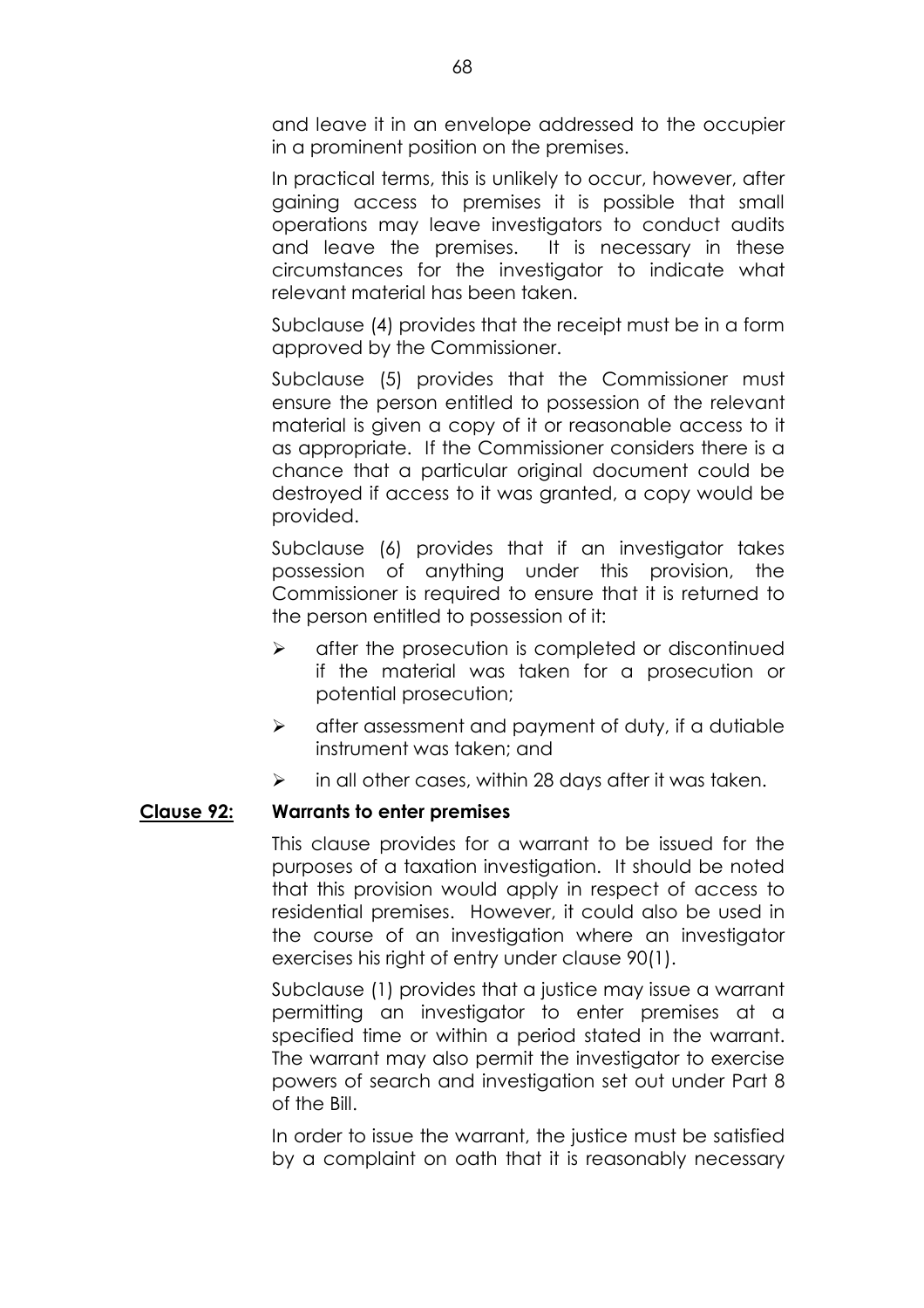and leave it in an envelope addressed to the occupier in a prominent position on the premises.

In practical terms, this is unlikely to occur, however, after gaining access to premises it is possible that small operations may leave investigators to conduct audits and leave the premises. It is necessary in these circumstances for the investigator to indicate what relevant material has been taken.

Subclause (4) provides that the receipt must be in a form approved by the Commissioner.

Subclause (5) provides that the Commissioner must ensure the person entitled to possession of the relevant material is given a copy of it or reasonable access to it as appropriate. If the Commissioner considers there is a chance that a particular original document could be destroyed if access to it was granted, a copy would be provided.

Subclause (6) provides that if an investigator takes possession of anything under this provision, the Commissioner is required to ensure that it is returned to the person entitled to possession of it:

- $\triangleright$  after the prosecution is completed or discontinued if the material was taken for a prosecution or potential prosecution;
- $\triangleright$  after assessment and payment of duty, if a dutiable instrument was taken; and
- $\triangleright$  in all other cases, within 28 days after it was taken.

## **Clause 92: Warrants to enter premises**

This clause provides for a warrant to be issued for the purposes of a taxation investigation. It should be noted that this provision would apply in respect of access to residential premises. However, it could also be used in the course of an investigation where an investigator exercises his right of entry under clause 90(1).

Subclause (1) provides that a justice may issue a warrant permitting an investigator to enter premises at a specified time or within a period stated in the warrant. The warrant may also permit the investigator to exercise powers of search and investigation set out under Part 8 of the Bill.

In order to issue the warrant, the justice must be satisfied by a complaint on oath that it is reasonably necessary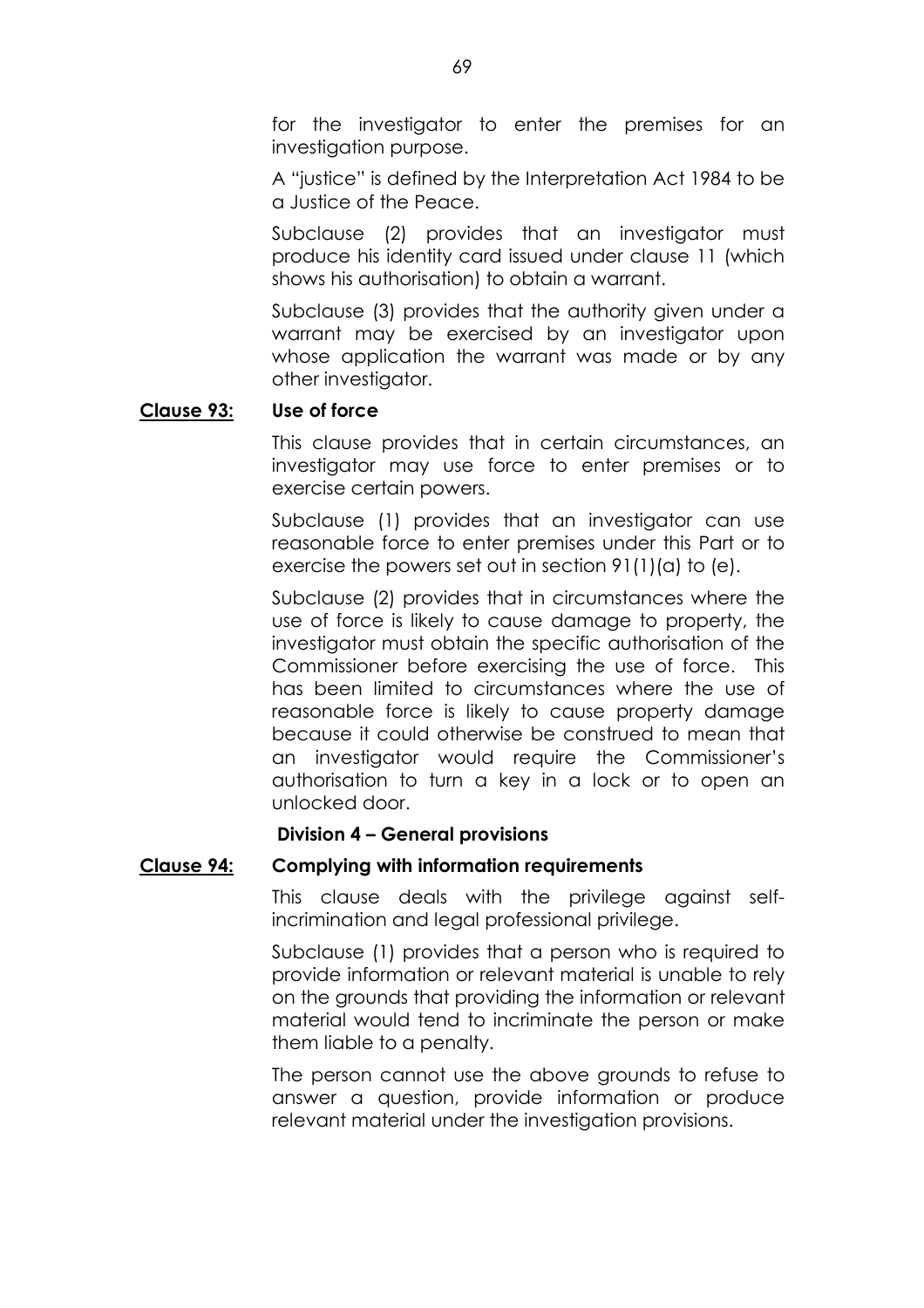for the investigator to enter the premises for an investigation purpose.

A "justice" is defined by the Interpretation Act 1984 to be a Justice of the Peace.

Subclause (2) provides that an investigator must produce his identity card issued under clause 11 (which shows his authorisation) to obtain a warrant.

Subclause (3) provides that the authority given under a warrant may be exercised by an investigator upon whose application the warrant was made or by any other investigator.

# **Clause 93: Use of force**

This clause provides that in certain circumstances, an investigator may use force to enter premises or to exercise certain powers.

Subclause (1) provides that an investigator can use reasonable force to enter premises under this Part or to exercise the powers set out in section 91(1)(a) to (e).

Subclause (2) provides that in circumstances where the use of force is likely to cause damage to property, the investigator must obtain the specific authorisation of the Commissioner before exercising the use of force. This has been limited to circumstances where the use of reasonable force is likely to cause property damage because it could otherwise be construed to mean that an investigator would require the Commissioner's authorisation to turn a key in a lock or to open an unlocked door.

## **Division 4 - General provisions**

# **Clause 94: Complying with information requirements**

This clause deals with the privilege against selfincrimination and legal professional privilege.

Subclause (1) provides that a person who is required to provide information or relevant material is unable to rely on the grounds that providing the information or relevant material would tend to incriminate the person or make them liable to a penalty.

The person cannot use the above grounds to refuse to answer a question, provide information or produce relevant material under the investigation provisions.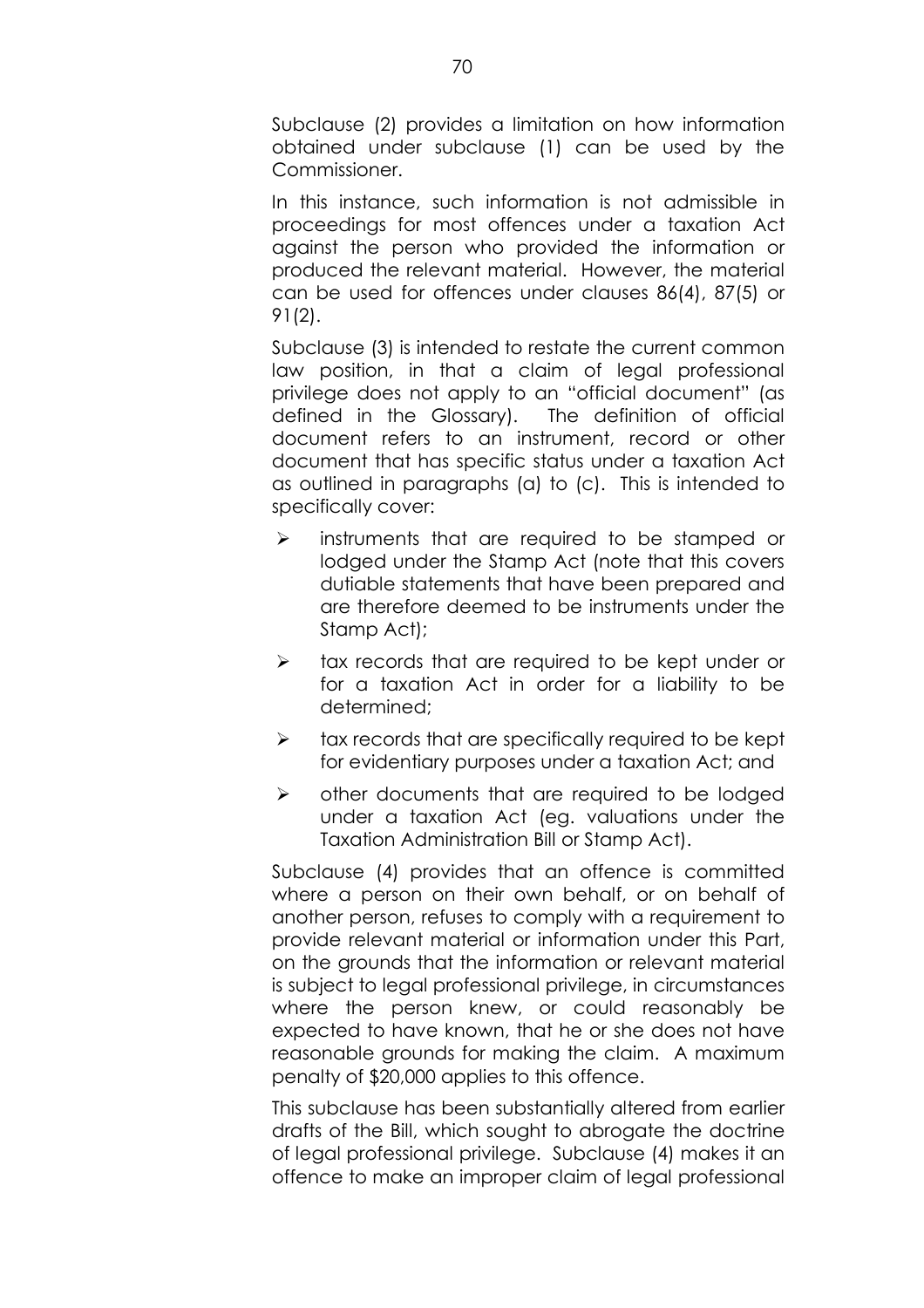Subclause (2) provides a limitation on how information obtained under subclause (1) can be used by the Commissioner.

In this instance, such information is not admissible in proceedings for most offences under a taxation Act against the person who provided the information or produced the relevant material. However, the material can be used for offences under clauses 86(4), 87(5) or 91(2).

Subclause (3) is intended to restate the current common law position, in that a claim of legal professional privilege does not apply to an "official document" (as defined in the Glossary). The definition of official document refers to an instrument, record or other document that has specific status under a taxation Act as outlined in paragraphs (a) to (c). This is intended to specifically cover:

- $\triangleright$  instruments that are required to be stamped or lodged under the Stamp Act (note that this covers dutiable statements that have been prepared and are therefore deemed to be instruments under the Stamp Act);
- $\triangleright$  tax records that are required to be kept under or for a taxation Act in order for a liability to be determined;
- $\triangleright$  tax records that are specifically required to be kept for evidentiary purposes under a taxation Act; and
- $\triangleright$  other documents that are required to be lodged under a taxation Act (eg. valuations under the Taxation Administration Bill or Stamp Act).

Subclause (4) provides that an offence is committed where a person on their own behalf, or on behalf of another person, refuses to comply with a requirement to provide relevant material or information under this Part, on the grounds that the information or relevant material is subject to legal professional privilege, in circumstances where the person knew, or could reasonably be expected to have known, that he or she does not have reasonable grounds for making the claim. A maximum penalty of \$20,000 applies to this offence.

This subclause has been substantially altered from earlier drafts of the Bill, which sought to abrogate the doctrine of legal professional privilege. Subclause (4) makes it an offence to make an improper claim of legal professional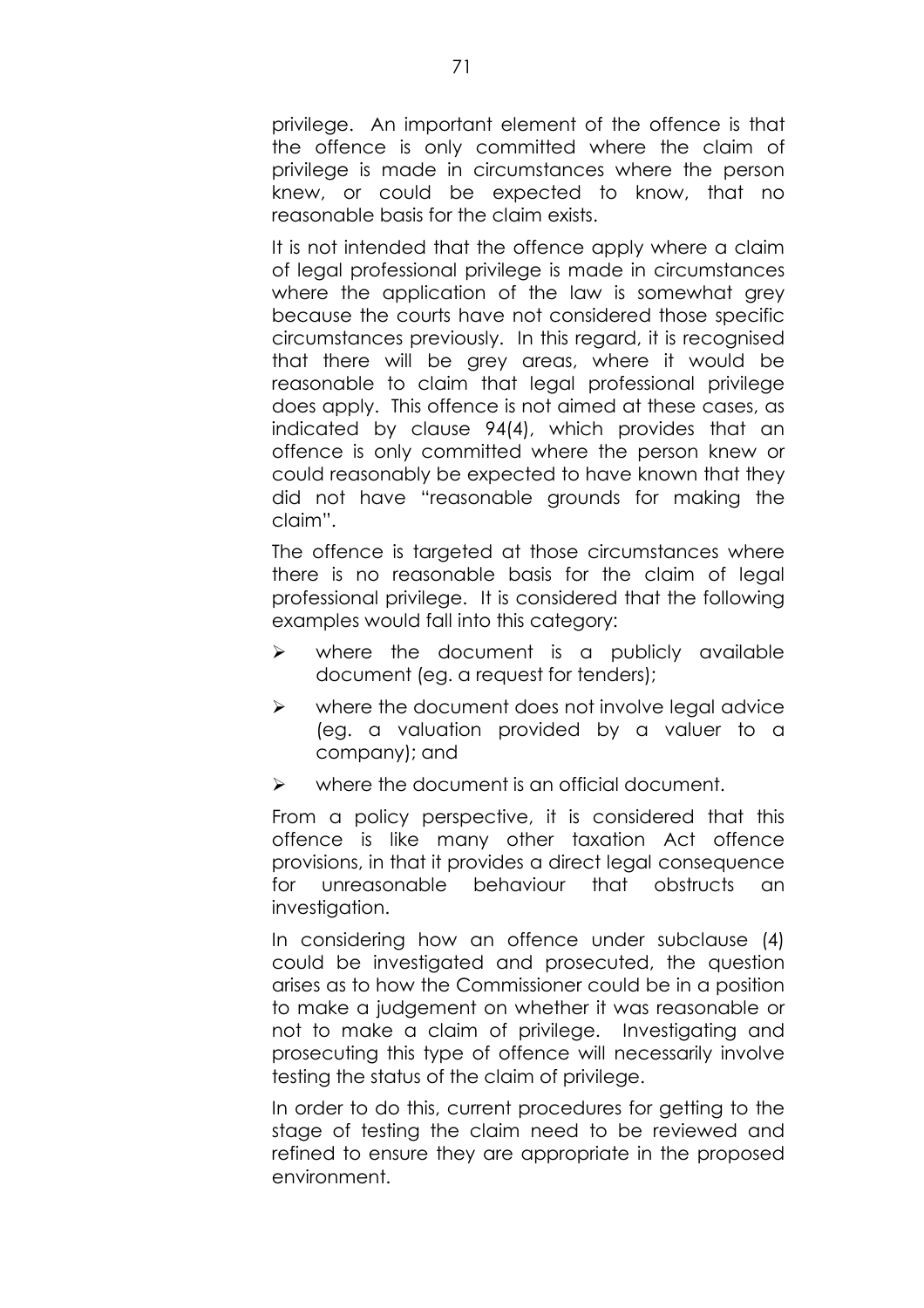privilege. An important element of the offence is that the offence is only committed where the claim of privilege is made in circumstances where the person knew, or could be expected to know, that no reasonable basis for the claim exists.

It is not intended that the offence apply where a claim of legal professional privilege is made in circumstances where the application of the law is somewhat grey because the courts have not considered those specific circumstances previously. In this regard, it is recognised that there will be grey areas, where it would be reasonable to claim that legal professional privilege does apply. This offence is not aimed at these cases, as indicated by clause 94(4), which provides that an offence is only committed where the person knew or could reasonably be expected to have known that they did not have "reasonable grounds for making the claim"

The offence is targeted at those circumstances where there is no reasonable basis for the claim of legal professional privilege. It is considered that the following examples would fall into this category:

- $\triangleright$  where the document is a publicly available document (eg. a request for tenders);
- $\triangleright$  where the document does not involve legal advice (eg. a valuation provided by a valuer to a company); and
- where the document is an official document.

From a policy perspective, it is considered that this offence is like many other taxation Act offence provisions, in that it provides a direct legal consequence for unreasonable behaviour that obstructs an investigation.

In considering how an offence under subclause (4) could be investigated and prosecuted, the question arises as to how the Commissioner could be in a position to make a judgement on whether it was reasonable or not to make a claim of privilege. Investigating and prosecuting this type of offence will necessarily involve testing the status of the claim of privilege.

In order to do this, current procedures for getting to the stage of testing the claim need to be reviewed and refined to ensure they are appropriate in the proposed environment.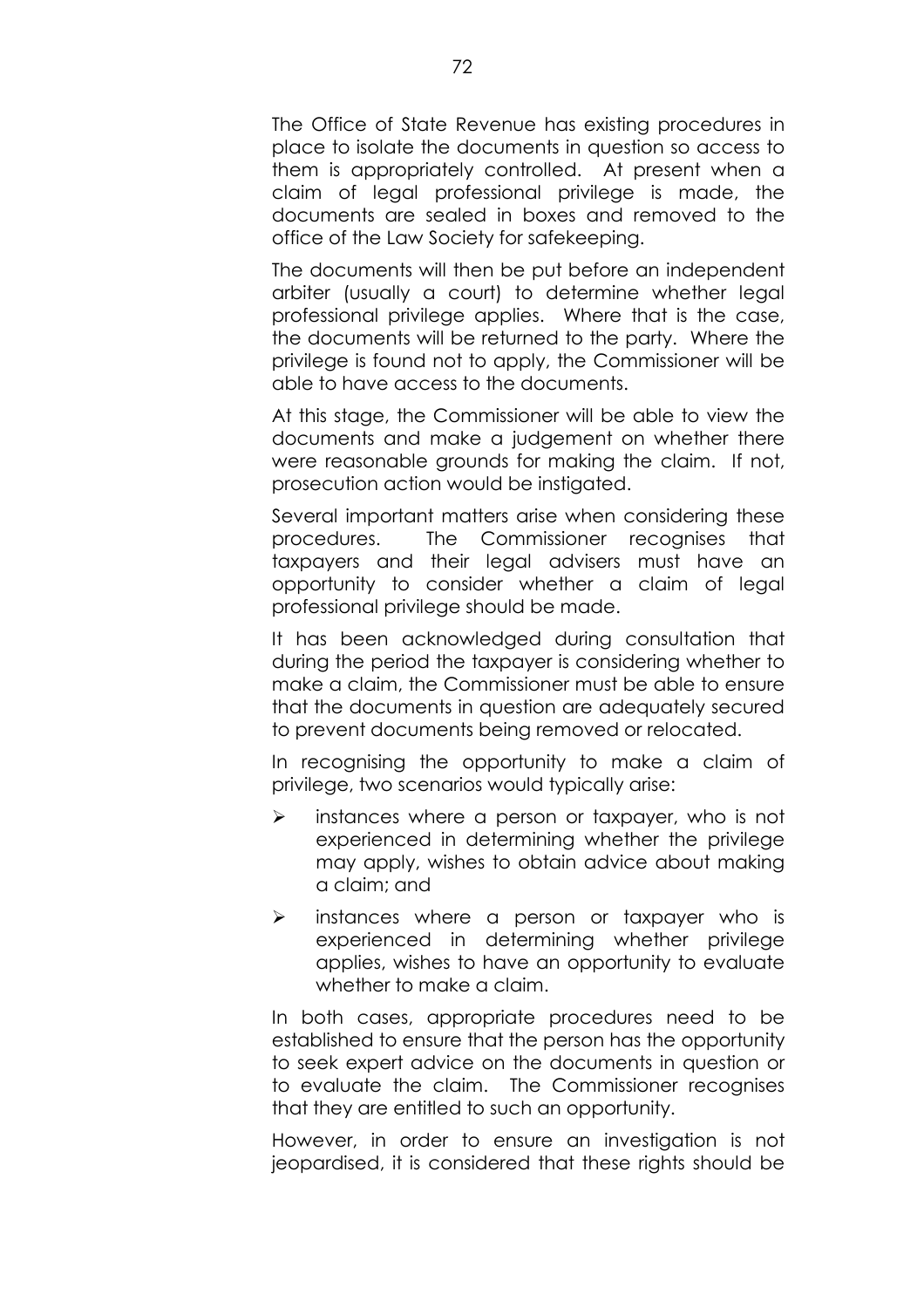The Office of State Revenue has existing procedures in place to isolate the documents in question so access to them is appropriately controlled. At present when a claim of legal professional privilege is made, the documents are sealed in boxes and removed to the office of the Law Society for safekeeping.

The documents will then be put before an independent arbiter (usually a court) to determine whether legal professional privilege applies. Where that is the case, the documents will be returned to the party. Where the privilege is found not to apply, the Commissioner will be able to have access to the documents.

At this stage, the Commissioner will be able to view the documents and make a judgement on whether there were reasonable grounds for making the claim. If not, prosecution action would be instigated.

Several important matters arise when considering these procedures. The Commissioner recognises that taxpayers and their legal advisers must have an opportunity to consider whether a claim of legal professional privilege should be made.

It has been acknowledged during consultation that during the period the taxpayer is considering whether to make a claim, the Commissioner must be able to ensure that the documents in question are adequately secured to prevent documents being removed or relocated.

In recognising the opportunity to make a claim of privilege, two scenarios would typically arise:

- $\triangleright$  instances where a person or taxpayer, who is not experienced in determining whether the privilege may apply, wishes to obtain advice about making a claim; and
- $\triangleright$  instances where a person or taxpayer who is experienced in determining whether privilege applies, wishes to have an opportunity to evaluate whether to make a claim.

In both cases, appropriate procedures need to be established to ensure that the person has the opportunity to seek expert advice on the documents in question or to evaluate the claim. The Commissioner recognises that they are entitled to such an opportunity.

However, in order to ensure an investigation is not jeopardised, it is considered that these rights should be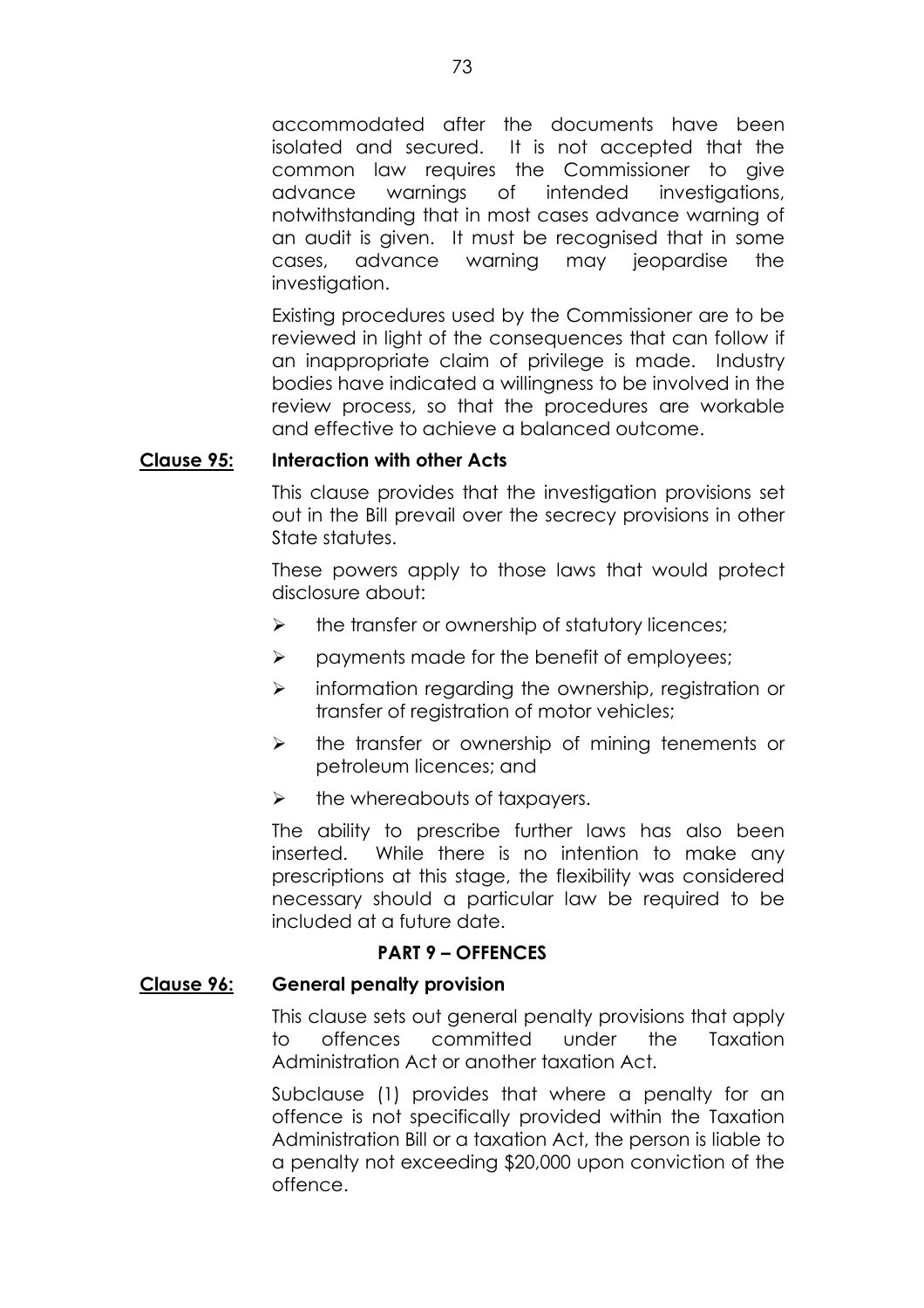accommodated after the documents have been isolated and secured. It is not accepted that the common law requires the Commissioner to give advance warnings of intended investigations, notwithstanding that in most cases advance warning of an audit is given. It must be recognised that in some cases, advance warning may jeopardise the investigation.

Existing procedures used by the Commissioner are to be reviewed in light of the consequences that can follow if an inappropriate claim of privilege is made. Industry bodies have indicated a willingness to be involved in the review process, so that the procedures are workable and effective to achieve a balanced outcome.

#### **Clause 95: Interaction with other Acts**

This clause provides that the investigation provisions set out in the Bill prevail over the secrecy provisions in other State statutes.

These powers apply to those laws that would protect disclosure about:

- $\triangleright$  the transfer or ownership of statutory licences;
- $\triangleright$  payments made for the benefit of employees;
- $\triangleright$  information regarding the ownership, registration or transfer of registration of motor vehicles;
- $\triangleright$  the transfer or ownership of mining tenements or petroleum licences; and
- $\triangleright$  the whereabouts of taxpayers.

The ability to prescribe further laws has also been inserted. While there is no intention to make any prescriptions at this stage, the flexibility was considered necessary should a particular law be required to be included at a future date.

### **PART 9 - OFFENCES**

### **Clause 96: General penalty provision**

This clause sets out general penalty provisions that apply to offences committed under the Taxation Administration Act or another taxation Act.

Subclause (1) provides that where a penalty for an offence is not specifically provided within the Taxation Administration Bill or a taxation Act, the person is liable to a penalty not exceeding \$20,000 upon conviction of the offence.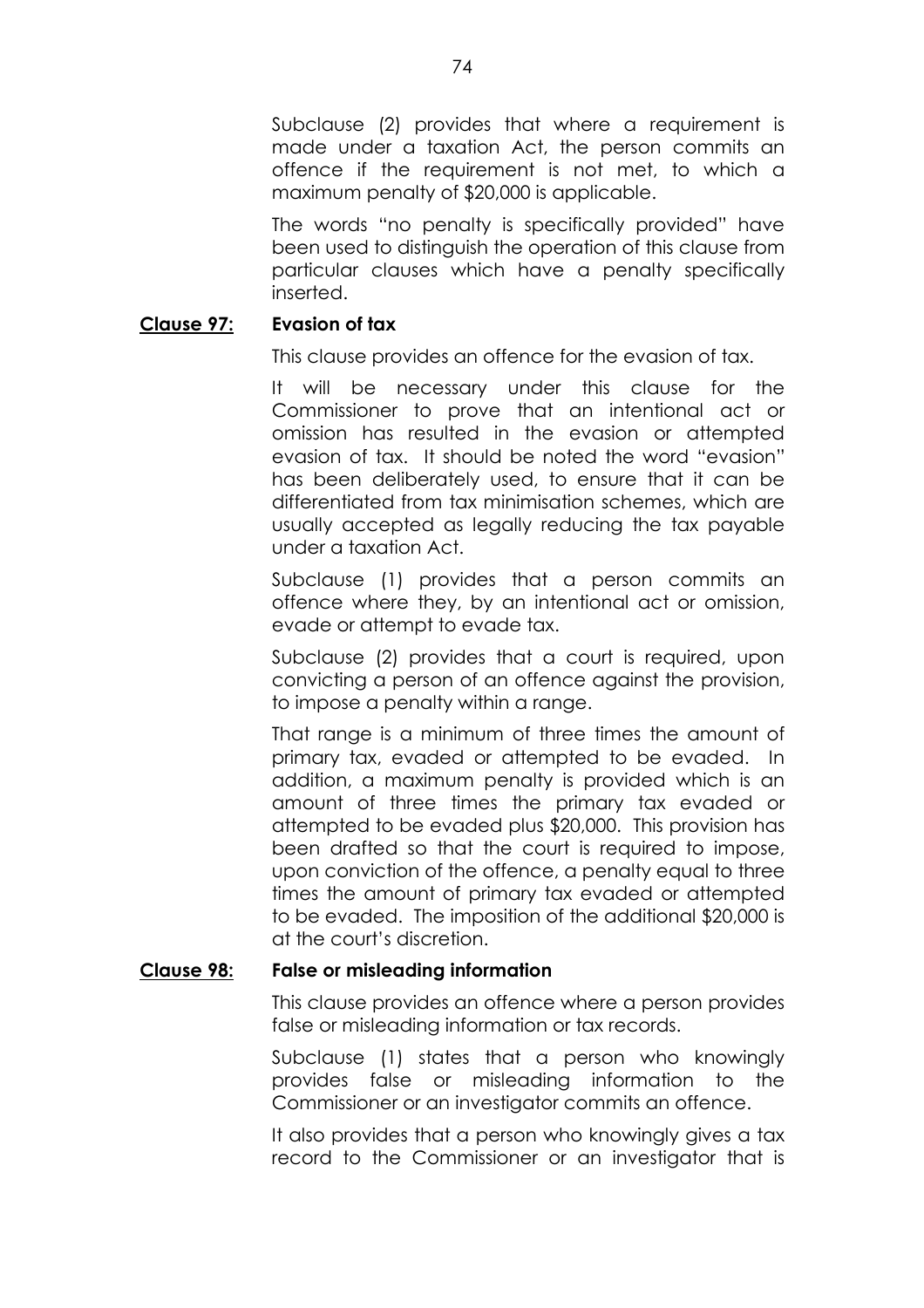Subclause (2) provides that where a requirement is made under a taxation Act, the person commits an offence if the requirement is not met, to which a maximum penalty of \$20,000 is applicable.

The words "no penalty is specifically provided" have been used to distinguish the operation of this clause from particular clauses which have a penalty specifically inserted.

### **Clause 97: Evasion of tax**

This clause provides an offence for the evasion of tax.

It will be necessary under this clause for the Commissioner to prove that an intentional act or omission has resulted in the evasion or attempted evasion of tax. It should be noted the word "evasion" has been deliberately used, to ensure that it can be differentiated from tax minimisation schemes, which are usually accepted as legally reducing the tax payable under a taxation Act.

Subclause (1) provides that a person commits an offence where they, by an intentional act or omission, evade or attempt to evade tax.

Subclause (2) provides that a court is required, upon convicting a person of an offence against the provision, to impose a penalty within a range.

That range is a minimum of three times the amount of primary tax, evaded or attempted to be evaded. In addition, a maximum penalty is provided which is an amount of three times the primary tax evaded or attempted to be evaded plus \$20,000. This provision has been drafted so that the court is required to impose, upon conviction of the offence, a penalty equal to three times the amount of primary tax evaded or attempted to be evaded. The imposition of the additional \$20,000 is at the court's discretion.

### **Clause 98: False or misleading information**

This clause provides an offence where a person provides false or misleading information or tax records.

Subclause (1) states that a person who knowingly provides false or misleading information to the Commissioner or an investigator commits an offence.

It also provides that a person who knowingly gives a tax record to the Commissioner or an investigator that is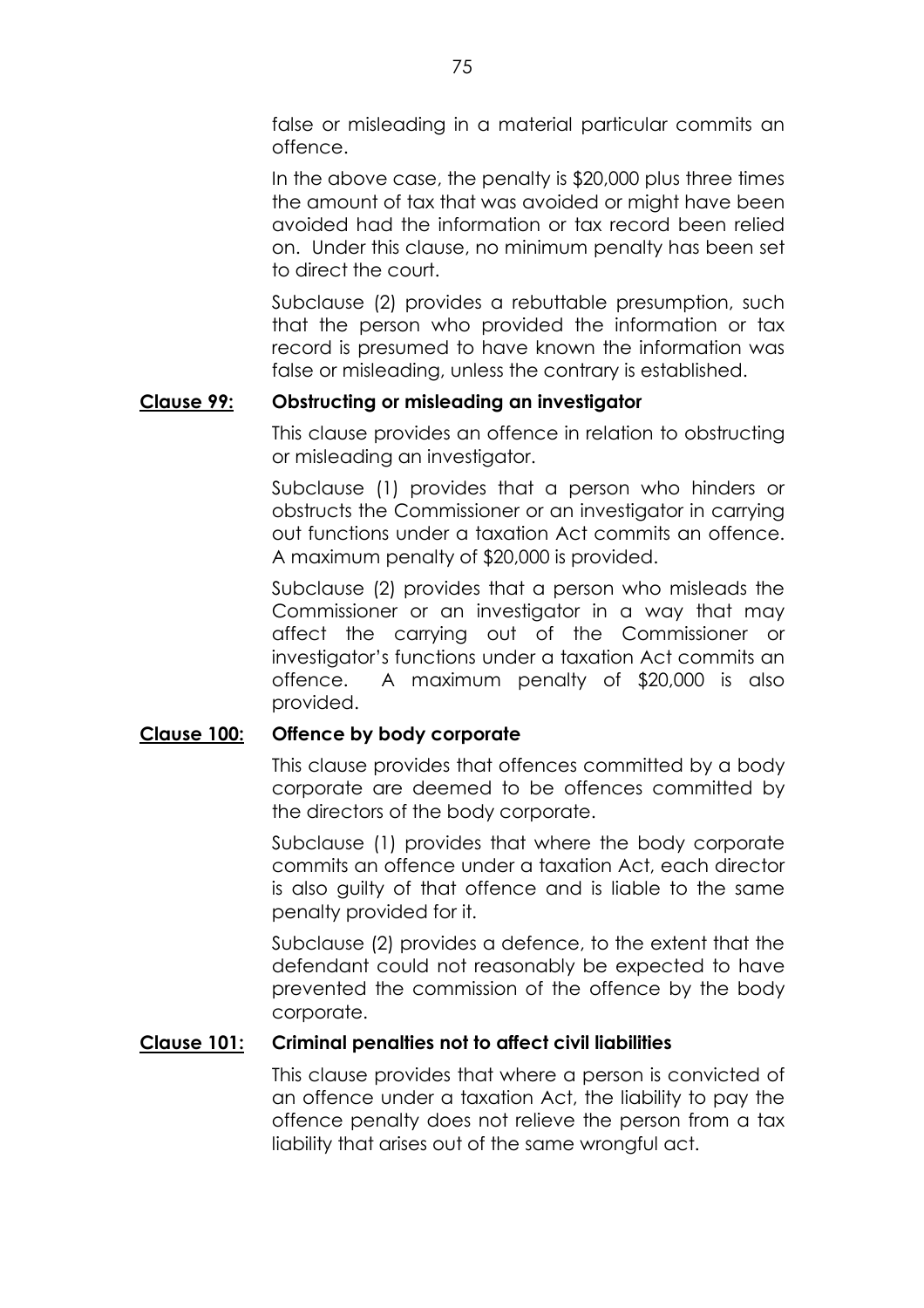false or misleading in a material particular commits an offence.

In the above case, the penalty is \$20,000 plus three times the amount of tax that was avoided or might have been avoided had the information or tax record been relied on. Under this clause, no minimum penalty has been set to direct the court.

Subclause (2) provides a rebuttable presumption, such that the person who provided the information or tax record is presumed to have known the information was false or misleading, unless the contrary is established.

# **Clause 99: Obstructing or misleading an investigator**

This clause provides an offence in relation to obstructing or misleading an investigator.

Subclause (1) provides that a person who hinders or obstructs the Commissioner or an investigator in carrying out functions under a taxation Act commits an offence. A maximum penalty of \$20,000 is provided.

Subclause (2) provides that a person who misleads the Commissioner or an investigator in a way that may affect the carrying out of the Commissioner or investigator's functions under a taxation Act commits an offence. A maximum penalty of \$20,000 is also provided.

# **Clause 100: Offence by body corporate**

This clause provides that offences committed by a body corporate are deemed to be offences committed by the directors of the body corporate.

Subclause (1) provides that where the body corporate commits an offence under a taxation Act, each director is also guilty of that offence and is liable to the same penalty provided for it.

Subclause (2) provides a defence, to the extent that the defendant could not reasonably be expected to have prevented the commission of the offence by the body corporate.

# **Clause 101: Criminal penalties not to affect civil liabilities**

This clause provides that where a person is convicted of an offence under a taxation Act, the liability to pay the offence penalty does not relieve the person from a tax liability that arises out of the same wrongful act.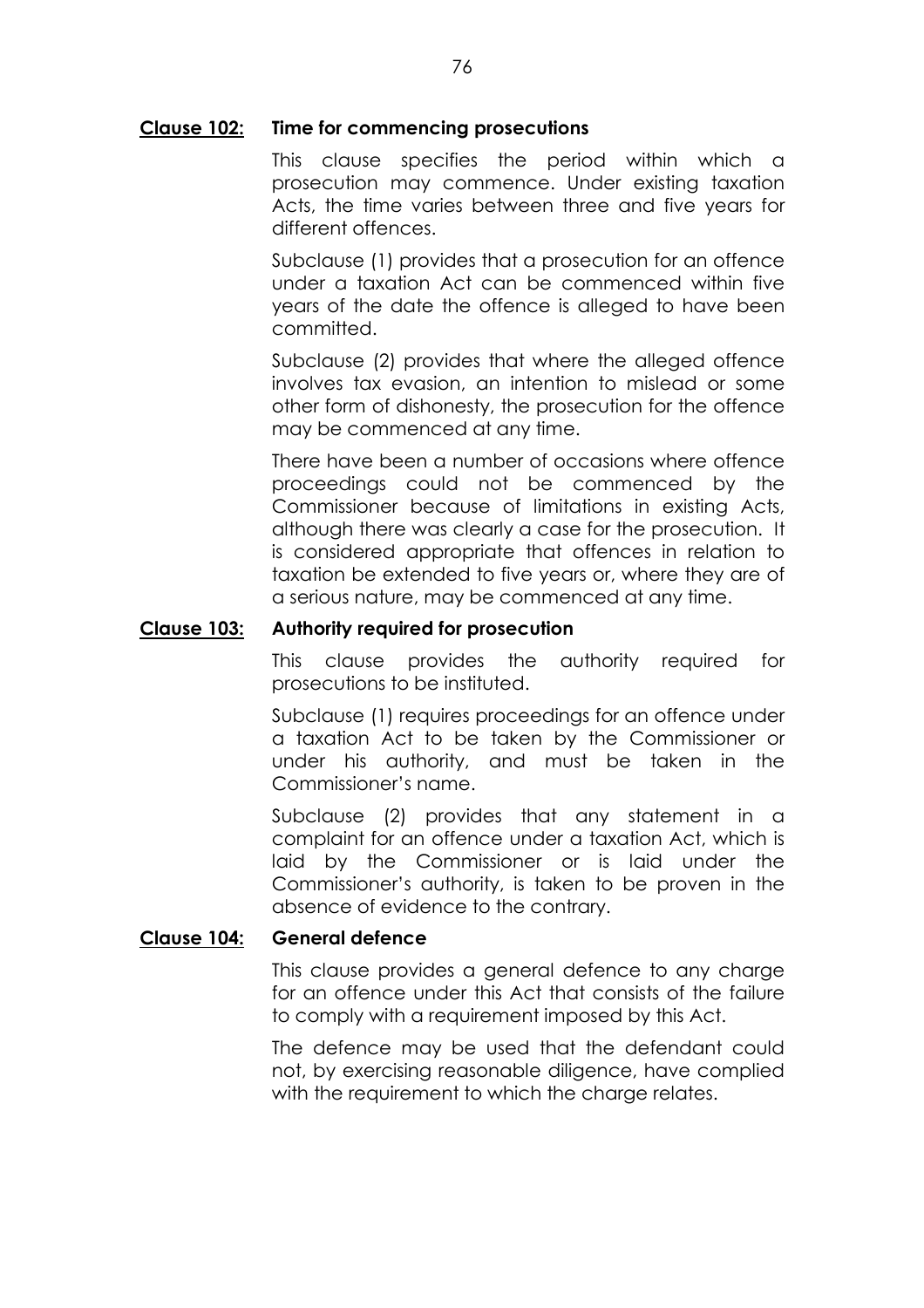#### **Clause 102: Time for commencing prosecutions**

This clause specifies the period within which a prosecution may commence. Under existing taxation Acts, the time varies between three and five years for different offences.

Subclause (1) provides that a prosecution for an offence under a taxation Act can be commenced within five years of the date the offence is alleged to have been committed.

Subclause (2) provides that where the alleged offence involves tax evasion, an intention to mislead or some other form of dishonesty, the prosecution for the offence may be commenced at any time.

There have been a number of occasions where offence proceedings could not be commenced by the Commissioner because of limitations in existing Acts, although there was clearly a case for the prosecution. It is considered appropriate that offences in relation to taxation be extended to five years or, where they are of a serious nature, may be commenced at any time.

#### **Clause 103: Authority required for prosecution**

This clause provides the authority required for prosecutions to be instituted.

Subclause (1) requires proceedings for an offence under a taxation Act to be taken by the Commissioner or under his authority, and must be taken in the Commissioner's name.

Subclause (2) provides that any statement in a complaint for an offence under a taxation Act, which is laid by the Commissioner or is laid under the Commissioner's authority, is taken to be proven in the absence of evidence to the contrary.

### **Clause 104: General defence**

This clause provides a general defence to any charge for an offence under this Act that consists of the failure to comply with a requirement imposed by this Act.

The defence may be used that the defendant could not, by exercising reasonable diligence, have complied with the requirement to which the charge relates.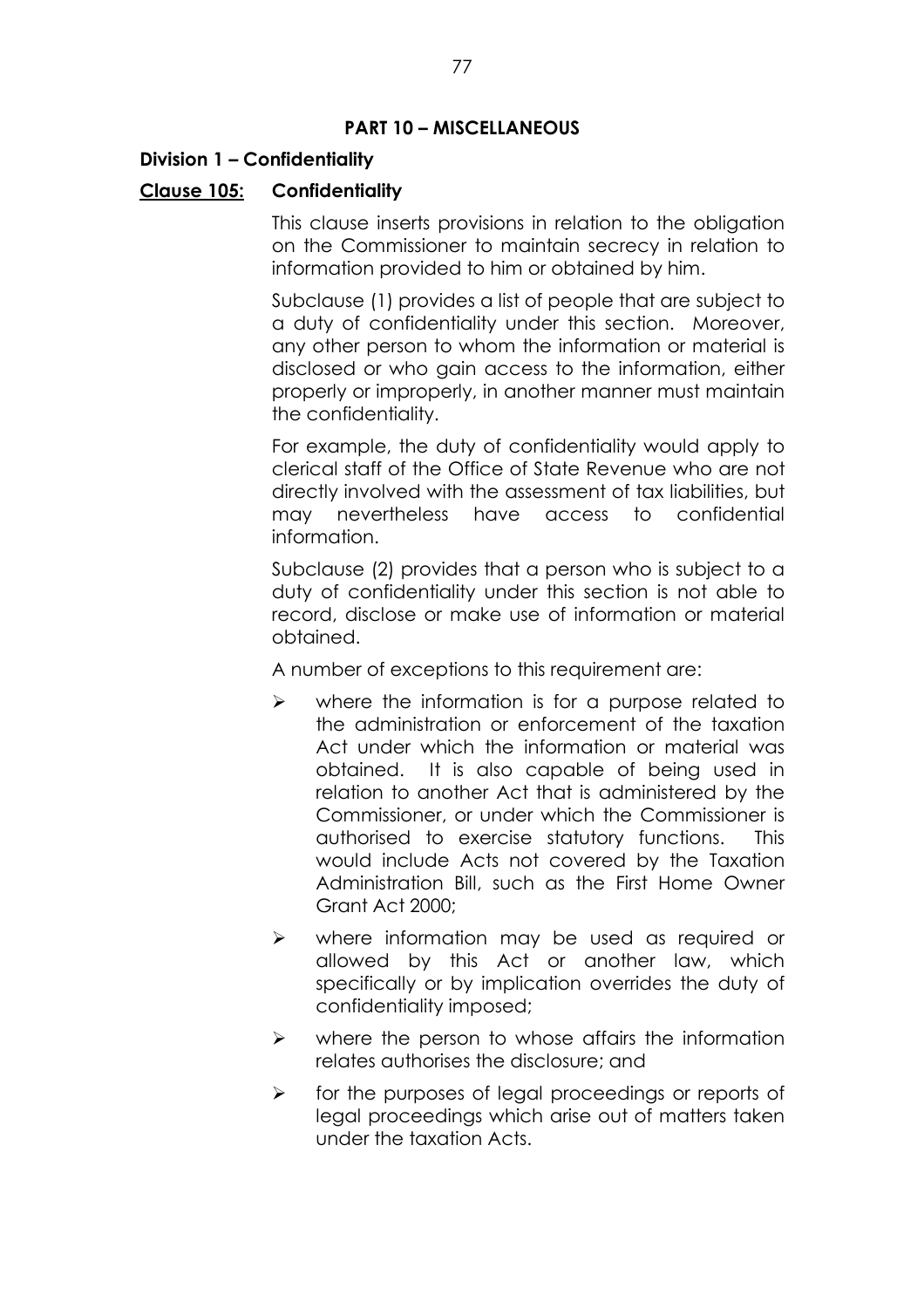#### **PART 10 - MISCELLANEOUS**

### **Division 1 - Confidentiality**

### **Clause 105: Confidentiality**

This clause inserts provisions in relation to the obligation on the Commissioner to maintain secrecy in relation to information provided to him or obtained by him.

Subclause (1) provides a list of people that are subject to a duty of confidentiality under this section. Moreover, any other person to whom the information or material is disclosed or who gain access to the information, either properly or improperly, in another manner must maintain the confidentiality.

For example, the duty of confidentiality would apply to clerical staff of the Office of State Revenue who are not directly involved with the assessment of tax liabilities, but may nevertheless have access to confidential information.

Subclause (2) provides that a person who is subject to a duty of confidentiality under this section is not able to record, disclose or make use of information or material obtained.

A number of exceptions to this requirement are:

- $\triangleright$  where the information is for a purpose related to the administration or enforcement of the taxation Act under which the information or material was obtained. It is also capable of being used in relation to another Act that is administered by the Commissioner, or under which the Commissioner is authorised to exercise statutory functions. This would include Acts not covered by the Taxation Administration Bill, such as the First Home Owner Grant Act 2000;
- $\triangleright$  where information may be used as required or allowed by this Act or another law, which specifically or by implication overrides the duty of confidentiality imposed;
- $\triangleright$  where the person to whose affairs the information relates authorises the disclosure; and
- $\triangleright$  for the purposes of legal proceedings or reports of legal proceedings which arise out of matters taken under the taxation Acts.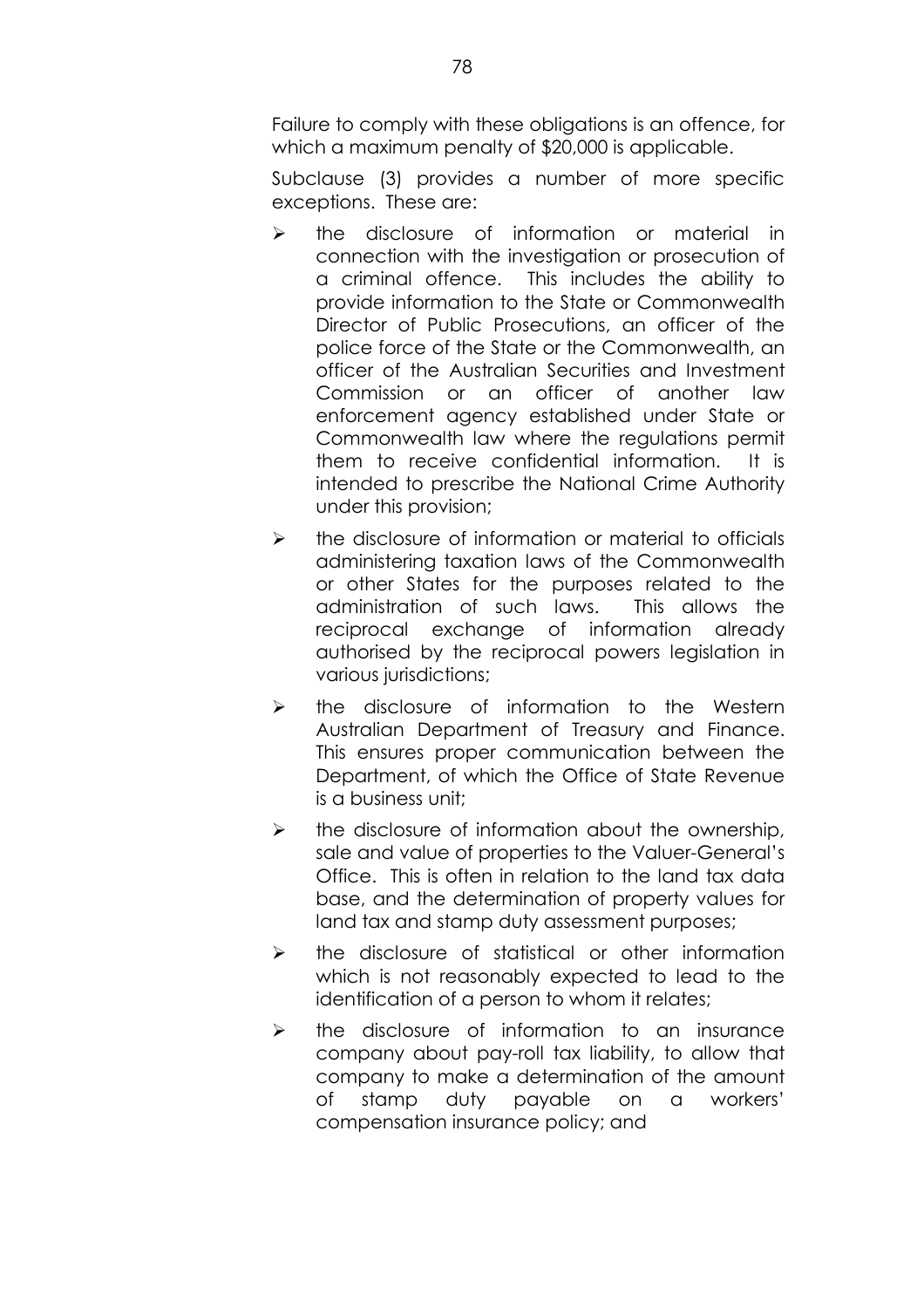Failure to comply with these obligations is an offence, for which a maximum penalty of \$20,000 is applicable.

Subclause (3) provides a number of more specific exceptions. These are:

- $\triangleright$  the disclosure of information or material in connection with the investigation or prosecution of a criminal offence. This includes the ability to provide information to the State or Commonwealth Director of Public Prosecutions, an officer of the police force of the State or the Commonwealth, an officer of the Australian Securities and Investment Commission or an officer of another law enforcement agency established under State or Commonwealth law where the regulations permit them to receive confidential information. It is intended to prescribe the National Crime Authority under this provision;
- $\triangleright$  the disclosure of information or material to officials administering taxation laws of the Commonwealth or other States for the purposes related to the administration of such laws. This allows the reciprocal exchange of information already authorised by the reciprocal powers legislation in various jurisdictions;
- $\triangleright$  the disclosure of information to the Western Australian Department of Treasury and Finance. This ensures proper communication between the Department, of which the Office of State Revenue is a business unit;
- $\triangleright$  the disclosure of information about the ownership, sale and value of properties to the Valuer-General's Office. This is often in relation to the land tax data base, and the determination of property values for land tax and stamp duty assessment purposes;
- $\triangleright$  the disclosure of statistical or other information which is not reasonably expected to lead to the identification of a person to whom it relates;
- $\triangleright$  the disclosure of information to an insurance company about pay-roll tax liability, to allow that company to make a determination of the amount of stamp duty payable on a workers' compensation insurance policy; and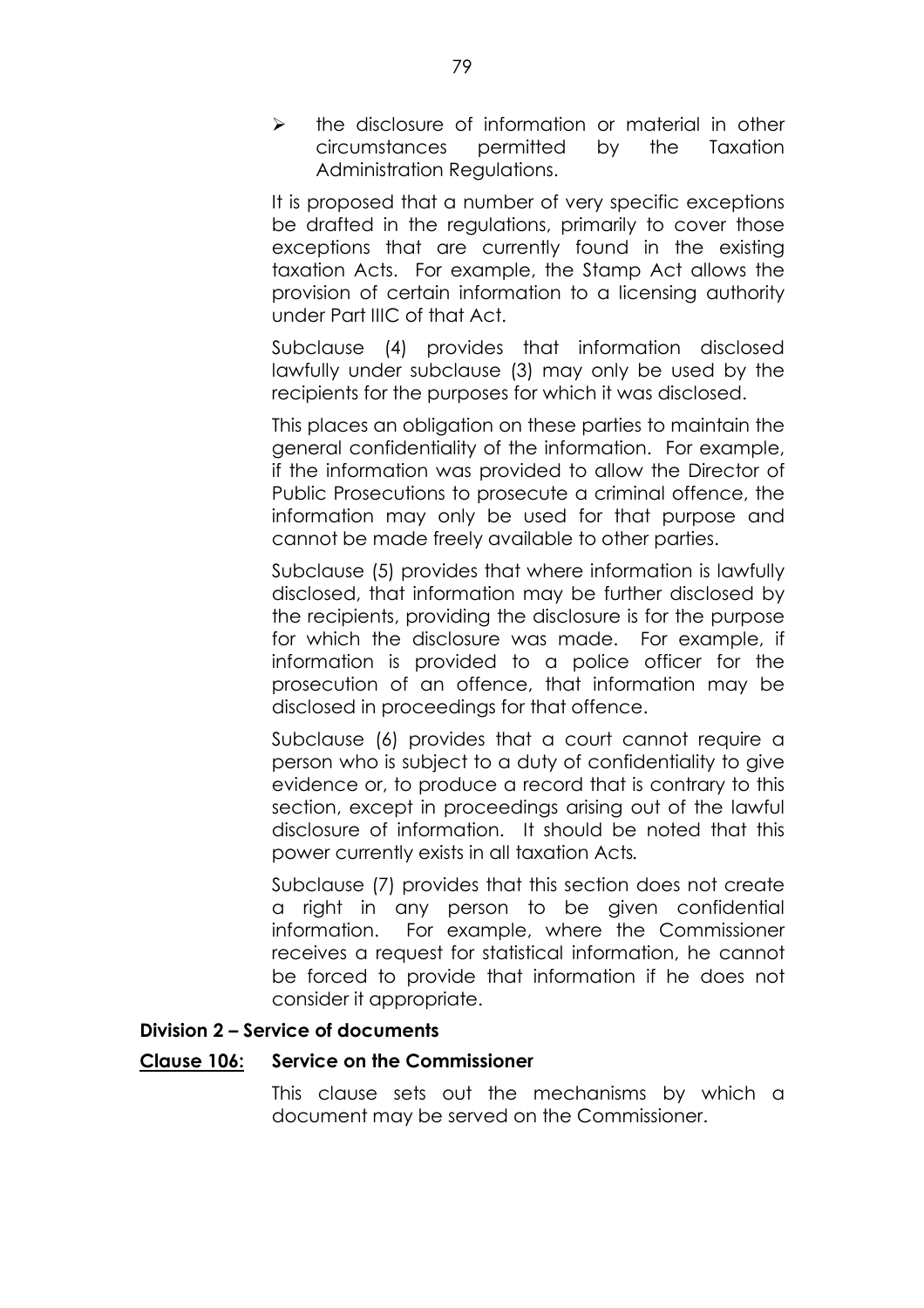$\triangleright$  the disclosure of information or material in other circumstances permitted by the Taxation Administration Regulations.

It is proposed that a number of very specific exceptions be drafted in the regulations, primarily to cover those exceptions that are currently found in the existing taxation Acts. For example, the Stamp Act allows the provision of certain information to a licensing authority under Part IIIC of that Act.

Subclause (4) provides that information disclosed lawfully under subclause (3) may only be used by the recipients for the purposes for which it was disclosed.

This places an obligation on these parties to maintain the general confidentiality of the information. For example, if the information was provided to allow the Director of Public Prosecutions to prosecute a criminal offence, the information may only be used for that purpose and cannot be made freely available to other parties.

Subclause (5) provides that where information is lawfully disclosed, that information may be further disclosed by the recipients, providing the disclosure is for the purpose for which the disclosure was made. For example, if information is provided to a police officer for the prosecution of an offence, that information may be disclosed in proceedings for that offence.

Subclause (6) provides that a court cannot require a person who is subject to a duty of confidentiality to give evidence or, to produce a record that is contrary to this section, except in proceedings arising out of the lawful disclosure of information. It should be noted that this power currently exists in all taxation Acts*.*

Subclause (7) provides that this section does not create a right in any person to be given confidential information. For example, where the Commissioner receives a request for statistical information, he cannot be forced to provide that information if he does not consider it appropriate.

#### **Division 2 - Service of documents**

#### **Clause 106: Service on the Commissioner**

This clause sets out the mechanisms by which a document may be served on the Commissioner.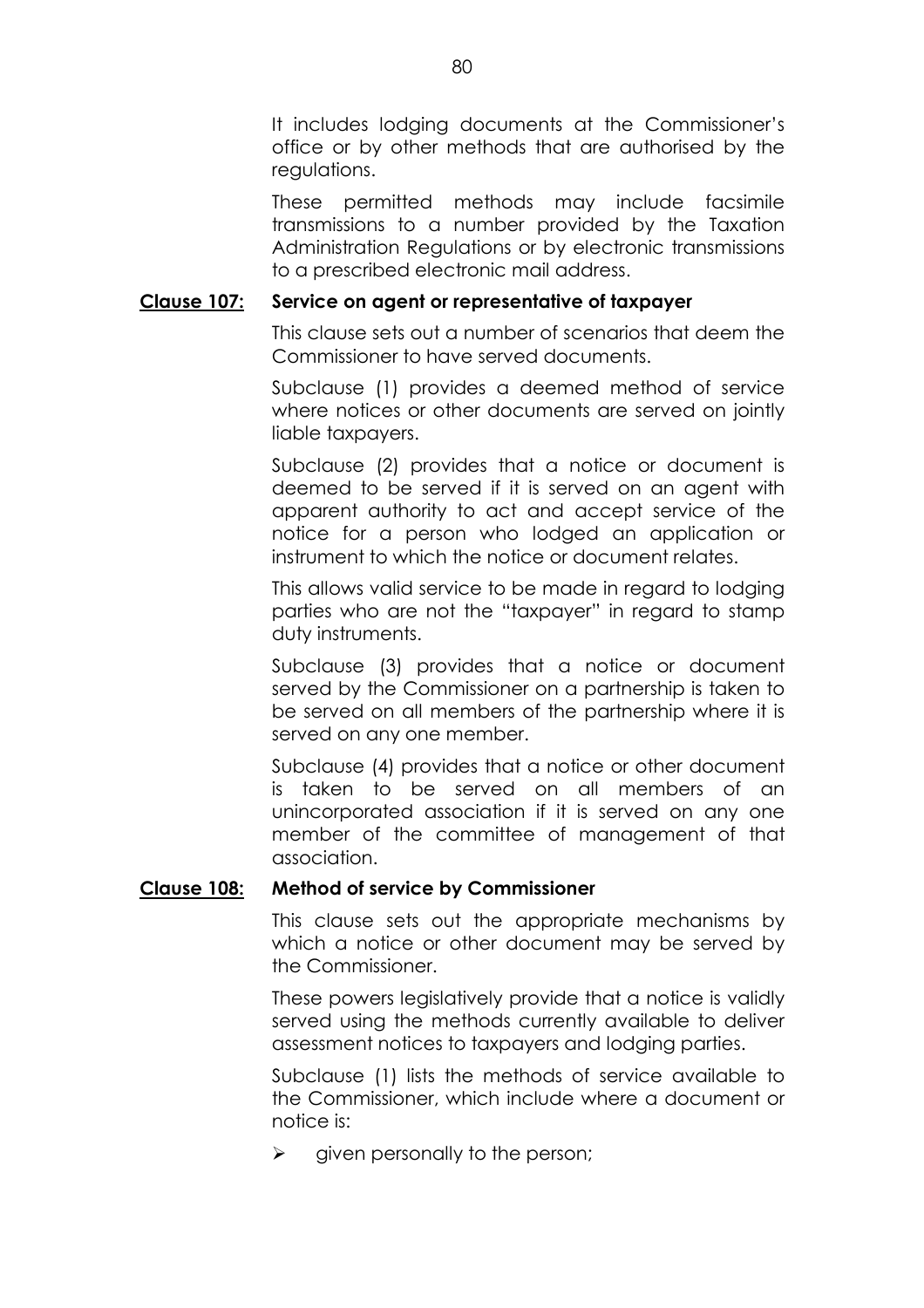It includes lodging documents at the Commissioner's office or by other methods that are authorised by the regulations.

These permitted methods may include facsimile transmissions to a number provided by the Taxation Administration Regulations or by electronic transmissions to a prescribed electronic mail address.

### **Clause 107: Service on agent or representative of taxpayer**

This clause sets out a number of scenarios that deem the Commissioner to have served documents.

Subclause (1) provides a deemed method of service where notices or other documents are served on jointly liable taxpayers.

Subclause (2) provides that a notice or document is deemed to be served if it is served on an agent with apparent authority to act and accept service of the notice for a person who lodged an application or instrument to which the notice or document relates.

This allows valid service to be made in regard to lodging parties who are not the "taxpayer" in regard to stamp duty instruments.

Subclause (3) provides that a notice or document served by the Commissioner on a partnership is taken to be served on all members of the partnership where it is served on any one member.

Subclause (4) provides that a notice or other document is taken to be served on all members of an unincorporated association if it is served on any one member of the committee of management of that association.

### **Clause 108: Method of service by Commissioner**

This clause sets out the appropriate mechanisms by which a notice or other document may be served by the Commissioner.

These powers legislatively provide that a notice is validly served using the methods currently available to deliver assessment notices to taxpayers and lodging parties.

Subclause (1) lists the methods of service available to the Commissioner, which include where a document or notice is:

 $\triangleright$  given personally to the person;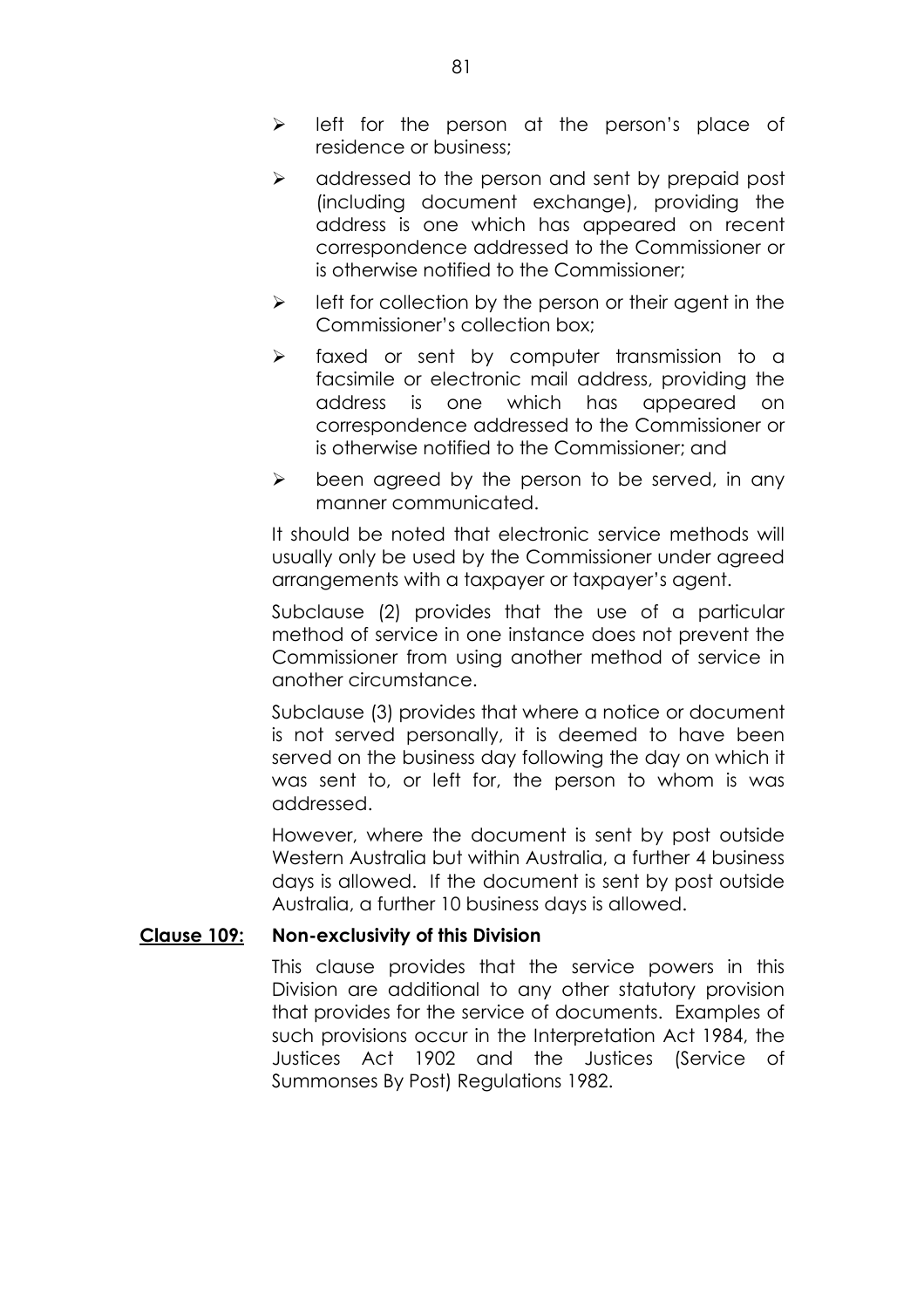- $\triangleright$  left for the person at the person's place of residence or business;
- $\triangleright$  addressed to the person and sent by prepaid post (including document exchange), providing the address is one which has appeared on recent correspondence addressed to the Commissioner or is otherwise notified to the Commissioner;
- $\triangleright$  left for collection by the person or their agent in the Commissioner's collection box;
- $\triangleright$  faxed or sent by computer transmission to a facsimile or electronic mail address, providing the address is one which has appeared on correspondence addressed to the Commissioner or is otherwise notified to the Commissioner; and
- $\triangleright$  been agreed by the person to be served, in any manner communicated.

It should be noted that electronic service methods will usually only be used by the Commissioner under agreed arrangements with a taxpayer or taxpayer's agent.

Subclause (2) provides that the use of a particular method of service in one instance does not prevent the Commissioner from using another method of service in another circumstance.

Subclause (3) provides that where a notice or document is not served personally, it is deemed to have been served on the business day following the day on which it was sent to, or left for, the person to whom is was addressed.

However, where the document is sent by post outside Western Australia but within Australia, a further 4 business days is allowed. If the document is sent by post outside Australia, a further 10 business days is allowed.

### **Clause 109: Non-exclusivity of this Division**

This clause provides that the service powers in this Division are additional to any other statutory provision that provides for the service of documents. Examples of such provisions occur in the Interpretation Act 1984, the Justices Act 1902 and the Justices (Service of Summonses By Post) Regulations 1982.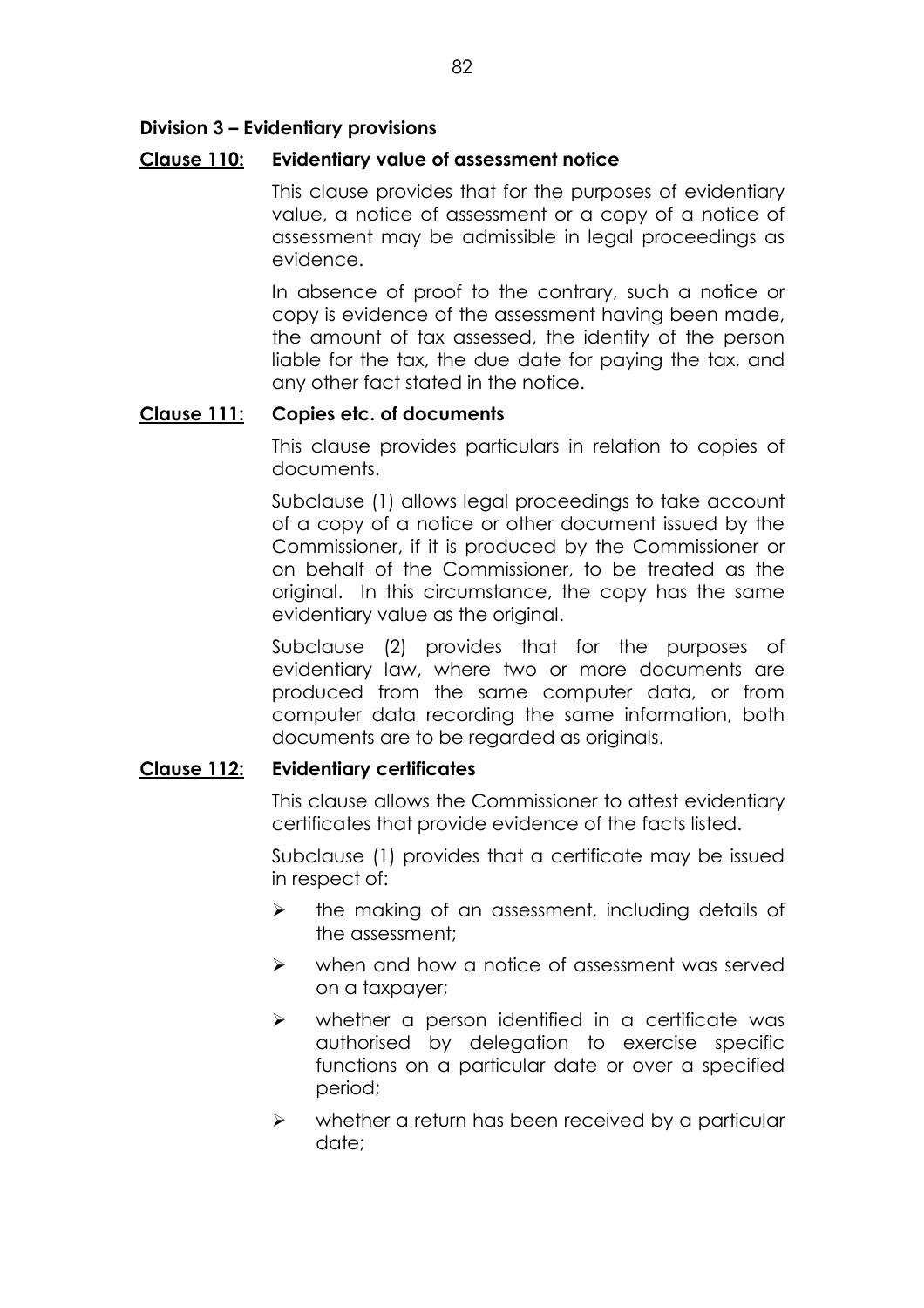## **Division 3 - Evidentiary provisions**

### **Clause 110: Evidentiary value of assessment notice**

This clause provides that for the purposes of evidentiary value, a notice of assessment or a copy of a notice of assessment may be admissible in legal proceedings as evidence.

In absence of proof to the contrary, such a notice or copy is evidence of the assessment having been made, the amount of tax assessed, the identity of the person liable for the tax, the due date for paying the tax, and any other fact stated in the notice.

### **Clause 111: Copies etc. of documents**

This clause provides particulars in relation to copies of documents.

Subclause (1) allows legal proceedings to take account of a copy of a notice or other document issued by the Commissioner, if it is produced by the Commissioner or on behalf of the Commissioner, to be treated as the original. In this circumstance, the copy has the same evidentiary value as the original.

Subclause (2) provides that for the purposes of evidentiary law, where two or more documents are produced from the same computer data, or from computer data recording the same information, both documents are to be regarded as originals.

### **Clause 112: Evidentiary certificates**

This clause allows the Commissioner to attest evidentiary certificates that provide evidence of the facts listed.

Subclause (1) provides that a certificate may be issued in respect of:

- $\triangleright$  the making of an assessment, including details of the assessment;
- $\triangleright$  when and how a notice of assessment was served on a taxpayer;
- $\triangleright$  whether a person identified in a certificate was authorised by delegation to exercise specific functions on a particular date or over a specified period;
- $\triangleright$  whether a return has been received by a particular date;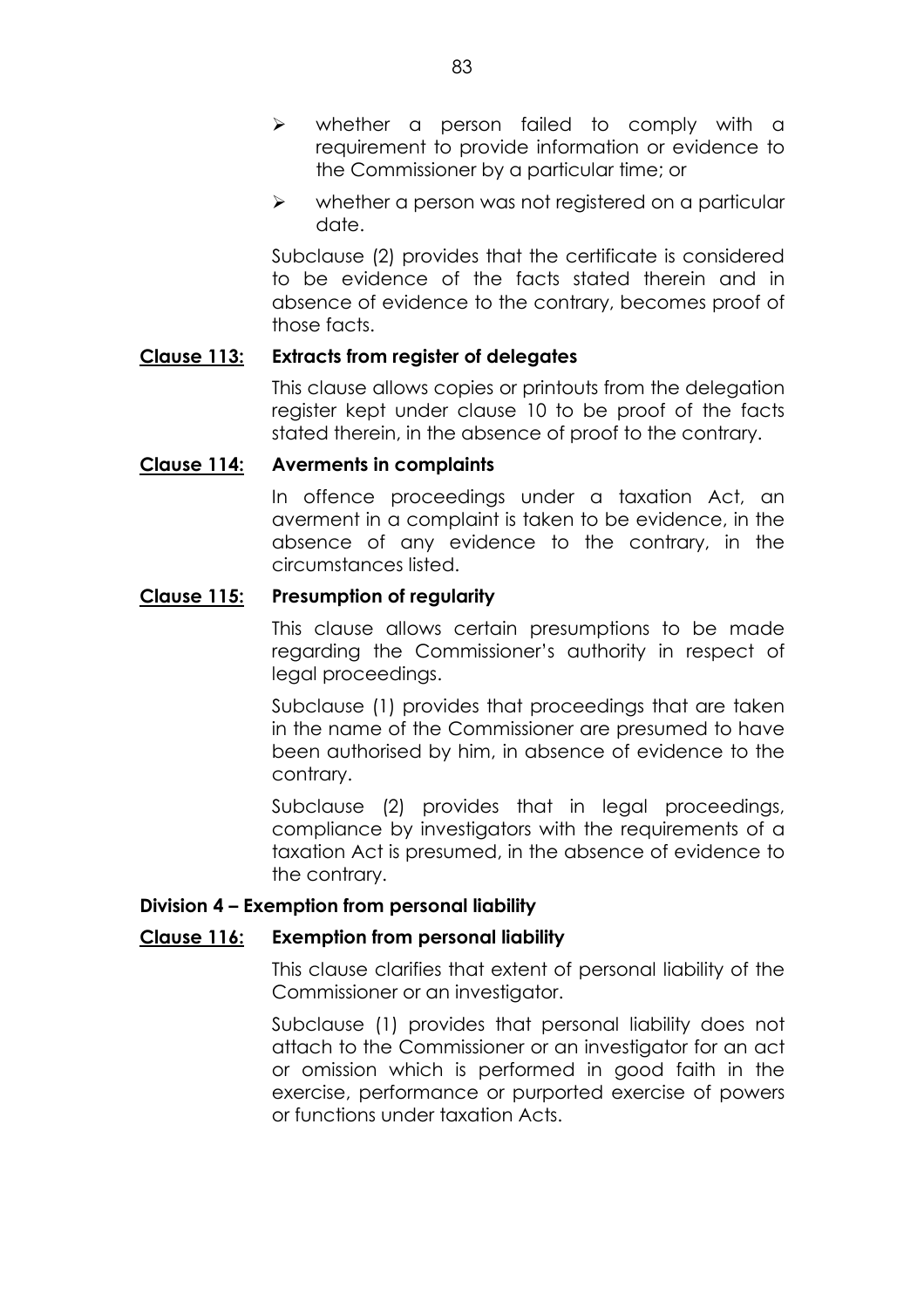- $\triangleright$  whether a person failed to comply with a requirement to provide information or evidence to the Commissioner by a particular time; or
- $\triangleright$  whether a person was not registered on a particular date.

Subclause (2) provides that the certificate is considered to be evidence of the facts stated therein and in absence of evidence to the contrary, becomes proof of those facts.

### **Clause 113: Extracts from register of delegates**

This clause allows copies or printouts from the delegation register kept under clause 10 to be proof of the facts stated therein, in the absence of proof to the contrary.

### **Clause 114: Averments in complaints**

In offence proceedings under a taxation Act, an averment in a complaint is taken to be evidence, in the absence of any evidence to the contrary, in the circumstances listed.

### **Clause 115: Presumption of regularity**

This clause allows certain presumptions to be made regarding the Commissioner's authority in respect of legal proceedings.

Subclause (1) provides that proceedings that are taken in the name of the Commissioner are presumed to have been authorised by him, in absence of evidence to the contrary.

Subclause (2) provides that in legal proceedings, compliance by investigators with the requirements of a taxation Act is presumed, in the absence of evidence to the contrary.

### **Division 4 – Exemption from personal liability**

# **Clause 116: Exemption from personal liability**

This clause clarifies that extent of personal liability of the Commissioner or an investigator.

Subclause (1) provides that personal liability does not attach to the Commissioner or an investigator for an act or omission which is performed in good faith in the exercise, performance or purported exercise of powers or functions under taxation Acts.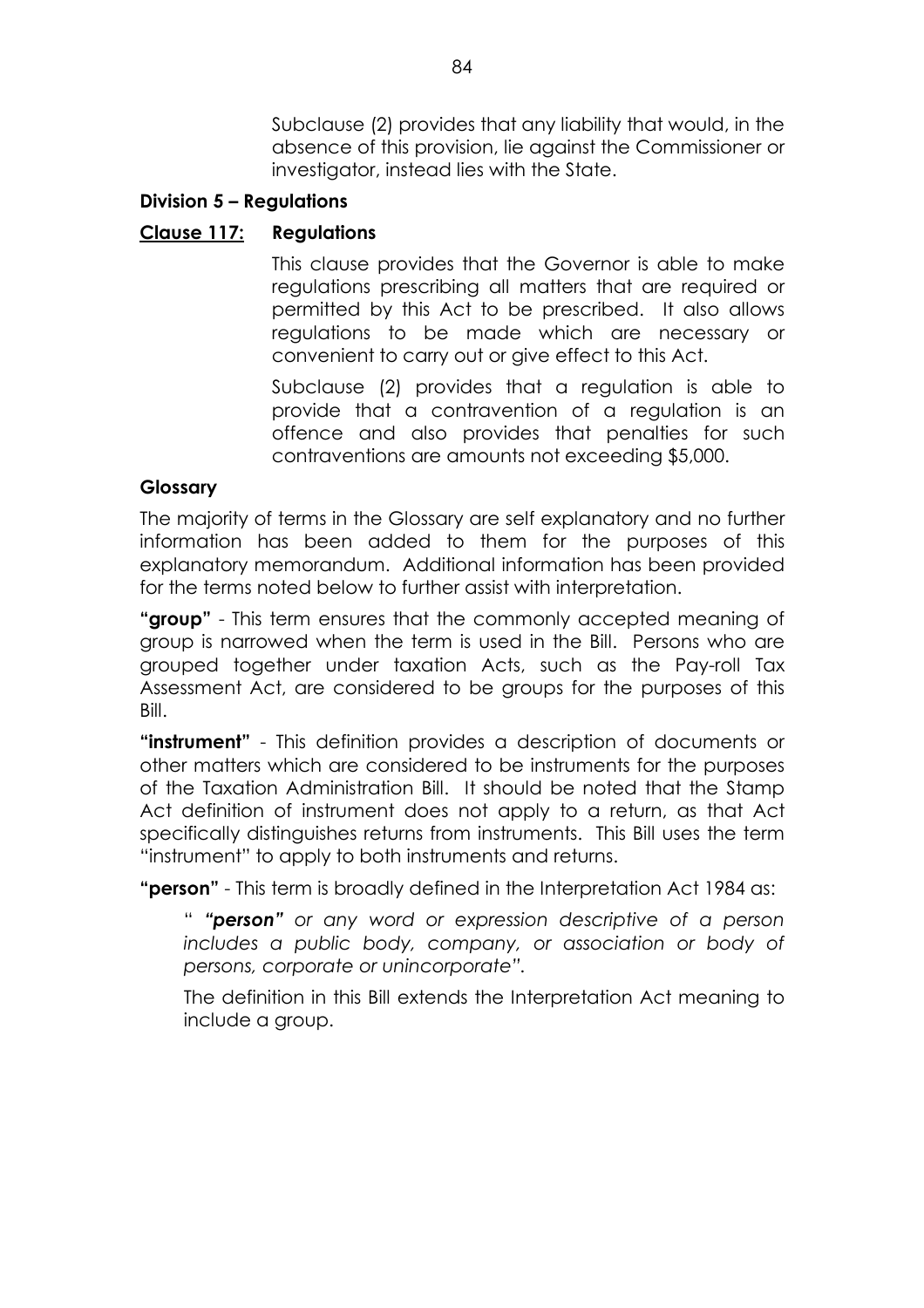Subclause (2) provides that any liability that would, in the absence of this provision, lie against the Commissioner or investigator, instead lies with the State.

# **Division 5 – Regulations**

# **Clause 117: Regulations**

This clause provides that the Governor is able to make regulations prescribing all matters that are required or permitted by this Act to be prescribed. It also allows regulations to be made which are necessary or convenient to carry out or give effect to this Act.

Subclause (2) provides that a regulation is able to provide that a contravention of a regulation is an offence and also provides that penalties for such contraventions are amounts not exceeding \$5,000.

### **Glossary**

The majority of terms in the Glossary are self explanatory and no further information has been added to them for the purposes of this explanatory memorandum. Additional information has been provided for the terms noted below to further assist with interpretation.

**"aroup**" - This term ensures that the commonly accepted meaning of group is narrowed when the term is used in the Bill. Persons who are grouped together under taxation Acts, such as the Pay-roll Tax Assessment Act, are considered to be groups for the purposes of this Bill.

**instrument**" - This definition provides a description of documents or other matters which are considered to be instruments for the purposes of the Taxation Administration Bill. It should be noted that the Stamp Act definition of instrument does not apply to a return, as that Act specifically distinguishes returns from instruments. This Bill uses the term "instrument" to apply to both instruments and returns.

**"person"** - This term is broadly defined in the Interpretation Act 1984 as:

ì *ìpersonî or any word or expression descriptive of a person includes a public body, company, or association or body of persons, corporate or unincorporateî.*

The definition in this Bill extends the Interpretation Act meaning to include a group.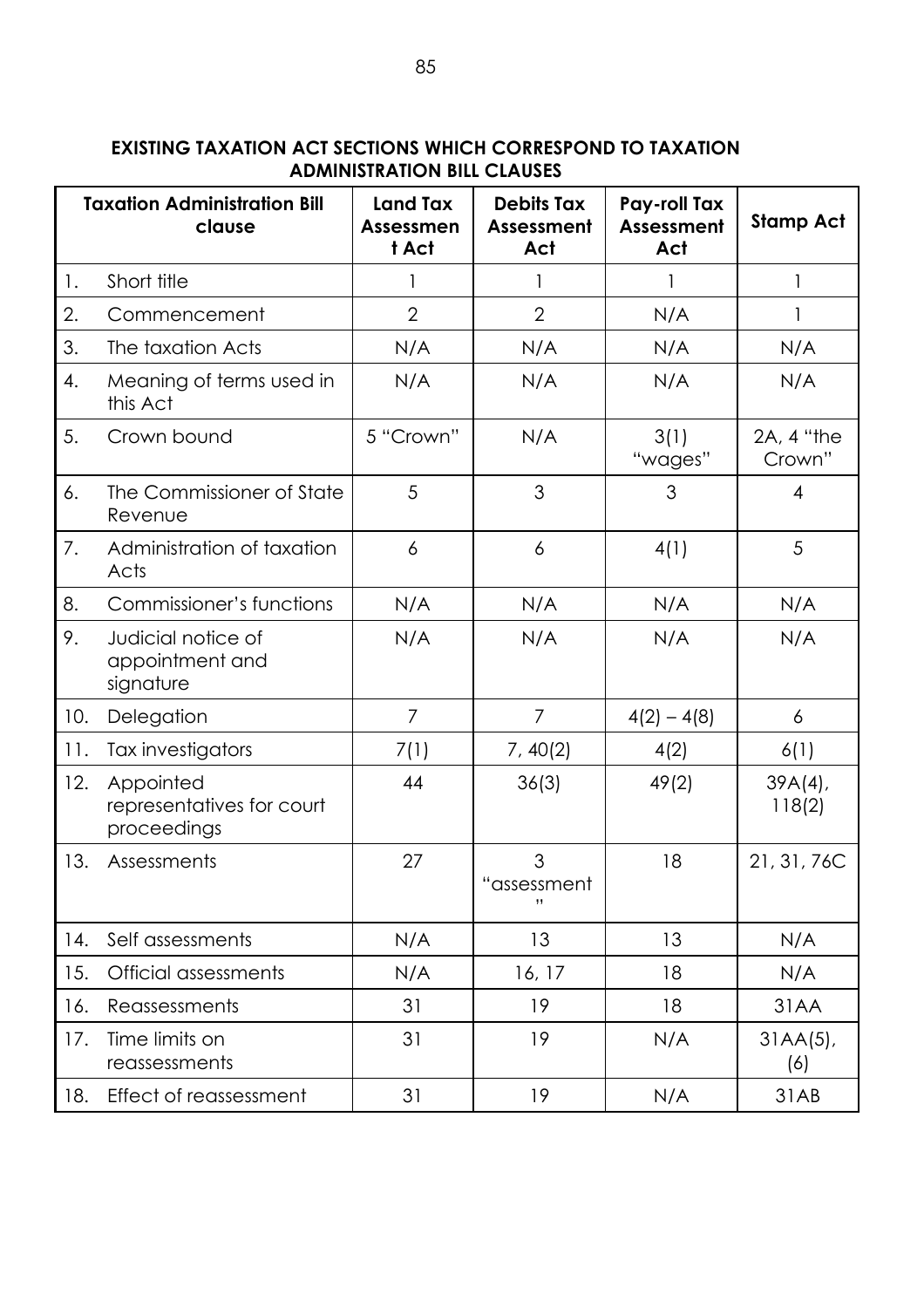| <b>EXISTING TAXATION ACT SECTIONS WHICH CORRESPOND TO TAXATION</b> |
|--------------------------------------------------------------------|
| <b>ADMINISTRATION BILL CLAUSES</b>                                 |

|     | <b>Taxation Administration Bill</b><br>clause         | <b>Land Tax</b><br><b>Assessmen</b><br>t Act | <b>Debits Tax</b><br>Assessment<br>Act | Pay-roll Tax<br>Assessment<br>Act | <b>Stamp Act</b>     |
|-----|-------------------------------------------------------|----------------------------------------------|----------------------------------------|-----------------------------------|----------------------|
| 1.  | Short title                                           |                                              |                                        |                                   | $\mathbf{1}$         |
| 2.  | Commencement                                          | $\overline{2}$                               | $\overline{2}$                         | N/A                               |                      |
| 3.  | The taxation Acts                                     | N/A                                          | N/A                                    | N/A                               | N/A                  |
| 4.  | Meaning of terms used in<br>this Act                  | N/A                                          | N/A                                    | N/A                               | N/A                  |
| 5.  | Crown bound                                           | 5 "Crown"                                    | N/A                                    | 3(1)<br>"wages"                   | 2A, 4 "the<br>Crown" |
| 6.  | The Commissioner of State<br>Revenue                  | 5                                            | 3                                      | 3                                 | $\overline{4}$       |
| 7.  | Administration of taxation<br>Acts                    | 6                                            | 6                                      | 4(1)                              | 5                    |
| 8.  | Commissioner's functions                              | N/A                                          | N/A                                    | N/A                               | N/A                  |
| 9.  | Judicial notice of<br>appointment and<br>signature    | N/A                                          | N/A                                    | N/A                               | N/A                  |
| 10. | Delegation                                            | $\overline{7}$                               | 7                                      | $4(2) - 4(8)$                     | 6                    |
| 11. | Tax investigators                                     | 7(1)                                         | 7, 40(2)                               | 4(2)                              | 6(1)                 |
| 12. | Appointed<br>representatives for court<br>proceedings | 44                                           | 36(3)                                  | 49(2)                             | $39A(4)$ ,<br>118(2) |
| 13. | Assessments                                           | 27                                           | 3<br>assessment<br>,,                  | 18                                | 21, 31, 76C          |
| 14. | Self assessments                                      | N/A                                          | 13                                     | 13                                | N/A                  |
| 15. | <b>Official assessments</b>                           | N/A                                          | 16, 17                                 | 18                                | N/A                  |
| 16. | Reassessments                                         | 31                                           | 19                                     | 18                                | 31AA                 |
| 17. | Time limits on<br>reassessments                       | 31                                           | 19                                     | N/A                               | $31AA(5)$ ,<br>(6)   |
| 18. | Effect of reassessment                                | 31                                           | 19                                     | N/A                               | 31AB                 |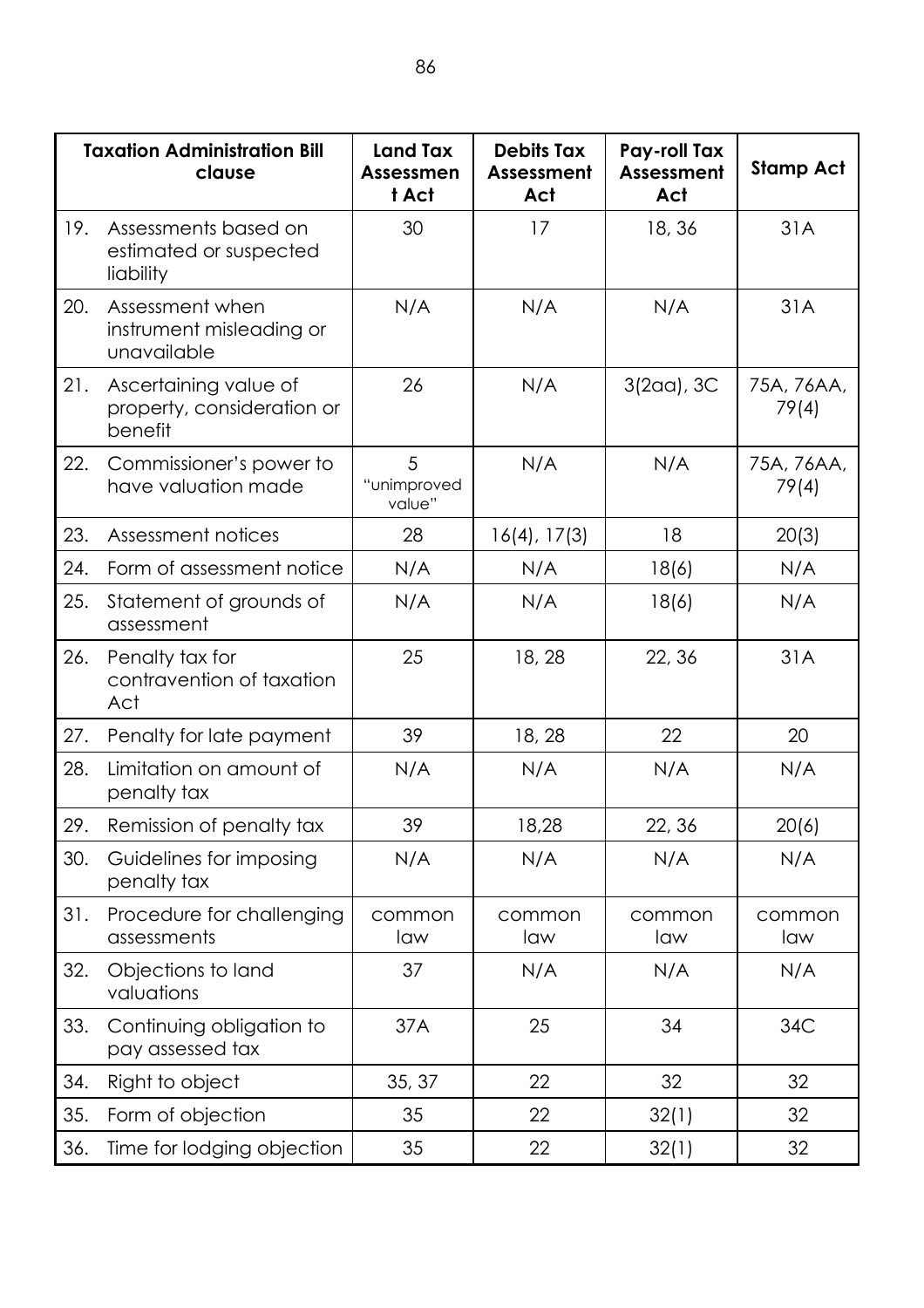|     | <b>Taxation Administration Bill</b><br>clause                  | <b>Land Tax</b><br><b>Assessmen</b><br>t Act | <b>Debits Tax</b><br>Assessment<br>Act | Pay-roll Tax<br><b>Assessment</b><br>Act | Stamp Act           |
|-----|----------------------------------------------------------------|----------------------------------------------|----------------------------------------|------------------------------------------|---------------------|
| 19. | Assessments based on<br>estimated or suspected<br>liability    | 30                                           | 17                                     | 18, 36                                   | 31A                 |
| 20. | Assessment when<br>instrument misleading or<br>unavailable     | N/A                                          | N/A                                    | N/A                                      | 31A                 |
| 21. | Ascertaining value of<br>property, consideration or<br>benefit | 26                                           | N/A                                    | $3(2aa)$ , $3C$                          | 75A, 76AA,<br>79(4) |
| 22. | Commissioner's power to<br>have valuation made                 | 5<br>"unimproved<br>value"                   | N/A                                    | N/A                                      | 75A, 76AA,<br>79(4) |
| 23. | Assessment notices                                             | 28                                           | $16(4)$ , $17(3)$                      | 18                                       | 20(3)               |
| 24. | Form of assessment notice                                      | N/A                                          | N/A                                    | 18(6)                                    | N/A                 |
| 25. | Statement of grounds of<br>assessment                          | N/A                                          | N/A                                    | 18(6)                                    | N/A                 |
| 26. | Penalty tax for<br>contravention of taxation<br>Act            | 25                                           | 18, 28                                 | 22, 36                                   | 31A                 |
| 27. | Penalty for late payment                                       | 39                                           | 18, 28                                 | 22                                       | 20                  |
| 28. | Limitation on amount of<br>penalty tax                         | N/A                                          | N/A                                    | N/A                                      | N/A                 |
| 29. | Remission of penalty tax                                       | 39                                           | 18,28                                  | 22, 36                                   | 20(6)               |
| 30. | Guidelines for imposing<br>penalty tax                         | N/A                                          | N/A                                    | N/A                                      | N/A                 |
| 31. | Procedure for challenging<br>assessments                       | common<br>law                                | common<br>law                          | common<br>law                            | common<br>law       |
| 32. | Objections to land<br>valuations                               | 37                                           | N/A                                    | N/A                                      | N/A                 |
| 33. | Continuing obligation to<br>pay assessed tax                   | 37A                                          | 25                                     | 34                                       | 34C                 |
| 34. | Right to object                                                | 35, 37                                       | 22                                     | 32                                       | 32                  |
| 35. | Form of objection                                              | 35                                           | 22                                     | 32(1)                                    | 32                  |
| 36. | Time for lodging objection                                     | 35                                           | 22                                     | 32(1)                                    | 32                  |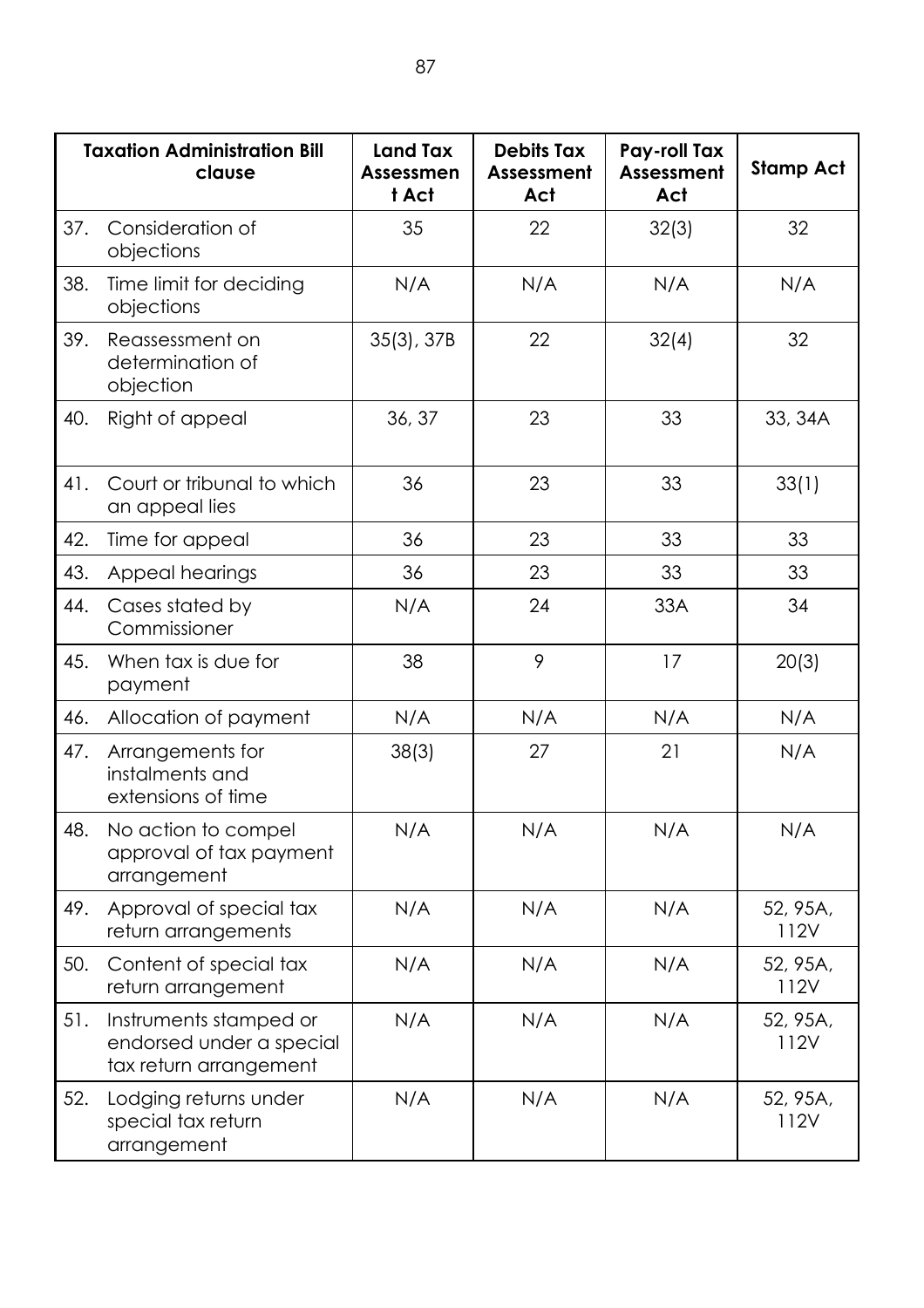|     | <b>Taxation Administration Bill</b><br>clause                                | <b>Land Tax</b><br><b>Assessmen</b><br>t Act | <b>Debits Tax</b><br>Assessment<br>Act | Pay-roll Tax<br>Assessment<br>Act | <b>Stamp Act</b> |
|-----|------------------------------------------------------------------------------|----------------------------------------------|----------------------------------------|-----------------------------------|------------------|
| 37. | Consideration of<br>objections                                               | 35                                           | 22                                     | 32(3)                             | 32               |
| 38. | Time limit for deciding<br>objections                                        | N/A                                          | N/A                                    | N/A                               | N/A              |
| 39. | Reassessment on<br>determination of<br>objection                             | $35(3)$ , $37B$                              | 22                                     | 32(4)                             | 32               |
| 40. | Right of appeal                                                              | 36, 37                                       | 23                                     | 33                                | 33, 34A          |
| 41. | Court or tribunal to which<br>an appeal lies                                 | 36                                           | 23                                     | 33                                | 33(1)            |
| 42. | Time for appeal                                                              | 36                                           | 23                                     | 33                                | 33               |
| 43. | Appeal hearings                                                              | 36                                           | 23                                     | 33                                | 33               |
| 44. | Cases stated by<br>Commissioner                                              | N/A                                          | 24                                     | 33A                               | 34               |
| 45. | When tax is due for<br>payment                                               | 38                                           | 9                                      | 17                                | 20(3)            |
| 46. | Allocation of payment                                                        | N/A                                          | N/A                                    | N/A                               | N/A              |
| 47. | Arrangements for<br>instalments and<br>extensions of time                    | 38(3)                                        | 27                                     | 21                                | N/A              |
| 48. | No action to compel<br>approval of tax payment<br>arrangement                | N/A                                          | N/A                                    | N/A                               | N/A              |
| 49. | Approval of special tax<br>return arrangements                               | N/A                                          | N/A                                    | N/A                               | 52, 95A,<br>112V |
| 50. | Content of special tax<br>return arrangement                                 | N/A                                          | N/A                                    | N/A                               | 52, 95A,<br>112V |
| 51. | Instruments stamped or<br>endorsed under a special<br>tax return arrangement | N/A                                          | N/A                                    | N/A                               | 52, 95A,<br>112V |
| 52. | Lodging returns under<br>special tax return<br>arrangement                   | N/A                                          | N/A                                    | N/A                               | 52, 95A,<br>112V |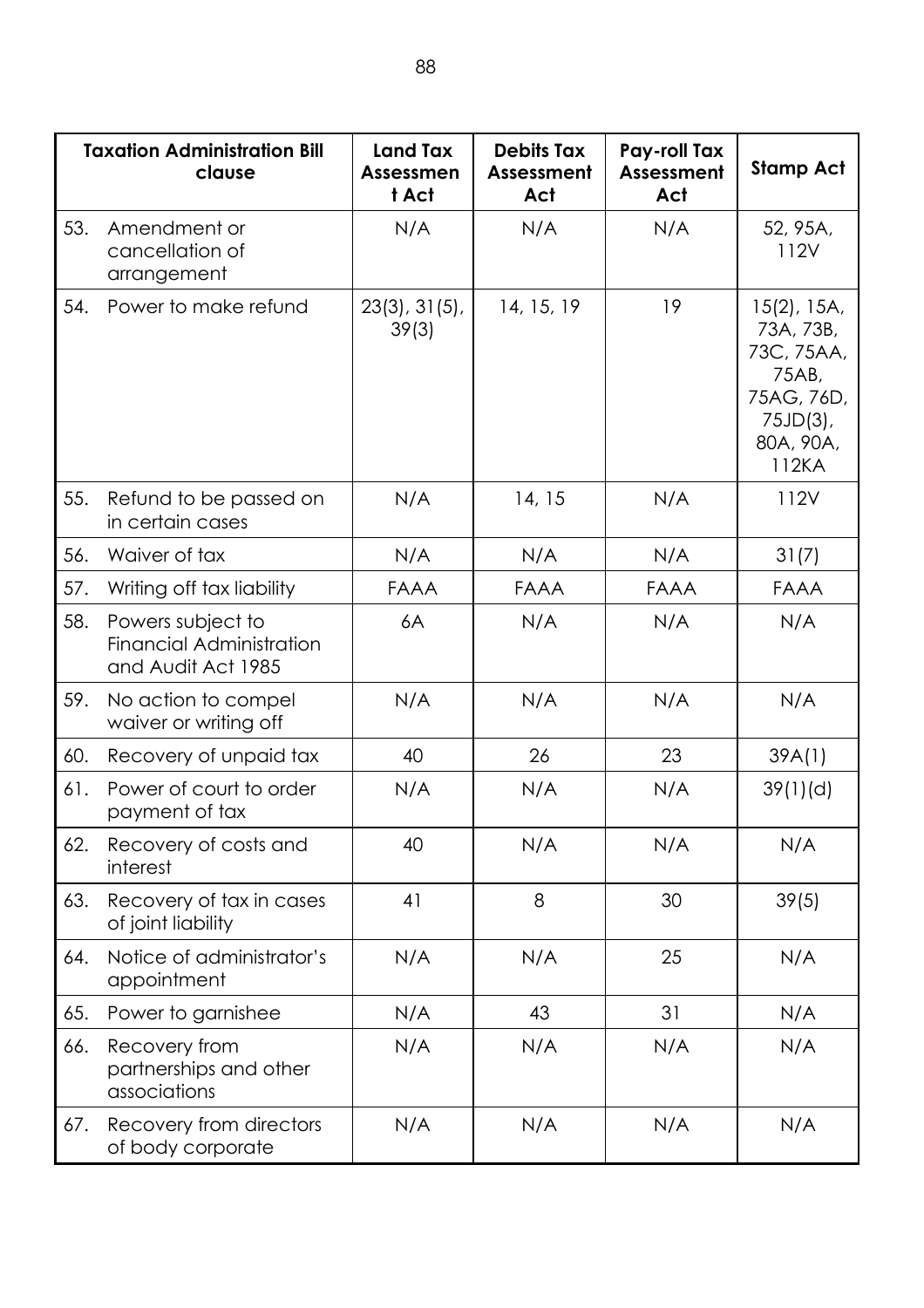|     | <b>Taxation Administration Bill</b><br>clause                              | <b>Land Tax</b><br>Assessmen<br>t Act | <b>Debits Tax</b><br>Assessment<br>Act | Pay-roll Tax<br><b>Assessment</b><br>Act | <b>Stamp Act</b>                                                                                      |
|-----|----------------------------------------------------------------------------|---------------------------------------|----------------------------------------|------------------------------------------|-------------------------------------------------------------------------------------------------------|
| 53. | Amendment or<br>cancellation of<br>arrangement                             | N/A                                   | N/A                                    | N/A                                      | 52, 95A,<br>112V                                                                                      |
| 54. | Power to make refund                                                       | 23(3), 31(5),<br>39(3)                | 14, 15, 19                             | 19                                       | $15(2)$ , 15A,<br>73A, 73B,<br>73C, 75AA,<br>75AB,<br>75AG, 76D,<br>$75JD(3)$ ,<br>80A, 90A,<br>112KA |
| 55. | Refund to be passed on<br>in certain cases                                 | N/A                                   | 14, 15                                 | N/A                                      | 112V                                                                                                  |
| 56. | Waiver of tax                                                              | N/A                                   | N/A                                    | N/A                                      | 31(7)                                                                                                 |
| 57. | Writing off tax liability                                                  | <b>FAAA</b>                           | FAAA                                   | FAAA                                     | <b>FAAA</b>                                                                                           |
| 58. | Powers subject to<br><b>Financial Administration</b><br>and Audit Act 1985 | 6A                                    | N/A                                    | N/A                                      | N/A                                                                                                   |
| 59. | No action to compel<br>waiver or writing off                               | N/A                                   | N/A                                    | N/A                                      | N/A                                                                                                   |
| 60. | Recovery of unpaid tax                                                     | 40                                    | 26                                     | 23                                       | 39A(1)                                                                                                |
| 61. | Power of court to order<br>payment of tax                                  | N/A                                   | N/A                                    | N/A                                      | 39(1)(d)                                                                                              |
| 62. | Recovery of costs and<br>interest                                          | 40                                    | N/A                                    | N/A                                      | N/A                                                                                                   |
| 63. | Recovery of tax in cases<br>of joint liability                             | 41                                    | 8                                      | 30                                       | 39(5)                                                                                                 |
| 64. | Notice of administrator's<br>appointment                                   | N/A                                   | N/A                                    | 25                                       | N/A                                                                                                   |
| 65. | Power to garnishee                                                         | N/A                                   | 43                                     | 31                                       | N/A                                                                                                   |
| 66. | Recovery from<br>partnerships and other<br>associations                    | N/A                                   | N/A                                    | N/A                                      | N/A                                                                                                   |
| 67. | Recovery from directors<br>of body corporate                               | N/A                                   | N/A                                    | N/A                                      | N/A                                                                                                   |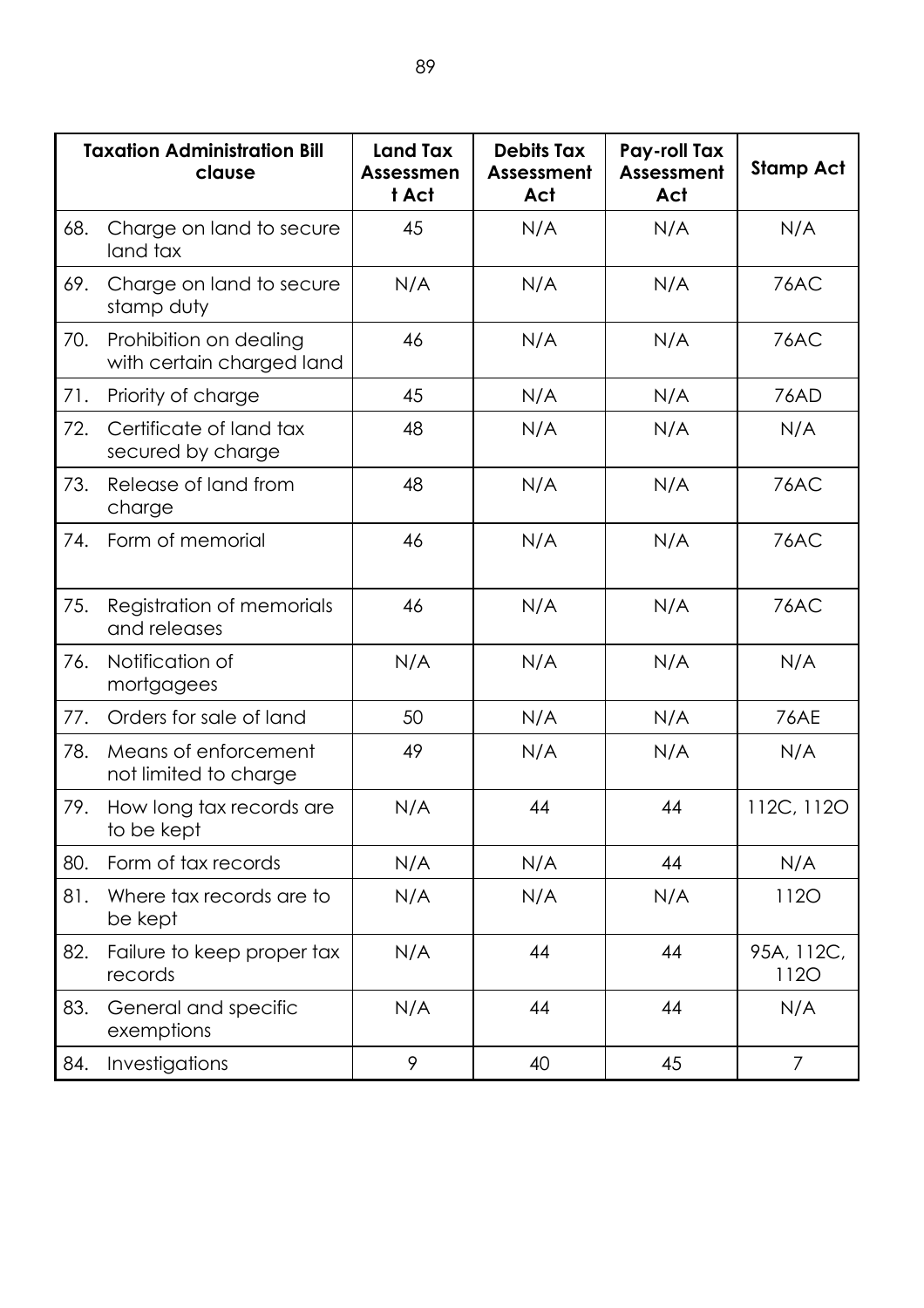|     | <b>Taxation Administration Bill</b><br>clause       | <b>Land Tax</b><br><b>Assessmen</b><br>t Act | <b>Debits Tax</b><br><b>Assessment</b><br>Act | Pay-roll Tax<br>Assessment<br>Act | <b>Stamp Act</b>          |
|-----|-----------------------------------------------------|----------------------------------------------|-----------------------------------------------|-----------------------------------|---------------------------|
| 68. | Charge on land to secure<br>land tax                | 45                                           | N/A                                           | N/A                               | N/A                       |
| 69. | Charge on land to secure<br>stamp duty              | N/A                                          | N/A                                           | N/A                               | 76AC                      |
| 70. | Prohibition on dealing<br>with certain charged land | 46                                           | N/A                                           | N/A                               | 76AC                      |
| 71. | Priority of charge                                  | 45                                           | N/A                                           | N/A                               | 76AD                      |
| 72. | Certificate of land tax<br>secured by charge        | 48                                           | N/A                                           | N/A                               | N/A                       |
| 73. | Release of land from<br>charge                      | 48                                           | N/A                                           | N/A                               | 76AC                      |
| 74. | Form of memorial                                    | 46                                           | N/A                                           | N/A                               | 76AC                      |
| 75. | Registration of memorials<br>and releases           | 46                                           | N/A                                           | N/A                               | 76AC                      |
| 76. | Notification of<br>mortgagees                       | N/A                                          | N/A                                           | N/A                               | N/A                       |
| 77. | Orders for sale of land                             | 50                                           | N/A                                           | N/A                               | <b>76AE</b>               |
| 78. | Means of enforcement<br>not limited to charge       | 49                                           | N/A                                           | N/A                               | N/A                       |
| 79. | How long tax records are<br>to be kept              | N/A                                          | 44                                            | 44                                | 112C, 112O                |
| 80. | Form of tax records                                 | N/A                                          | N/A                                           | 44                                | N/A                       |
| 81. | Where tax records are to<br>be kept                 | N/A                                          | N/A                                           | N/A                               | <b>1120</b>               |
| 82. | Failure to keep proper tax<br>records               | N/A                                          | 44                                            | 44                                | 95A, 112C,<br><b>1120</b> |
| 83. | General and specific<br>exemptions                  | N/A                                          | 44                                            | 44                                | N/A                       |
| 84. | Investigations                                      | 9                                            | 40                                            | 45                                | $\overline{7}$            |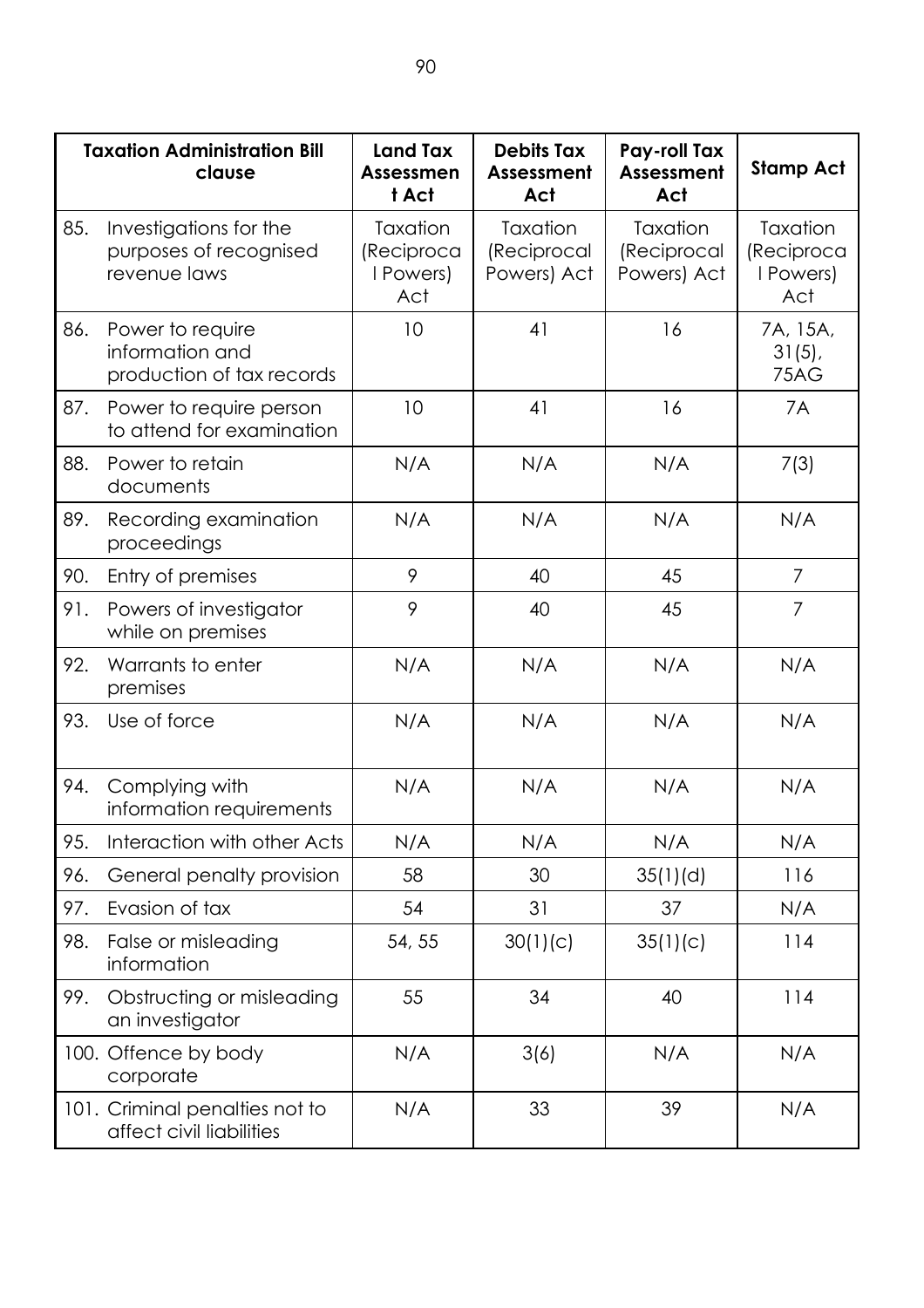|     | <b>Taxation Administration Bill</b><br>clause                    | <b>Land Tax</b><br>Assessmen<br>t Act      | <b>Debits Tax</b><br>Assessment<br>Act | Pay-roll Tax<br>Assessment<br>Act      | <b>Stamp Act</b>                           |
|-----|------------------------------------------------------------------|--------------------------------------------|----------------------------------------|----------------------------------------|--------------------------------------------|
| 85. | Investigations for the<br>purposes of recognised<br>revenue laws | Taxation<br>(Reciproca<br>I Powers)<br>Act | Taxation<br>(Reciprocal<br>Powers) Act | Taxation<br>(Reciprocal<br>Powers) Act | Taxation<br>(Reciproca<br>I Powers)<br>Act |
| 86. | Power to require<br>information and<br>production of tax records | 10                                         | 41                                     | 16                                     | 7A, 15A,<br>$31(5)$ ,<br>75AG              |
| 87. | Power to require person<br>to attend for examination             | 10                                         | 41                                     | 16                                     | 7A                                         |
| 88. | Power to retain<br>documents                                     | N/A                                        | N/A                                    | N/A                                    | 7(3)                                       |
| 89. | Recording examination<br>proceedings                             | N/A                                        | N/A                                    | N/A                                    | N/A                                        |
| 90. | Entry of premises                                                | 9                                          | 40                                     | 45                                     | $\overline{7}$                             |
| 91. | Powers of investigator<br>while on premises                      | 9                                          | 40                                     | 45                                     | $\overline{7}$                             |
| 92. | Warrants to enter<br>premises                                    | N/A                                        | N/A                                    | N/A                                    | N/A                                        |
| 93. | Use of force                                                     | N/A                                        | N/A                                    | N/A                                    | N/A                                        |
| 94. | Complying with<br>information requirements                       | N/A                                        | N/A                                    | N/A                                    | N/A                                        |
| 95. | Interaction with other Acts                                      | N/A                                        | N/A                                    | N/A                                    | N/A                                        |
| 96. | General penalty provision                                        | 58                                         | 30                                     | 35(1)(d)                               | 116                                        |
| 97. | Evasion of tax                                                   | 54                                         | 31                                     | 37                                     | N/A                                        |
| 98. | False or misleading<br>information                               | 54, 55                                     | 30(1)(c)                               | 35(1)(c)                               | 114                                        |
| 99. | Obstructing or misleading<br>an investigator                     | 55                                         | 34                                     | 40                                     | 114                                        |
|     | 100. Offence by body<br>corporate                                | N/A                                        | 3(6)                                   | N/A                                    | N/A                                        |
|     | 101. Criminal penalties not to<br>affect civil liabilities       | N/A                                        | 33                                     | 39                                     | N/A                                        |